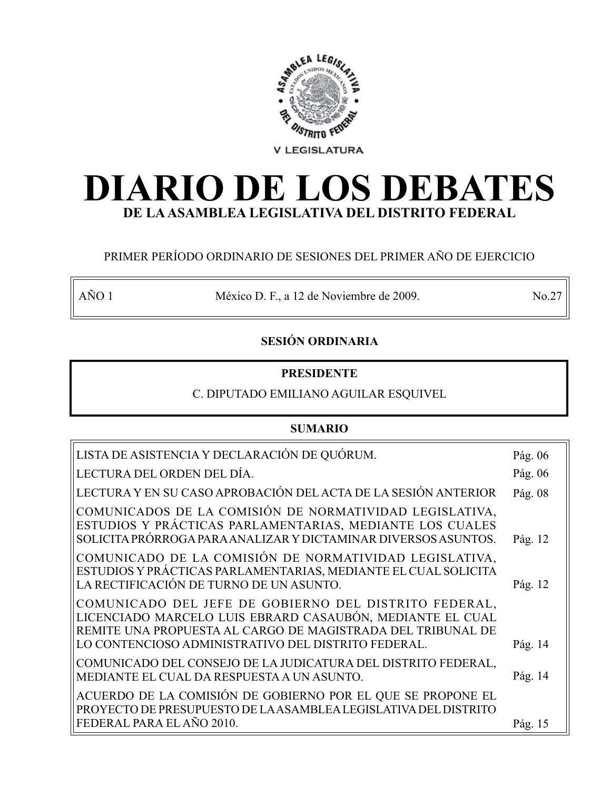

# **DIARIO DE LOS DEBATES DE LA ASAMBLEA LEGISLATIVA DEL DISTRITO FEDERAL**

## PRIMER PERÍODO ORDINARIO DE SESIONES DEL PRIMER AÑO DE EJERCICIO

AÑO 1 México D. F., a 12 de Noviembre de 2009. No.27

## **SESIÓN ORDINARIA**

## **PRESIDENTE**

## C. DIPUTADO EMILIANO AGUILAR ESQUIVEL

## **SUMARIO**

| LISTA DE ASISTENCIA Y DECLARACIÓN DE QUÓRUM.                                                                                                                                                                                             | Pág. 06 |
|------------------------------------------------------------------------------------------------------------------------------------------------------------------------------------------------------------------------------------------|---------|
| LECTURA DEL ORDEN DEL DÍA.                                                                                                                                                                                                               | Pág. 06 |
| LECTURA Y EN SU CASO APROBACIÓN DEL ACTA DE LA SESIÓN ANTERIOR                                                                                                                                                                           | Pág. 08 |
| COMUNICADOS DE LA COMISIÓN DE NORMATIVIDAD LEGISLATIVA,<br>ESTUDIOS Y PRÁCTICAS PARLAMENTARIAS, MEDIANTE LOS CUALES<br>SOLICITA PRÓRROGA PARA ANALIZAR Y DICTAMINAR DIVERSOS ASUNTOS.                                                    | Pág. 12 |
| COMUNICADO DE LA COMISIÓN DE NORMATIVIDAD LEGISLATIVA,<br>ESTUDIOS Y PRÁCTICAS PARLAMENTARIAS, MEDIANTE EL CUAL SOLICITA<br>LA RECTIFICACIÓN DE TURNO DE UN ASUNTO.                                                                      | Pág. 12 |
| COMUNICADO DEL JEFE DE GOBIERNO DEL DISTRITO FEDERAL,<br>LICENCIADO MARCELO LUIS EBRARD CASAUBÓN, MEDIANTE EL CUAL<br>REMITE UNA PROPUESTA AL CARGO DE MAGISTRADA DEL TRIBUNAL DE<br>LO CONTENCIOSO ADMINISTRATIVO DEL DISTRITO FEDERAL. | Pág. 14 |
| COMUNICADO DEL CONSEJO DE LA JUDICATURA DEL DISTRITO FEDERAL,<br>MEDIANTE EL CUAL DA RESPUESTA A UN ASUNTO.                                                                                                                              | Pág. 14 |
| ACUERDO DE LA COMISIÓN DE GOBIERNO POR EL QUE SE PROPONE EL<br>PROYECTO DE PRESUPUESTO DE LA ASAMBLEA LEGISLATIVA DEL DISTRITO<br>FEDERAL PARA EL AÑO 2010.                                                                              | Pág. 15 |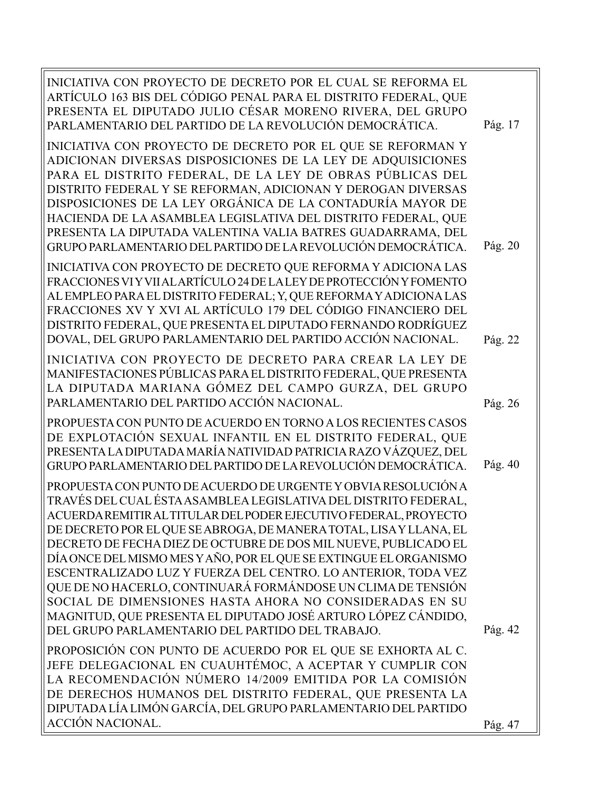| INICIATIVA CON PROYECTO DE DECRETO POR EL CUAL SE REFORMA EL<br>ARTÍCULO 163 BIS DEL CÓDIGO PENAL PARA EL DISTRITO FEDERAL, QUE<br>PRESENTA EL DIPUTADO JULIO CÉSAR MORENO RIVERA, DEL GRUPO<br>PARLAMENTARIO DEL PARTIDO DE LA REVOLUCIÓN DEMOCRÁTICA.                                                                                                                                                                                                                                                                                                                                                                                                                                                                              | Pág. 17 |
|--------------------------------------------------------------------------------------------------------------------------------------------------------------------------------------------------------------------------------------------------------------------------------------------------------------------------------------------------------------------------------------------------------------------------------------------------------------------------------------------------------------------------------------------------------------------------------------------------------------------------------------------------------------------------------------------------------------------------------------|---------|
| INICIATIVA CON PROYECTO DE DECRETO POR EL QUE SE REFORMAN Y<br>ADICIONAN DIVERSAS DISPOSICIONES DE LA LEY DE ADQUISICIONES<br>PARA EL DISTRITO FEDERAL, DE LA LEY DE OBRAS PÚBLICAS DEL<br>DISTRITO FEDERAL Y SE REFORMAN, ADICIONAN Y DEROGAN DIVERSAS<br>DISPOSICIONES DE LA LEY ORGÁNICA DE LA CONTADURÍA MAYOR DE<br>HACIENDA DE LA ASAMBLEA LEGISLATIVA DEL DISTRITO FEDERAL, QUE<br>PRESENTA LA DIPUTADA VALENTINA VALIA BATRES GUADARRAMA, DEL<br>GRUPO PARLAMENTARIO DEL PARTIDO DE LA REVOLUCIÓN DEMOCRÁTICA.                                                                                                                                                                                                               | Pág. 20 |
| INICIATIVA CON PROYECTO DE DECRETO QUE REFORMA Y ADICIONA LAS<br>FRACCIONES VI Y VII AL ARTÍCULO 24 DE LA LEY DE PROTECCIÓN Y FOMENTO<br>AL EMPLEO PARA EL DISTRITO FEDERAL; Y, QUE REFORMA Y ADICIONA LAS<br>FRACCIONES XV Y XVI AL ARTÍCULO 179 DEL CÓDIGO FINANCIERO DEL<br>DISTRITO FEDERAL, QUE PRESENTA EL DIPUTADO FERNANDO RODRÍGUEZ<br>DOVAL, DEL GRUPO PARLAMENTARIO DEL PARTIDO ACCIÓN NACIONAL.                                                                                                                                                                                                                                                                                                                          | Pág. 22 |
| INICIATIVA CON PROYECTO DE DECRETO PARA CREAR LA LEY DE<br>MANIFESTACIONES PÚBLICAS PARA EL DISTRITO FEDERAL, QUE PRESENTA<br>LA DIPUTADA MARIANA GÓMEZ DEL CAMPO GURZA, DEL GRUPO<br>PARLAMENTARIO DEL PARTIDO ACCIÓN NACIONAL.                                                                                                                                                                                                                                                                                                                                                                                                                                                                                                     | Pág. 26 |
| PROPUESTA CON PUNTO DE ACUERDO EN TORNO A LOS RECIENTES CASOS<br>DE EXPLOTACIÓN SEXUAL INFANTIL EN EL DISTRITO FEDERAL, QUE<br>PRESENTA LA DIPUTADA MARÍA NATIVIDAD PATRICIA RAZO VÁZQUEZ, DEL<br>GRUPO PARLAMENTARIO DEL PARTIDO DE LA REVOLUCIÓN DEMOCRÁTICA.                                                                                                                                                                                                                                                                                                                                                                                                                                                                      | Pág. 40 |
| PROPUESTA CON PUNTO DE ACUERDO DE URGENTE Y OBVIA RESOLUCIÓN A<br>TRAVÉS DEL CUAL ÉSTA ASAMBLEA LEGISLATIVA DEL DISTRITO FEDERAL,<br>ACUERDA REMITIR AL TITULAR DEL PODER EJECUTIVO FEDERAL, PROYECTO<br>DE DECRETO POR EL QUE SE ABROGA, DE MANERA TOTAL, LISA Y LLANA, EL<br>DECRETO DE FECHA DIEZ DE OCTUBRE DE DOS MIL NUEVE, PUBLICADO EL<br>DÍA ONCE DEL MISMO MES Y AÑO, POR EL QUE SE EXTINGUE EL ORGANISMO<br>ESCENTRALIZADO LUZ Y FUERZA DEL CENTRO. LO ANTERIOR, TODA VEZ<br>QUE DE NO HACERLO, CONTINUARÁ FORMÁNDOSE UN CLIMA DE TENSIÓN<br>SOCIAL DE DIMENSIONES HASTA AHORA NO CONSIDERADAS EN SU<br>MAGNITUD, QUE PRESENTA EL DIPUTADO JOSÉ ARTURO LÓPEZ CÁNDIDO,<br>DEL GRUPO PARLAMENTARIO DEL PARTIDO DEL TRABAJO. | Pág. 42 |
| PROPOSICIÓN CON PUNTO DE ACUERDO POR EL QUE SE EXHORTA AL C.<br>JEFE DELEGACIONAL EN CUAUHTÉMOC, A ACEPTAR Y CUMPLIR CON<br>LA RECOMENDACIÓN NÚMERO 14/2009 EMITIDA POR LA COMISIÓN<br>DE DERECHOS HUMANOS DEL DISTRITO FEDERAL, QUE PRESENTA LA<br>DIPUTADA LÍA LIMÓN GARCÍA, DEL GRUPO PARLAMENTARIO DEL PARTIDO<br><b>ACCIÓN NACIONAL.</b>                                                                                                                                                                                                                                                                                                                                                                                        | Pág. 47 |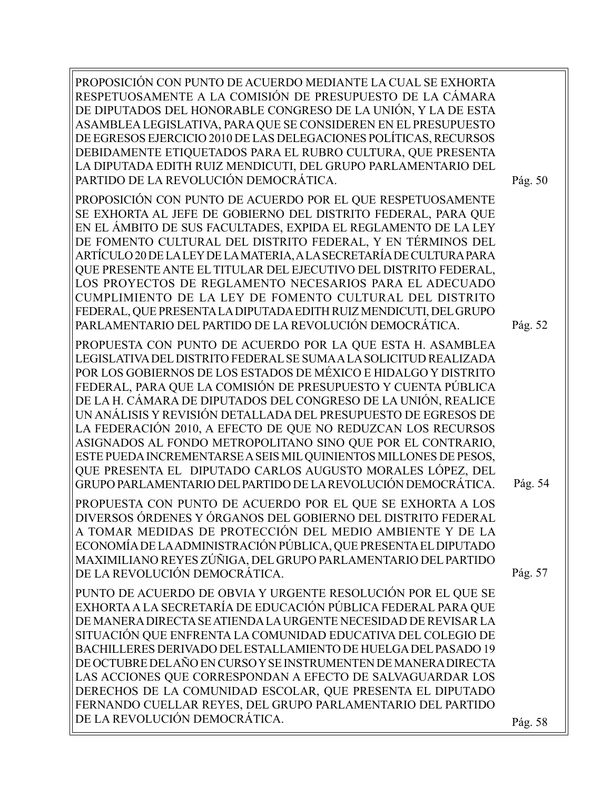PROPOSICIÓN CON PUNTO DE ACUERDO MEDIANTE LA CUAL SE EXHORTA RESPETUOSAMENTE A LA COMISIÓN DE PRESUPUESTO DE LA CÁMARA DE DIPUTADOS DEL HONORABLE CONGRESO DE LA UNIÓN, Y LA DE ESTA ASAMBLEA LEGISLATIVA, PARA QUE SE CONSIDEREN EN EL PRESUPUESTO DE EGRESOS EJERCICIO 2010 DE LAS DELEGACIONES POLÍTICAS, RECURSOS DEBIDAMENTE ETIQUETADOS PARA EL RUBRO CULTURA, QUE PRESENTA LA DIPUTADA EDITH RUIZ MENDICUTI, DEL GRUPO PARLAMENTARIO DEL PARTIDO DE LA REVOLUCIÓN DEMOCRÁTICA. PROPOSICIÓN CON PUNTO DE ACUERDO POR EL QUE RESPETUOSAMENTE SE EXHORTA AL JEFE DE GOBIERNO DEL DISTRITO FEDERAL, PARA QUE EN EL ÁMBITO DE SUS FACULTADES, EXPIDA EL REGLAMENTO DE LA LEY DE FOMENTO CULTURAL DEL DISTRITO FEDERAL, Y EN TÉRMINOS DEL ARTÍCULO 20 DE LA LEY DE LA MATERIA, A LA SECRETARÍA DE CULTURA PARA QUE PRESENTE ANTE EL TITULAR DEL EJECUTIVO DEL DISTRITO FEDERAL, LOS PROYECTOS DE REGLAMENTO NECESARIOS PARA EL ADECUADO CUMPLIMIENTO DE LA LEY DE FOMENTO CULTURAL DEL DISTRITO FEDERAL, QUE PRESENTA LA DIPUTADA EDITH RUIZ MENDICUTI, DEL GRUPO PARLAMENTARIO DEL PARTIDO DE LA REVOLUCIÓN DEMOCRÁTICA. PROPUESTA CON PUNTO DE ACUERDO POR LA QUE ESTA H. ASAMBLEA LEGISLATIVA DEL DISTRITO FEDERAL SE SUMA A LA SOLICITUD REALIZADA POR LOS GOBIERNOS DE LOS ESTADOS DE MÉXICO E HIDALGO Y DISTRITO FEDERAL, PARA QUE LA COMISIÓN DE PRESUPUESTO Y CUENTA PÚBLICA DE LA H. CÁMARA DE DIPUTADOS DEL CONGRESO DE LA UNIÓN, REALICE UN ANÁLISIS Y REVISIÓN DETALLADA DEL PRESUPUESTO DE EGRESOS DE LA FEDERACIÓN 2010, A EFECTO DE QUE NO REDUZCAN LOS RECURSOS ASIGNADOS AL FONDO METROPOLITANO SINO QUE POR EL CONTRARIO, ESTE PUEDA INCREMENTARSE A SEIS MIL QUINIENTOS MILLONES DE PESOS, QUE PRESENTA EL DIPUTADO CARLOS AUGUSTO MORALES LÓPEZ, DEL GRUPO PARLAMENTARIO DEL PARTIDO DE LA REVOLUCIÓN DEMOCRÁTICA. PROPUESTA CON PUNTO DE ACUERDO POR EL QUE SE EXHORTA A LOS DIVERSOS ÓRDENES Y ÓRGANOS DEL GOBIERNO DEL DISTRITO FEDERAL A TOMAR MEDIDAS DE PROTECCIÓN DEL MEDIO AMBIENTE Y DE LA ECONOMÍA DE LA ADMINISTRACIÓN PÚBLICA, QUE PRESENTA EL DIPUTADO MAXIMILIANO REYES ZÚÑIGA, DEL GRUPO PARLAMENTARIO DEL PARTIDO DE LA REVOLUCIÓN DEMOCRÁTICA. PUNTO DE ACUERDO DE OBVIA Y URGENTE RESOLUCIÓN POR EL QUE SE EXHORTA A LA SECRETARÍA DE EDUCACIÓN PÚBLICA FEDERAL PARA QUE DE MANERA DIRECTA SE ATIENDA LA URGENTE NECESIDAD DE REVISAR LA SITUACIÓN QUE ENFRENTA LA COMUNIDAD EDUCATIVA DEL COLEGIO DE BACHILLERES DERIVADO DEL ESTALLAMIENTO DE HUELGA DEL PASADO 19 DE OCTUBRE DEL AÑO EN CURSO Y SE INSTRUMENTEN DE MANERA DIRECTA LAS ACCIONES QUE CORRESPONDAN A EFECTO DE SALVAGUARDAR LOS DERECHOS DE LA COMUNIDAD ESCOLAR, QUE PRESENTA EL DIPUTADO FERNANDO CUELLAR REYES, DEL GRUPO PARLAMENTARIO DEL PARTIDO DE LA REVOLUCIÓN DEMOCRÁTICA. Pág. 50 Pág. 57 Pág. 52 Pág. 54 Pág. 58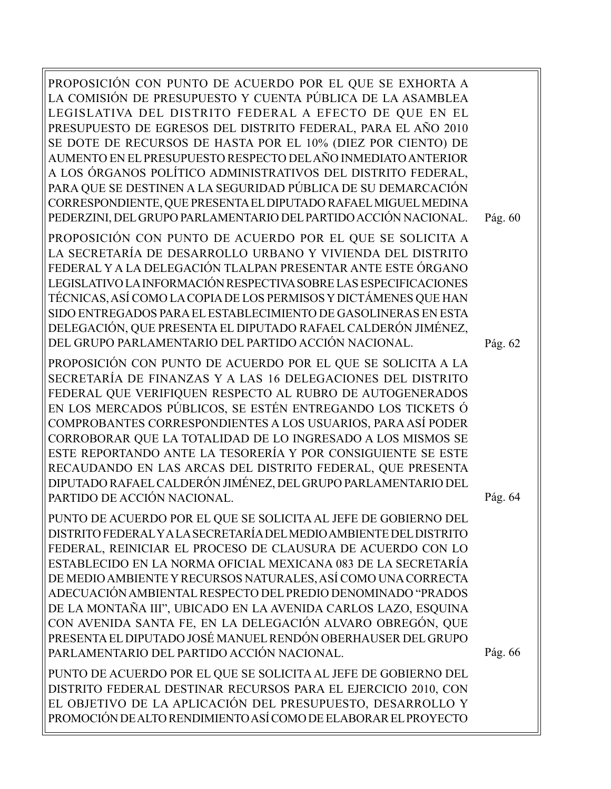PROPOSICIÓN CON PUNTO DE ACUERDO POR EL QUE SE EXHORTA A LA COMISIÓN DE PRESUPUESTO Y CUENTA PÚBLICA DE LA ASAMBLEA LEGISLATIVA DEL DISTRITO FEDERAL A EFECTO DE QUE EN EL PRESUPUESTO DE EGRESOS DEL DISTRITO FEDERAL, PARA EL AÑO 2010 SE DOTE DE RECURSOS DE HASTA POR EL 10% (DIEZ POR CIENTO) DE AUMENTO EN EL PRESUPUESTO RESPECTO DEL AÑO INMEDIATO ANTERIOR A LOS ÓRGANOS POLÍTICO ADMINISTRATIVOS DEL DISTRITO FEDERAL, PARA QUE SE DESTINEN A LA SEGURIDAD PÚBLICA DE SU DEMARCACIÓN CORRESPONDIENTE, QUE PRESENTA EL DIPUTADO RAFAEL MIGUEL MEDINA PEDERZINI, DEL GRUPO PARLAMENTARIO DEL PARTIDO ACCIÓN NACIONAL. PROPOSICIÓN CON PUNTO DE ACUERDO POR EL QUE SE SOLICITA A LA SECRETARÍA DE DESARROLLO URBANO Y VIVIENDA DEL DISTRITO FEDERAL Y A LA DELEGACIÓN TLALPAN PRESENTAR ANTE ESTE ÓRGANO LEGISLATIVO LA INFORMACIÓN RESPECTIVA SOBRE LAS ESPECIFICACIONES TÉCNICAS, ASÍ COMO LA COPIA DE LOS PERMISOS Y DICTÁMENES QUE HAN SIDO ENTREGADOS PARA EL ESTABLECIMIENTO DE GASOLINERAS EN ESTA DELEGACIÓN, QUE PRESENTA EL DIPUTADO RAFAEL CALDERÓN JIMÉNEZ, DEL GRUPO PARLAMENTARIO DEL PARTIDO ACCIÓN NACIONAL. PROPOSICIÓN CON PUNTO DE ACUERDO POR EL QUE SE SOLICITA A LA SECRETARÍA DE FINANZAS Y A LAS 16 DELEGACIONES DEL DISTRITO FEDERAL QUE VERIFIQUEN RESPECTO AL RUBRO DE AUTOGENERADOS EN LOS MERCADOS PÚBLICOS, SE ESTÉN ENTREGANDO LOS TICKETS Ó COMPROBANTES CORRESPONDIENTES A LOS USUARIOS, PARA ASÍ PODER CORROBORAR QUE LA TOTALIDAD DE LO INGRESADO A LOS MISMOS SE ESTE REPORTANDO ANTE LA TESORERÍA Y POR CONSIGUIENTE SE ESTE RECAUDANDO EN LAS ARCAS DEL DISTRITO FEDERAL, QUE PRESENTA DIPUTADO RAFAEL CALDERÓN JIMÉNEZ, DEL GRUPO PARLAMENTARIO DEL PARTIDO DE ACCIÓN NACIONAL. PUNTO DE ACUERDO POR EL QUE SE SOLICITA AL JEFE DE GOBIERNO DEL DISTRITO FEDERAL Y A LA SECRETARÍA DEL MEDIO AMBIENTE DEL DISTRITO FEDERAL, REINICIAR EL PROCESO DE CLAUSURA DE ACUERDO CON LO ESTABLECIDO EN LA NORMA OFICIAL MEXICANA 083 DE LA SECRETARÍA DE MEDIO AMBIENTE Y RECURSOS NATURALES, ASÍ COMO UNA CORRECTA Pág. 60 Pág. 64 Pág. 62

ADECUACIÓN AMBIENTAL RESPECTO DEL PREDIO DENOMINADO "PRADOS DE LA MONTAÑA III", UBICADO EN LA AVENIDA CARLOS LAZO, ESQUINA CON AVENIDA SANTA FE, EN LA DELEGACIÓN ALVARO OBREGÓN, QUE PRESENTA EL DIPUTADO JOSÉ MANUEL RENDÓN OBERHAUSER DEL GRUPO PARLAMENTARIO DEL PARTIDO ACCIÓN NACIONAL.

PUNTO DE ACUERDO POR EL QUE SE SOLICITA AL JEFE DE GOBIERNO DEL DISTRITO FEDERAL DESTINAR RECURSOS PARA EL EJERCICIO 2010, CON EL OBJETIVO DE LA APLICACIÓN DEL PRESUPUESTO, DESARROLLO Y PROMOCIÓN DE ALTO RENDIMIENTO ASÍ COMO DE ELABORAR EL PROYECTO

Pág. 66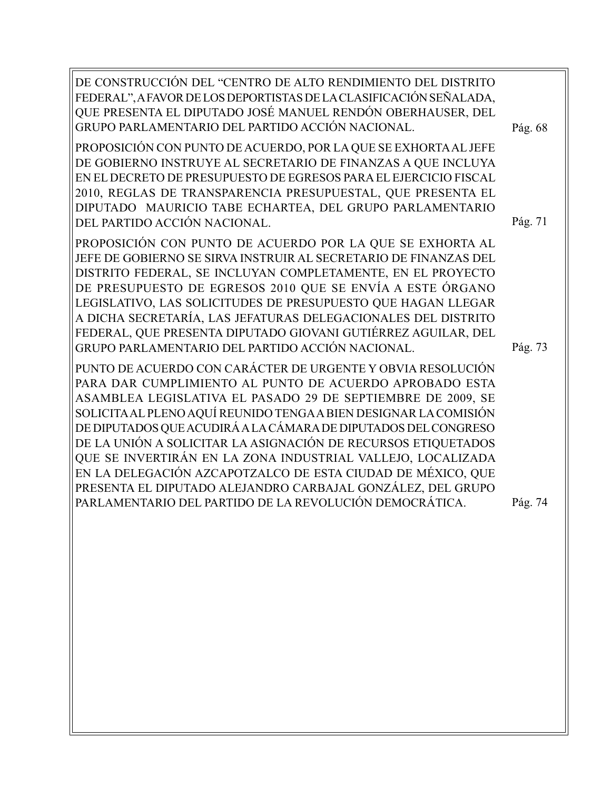| DE CONSTRUCCIÓN DEL "CENTRO DE ALTO RENDIMIENTO DEL DISTRITO<br>FEDERAL", A FAVOR DE LOS DEPORTISTAS DE LA CLASIFICACIÓN SEÑALADA,<br>QUE PRESENTA EL DIPUTADO JOSÉ MANUEL RENDÓN OBERHAUSER, DEL<br>GRUPO PARLAMENTARIO DEL PARTIDO ACCIÓN NACIONAL.                                                                                                                                                                                                                                                                                                                                     | Pág. 68 |
|-------------------------------------------------------------------------------------------------------------------------------------------------------------------------------------------------------------------------------------------------------------------------------------------------------------------------------------------------------------------------------------------------------------------------------------------------------------------------------------------------------------------------------------------------------------------------------------------|---------|
| PROPOSICIÓN CON PUNTO DE ACUERDO, POR LA QUE SE EXHORTA AL JEFE<br>DE GOBIERNO INSTRUYE AL SECRETARIO DE FINANZAS A QUE INCLUYA<br>EN EL DECRETO DE PRESUPUESTO DE EGRESOS PARA EL EJERCICIO FISCAL<br>2010, REGLAS DE TRANSPARENCIA PRESUPUESTAL, QUE PRESENTA EL<br>DIPUTADO MAURICIO TABE ECHARTEA, DEL GRUPO PARLAMENTARIO<br>DEL PARTIDO ACCIÓN NACIONAL.                                                                                                                                                                                                                            | Pág. 71 |
| PROPOSICIÓN CON PUNTO DE ACUERDO POR LA QUE SE EXHORTA AL<br>JEFE DE GOBIERNO SE SIRVA INSTRUIR AL SECRETARIO DE FINANZAS DEL<br>DISTRITO FEDERAL, SE INCLUYAN COMPLETAMENTE, EN EL PROYECTO<br>DE PRESUPUESTO DE EGRESOS 2010 QUE SE ENVÍA A ESTE ÓRGANO<br>LEGISLATIVO, LAS SOLICITUDES DE PRESUPUESTO QUE HAGAN LLEGAR<br>A DICHA SECRETARÍA, LAS JEFATURAS DELEGACIONALES DEL DISTRITO<br>FEDERAL, QUE PRESENTA DIPUTADO GIOVANI GUTIÉRREZ AGUILAR, DEL<br>GRUPO PARLAMENTARIO DEL PARTIDO ACCIÓN NACIONAL.                                                                           | Pág. 73 |
| PUNTO DE ACUERDO CON CARÁCTER DE URGENTE Y OBVIA RESOLUCIÓN<br>PARA DAR CUMPLIMIENTO AL PUNTO DE ACUERDO APROBADO ESTA<br>ASAMBLEA LEGISLATIVA EL PASADO 29 DE SEPTIEMBRE DE 2009, SE<br>SOLICITA AL PLENO AQUÍ REUNIDO TENGA A BIEN DESIGNAR LA COMISIÓN<br>DE DIPUTADOS QUE ACUDIRÁ A LA CÁMARA DE DIPUTADOS DEL CONGRESO<br>DE LA UNIÓN A SOLICITAR LA ASIGNACIÓN DE RECURSOS ETIQUETADOS<br>QUE SE INVERTIRÁN EN LA ZONA INDUSTRIAL VALLEJO, LOCALIZADA<br>EN LA DELEGACIÓN AZCAPOTZALCO DE ESTA CIUDAD DE MÉXICO, QUE<br>PRESENTA EL DIPUTADO ALEJANDRO CARBAJAL GONZÁLEZ, DEL GRUPO |         |
| PARLAMENTARIO DEL PARTIDO DE LA REVOLUCIÓN DEMOCRÁTICA.                                                                                                                                                                                                                                                                                                                                                                                                                                                                                                                                   | Pág. 74 |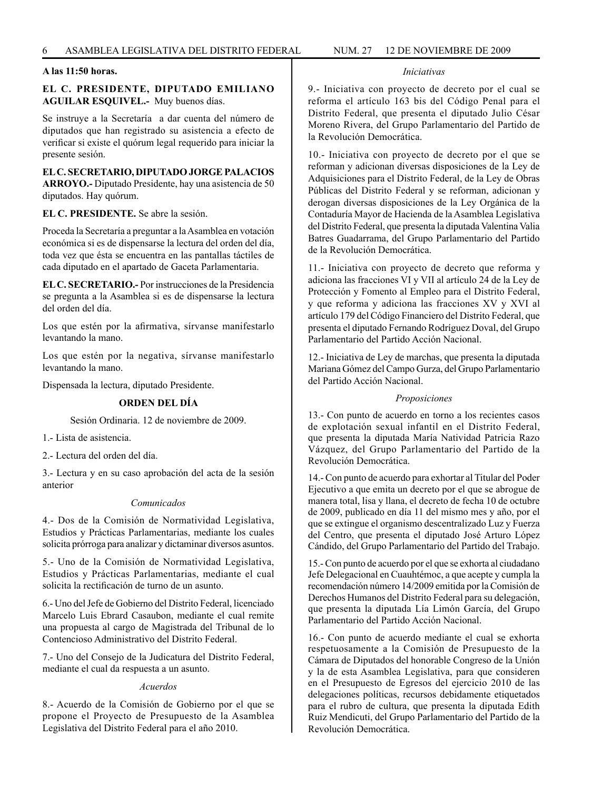#### **A las 11:50 horas.**

#### **EL C. PRESIDENTE, DIPUTADO EMILIANO AGUILAR ESQUIVEL.-** Muy buenos días.

Se instruye a la Secretaría a dar cuenta del número de diputados que han registrado su asistencia a efecto de verificar si existe el quórum legal requerido para iniciar la presente sesión.

#### **EL C. SECRETARIO, DIPUTADO JORGE PALACIOS ARROYO.-** Diputado Presidente, hay una asistencia de 50

diputados. Hay quórum.

#### **EL C. PRESIDENTE.** Se abre la sesión.

Proceda la Secretaría a preguntar a la Asamblea en votación económica si es de dispensarse la lectura del orden del día, toda vez que ésta se encuentra en las pantallas táctiles de cada diputado en el apartado de Gaceta Parlamentaria.

**EL C. SECRETARIO.-** Por instrucciones de la Presidencia se pregunta a la Asamblea si es de dispensarse la lectura del orden del día.

Los que estén por la afirmativa, sírvanse manifestarlo levantando la mano.

Los que estén por la negativa, sírvanse manifestarlo levantando la mano.

Dispensada la lectura, diputado Presidente.

#### **ORDEN DEL DÍA**

Sesión Ordinaria. 12 de noviembre de 2009.

1.- Lista de asistencia.

2.- Lectura del orden del día.

3.- Lectura y en su caso aprobación del acta de la sesión anterior

#### *Comunicados*

4.- Dos de la Comisión de Normatividad Legislativa, Estudios y Prácticas Parlamentarias, mediante los cuales solicita prórroga para analizar y dictaminar diversos asuntos.

5.- Uno de la Comisión de Normatividad Legislativa, Estudios y Prácticas Parlamentarias, mediante el cual solicita la rectificación de turno de un asunto.

6.- Uno del Jefe de Gobierno del Distrito Federal, licenciado Marcelo Luis Ebrard Casaubon, mediante el cual remite una propuesta al cargo de Magistrada del Tribunal de lo Contencioso Administrativo del Distrito Federal.

7.- Uno del Consejo de la Judicatura del Distrito Federal, mediante el cual da respuesta a un asunto.

#### *Acuerdos*

8.- Acuerdo de la Comisión de Gobierno por el que se propone el Proyecto de Presupuesto de la Asamblea Legislativa del Distrito Federal para el año 2010.

#### *Iniciativas*

9.- Iniciativa con proyecto de decreto por el cual se reforma el artículo 163 bis del Código Penal para el Distrito Federal, que presenta el diputado Julio César Moreno Rivera, del Grupo Parlamentario del Partido de la Revolución Democrática.

10.- Iniciativa con proyecto de decreto por el que se reforman y adicionan diversas disposiciones de la Ley de Adquisiciones para el Distrito Federal, de la Ley de Obras Públicas del Distrito Federal y se reforman, adicionan y derogan diversas disposiciones de la Ley Orgánica de la Contaduría Mayor de Hacienda de la Asamblea Legislativa del Distrito Federal, que presenta la diputada Valentina Valia Batres Guadarrama, del Grupo Parlamentario del Partido de la Revolución Democrática.

11.- Iniciativa con proyecto de decreto que reforma y adiciona las fracciones VI y VII al artículo 24 de la Ley de Protección y Fomento al Empleo para el Distrito Federal, y que reforma y adiciona las fracciones XV y XVI al artículo 179 del Código Financiero del Distrito Federal, que presenta el diputado Fernando Rodríguez Doval, del Grupo Parlamentario del Partido Acción Nacional.

12.- Iniciativa de Ley de marchas, que presenta la diputada Mariana Gómez del Campo Gurza, del Grupo Parlamentario del Partido Acción Nacional.

#### *Proposiciones*

13.- Con punto de acuerdo en torno a los recientes casos de explotación sexual infantil en el Distrito Federal, que presenta la diputada María Natividad Patricia Razo Vázquez, del Grupo Parlamentario del Partido de la Revolución Democrática.

14.- Con punto de acuerdo para exhortar al Titular del Poder Ejecutivo a que emita un decreto por el que se abrogue de manera total, lisa y llana, el decreto de fecha 10 de octubre de 2009, publicado en día 11 del mismo mes y año, por el que se extingue el organismo descentralizado Luz y Fuerza del Centro, que presenta el diputado José Arturo López Cándido, del Grupo Parlamentario del Partido del Trabajo.

15.- Con punto de acuerdo por el que se exhorta al ciudadano Jefe Delegacional en Cuauhtémoc, a que acepte y cumpla la recomendación número 14/2009 emitida por la Comisión de Derechos Humanos del Distrito Federal para su delegación, que presenta la diputada Lía Limón García, del Grupo Parlamentario del Partido Acción Nacional.

16.- Con punto de acuerdo mediante el cual se exhorta respetuosamente a la Comisión de Presupuesto de la Cámara de Diputados del honorable Congreso de la Unión y la de esta Asamblea Legislativa, para que consideren en el Presupuesto de Egresos del ejercicio 2010 de las delegaciones políticas, recursos debidamente etiquetados para el rubro de cultura, que presenta la diputada Edith Ruiz Mendicuti, del Grupo Parlamentario del Partido de la Revolución Democrática.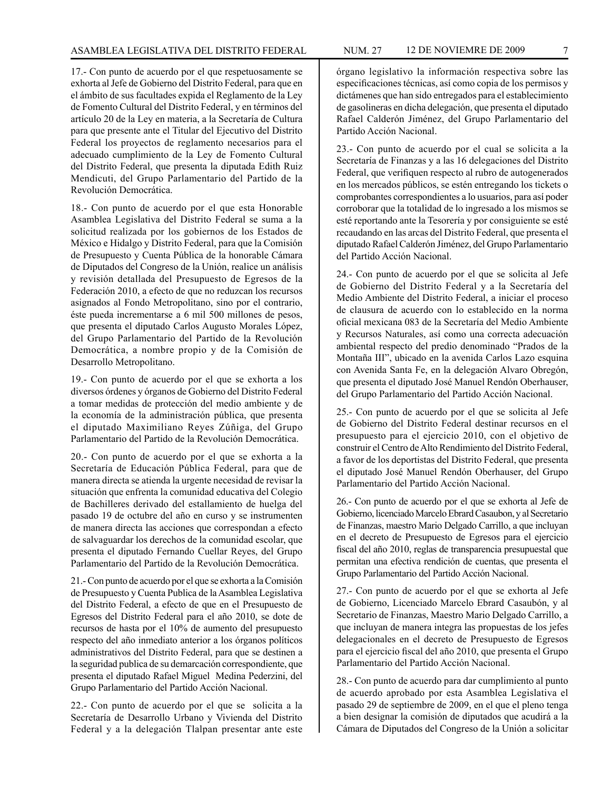17.- Con punto de acuerdo por el que respetuosamente se exhorta al Jefe de Gobierno del Distrito Federal, para que en el ámbito de sus facultades expida el Reglamento de la Ley de Fomento Cultural del Distrito Federal, y en términos del artículo 20 de la Ley en materia, a la Secretaría de Cultura para que presente ante el Titular del Ejecutivo del Distrito Federal los proyectos de reglamento necesarios para el adecuado cumplimiento de la Ley de Fomento Cultural del Distrito Federal, que presenta la diputada Edith Ruiz Mendicuti, del Grupo Parlamentario del Partido de la Revolución Democrática.

18.- Con punto de acuerdo por el que esta Honorable Asamblea Legislativa del Distrito Federal se suma a la solicitud realizada por los gobiernos de los Estados de México e Hidalgo y Distrito Federal, para que la Comisión de Presupuesto y Cuenta Pública de la honorable Cámara de Diputados del Congreso de la Unión, realice un análisis y revisión detallada del Presupuesto de Egresos de la Federación 2010, a efecto de que no reduzcan los recursos asignados al Fondo Metropolitano, sino por el contrario, éste pueda incrementarse a 6 mil 500 millones de pesos, que presenta el diputado Carlos Augusto Morales López, del Grupo Parlamentario del Partido de la Revolución Democrática, a nombre propio y de la Comisión de Desarrollo Metropolitano.

19.- Con punto de acuerdo por el que se exhorta a los diversos órdenes y órganos de Gobierno del Distrito Federal a tomar medidas de protección del medio ambiente y de la economía de la administración pública, que presenta el diputado Maximiliano Reyes Zúñiga, del Grupo Parlamentario del Partido de la Revolución Democrática.

20.- Con punto de acuerdo por el que se exhorta a la Secretaría de Educación Pública Federal, para que de manera directa se atienda la urgente necesidad de revisar la situación que enfrenta la comunidad educativa del Colegio de Bachilleres derivado del estallamiento de huelga del pasado 19 de octubre del año en curso y se instrumenten de manera directa las acciones que correspondan a efecto de salvaguardar los derechos de la comunidad escolar, que presenta el diputado Fernando Cuellar Reyes, del Grupo Parlamentario del Partido de la Revolución Democrática.

21.- Con punto de acuerdo por el que se exhorta a la Comisión de Presupuesto y Cuenta Publica de la Asamblea Legislativa del Distrito Federal, a efecto de que en el Presupuesto de Egresos del Distrito Federal para el año 2010, se dote de recursos de hasta por el 10% de aumento del presupuesto respecto del año inmediato anterior a los órganos políticos administrativos del Distrito Federal, para que se destinen a la seguridad publica de su demarcación correspondiente, que presenta el diputado Rafael Miguel Medina Pederzini, del Grupo Parlamentario del Partido Acción Nacional.

22.- Con punto de acuerdo por el que se solicita a la Secretaría de Desarrollo Urbano y Vivienda del Distrito Federal y a la delegación Tlalpan presentar ante este órgano legislativo la información respectiva sobre las especificaciones técnicas, así como copia de los permisos y dictámenes que han sido entregados para el establecimiento de gasolineras en dicha delegación, que presenta el diputado Rafael Calderón Jiménez, del Grupo Parlamentario del Partido Acción Nacional.

23.- Con punto de acuerdo por el cual se solicita a la Secretaría de Finanzas y a las 16 delegaciones del Distrito Federal, que verifiquen respecto al rubro de autogenerados en los mercados públicos, se estén entregando los tickets o comprobantes correspondientes a lo usuarios, para así poder corroborar que la totalidad de lo ingresado a los mismos se esté reportando ante la Tesorería y por consiguiente se esté recaudando en las arcas del Distrito Federal, que presenta el diputado Rafael Calderón Jiménez, del Grupo Parlamentario del Partido Acción Nacional.

24.- Con punto de acuerdo por el que se solicita al Jefe de Gobierno del Distrito Federal y a la Secretaría del Medio Ambiente del Distrito Federal, a iniciar el proceso de clausura de acuerdo con lo establecido en la norma oficial mexicana 083 de la Secretaría del Medio Ambiente y Recursos Naturales, así como una correcta adecuación ambiental respecto del predio denominado "Prados de la Montaña III", ubicado en la avenida Carlos Lazo esquina con Avenida Santa Fe, en la delegación Alvaro Obregón, que presenta el diputado José Manuel Rendón Oberhauser, del Grupo Parlamentario del Partido Acción Nacional.

25.- Con punto de acuerdo por el que se solicita al Jefe de Gobierno del Distrito Federal destinar recursos en el presupuesto para el ejercicio 2010, con el objetivo de construir el Centro de Alto Rendimiento del Distrito Federal, a favor de los deportistas del Distrito Federal, que presenta el diputado José Manuel Rendón Oberhauser, del Grupo Parlamentario del Partido Acción Nacional.

26.- Con punto de acuerdo por el que se exhorta al Jefe de Gobierno, licenciado Marcelo Ebrard Casaubon, y al Secretario de Finanzas, maestro Mario Delgado Carrillo, a que incluyan en el decreto de Presupuesto de Egresos para el ejercicio fiscal del año 2010, reglas de transparencia presupuestal que permitan una efectiva rendición de cuentas, que presenta el Grupo Parlamentario del Partido Acción Nacional.

27.- Con punto de acuerdo por el que se exhorta al Jefe de Gobierno, Licenciado Marcelo Ebrard Casaubón, y al Secretario de Finanzas, Maestro Mario Delgado Carrillo, a que incluyan de manera integra las propuestas de los jefes delegacionales en el decreto de Presupuesto de Egresos para el ejercicio fiscal del año 2010, que presenta el Grupo Parlamentario del Partido Acción Nacional.

28.- Con punto de acuerdo para dar cumplimiento al punto de acuerdo aprobado por esta Asamblea Legislativa el pasado 29 de septiembre de 2009, en el que el pleno tenga a bien designar la comisión de diputados que acudirá a la Cámara de Diputados del Congreso de la Unión a solicitar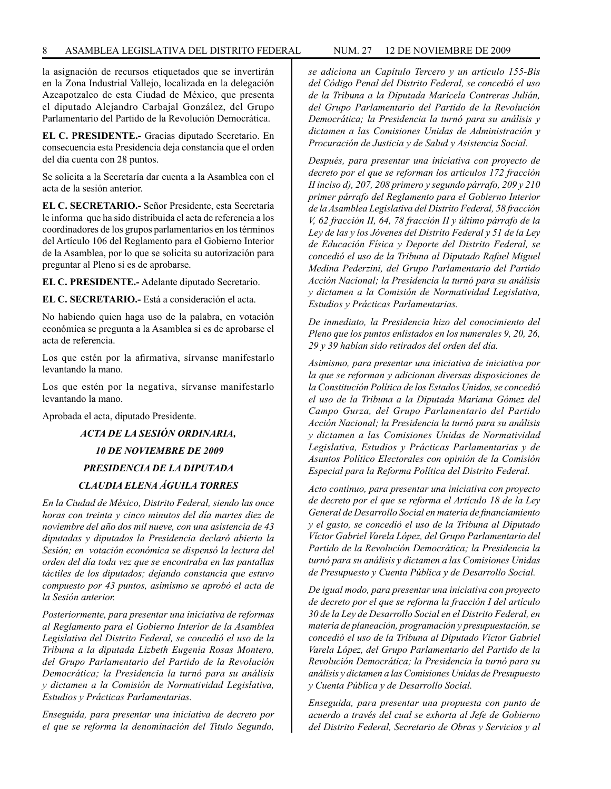la asignación de recursos etiquetados que se invertirán en la Zona Industrial Vallejo, localizada en la delegación Azcapotzalco de esta Ciudad de México, que presenta el diputado Alejandro Carbajal González, del Grupo Parlamentario del Partido de la Revolución Democrática.

**EL C. PRESIDENTE.-** Gracias diputado Secretario. En consecuencia esta Presidencia deja constancia que el orden del día cuenta con 28 puntos.

Se solicita a la Secretaría dar cuenta a la Asamblea con el acta de la sesión anterior.

**EL C. SECRETARIO.-** Señor Presidente, esta Secretaría le informa que ha sido distribuida el acta de referencia a los coordinadores de los grupos parlamentarios en los términos del Artículo 106 del Reglamento para el Gobierno Interior de la Asamblea, por lo que se solicita su autorización para preguntar al Pleno si es de aprobarse.

**EL C. PRESIDENTE.-** Adelante diputado Secretario.

**EL C. SECRETARIO.-** Está a consideración el acta.

No habiendo quien haga uso de la palabra, en votación económica se pregunta a la Asamblea si es de aprobarse el acta de referencia.

Los que estén por la afirmativa, sírvanse manifestarlo levantando la mano.

Los que estén por la negativa, sírvanse manifestarlo levantando la mano.

Aprobada el acta, diputado Presidente.

*ACTA DE LA SESIÓN ORDINARIA, 10 DE NOVIEMBRE DE 2009*

*PRESIDENCIA DE LA DIPUTADA* 

## *CLAUDIA ELENA ÁGUILA TORRES*

*En la Ciudad de México, Distrito Federal, siendo las once horas con treinta y cinco minutos del día martes diez de noviembre del año dos mil nueve, con una asistencia de 43 diputadas y diputados la Presidencia declaró abierta la Sesión; en votación económica se dispensó la lectura del orden del día toda vez que se encontraba en las pantallas táctiles de los diputados; dejando constancia que estuvo compuesto por 43 puntos, asimismo se aprobó el acta de la Sesión anterior.*

*Posteriormente, para presentar una iniciativa de reformas al Reglamento para el Gobierno Interior de la Asamblea Legislativa del Distrito Federal, se concedió el uso de la Tribuna a la diputada Lizbeth Eugenia Rosas Montero, del Grupo Parlamentario del Partido de la Revolución Democrática; la Presidencia la turnó para su análisis y dictamen a la Comisión de Normatividad Legislativa, Estudios y Prácticas Parlamentarias.*

*Enseguida, para presentar una iniciativa de decreto por el que se reforma la denominación del Titulo Segundo,* 

*se adiciona un Capítulo Tercero y un artículo 155-Bis del Código Penal del Distrito Federal, se concedió el uso de la Tribuna a la Diputada Maricela Contreras Julián, del Grupo Parlamentario del Partido de la Revolución Democrática; la Presidencia la turnó para su análisis y dictamen a las Comisiones Unidas de Administración y Procuración de Justicia y de Salud y Asistencia Social.*

*Después, para presentar una iniciativa con proyecto de decreto por el que se reforman los artículos 172 fracción II inciso d), 207, 208 primero y segundo párrafo, 209 y 210 primer párrafo del Reglamento para el Gobierno Interior de la Asamblea Legislativa del Distrito Federal, 58 fracción V, 62 fracción II, 64, 78 fracción II y último párrafo de la Ley de las y los Jóvenes del Distrito Federal y 51 de la Ley de Educación Física y Deporte del Distrito Federal, se concedió el uso de la Tribuna al Diputado Rafael Miguel Medina Pederzini, del Grupo Parlamentario del Partido Acción Nacional; la Presidencia la turnó para su análisis y dictamen a la Comisión de Normatividad Legislativa, Estudios y Prácticas Parlamentarias.*

*De inmediato, la Presidencia hizo del conocimiento del Pleno que los puntos enlistados en los numerales 9, 20, 26, 29 y 39 habían sido retirados del orden del día.*

*Asimismo, para presentar una iniciativa de iniciativa por la que se reforman y adicionan diversas disposiciones de la Constitución Política de los Estados Unidos, se concedió el uso de la Tribuna a la Diputada Mariana Gómez del Campo Gurza, del Grupo Parlamentario del Partido Acción Nacional; la Presidencia la turnó para su análisis y dictamen a las Comisiones Unidas de Normatividad Legislativa, Estudios y Prácticas Parlamentarias y de Asuntos Político Electorales con opinión de la Comisión Especial para la Reforma Política del Distrito Federal.*

*Acto continuo, para presentar una iniciativa con proyecto de decreto por el que se reforma el Artículo 18 de la Ley General de Desarrollo Social en materia de financiamiento y el gasto, se concedió el uso de la Tribuna al Diputado Víctor Gabriel Varela López, del Grupo Parlamentario del Partido de la Revolución Democrática; la Presidencia la turnó para su análisis y dictamen a las Comisiones Unidas de Presupuesto y Cuenta Pública y de Desarrollo Social.*

*De igual modo, para presentar una iniciativa con proyecto de decreto por el que se reforma la fracción I del artículo 30 de la Ley de Desarrollo Social en el Distrito Federal, en materia de planeación, programación y presupuestación, se concedió el uso de la Tribuna al Diputado Víctor Gabriel Varela López, del Grupo Parlamentario del Partido de la Revolución Democrática; la Presidencia la turnó para su análisis y dictamen a las Comisiones Unidas de Presupuesto y Cuenta Pública y de Desarrollo Social.*

*Enseguida, para presentar una propuesta con punto de acuerdo a través del cual se exhorta al Jefe de Gobierno del Distrito Federal, Secretario de Obras y Servicios y al*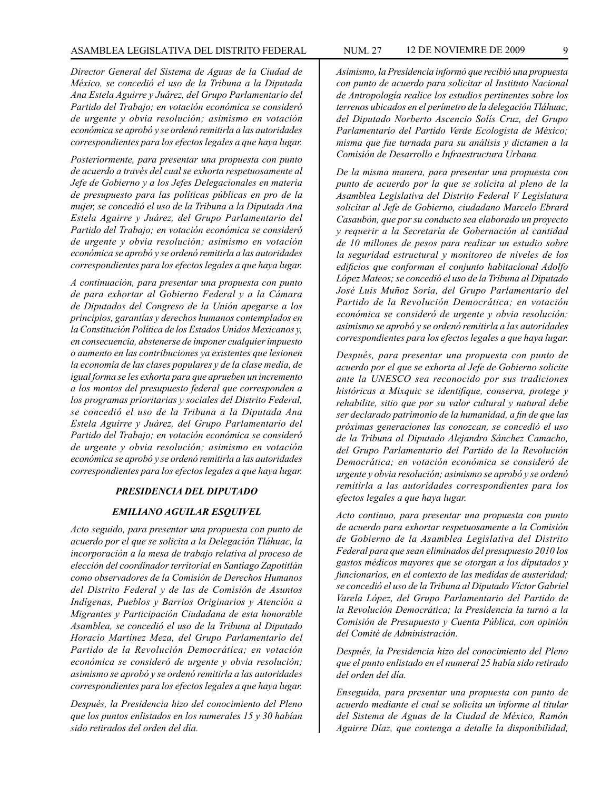*Director General del Sistema de Aguas de la Ciudad de México, se concedió el uso de la Tribuna a la Diputada Ana Estela Aguirre y Juárez, del Grupo Parlamentario del Partido del Trabajo; en votación económica se consideró de urgente y obvia resolución; asimismo en votación económica se aprobó y se ordenó remitirla a las autoridades correspondientes para los efectos legales a que haya lugar.*

*Posteriormente, para presentar una propuesta con punto de acuerdo a través del cual se exhorta respetuosamente al Jefe de Gobierno y a los Jefes Delegacionales en materia de presupuesto para las políticas públicas en pro de la mujer, se concedió el uso de la Tribuna a la Diputada Ana Estela Aguirre y Juárez, del Grupo Parlamentario del Partido del Trabajo; en votación económica se consideró de urgente y obvia resolución; asimismo en votación económica se aprobó y se ordenó remitirla a las autoridades correspondientes para los efectos legales a que haya lugar.*

*A continuación, para presentar una propuesta con punto de para exhortar al Gobierno Federal y a la Cámara de Diputados del Congreso de la Unión apegarse a los principios, garantías y derechos humanos contemplados en la Constitución Política de los Estados Unidos Mexicanos y, en consecuencia, abstenerse de imponer cualquier impuesto o aumento en las contribuciones ya existentes que lesionen la economía de las clases populares y de la clase media, de igual forma se les exhorta para que aprueben un incremento a los montos del presupuesto federal que corresponden a los programas prioritarias y sociales del Distrito Federal, se concedió el uso de la Tribuna a la Diputada Ana Estela Aguirre y Juárez, del Grupo Parlamentario del Partido del Trabajo; en votación económica se consideró de urgente y obvia resolución; asimismo en votación económica se aprobó y se ordenó remitirla a las autoridades correspondientes para los efectos legales a que haya lugar.*

#### *PRESIDENCIA DEL DIPUTADO*

#### *EMILIANO AGUILAR ESQUIVEL*

*Acto seguido, para presentar una propuesta con punto de acuerdo por el que se solicita a la Delegación Tláhuac, la incorporación a la mesa de trabajo relativa al proceso de elección del coordinador territorial en Santiago Zapotitlán como observadores de la Comisión de Derechos Humanos del Distrito Federal y de las de Comisión de Asuntos Indígenas, Pueblos y Barrios Originarios y Atención a Migrantes y Participación Ciudadana de esta honorable Asamblea, se concedió el uso de la Tribuna al Diputado Horacio Martínez Meza, del Grupo Parlamentario del Partido de la Revolución Democrática; en votación económica se consideró de urgente y obvia resolución; asimismo se aprobó y se ordenó remitirla a las autoridades correspondientes para los efectos legales a que haya lugar.*

*Después, la Presidencia hizo del conocimiento del Pleno que los puntos enlistados en los numerales 15 y 30 habían sido retirados del orden del día.*

*Asimismo, la Presidencia informó que recibió una propuesta con punto de acuerdo para solicitar al Instituto Nacional de Antropología realice los estudios pertinentes sobre los terrenos ubicados en el perímetro de la delegación Tláhuac, del Diputado Norberto Ascencio Solís Cruz, del Grupo Parlamentario del Partido Verde Ecologista de México; misma que fue turnada para su análisis y dictamen a la Comisión de Desarrollo e Infraestructura Urbana.*

*De la misma manera, para presentar una propuesta con punto de acuerdo por la que se solicita al pleno de la Asamblea Legislativa del Distrito Federal V Legislatura solicitar al Jefe de Gobierno, ciudadano Marcelo Ebrard Casaubón, que por su conducto sea elaborado un proyecto y requerir a la Secretaría de Gobernación al cantidad de 10 millones de pesos para realizar un estudio sobre la seguridad estructural y monitoreo de niveles de los edificios que conforman el conjunto habitacional Adolfo López Mateos; se concedió el uso de la Tribuna al Diputado José Luis Muñoz Soria, del Grupo Parlamentario del Partido de la Revolución Democrática; en votación económica se consideró de urgente y obvia resolución; asimismo se aprobó y se ordenó remitirla a las autoridades correspondientes para los efectos legales a que haya lugar.*

*Después, para presentar una propuesta con punto de acuerdo por el que se exhorta al Jefe de Gobierno solicite ante la UNESCO sea reconocido por sus tradiciones históricas a Mixquic se identifique, conserva, protege y rehabilite, sitio que por su valor cultural y natural debe ser declarado patrimonio de la humanidad, a fin de que las próximas generaciones las conozcan, se concedió el uso de la Tribuna al Diputado Alejandro Sánchez Camacho, del Grupo Parlamentario del Partido de la Revolución Democrática; en votación económica se consideró de urgente y obvia resolución; asimismo se aprobó y se ordenó remitirla a las autoridades correspondientes para los efectos legales a que haya lugar.*

*Acto continuo, para presentar una propuesta con punto de acuerdo para exhortar respetuosamente a la Comisión de Gobierno de la Asamblea Legislativa del Distrito Federal para que sean eliminados del presupuesto 2010 los gastos médicos mayores que se otorgan a los diputados y funcionarios, en el contexto de las medidas de austeridad; se concedió el uso de la Tribuna al Diputado Víctor Gabriel Varela López, del Grupo Parlamentario del Partido de la Revolución Democrática; la Presidencia la turnó a la Comisión de Presupuesto y Cuenta Pública, con opinión del Comité de Administración.*

*Después, la Presidencia hizo del conocimiento del Pleno que el punto enlistado en el numeral 25 había sido retirado del orden del día.*

*Enseguida, para presentar una propuesta con punto de acuerdo mediante el cual se solicita un informe al titular del Sistema de Aguas de la Ciudad de México, Ramón Aguirre Díaz, que contenga a detalle la disponibilidad,*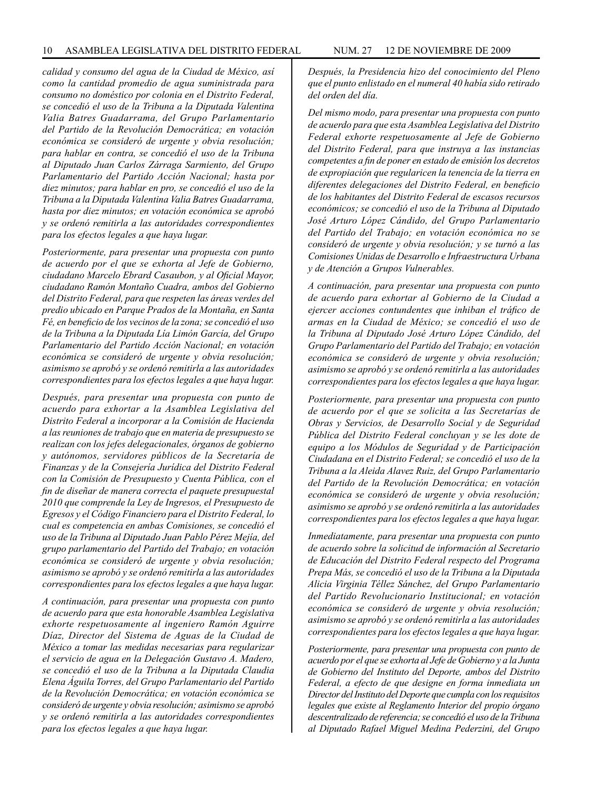*calidad y consumo del agua de la Ciudad de México, así como la cantidad promedio de agua suministrada para consumo no doméstico por colonia en el Distrito Federal, se concedió el uso de la Tribuna a la Diputada Valentina Valia Batres Guadarrama, del Grupo Parlamentario del Partido de la Revolución Democrática; en votación económica se consideró de urgente y obvia resolución; para hablar en contra, se concedió el uso de la Tribuna al Diputado Juan Carlos Zárraga Sarmiento, del Grupo Parlamentario del Partido Acción Nacional; hasta por diez minutos; para hablar en pro, se concedió el uso de la Tribuna a la Diputada Valentina Valia Batres Guadarrama, hasta por diez minutos; en votación económica se aprobó y se ordenó remitirla a las autoridades correspondientes para los efectos legales a que haya lugar.*

*Posteriormente, para presentar una propuesta con punto de acuerdo por el que se exhorta al Jefe de Gobierno, ciudadano Marcelo Ebrard Casaubon, y al Oficial Mayor, ciudadano Ramón Montaño Cuadra, ambos del Gobierno del Distrito Federal, para que respeten las áreas verdes del predio ubicado en Parque Prados de la Montaña, en Santa Fé, en beneficio de los vecinos de la zona; se concedió el uso de la Tribuna a la Diputada Lía Limón García, del Grupo Parlamentario del Partido Acción Nacional; en votación económica se consideró de urgente y obvia resolución; asimismo se aprobó y se ordenó remitirla a las autoridades correspondientes para los efectos legales a que haya lugar.*

*Después, para presentar una propuesta con punto de acuerdo para exhortar a la Asamblea Legislativa del Distrito Federal a incorporar a la Comisión de Hacienda a las reuniones de trabajo que en materia de presupuesto se realizan con los jefes delegacionales, órganos de gobierno y autónomos, servidores públicos de la Secretaría de Finanzas y de la Consejería Jurídica del Distrito Federal con la Comisión de Presupuesto y Cuenta Pública, con el fin de diseñar de manera correcta el paquete presupuestal 2010 que comprende la Ley de Ingresos, el Presupuesto de Egresos y el Código Financiero para el Distrito Federal, lo cual es competencia en ambas Comisiones, se concedió el uso de la Tribuna al Diputado Juan Pablo Pérez Mejía, del grupo parlamentario del Partido del Trabajo; en votación económica se consideró de urgente y obvia resolución; asimismo se aprobó y se ordenó remitirla a las autoridades correspondientes para los efectos legales a que haya lugar.*

*A continuación, para presentar una propuesta con punto de acuerdo para que esta honorable Asamblea Legislativa exhorte respetuosamente al ingeniero Ramón Aguirre Díaz, Director del Sistema de Aguas de la Ciudad de México a tomar las medidas necesarias para regularizar el servicio de agua en la Delegación Gustavo A. Madero, se concedió el uso de la Tribuna a la Diputada Claudia Elena Águila Torres, del Grupo Parlamentario del Partido de la Revolución Democrática; en votación económica se consideró de urgente y obvia resolución; asimismo se aprobó y se ordenó remitirla a las autoridades correspondientes para los efectos legales a que haya lugar.*

*Después, la Presidencia hizo del conocimiento del Pleno que el punto enlistado en el numeral 40 había sido retirado del orden del día.*

*Del mismo modo, para presentar una propuesta con punto de acuerdo para que esta Asamblea Legislativa del Distrito Federal exhorte respetuosamente al Jefe de Gobierno del Distrito Federal, para que instruya a las instancias competentes a fin de poner en estado de emisión los decretos de expropiación que regularicen la tenencia de la tierra en diferentes delegaciones del Distrito Federal, en beneficio de los habitantes del Distrito Federal de escasos recursos económicos; se concedió el uso de la Tribuna al Diputado José Arturo López Cándido, del Grupo Parlamentario del Partido del Trabajo; en votación económica no se consideró de urgente y obvia resolución; y se turnó a las Comisiones Unidas de Desarrollo e Infraestructura Urbana y de Atención a Grupos Vulnerables.*

*A continuación, para presentar una propuesta con punto de acuerdo para exhortar al Gobierno de la Ciudad a ejercer acciones contundentes que inhiban el tráfico de armas en la Ciudad de México; se concedió el uso de la Tribuna al Diputado José Arturo López Cándido, del Grupo Parlamentario del Partido del Trabajo; en votación económica se consideró de urgente y obvia resolución; asimismo se aprobó y se ordenó remitirla a las autoridades correspondientes para los efectos legales a que haya lugar.*

*Posteriormente, para presentar una propuesta con punto de acuerdo por el que se solicita a las Secretarías de Obras y Servicios, de Desarrollo Social y de Seguridad Pública del Distrito Federal concluyan y se les dote de equipo a los Módulos de Seguridad y de Participación Ciudadana en el Distrito Federal; se concedió el uso de la Tribuna a la Aleida Alavez Ruiz, del Grupo Parlamentario del Partido de la Revolución Democrática; en votación económica se consideró de urgente y obvia resolución; asimismo se aprobó y se ordenó remitirla a las autoridades correspondientes para los efectos legales a que haya lugar.*

*Inmediatamente, para presentar una propuesta con punto de acuerdo sobre la solicitud de información al Secretario de Educación del Distrito Federal respecto del Programa Prepa Más, se concedió el uso de la Tribuna a la Diputada Alicia Virginia Téllez Sánchez, del Grupo Parlamentario del Partido Revolucionario Institucional; en votación económica se consideró de urgente y obvia resolución; asimismo se aprobó y se ordenó remitirla a las autoridades correspondientes para los efectos legales a que haya lugar.*

*Posteriormente, para presentar una propuesta con punto de acuerdo por el que se exhorta al Jefe de Gobierno y a la Junta de Gobierno del Instituto del Deporte, ambos del Distrito Federal, a efecto de que designe en forma inmediata un Director del Instituto del Deporte que cumpla con los requisitos legales que existe al Reglamento Interior del propio órgano descentralizado de referencia; se concedió el uso de la Tribuna al Diputado Rafael Miguel Medina Pederzini, del Grupo*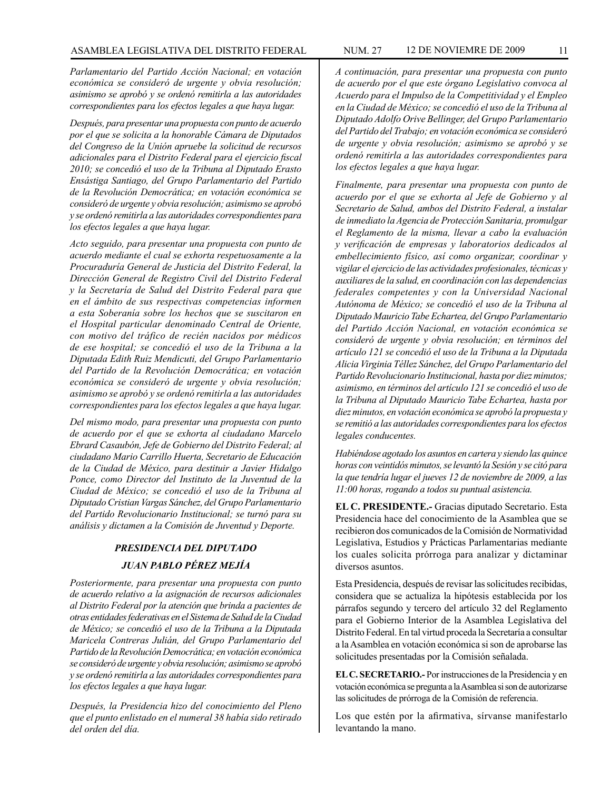*Parlamentario del Partido Acción Nacional; en votación económica se consideró de urgente y obvia resolución; asimismo se aprobó y se ordenó remitirla a las autoridades correspondientes para los efectos legales a que haya lugar.*

*Después, para presentar una propuesta con punto de acuerdo por el que se solicita a la honorable Cámara de Diputados del Congreso de la Unión apruebe la solicitud de recursos adicionales para el Distrito Federal para el ejercicio fiscal 2010; se concedió el uso de la Tribuna al Diputado Erasto Ensástiga Santiago, del Grupo Parlamentario del Partido de la Revolución Democrática; en votación económica se consideró de urgente y obvia resolución; asimismo se aprobó y se ordenó remitirla a las autoridades correspondientes para los efectos legales a que haya lugar.*

*Acto seguido, para presentar una propuesta con punto de acuerdo mediante el cual se exhorta respetuosamente a la Procuraduría General de Justicia del Distrito Federal, la Dirección General de Registro Civil del Distrito Federal y la Secretaría de Salud del Distrito Federal para que en el ámbito de sus respectivas competencias informen a esta Soberanía sobre los hechos que se suscitaron en el Hospital particular denominado Central de Oriente, con motivo del tráfico de recién nacidos por médicos de ese hospital; se concedió el uso de la Tribuna a la Diputada Edith Ruiz Mendicuti, del Grupo Parlamentario del Partido de la Revolución Democrática; en votación económica se consideró de urgente y obvia resolución; asimismo se aprobó y se ordenó remitirla a las autoridades correspondientes para los efectos legales a que haya lugar.*

*Del mismo modo, para presentar una propuesta con punto de acuerdo por el que se exhorta al ciudadano Marcelo Ebrard Casaubón, Jefe de Gobierno del Distrito Federal; al ciudadano Mario Carrillo Huerta, Secretario de Educación de la Ciudad de México, para destituir a Javier Hidalgo Ponce, como Director del Instituto de la Juventud de la Ciudad de México; se concedió el uso de la Tribuna al Diputado Cristian Vargas Sánchez, del Grupo Parlamentario del Partido Revolucionario Institucional; se turnó para su análisis y dictamen a la Comisión de Juventud y Deporte.*

## *PRESIDENCIA DEL DIPUTADO JUAN PABLO PÉREZ MEJÍA*

*Posteriormente, para presentar una propuesta con punto de acuerdo relativo a la asignación de recursos adicionales al Distrito Federal por la atención que brinda a pacientes de otras entidades federativas en el Sistema de Salud de la Ciudad de México; se concedió el uso de la Tribuna a la Diputada Maricela Contreras Julián, del Grupo Parlamentario del Partido de la Revolución Democrática; en votación económica se consideró de urgente y obvia resolución; asimismo se aprobó y se ordenó remitirla a las autoridades correspondientes para los efectos legales a que haya lugar.*

*Después, la Presidencia hizo del conocimiento del Pleno que el punto enlistado en el numeral 38 había sido retirado del orden del día.*

*A continuación, para presentar una propuesta con punto de acuerdo por el que este órgano Legislativo convoca al Acuerdo para el Impulso de la Competitividad y el Empleo en la Ciudad de México; se concedió el uso de la Tribuna al Diputado Adolfo Orive Bellinger, del Grupo Parlamentario del Partido del Trabajo; en votación económica se consideró de urgente y obvia resolución; asimismo se aprobó y se ordenó remitirla a las autoridades correspondientes para los efectos legales a que haya lugar.*

*Finalmente, para presentar una propuesta con punto de acuerdo por el que se exhorta al Jefe de Gobierno y al Secretario de Salud, ambos del Distrito Federal, a instalar de inmediato la Agencia de Protección Sanitaria, promulgar el Reglamento de la misma, llevar a cabo la evaluación y verificación de empresas y laboratorios dedicados al embellecimiento físico, así como organizar, coordinar y vigilar el ejercicio de las actividades profesionales, técnicas y auxiliares de la salud, en coordinación con las dependencias federales competentes y con la Universidad Nacional Autónoma de México; se concedió el uso de la Tribuna al Diputado Mauricio Tabe Echartea, del Grupo Parlamentario del Partido Acción Nacional, en votación económica se consideró de urgente y obvia resolución; en términos del artículo 121 se concedió el uso de la Tribuna a la Diputada Alicia Virginia Téllez Sánchez, del Grupo Parlamentario del Partido Revolucionario Institucional, hasta por diez minutos; asimismo, en términos del artículo 121 se concedió el uso de la Tribuna al Diputado Mauricio Tabe Echartea, hasta por diez minutos, en votación económica se aprobó la propuesta y se remitió a las autoridades correspondientes para los efectos legales conducentes.*

*Habiéndose agotado los asuntos en cartera y siendo las quince horas con veintidós minutos, se levantó la Sesión y se citó para la que tendría lugar el jueves 12 de noviembre de 2009, a las 11:00 horas, rogando a todos su puntual asistencia.*

**EL C. PRESIDENTE.-** Gracias diputado Secretario. Esta Presidencia hace del conocimiento de la Asamblea que se recibieron dos comunicados de la Comisión de Normatividad Legislativa, Estudios y Prácticas Parlamentarias mediante los cuales solicita prórroga para analizar y dictaminar diversos asuntos.

Esta Presidencia, después de revisar las solicitudes recibidas, considera que se actualiza la hipótesis establecida por los párrafos segundo y tercero del artículo 32 del Reglamento para el Gobierno Interior de la Asamblea Legislativa del Distrito Federal. En tal virtud proceda la Secretaría a consultar a la Asamblea en votación económica si son de aprobarse las solicitudes presentadas por la Comisión señalada.

**EL C. SECRETARIO.-** Por instrucciones de la Presidencia y en votación económica se pregunta a la Asamblea si son de autorizarse las solicitudes de prórroga de la Comisión de referencia.

Los que estén por la afirmativa, sírvanse manifestarlo levantando la mano.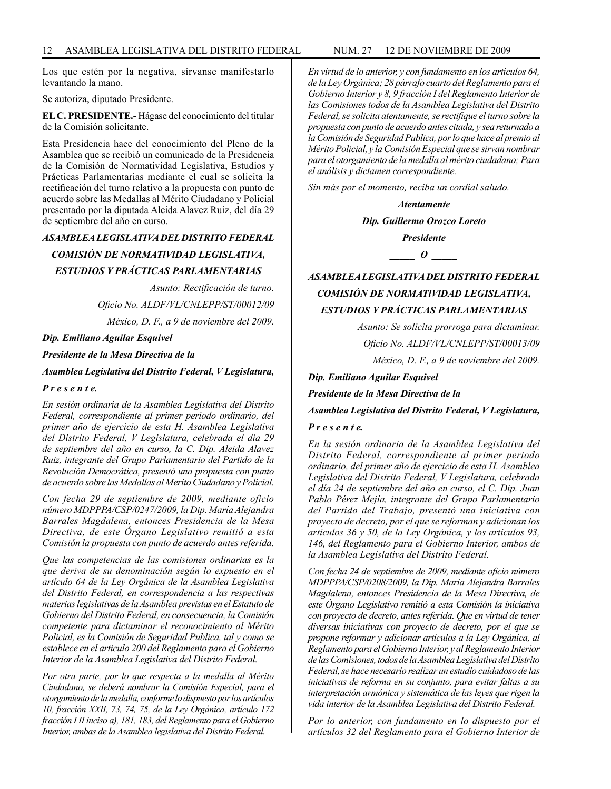Los que estén por la negativa, sírvanse manifestarlo levantando la mano.

Se autoriza, diputado Presidente.

**EL C. PRESIDENTE.-** Hágase del conocimiento del titular de la Comisión solicitante.

Esta Presidencia hace del conocimiento del Pleno de la Asamblea que se recibió un comunicado de la Presidencia de la Comisión de Normatividad Legislativa, Estudios y Prácticas Parlamentarias mediante el cual se solicita la rectificación del turno relativo a la propuesta con punto de acuerdo sobre las Medallas al Mérito Ciudadano y Policial presentado por la diputada Aleida Alavez Ruiz, del día 29 de septiembre del año en curso.

#### *ASAMBLEA LEGISLATIVA DEL DISTRITO FEDERAL*

## *COMISIÓN DE NORMATlVlDAD LEGISLATIVA, ESTUDIOS Y PRÁCTICAS PARLAMENTARIAS*

*Asunto: Rectificación de turno. Oficio No. ALDF/VL/CNLEPP/ST/00012/09 México, D. F., a 9 de noviembre del 2009.*

#### *Dip. Emiliano Aguilar Esquivel*

*Presidente de la Mesa Directiva de la*

*Asamblea Legislativa del Distrito Federal, V Legislatura,*

#### *P r e s e n t e.*

*En sesión ordinaria de la Asamblea Legislativa del Distrito Federal, correspondiente al primer periodo ordinario, del primer año de ejercicio de esta H. Asamblea Legislativa del Distrito Federal, V Legislatura, celebrada el día 29 de septiembre del año en curso, la C. Dip. Aleida Alavez Ruiz, integrante del Grupo Parlamentario del Partido de la Revolución Democrática, presentó una propuesta con punto de acuerdo sobre las Medallas al Merito Ciudadano y Policial.*

*Con fecha 29 de septiembre de 2009, mediante oficio número MDPPPA/CSP/0247/2009, la Dip. María Alejandra Barrales Magdalena, entonces Presidencia de la Mesa Directiva, de este Órgano Legislativo remitió a esta Comisión la propuesta con punto de acuerdo antes referida.*

*Que las competencias de las comisiones ordinarias es la que deriva de su denominación según lo expuesto en el artículo 64 de la Ley Orgánica de la Asamblea Legislativa del Distrito Federal, en correspondencia a las respectivas materias legislativas de la Asamblea previstas en el Estatuto de Gobierno del Distrito Federal, en consecuencia, la Comisión competente para dictaminar el reconocimiento al Mérito Policial, es la Comisión de Seguridad Publica, tal y como se establece en el articulo 200 del Reglamento para el Gobierno Interior de la Asamblea Legislativa del Distrito Federal.*

*Por otra parte, por lo que respecta a la medalla al Mérito Ciudadano, se deberá nombrar la Comisión Especial, para el otorgamiento de la medalla, conforme lo dispuesto por los artículos 10, fracción XXII, 73, 74, 75, de la Ley Orgánica, artículo 172 fracción I II inciso a), 181, 183, del Reglamento para el Gobierno Interior, ambas de la Asamblea legislativa del Distrito Federal.*

*En virtud de lo anterior, y con fundamento en los artículos 64, de la Ley Orgánica; 28 párrafo cuarto del Reglamento para el Gobierno Interior y 8, 9 fracción I del Reglamento Interior de las Comisiones todos de la Asamblea Legislativa del Distrito Federal, se solicita atentamente, se rectifique el turno sobre la propuesta con punto de acuerdo antes citada, y sea returnado a la Comisión de Seguridad Publica, por lo que hace al premio al Mérito Policial, y la Comisión Especial que se sirvan nombrar para el otorgamiento de la medalla al mérito ciudadano; Para el análisis y dictamen correspondiente.*

*Sin más por el momento, reciba un cordial saludo.*

#### *Atentamente*

*Dip. Guillermo Orozco Loreto*

*Presidente*

*\_\_\_\_\_ O \_\_\_\_\_*

## *ASAMBLEA LEGISLATIVA DEL DISTRITO FEDERAL COMISIÓN DE NORMATlVlDAD LEGISLATIVA,*

#### *ESTUDIOS Y PRÁCTICAS PARLAMENTARIAS*

*Asunto: Se solicita prorroga para dictaminar. Oficio No. ALDF/VL/CNLEPP/ST/00013/09*

*México, D. F., a 9 de noviembre del 2009.*

*Dip. Emiliano Aguilar Esquivel*

*Presidente de la Mesa Directiva de la*

#### *Asamblea Legislativa del Distrito Federal, V Legislatura,*

#### *P r e s e n t e.*

*En la sesión ordinaria de la Asamblea Legislativa del Distrito Federal, correspondiente al primer periodo ordinario, del primer año de ejercicio de esta H. Asamblea Legislativa del Distrito Federal, V Legislatura, celebrada el día 24 de septiembre del año en curso, el C. Dip. Juan Pablo Pérez Mejía, integrante del Grupo Parlamentario del Partido del Trabajo, presentó una iniciativa con proyecto de decreto, por el que se reforman y adicionan los artículos 36 y 50, de la Ley Orgánica, y los artículos 93, 146, del Reglamento para el Gobierno Interior, ambos de la Asamblea Legislativa del Distrito Federal.*

*Con fecha 24 de septiembre de 2009, mediante oficio número MDPPPA/CSP/0208/2009, la Dip. María Alejandra Barrales Magdalena, entonces Presidencia de la Mesa Directiva, de este Órgano Legislativo remitió a esta Comisión la iniciativa con proyecto de decreto, antes referida. Que en virtud de tener diversas iniciativas con proyecto de decreto, por el que se propone reformar y adicionar artículos a la Ley Orgánica, al Reglamento para el Gobierno Interior, y al Reglamento Interior de las Comisiones, todos de la Asamblea Legislativa del Distrito Federal, se hace necesario realizar un estudio cuidadoso de las iniciativas de reforma en su conjunto, para evitar faltas a su interpretación armónica y sistemática de las leyes que rigen la vida interior de la Asamblea Legislativa del Distrito Federal.*

*Por lo anterior, con fundamento en lo dispuesto por el artículos 32 del Reglamento para el Gobierno Interior de*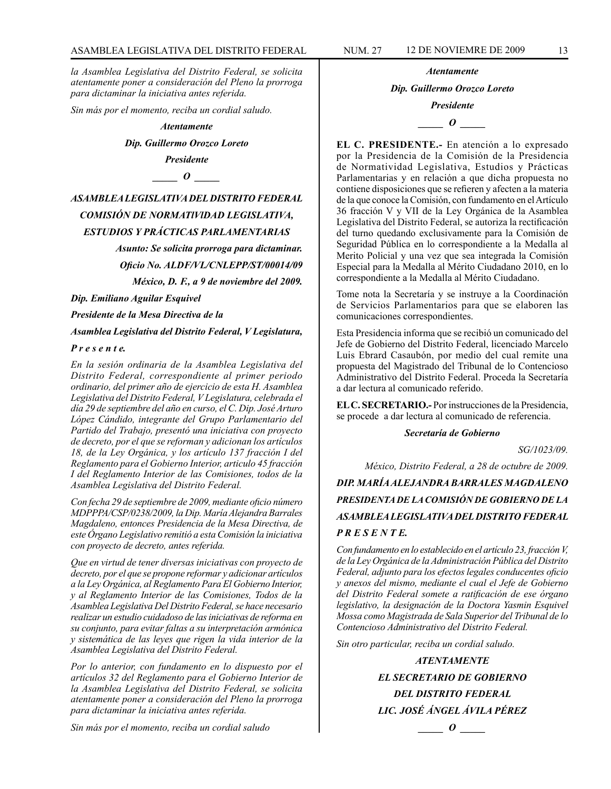*la Asamblea Legislativa del Distrito Federal, se solicita atentamente poner a consideración del Pleno la prorroga para dictaminar la iniciativa antes referida.*

*Sin más por el momento, reciba un cordial saludo.*

#### *Atentamente*

#### *Dip. Guillermo Orozco Loreto*

#### *Presidente*

*\_\_\_\_\_ O \_\_\_\_\_*

## *ASAMBLEA LEGISLATIVA DEL DISTRITO FEDERAL COMISIÓN DE NORMATlVlDAD LEGISLATIVA, ESTUDIOS Y PRÁCTICAS PARLAMENTARIAS*

*Asunto: Se solicita prorroga para dictaminar. Oficio No. ALDF/VL/CNLEPP/ST/00014/09*

*México, D. F., a 9 de noviembre del 2009.*

*Dip. Emiliano Aguilar Esquivel*

*Presidente de la Mesa Directiva de la*

*Asamblea Legislativa del Distrito Federal, V Legislatura,*

#### *P r e s e n t e.*

*En la sesión ordinaria de la Asamblea Legislativa del Distrito Federal, correspondiente al primer periodo ordinario, del primer año de ejercicio de esta H. Asamblea Legislativa del Distrito Federal, V Legislatura, celebrada el día 29 de septiembre del año en curso, el C. Dip. José Arturo López Cándido, integrante del Grupo Parlamentario del Partido del Trabajo, presentó una iniciativa con proyecto de decreto, por el que se reforman y adicionan los artículos 18, de la Ley Orgánica, y los artículo 137 fracción I del Reglamento para el Gobierno Interior, articulo 45 fracción I del Reglamento Interior de las Comisiones, todos de la Asamblea Legislativa del Distrito Federal.*

*Con fecha 29 de septiembre de 2009, mediante oficio número MDPPPA/CSP/0238/2009, la Dip. María Alejandra Barrales Magdaleno, entonces Presidencia de la Mesa Directiva, de este Órgano Legislativo remitió a esta Comisión la iniciativa con proyecto de decreto, antes referida.*

*Que en virtud de tener diversas iniciativas con proyecto de decreto, por el que se propone reformar y adicionar artículos a la Ley Orgánica, al Reglamento Para El Gobierno Interior, y al Reglamento Interior de las Comisiones, Todos de la Asamblea Legislativa Del Distrito Federal, se hace necesario realizar un estudio cuidadoso de las iniciativas de reforma en su conjunto, para evitar faltas a su interpretación armónica y sistemática de las leyes que rigen la vida interior de la Asamblea Legislativa del Distrito Federal.*

*Por lo anterior, con fundamento en lo dispuesto por el artículos 32 del Reglamento para el Gobierno Interior de la Asamblea Legislativa del Distrito Federal, se solicita atentamente poner a consideración del Pleno la prorroga para dictaminar la iniciativa antes referida.*

*Sin más por el momento, reciba un cordial saludo*

*Atentamente Dip. Guillermo Orozco Loreto Presidente*  $\overline{\phantom{a}}$ 

**EL C. PRESIDENTE.-** En atención a lo expresado por la Presidencia de la Comisión de la Presidencia de Normatividad Legislativa, Estudios y Prácticas Parlamentarias y en relación a que dicha propuesta no contiene disposiciones que se refieren y afecten a la materia de la que conoce la Comisión, con fundamento en el Artículo 36 fracción V y VII de la Ley Orgánica de la Asamblea Legislativa del Distrito Federal, se autoriza la rectificación del turno quedando exclusivamente para la Comisión de Seguridad Pública en lo correspondiente a la Medalla al Merito Policial y una vez que sea integrada la Comisión Especial para la Medalla al Mérito Ciudadano 2010, en lo correspondiente a la Medalla al Mérito Ciudadano.

Tome nota la Secretaría y se instruye a la Coordinación de Servicios Parlamentarios para que se elaboren las comunicaciones correspondientes.

Esta Presidencia informa que se recibió un comunicado del Jefe de Gobierno del Distrito Federal, licenciado Marcelo Luis Ebrard Casaubón, por medio del cual remite una propuesta del Magistrado del Tribunal de lo Contencioso Administrativo del Distrito Federal. Proceda la Secretaría a dar lectura al comunicado referido.

**EL C. SECRETARIO.-** Por instrucciones de la Presidencia, se procede a dar lectura al comunicado de referencia.

#### *Secretaría de Gobierno*

*SG/1023/09.*

*México, Distrito Federal, a 28 de octubre de 2009. DIP. MARÍA ALEJANDRA BARRALES MAGDALENO PRESIDENTA DE LA COMISIÓN DE GOBIERNO DE LA ASAMBLEA LEGISLATIVA DEL DISTRITO FEDERAL*

#### *P R E S E N T E.*

*Con fundamento en lo establecido en el artículo 23, fracción V, de la Ley Orgánica de la Administración Pública del Distrito Federal, adjunto para los efectos legales conducentes oficio y anexos del mismo, mediante el cual el Jefe de Gobierno del Distrito Federal somete a ratificación de ese órgano legislativo, la designación de la Doctora Yasmin Esquivel Mossa como Magistrada de Sala Superior del Tribunal de lo Contencioso Administrativo del Distrito Federal.*

*Sin otro particular, reciba un cordial saludo.*

*ATENTAMENTE EL SECRETARIO DE GOBIERNO DEL DISTRITO FEDERAL LIC. JOSÉ ÁNGEL ÁVILA PÉREZ \_\_\_\_\_ O \_\_\_\_\_*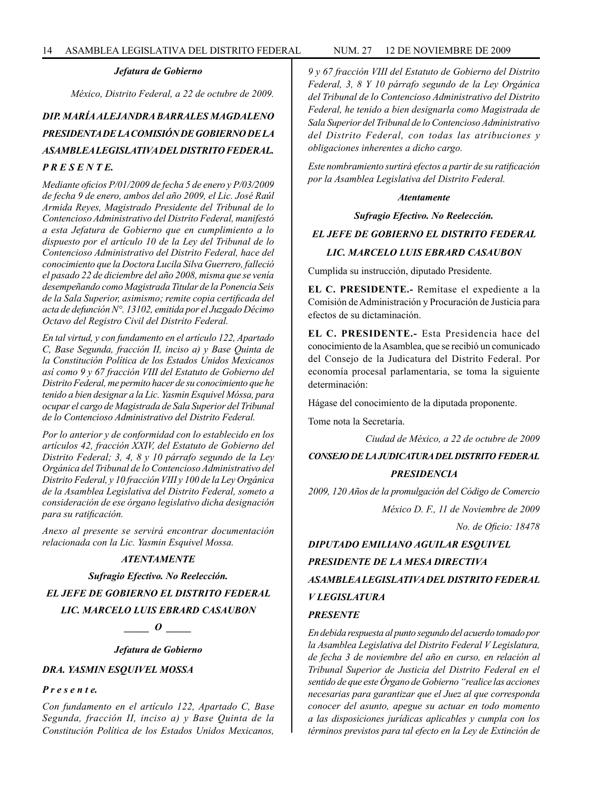#### *Jefatura de Gobierno*

*México, Distrito Federal, a 22 de octubre de 2009.*

## *DIP. MARÍA ALEJANDRA BARRALES MAGDALENO PRESIDENTA DE LA COMISIÓN DE GOBIERNO DE LA ASAMBLEA LEGISLATIVA DEL DISTRITO FEDERAL. P R E S E N T E.*

*Mediante oficios P/01/2009 de fecha 5 de enero y P/03/2009 de fecha 9 de enero, ambos del año 2009, el Lic. José Raúl Armida Reyes, Magistrado Presidente del Tribunal de lo Contencioso Administrativo del Distrito Federal, manifestó a esta Jefatura de Gobierno que en cumplimiento a lo dispuesto por el artículo 10 de la Ley del Tribunal de lo Contencioso Administrativo del Distrito Federal, hace del conocimiento que la Doctora Lucila Silva Guerrero, falleció el pasado 22 de diciembre del año 2008, misma que se venía desempeñando como Magistrada Titular de la Ponencia Seis de la Sala Superior, asimismo; remite copia certificada del acta de defunción N°. 13102, emitida por el Juzgado Décimo Octavo del Registro Civil del Distrito Federal.*

*En tal virtud, y con fundamento en el artículo 122, Apartado C, Base Segunda, fracción II, inciso a) y Base Quinta de la Constitución Política de los Estados Unidos Mexicanos así como 9 y 67 fracción VIII del Estatuto de Gobierno del Distrito Federal, me permito hacer de su conocimiento que he tenido a bien designar a la Lic. Yasmin Esquivel Móssa, para ocupar el cargo de Magistrada de Sala Superior del Tribunal de lo Contencioso Administrativo del Distrito Federal.*

*Por lo anterior y de conformidad con lo establecido en los artículos 42, fracción XXIV, del Estatuto de Gobierno del Distrito Federal; 3, 4, 8 y 10 párrafo segundo de la Ley Orgánica del Tribunal de lo Contencioso Administrativo del Distrito Federal, y 10 fracción VIII y 100 de la Ley Orgánica de la Asamblea Legislativa del Distrito Federal, someto a consideración de ese órgano legislativo dicha designación para su ratificación.*

*Anexo al presente se servirá encontrar documentación relacionada con la Lic. Yasmin Esquivel Mossa.*

#### *ATENTAMENTE*

*Sufragio Efectivo. No Reelección.*

*EL JEFE DE GOBIERNO EL DISTRITO FEDERAL*

#### *LIC. MARCELO LUIS EBRARD CASAUBON*

*\_\_\_\_\_ O \_\_\_\_\_*

#### *Jefatura de Gobierno*

#### *DRA. YASMIN ESQUIVEL MOSSA*

#### *P r e s e n t e.*

*Con fundamento en el artículo 122, Apartado C, Base Segunda, fracción II, inciso a) y Base Quinta de la Constitución Política de los Estados Unidos Mexicanos,* 

*9 y 67 fracción VIII del Estatuto de Gobierno del Distrito Federal, 3, 8 Y 10 párrafo segundo de la Ley Orgánica del Tribunal de lo Contencioso Administrativo del Distrito Federal, he tenido a bien designarla como Magistrada de Sala Superior del Tribunal de lo Contencioso Administrativo del Distrito Federal, con todas las atribuciones y obligaciones inherentes a dicho cargo.*

*Este nombramiento surtirá efectos a partir de su ratificación por la Asamblea Legislativa del Distrito Federal.*

#### *Atentamente*

*Sufragio Efectivo. No Reelección.*

#### *EL JEFE DE GOBIERNO EL DISTRITO FEDERAL*

#### *LIC. MARCELO LUIS EBRARD CASAUBON*

Cumplida su instrucción, diputado Presidente.

**EL C. PRESIDENTE.-** Remítase el expediente a la Comisión de Administración y Procuración de Justicia para efectos de su dictaminación.

**EL C. PRESIDENTE.-** Esta Presidencia hace del conocimiento de la Asamblea, que se recibió un comunicado del Consejo de la Judicatura del Distrito Federal. Por economía procesal parlamentaria, se toma la siguiente determinación:

Hágase del conocimiento de la diputada proponente.

Tome nota la Secretaría.

*Ciudad de México, a 22 de octubre de 2009 CONSEJO DE LA JUDICATURA DEL DISTRITO FEDERAL PRESIDENCIA*

*2009, 120 Años de la promulgación del Código de Comercio*

*México D. F., 11 de Noviembre de 2009*

*No. de Oficio: 18478*

## *DIPUTADO EMILIANO AGUILAR ESQUIVEL PRESIDENTE DE LA MESA DIRECTIVA ASAMBLEA LEGISLATIVA DEL DISTRITO FEDERAL V LEGISLATURA*

#### *PRESENTE*

*En debida respuesta al punto segundo del acuerdo tomado por la Asamblea Legislativa del Distrito Federal V Legislatura, de fecha 3 de noviembre del año en curso, en relación al Tribunal Superior de Justicia del Distrito Federal en el sentido de que este Órgano de Gobierno "realice las acciones necesarias para garantizar que el Juez al que corresponda conocer del asunto, apegue su actuar en todo momento a las disposiciones jurídicas aplicables y cumpla con los términos previstos para tal efecto en la Ley de Extinción de*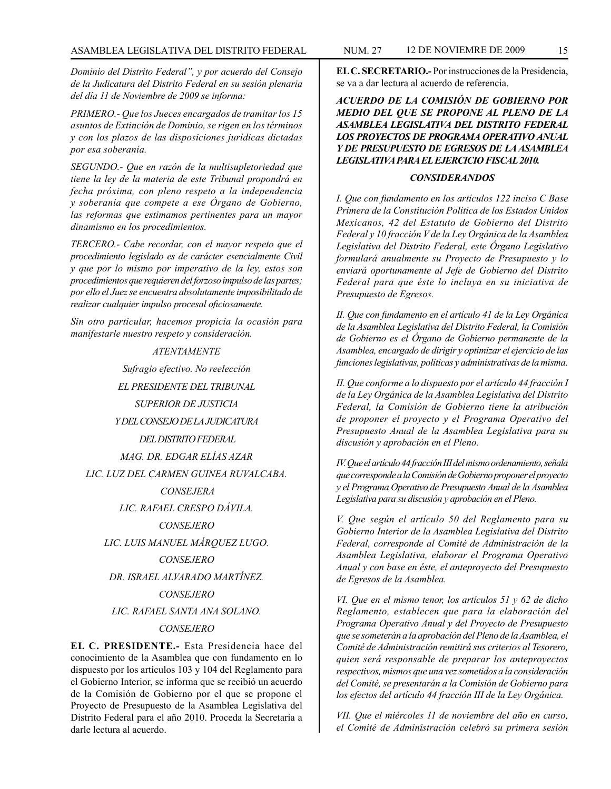*Dominio del Distrito Federal", y por acuerdo del Consejo de la Judicatura del Distrito Federal en su sesión plenaria del día 11 de Noviembre de 2009 se informa:*

*PRIMERO.- Que los Jueces encargados de tramitar los 15 asuntos de Extinción de Dominio, se rigen en los términos y con los plazos de las disposiciones jurídicas dictadas por esa soberanía.*

*SEGUNDO.- Que en razón de la multisupletoriedad que tiene la ley de la materia de este Tribunal propondrá en fecha próxima, con pleno respeto a la independencia y soberanía que compete a ese Órgano de Gobierno, las reformas que estimamos pertinentes para un mayor dinamismo en los procedimientos.*

*TERCERO.- Cabe recordar, con el mayor respeto que el procedimiento legislado es de carácter esencialmente Civil y que por lo mismo por imperativo de la ley, estos son procedimientos que requieren del forzoso impulso de las partes; por ello el Juez se encuentra absolutamente imposibilitado de realizar cualquier impulso procesal oficiosamente.* 

*Sin otro particular, hacemos propicia la ocasión para manifestarle nuestro respeto y consideración.*

## *ATENTAMENTE Sufragio efectivo. No reelección EL PRESIDENTE DEL TRIBUNAL SUPERIOR DE JUSTICIA Y DEL CONSEJO DE LA JUDICATURA DEL DISTRITO FEDERAL MAG. DR. EDGAR ELÍAS AZAR LIC. LUZ DEL CARMEN GUINEA RUVALCABA. CONSEJERA LIC. RAFAEL CRESPO DÁVILA. CONSEJERO LIC. LUIS MANUEL MÁRQUEZ LUGO. CONSEJERO DR. ISRAEL ALVARADO MARTÍNEZ. CONSEJERO LIC. RAFAEL SANTA ANA SOLANO. CONSEJERO*

**EL C. PRESIDENTE.-** Esta Presidencia hace del conocimiento de la Asamblea que con fundamento en lo dispuesto por los artículos 103 y 104 del Reglamento para el Gobierno Interior, se informa que se recibió un acuerdo de la Comisión de Gobierno por el que se propone el Proyecto de Presupuesto de la Asamblea Legislativa del Distrito Federal para el año 2010. Proceda la Secretaría a darle lectura al acuerdo.

**EL C. SECRETARIO.-** Por instrucciones de la Presidencia, se va a dar lectura al acuerdo de referencia.

#### *ACUERDO DE LA COMISIÓN DE GOBIERNO POR MEDIO DEL QUE SE PROPONE AL PLENO DE LA ASAMBLEA LEGISLATIVA DEL DISTRITO FEDERAL LOS PROYECTOS DE PROGRAMA OPERATIVO ANUAL Y DE PRESUPUESTO DE EGRESOS DE LA ASAMBLEA LEGISLATIVA PARA EL EJERCICIO FISCAL 2010.*

#### *CONSIDERANDOS*

*I. Que con fundamento en los artículos 122 inciso C Base Primera de la Constitución Política de los Estados Unidos Mexicanos, 42 del Estatuto de Gobierno del Distrito Federal y 10 fracción V de la Ley Orgánica de la Asamblea Legislativa del Distrito Federal, este Órgano Legislativo formulará anualmente su Proyecto de Presupuesto y lo enviará oportunamente al Jefe de Gobierno del Distrito Federal para que éste lo incluya en su iniciativa de Presupuesto de Egresos.* 

*II. Que con fundamento en el artículo 41 de la Ley Orgánica de la Asamblea Legislativa del Distrito Federal, la Comisión de Gobierno es el Órgano de Gobierno permanente de la Asamblea, encargado de dirigir y optimizar el ejercicio de las funciones legislativas, políticas y administrativas de la misma.* 

*II. Que conforme a lo dispuesto por el artículo 44 fracción I de la Ley Orgánica de la Asamblea Legislativa del Distrito Federal, la Comisión de Gobierno tiene la atribución de proponer el proyecto y el Programa Operativo del Presupuesto Anual de la Asamblea Legislativa para su discusión y aprobación en el Pleno.* 

*IV. Que el artículo 44 fracción III del mismo ordenamiento, señala que corresponde a la Comisión de Gobierno proponer el proyecto y el Programa Operativo de Presupuesto Anual de la Asamblea Legislativa para su discusión y aprobación en el Pleno.*

*V. Que según el artículo 50 del Reglamento para su Gobierno Interior de la Asamblea Legislativa del Distrito Federal, corresponde al Comité de Administración de la Asamblea Legislativa, elaborar el Programa Operativo Anual y con base en éste, el anteproyecto del Presupuesto de Egresos de la Asamblea.* 

*VI. Que en el mismo tenor, los artículos 51 y 62 de dicho Reglamento, establecen que para la elaboración del Programa Operativo Anual y del Proyecto de Presupuesto que se someterán a la aprobación del Pleno de la Asamblea, el Comité de Administración remitirá sus criterios al Tesorero, quien será responsable de preparar los anteproyectos respectivos, mismos que una vez sometidos a la consideración del Comité, se presentarán a la Comisión de Gobierno para los efectos del artículo 44 fracción III de la Ley Orgánica.*

*VII. Que el miércoles 11 de noviembre del año en curso, el Comité de Administración celebró su primera sesión*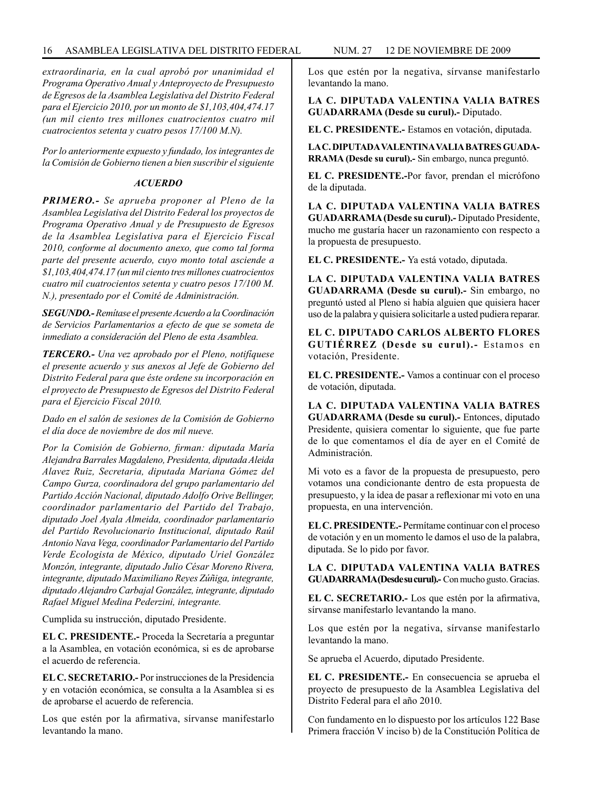*extraordinaria, en la cual aprobó por unanimidad el Programa Operativo Anual y Anteproyecto de Presupuesto de Egresos de la Asamblea Legislativa del Distrito Federal para el Ejercicio 2010, por un monto de \$1,103,404,474.17 (un mil ciento tres millones cuatrocientos cuatro mil cuatrocientos setenta y cuatro pesos 17/100 M.N).*

*Por lo anteriormente expuesto y fundado, los integrantes de la Comisión de Gobierno tienen a bien suscribir el siguiente* 

#### *ACUERDO*

*PRIMERO.- Se aprueba proponer al Pleno de la Asamblea Legislativa del Distrito Federal los proyectos de Programa Operativo Anual y de Presupuesto de Egresos de la Asamblea Legislativa para el Ejercicio Fiscal 2010, conforme al documento anexo, que como tal forma parte del presente acuerdo, cuyo monto total asciende a \$1,103,404,474.17 (un mil ciento tres millones cuatrocientos cuatro mil cuatrocientos setenta y cuatro pesos 17/100 M. N.), presentado por el Comité de Administración.*

*SEGUNDO.- Remítase el presente Acuerdo a la Coordinación de Servicios Parlamentarios a efecto de que se someta de inmediato a consideración del Pleno de esta Asamblea.*

*TERCERO.- Una vez aprobado por el Pleno, notifíquese el presente acuerdo y sus anexos al Jefe de Gobierno del Distrito Federal para que éste ordene su incorporación en el proyecto de Presupuesto de Egresos del Distrito Federal para el Ejercicio Fiscal 2010.*

*Dado en el salón de sesiones de la Comisión de Gobierno el día doce de noviembre de dos mil nueve.*

*Por la Comisión de Gobierno, firman: diputada María Alejandra Barrales Magdaleno, Presidenta, diputada Aleida Alavez Ruiz, Secretaria, diputada Mariana Gómez del Campo Gurza, coordinadora del grupo parlamentario del Partido Acción Nacional, diputado Adolfo Orive Bellinger, coordinador parlamentario del Partido del Trabajo, diputado Joel Ayala Almeida, coordinador parlamentario del Partido Revolucionario Institucional, diputado Raúl Antonio Nava Vega, coordinador Parlamentario del Partido Verde Ecologista de México, diputado Uriel González Monzón, integrante, diputado Julio César Moreno Rivera, integrante, diputado Maximiliano Reyes Zúñiga, integrante, diputado Alejandro Carbajal González, integrante, diputado Rafael Miguel Medina Pederzini, integrante.*

Cumplida su instrucción, diputado Presidente.

**EL C. PRESIDENTE.-** Proceda la Secretaría a preguntar a la Asamblea, en votación económica, si es de aprobarse el acuerdo de referencia.

**EL C. SECRETARIO.-** Por instrucciones de la Presidencia y en votación económica, se consulta a la Asamblea si es de aprobarse el acuerdo de referencia.

Los que estén por la afirmativa, sírvanse manifestarlo levantando la mano.

Los que estén por la negativa, sírvanse manifestarlo levantando la mano.

**LA C. DIPUTADA VALENTINA VALIA BATRES GUADARRAMA (Desde su curul).-** Diputado.

**EL C. PRESIDENTE.-** Estamos en votación, diputada.

**LA C. DIPUTADA VALENTINA VALIA BATRES GUADA-RRAMA (Desde su curul).-** Sin embargo, nunca preguntó.

**EL C. PRESIDENTE.-**Por favor, prendan el micrófono de la diputada.

**LA C. DIPUTADA VALENTINA VALIA BATRES GUADARRAMA (Desde su curul).-** Diputado Presidente, mucho me gustaría hacer un razonamiento con respecto a la propuesta de presupuesto.

**EL C. PRESIDENTE.-** Ya está votado, diputada.

**LA C. DIPUTADA VALENTINA VALIA BATRES GUADARRAMA (Desde su curul).-** Sin embargo, no preguntó usted al Pleno si había alguien que quisiera hacer uso de la palabra y quisiera solicitarle a usted pudiera reparar.

**EL C. DIPUTADO CARLOS ALBERTO FLORES GUTIÉRREZ (Desde su curul).-** Estamos en votación, Presidente.

**EL C. PRESIDENTE.-** Vamos a continuar con el proceso de votación, diputada.

**LA C. DIPUTADA VALENTINA VALIA BATRES GUADARRAMA (Desde su curul).-** Entonces, diputado Presidente, quisiera comentar lo siguiente, que fue parte de lo que comentamos el día de ayer en el Comité de Administración.

Mi voto es a favor de la propuesta de presupuesto, pero votamos una condicionante dentro de esta propuesta de presupuesto, y la idea de pasar a reflexionar mi voto en una propuesta, en una intervención.

**EL C. PRESIDENTE.-** Permítame continuar con el proceso de votación y en un momento le damos el uso de la palabra, diputada. Se lo pido por favor.

**LA C. DIPUTADA VALENTINA VALIA BATRES GUADARRAMA (Desde su curul).-** Con mucho gusto. Gracias.

**EL C. SECRETARIO.-** Los que estén por la afirmativa, sírvanse manifestarlo levantando la mano.

Los que estén por la negativa, sírvanse manifestarlo levantando la mano.

Se aprueba el Acuerdo, diputado Presidente.

**EL C. PRESIDENTE.-** En consecuencia se aprueba el proyecto de presupuesto de la Asamblea Legislativa del Distrito Federal para el año 2010.

Con fundamento en lo dispuesto por los artículos 122 Base Primera fracción V inciso b) de la Constitución Política de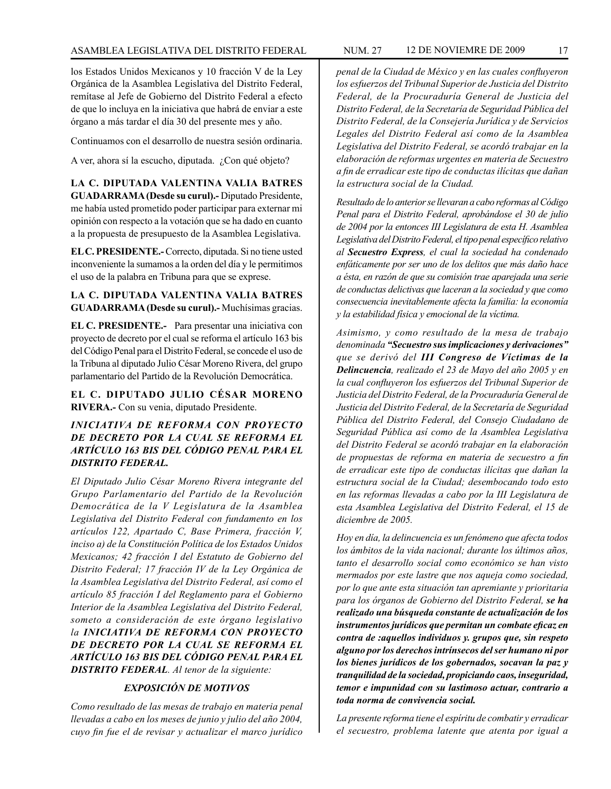los Estados Unidos Mexicanos y 10 fracción V de la Ley Orgánica de la Asamblea Legislativa del Distrito Federal, remítase al Jefe de Gobierno del Distrito Federal a efecto de que lo incluya en la iniciativa que habrá de enviar a este órgano a más tardar el día 30 del presente mes y año.

Continuamos con el desarrollo de nuestra sesión ordinaria.

A ver, ahora sí la escucho, diputada. ¿Con qué objeto?

**LA C. DIPUTADA VALENTINA VALIA BATRES GUADARRAMA (Desde su curul).-** Diputado Presidente, me había usted prometido poder participar para externar mi opinión con respecto a la votación que se ha dado en cuanto a la propuesta de presupuesto de la Asamblea Legislativa.

**EL C. PRESIDENTE.-** Correcto, diputada. Si no tiene usted inconveniente la sumamos a la orden del día y le permitimos el uso de la palabra en Tribuna para que se exprese.

#### **LA C. DIPUTADA VALENTINA VALIA BATRES GUADARRAMA (Desde su curul).-** Muchísimas gracias.

**EL C. PRESIDENTE.-** Para presentar una iniciativa con proyecto de decreto por el cual se reforma el artículo 163 bis del Código Penal para el Distrito Federal, se concede el uso de la Tribuna al diputado Julio César Moreno Rivera, del grupo parlamentario del Partido de la Revolución Democrática.

**EL C. DIPUTADO JULIO CÉSAR MORENO RIVERA.-** Con su venia, diputado Presidente.

#### *INICIATIVA DE REFORMA CON PROYECTO DE DECRETO POR LA CUAL SE REFORMA EL ARTÍCULO 163 BIS DEL CÓDIGO PENAL PARA EL DISTRITO FEDERAL.*

*El Diputado Julio César Moreno Rivera integrante del Grupo Parlamentario del Partido de la Revolución Democrática de la V Legislatura de la Asamblea Legislativa del Distrito Federal con fundamento en los artículos 122, Apartado C, Base Primera, fracción V, inciso a) de la Constitución Política de los Estados Unidos Mexicanos; 42 fracción I del Estatuto de Gobierno del Distrito Federal; 17 fracción IV de la Ley Orgánica de la Asamblea Legislativa del Distrito Federal, así como el artículo 85 fracción I del Reglamento para el Gobierno Interior de la Asamblea Legislativa del Distrito Federal, someto a consideración de este órgano legislativo la INICIATIVA DE REFORMA CON PROYECTO DE DECRETO POR LA CUAL SE REFORMA EL ARTÍCULO 163 BIS DEL CÓDIGO PENAL PARA EL DISTRITO FEDERAL. Al tenor de la siguiente:*

#### *EXPOSICIÓN DE MOTIVOS*

*Como resultado de las mesas de trabajo en materia penal llevadas a cabo en los meses de junio y julio del año 2004, cuyo fin fue el de revisar y actualizar el marco jurídico* 

*penal de la Ciudad de México y en las cuales confluyeron los esfuerzos del Tribunal Superior de Justicia del Distrito Federal, de la Procuraduría General de Justicia del Distrito Federal, de la Secretaría de Seguridad Pública del Distrito Federal, de la Consejería Jurídica y de Servicios Legales del Distrito Federal así como de la Asamblea Legislativa del Distrito Federal, se acordó trabajar en la elaboración de reformas urgentes en materia de Secuestro a fin de erradicar este tipo de conductas ilícitas que dañan la estructura social de la Ciudad.* 

*Resultado de lo anterior se llevaran a cabo reformas al Código Penal para el Distrito Federal, aprobándose el 30 de julio de 2004 por la entonces III Legislatura de esta H. Asamblea Legislativa del Distrito Federal, el tipo penal específico relativo al Secuestro Express, el cual la sociedad ha condenado enfáticamente por ser uno de los delitos que más daño hace a ésta, en razón de que su comisión trae aparejada una serie de conductas delictivas que laceran a la sociedad y que como consecuencia inevitablemente afecta la familia: la economía y la estabilidad física y emocional de la víctima.*

*Asimismo, y como resultado de la mesa de trabajo denominada "Secuestro sus implicaciones y derivaciones" que se derivó del III Congreso de Víctimas de la Delincuencia, realizado el 23 de Mayo del año 2005 y en la cual confluyeron los esfuerzos del Tribunal Superior de Justicia del Distrito Federal, de la Procuraduría General de Justicia del Distrito Federal, de la Secretaría de Seguridad Pública del Distrito Federal, del Consejo Ciudadano de Seguridad Pública así como de la Asamblea Legislativa del Distrito Federal se acordó trabajar en la elaboración de propuestas de reforma en materia de secuestro a fin de erradicar este tipo de conductas ilícitas que dañan la estructura social de la Ciudad; desembocando todo esto en las reformas llevadas a cabo por la III Legislatura de esta Asamblea Legislativa del Distrito Federal, el 15 de diciembre de 2005.*

*Hoy en día, la delincuencia es un fenómeno que afecta todos los ámbitos de la vida nacional; durante los últimos años, tanto el desarrollo social como económico se han visto mermados por este lastre que nos aqueja como sociedad, por lo que ante esta situación tan apremiante y prioritaria para los órganos de Gobierno del Distrito Federal, se ha realizado una búsqueda constante de actualización de los instrumentos jurídicos que permitan un combate eficaz en contra de :aquellos individuos y. grupos que, sin respeto alguno por los derechos intrínsecos del ser humano ni por los bienes jurídicos de los gobernados, socavan la paz y tranquilidad de la sociedad, propiciando caos, inseguridad, temor e impunidad con su lastimoso actuar, contrario a toda norma de convivencia social.* 

*La presente reforma tiene el espíritu de combatir y erradicar el secuestro, problema latente que atenta por igual a*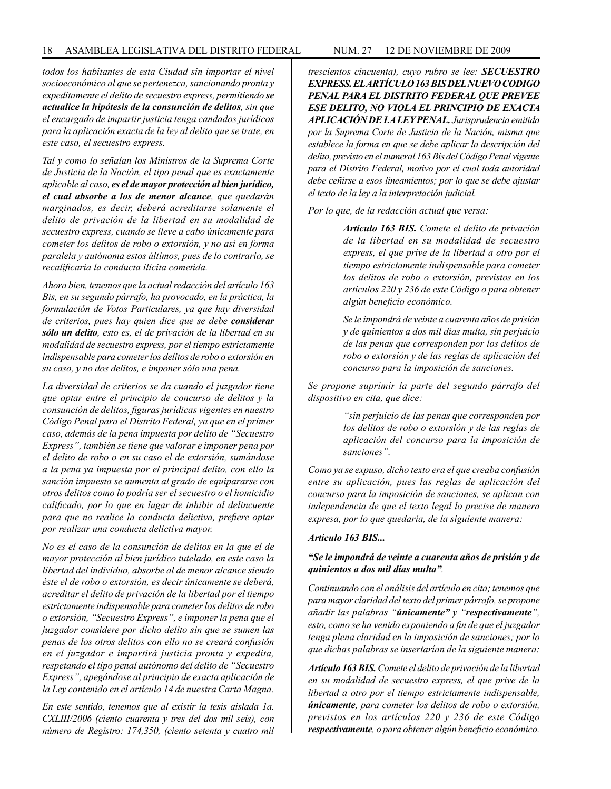*todos los habitantes de esta Ciudad sin importar el nivel socioeconómico al que se pertenezca, sancionando pronta y expeditamente el delito de secuestro express, permitiendo se actualice la hipótesis de la consunción de delitos, sin que el encargado de impartir justicia tenga candados jurídicos para la aplicación exacta de la ley al delito que se trate, en este caso, el secuestro express.*

*Tal y como lo señalan los Ministros de la Suprema Corte de Justicia de la Nación, el tipo penal que es exactamente aplicable al caso, es el de mayor protección al bien jurídico, el cual absorbe a los de menor alcance, que quedarán marginados, es decir, deberá acreditarse solamente el delito de privación de la libertad en su modalidad de secuestro express, cuando se lleve a cabo únicamente para cometer los delitos de robo o extorsión, y no así en forma paralela y autónoma estos últimos, pues de lo contrario, se recalificaría la conducta ilícita cometida.* 

*Ahora bien, tenemos que la actual redacción del artículo 163 Bis, en su segundo párrafo, ha provocado, en la práctica, la formulación de Votos Particulares, ya que hay diversidad de criterios, pues hay quien dice que se debe considerar sólo un delito, esto es, el de privación de la libertad en su modalidad de secuestro express, por el tiempo estrictamente indispensable para cometer los delitos de robo o extorsión en su caso, y no dos delitos, e imponer sólo una pena.* 

*La diversidad de criterios se da cuando el juzgador tiene que optar entre el principio de concurso de delitos y la consunción de delitos, figuras jurídicas vigentes en nuestro Código Penal para el Distrito Federal, ya que en el primer caso, además de la pena impuesta por delito de "Secuestro Express", también se tiene que valorar e imponer pena por el delito de robo o en su caso el de extorsión, sumándose a la pena ya impuesta por el principal delito, con ello la sanción impuesta se aumenta al grado de equipararse con otros delitos como lo podría ser el secuestro o el homicidio calificado, por lo que en lugar de inhibir al delincuente para que no realice la conducta delictiva, prefiere optar por realizar una conducta delictiva mayor.*

*No es el caso de la consunción de delitos en la que el de mayor protección al bien jurídico tutelado, en este caso la libertad del individuo, absorbe al de menor alcance siendo éste el de robo o extorsión, es decir únicamente se deberá, acreditar el delito de privación de la libertad por el tiempo estrictamente indispensable para cometer los delitos de robo o extorsión, "Secuestro Express", e imponer la pena que el juzgador considere por dicho delito sin que se sumen las penas de los otros delitos con ello no se creará confusión en el juzgador e impartirá justicia pronta y expedita, respetando el tipo penal autónomo del delito de "Secuestro Express", apegándose al principio de exacta aplicación de la Ley contenido en el artículo 14 de nuestra Carta Magna.* 

*En este sentido, tenemos que al existir la tesis aislada 1a. CXLIII/2006 (ciento cuarenta y tres del dos mil seis), con número de Registro: 174,350, (ciento setenta y cuatro mil*  *trescientos cincuenta), cuyo rubro se lee: SECUESTRO EXPRESS. EL ARTÍCULO 163 BIS DEL NUEVO CODIGO PENAL PARA EL DISTRITO FEDERAL QUE PREVEE ESE DELITO, NO VIOLA EL PRINCIPIO DE EXACTA APLICACIÓN DE LA LEY PENAL. Jurisprudencia emitida por la Suprema Corte de Justicia de la Nación, misma que establece la forma en que se debe aplicar la descripción del delito, previsto en el numeral 163 Bis del Código Penal vigente para el Distrito Federal, motivo por el cual toda autoridad debe ceñirse a esos lineamientos; por lo que se debe ajustar el texto de la ley a la interpretación judicial.* 

*Por lo que, de la redacción actual que versa:*

*Artículo 163 BIS. Comete el delito de privación de la libertad en su modalidad de secuestro express, el que prive de la libertad a otro por el tiempo estrictamente indispensable para cometer los delitos de robo o extorsión, previstos en los artículos 220 y 236 de este Código o para obtener algún beneficio económico.* 

*Se le impondrá de veinte a cuarenta años de prisión y de quinientos a dos mil días multa, sin perjuicio de las penas que corresponden por los delitos de robo o extorsión y de las reglas de aplicación del concurso para la imposición de sanciones.* 

*Se propone suprimir la parte del segundo párrafo del dispositivo en cita, que dice:* 

> *"sin perjuicio de las penas que corresponden por los delitos de robo o extorsión y de las reglas de aplicación del concurso para la imposición de sanciones".*

*Como ya se expuso, dicho texto era el que creaba confusión entre su aplicación, pues las reglas de aplicación del concurso para la imposición de sanciones, se aplican con independencia de que el texto legal lo precise de manera expresa, por lo que quedaría, de la siguiente manera:*

#### *Artículo 163 BIS...*

#### *"Se le impondrá de veinte a cuarenta años de prisión y de quinientos a dos mil días multa".*

*Continuando con el análisis del artículo en cita; tenemos que para mayor claridad del texto del primer párrafo, se propone añadir las palabras "únicamente" y "respectivamente", esto, como se ha venido exponiendo a fin de que el juzgador tenga plena claridad en la imposición de sanciones; por lo que dichas palabras se insertarían de la siguiente manera:* 

*Artículo 163 BIS. Comete el delito de privación de la libertad en su modalidad de secuestro express, el que prive de la libertad a otro por el tiempo estrictamente indispensable, únicamente, para cometer los delitos de robo o extorsión, previstos en los artículos 220 y 236 de este Código respectivamente, o para obtener algún beneficio económico.*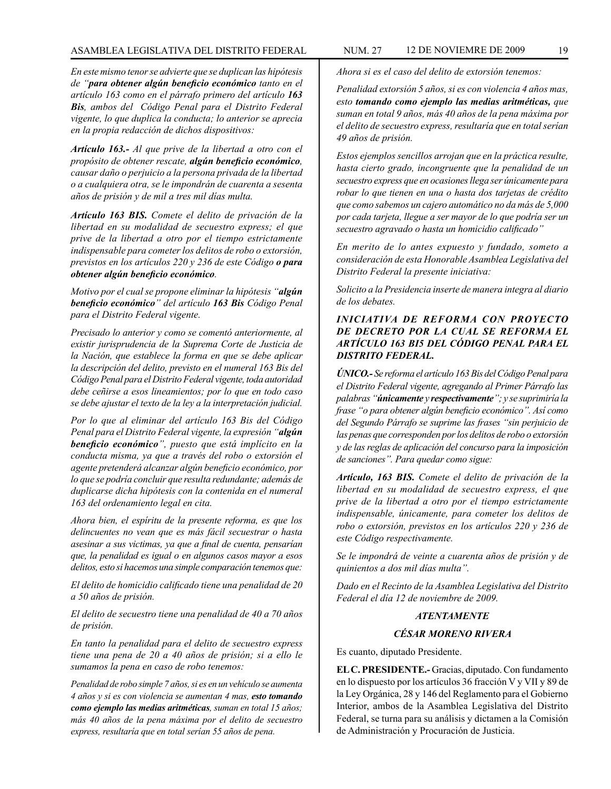#### ASAMBLEA LEGISLATIVA DEL DISTRITO FEDERAL NUM. 27 12 de NOVIEMRE de 2009 19

*En este mismo tenor se advierte que se duplican las hipótesis de "para obtener algún beneficio económico tanto en el artículo 163 como en el párrafo primero del artículo 163 Bis, ambos del Código Penal para el Distrito Federal vigente, lo que duplica la conducta; lo anterior se aprecia en la propia redacción de dichos dispositivos:*

*Artículo 163.- Al que prive de la libertad a otro con el propósito de obtener rescate, algún beneficio económico, causar daño o perjuicio a la persona privada de la libertad o a cualquiera otra, se le impondrán de cuarenta a sesenta años de prisión y de mil a tres mil días multa.*

*Artículo 163 BIS. Comete el delito de privación de la libertad en su modalidad de secuestro express; el que prive de la libertad a otro por el tiempo estrictamente indispensable para cometer los delitos de robo o extorsión, previstos en los artículos 220 y 236 de este Código o para obtener algún beneficio económico.* 

*Motivo por el cual se propone eliminar la hipótesis "algún beneficio económico" del artículo 163 Bis Código Penal para el Distrito Federal vigente.*

*Precisado lo anterior y como se comentó anteriormente, al existir jurisprudencia de la Suprema Corte de Justicia de la Nación, que establece la forma en que se debe aplicar la descripción del delito, previsto en el numeral 163 Bis del Código Penal para el Distrito Federal vigente, toda autoridad debe ceñirse a esos lineamientos; por lo que en todo caso se debe ajustar el texto de la ley a la interpretación judicial.* 

*Por lo que al eliminar del artículo 163 Bis del Código Penal para el Distrito Federal vigente, la expresión "algún beneficio económico", puesto que está implícito en la conducta misma, ya que a través del robo o extorsión el agente pretenderá alcanzar algún beneficio económico, por lo que se podría concluir que resulta redundante; además de duplicarse dicha hipótesis con la contenida en el numeral 163 del ordenamiento legal en cita.*

*Ahora bien, el espíritu de la presente reforma, es que los delincuentes no vean que es más fácil secuestrar o hasta asesinar a sus victimas, ya que a final de cuenta, pensarían que, la penalidad es igual o en algunos casos mayor a esos delitos, esto si hacemos una simple comparación tenemos que:*

*El delito de homicidio calificado tiene una penalidad de 20 a 50 años de prisión.*

*El delito de secuestro tiene una penalidad de 40 a 70 años de prisión.*

*En tanto la penalidad para el delito de secuestro express tiene una pena de 20 a 40 años de prisión; si a ello le sumamos la pena en caso de robo tenemos:*

*Penalidad de robo simple 7 años, si es en un vehículo se aumenta 4 años y si es con violencia se aumentan 4 mas, esto tomando como ejemplo las medias aritméticas, suman en total 15 años; más 40 años de la pena máxima por el delito de secuestro express, resultaría que en total serían 55 años de pena.*

*Ahora si es el caso del delito de extorsión tenemos:*

*Penalidad extorsión 5 años, si es con violencia 4 años mas, esto tomando como ejemplo las medias aritméticas, que suman en total 9 años, más 40 años de la pena máxima por el delito de secuestro express, resultaría que en total serían 49 años de prisión.*

*Estos ejemplos sencillos arrojan que en la práctica resulte, hasta cierto grado, incongruente que la penalidad de un secuestro express que en ocasiones llega ser únicamente para robar lo que tienen en una o hasta dos tarjetas de crédito que como sabemos un cajero automático no da más de 5,000 por cada tarjeta, llegue a ser mayor de lo que podría ser un secuestro agravado o hasta un homicidio calificado"*

*En merito de lo antes expuesto y fundado, someto a consideración de esta Honorable Asamblea Legislativa del Distrito Federal la presente iniciativa:*

*Solicito a la Presidencia inserte de manera integra al diario de los debates.*

#### *INICIATIVA DE REFORMA CON PROYECTO DE DECRETO POR LA CUAL SE REFORMA EL ARTÍCULO 163 BI5 DEL CÓDIGO PENAL PARA EL DISTRITO FEDERAL.*

*ÚNICO.- Se reforma el artículo 163 Bis del Código Penal para el Distrito Federal vigente, agregando al Primer Párrafo las palabras "únicamente y respectivamente"; y se suprimiría la frase "o para obtener algún beneficio económico". Así como del Segundo Párrafo se suprime las frases "sin perjuicio de las penas que corresponden por los delitos de robo o extorsión y de las reglas de aplicación del concurso para la imposición de sanciones". Para quedar como sigue:*

*Artículo, 163 BIS. Comete el delito de privación de la libertad en su modalidad de secuestro express, el que prive de la libertad a otro por el tiempo estrictamente indispensable, únicamente, para cometer los delitos de robo o extorsión, previstos en los artículos 220 y 236 de este Código respectivamente.* 

*Se le impondrá de veinte a cuarenta años de prisión y de quinientos a dos mil días multa".*

*Dado en el Recinto de la Asamblea Legislativa del Distrito Federal el día 12 de noviembre de 2009.*

#### *ATENTAMENTE*

### *CÉSAR MORENO RIVERA*

Es cuanto, diputado Presidente.

**EL C. PRESIDENTE.-** Gracias, diputado. Con fundamento en lo dispuesto por los artículos 36 fracción V y VII y 89 de la Ley Orgánica, 28 y 146 del Reglamento para el Gobierno Interior, ambos de la Asamblea Legislativa del Distrito Federal, se turna para su análisis y dictamen a la Comisión de Administración y Procuración de Justicia.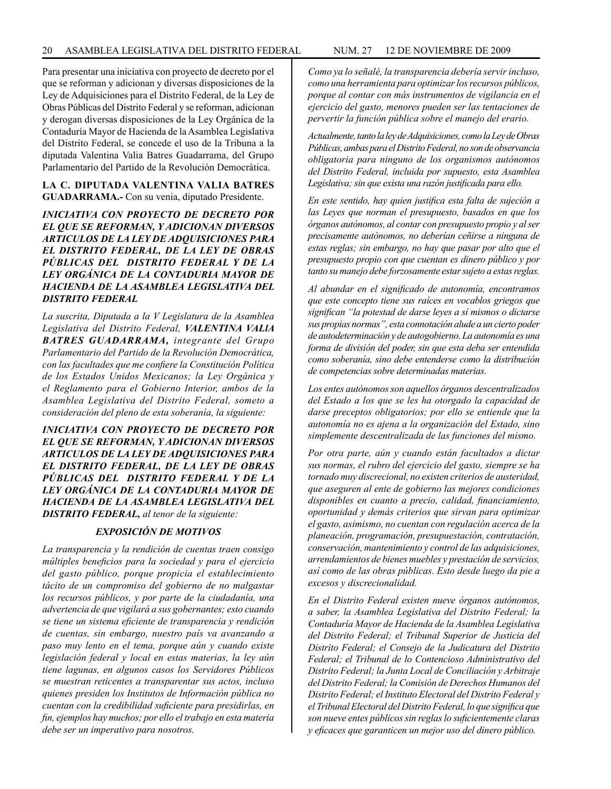Para presentar una iniciativa con proyecto de decreto por el que se reforman y adicionan y diversas disposiciones de la Ley de Adquisiciones para el Distrito Federal, de la Ley de Obras Públicas del Distrito Federal y se reforman, adicionan y derogan diversas disposiciones de la Ley Orgánica de la Contaduría Mayor de Hacienda de la Asamblea Legislativa del Distrito Federal, se concede el uso de la Tribuna a la diputada Valentina Valia Batres Guadarrama, del Grupo Parlamentario del Partido de la Revolución Democrática.

**LA C. DIPUTADA VALENTINA VALIA BATRES GUADARRAMA.-** Con su venia, diputado Presidente.

*INICIATIVA CON PROYECTO DE DECRETO POR EL QUE SE REFORMAN, Y ADICIONAN DIVERSOS ARTICULOS DE LA LEY DE ADQUISICIONES PARA EL DISTRITO FEDERAL, DE LA LEY DE OBRAS PÚBLICAS DEL DISTRITO FEDERAL Y DE LA LEY ORGÁNICA DE LA CONTADURIA MAYOR DE HACIENDA DE LA ASAMBLEA LEGISLATIVA DEL DISTRITO FEDERAL*

*La suscrita, Diputada a la V Legislatura de la Asamblea Legislativa del Distrito Federal, VALENTINA VALlA BATRES GUADARRAMA, integrante del Grupo Parlamentario del Partido de la Revolución Democrática, con las facultades que me confiere la Constitución Política de los Estados Unidos Mexicanos; la Ley Orgánica y el Reglamento para el Gobierno Interior, ambos de la Asamblea Legislativa del Distrito Federal, someto a consideración del pleno de esta soberanía, la siguiente:*

*INICIATIVA CON PROYECTO DE DECRETO POR EL QUE SE REFORMAN, Y ADICIONAN DIVERSOS ARTICULOS DE LA LEY DE ADQUISICIONES PARA EL DISTRITO FEDERAL, DE LA LEY DE OBRAS PÚBLICAS DEL DISTRITO FEDERAL Y DE LA LEY ORGÁNICA DE LA CONTADURIA MAYOR DE HACIENDA DE LA ASAMBLEA LEGISLATIVA DEL DISTRITO FEDERAL, al tenor de la siguiente:*

#### *EXPOSICIÓN DE MOTIVOS*

*La transparencia y la rendición de cuentas traen consigo múltiples beneficios para la sociedad y para el ejercicio del gasto público, porque propicia el establecimiento tácito de un compromiso del gobierno de no malgastar los recursos públicos, y por parte de la ciudadanía, una advertencia de que vigilará a sus gobernantes; esto cuando se tiene un sistema eficiente de transparencia y rendición de cuentas, sin embargo, nuestro país va avanzando a paso muy lento en el tema, porque aún y cuando existe legislación federal y local en estas materias, la ley aún tiene lagunas, en algunos casos los Servidores Públicos se muestran reticentes a transparentar sus actos, incluso quienes presiden los Institutos de Información pública no cuentan con la credibilidad suficiente para presidirlas, en fin, ejemplos hay muchos; por ello el trabajo en esta materia debe ser un imperativo para nosotros.*

*Como ya lo señalé, la transparencia debería servir incluso, como una herramienta para optimizar los recursos públicos, porque al contar con más instrumentos de vigilancia en el ejercicio del gasto, menores pueden ser las tentaciones de pervertir la función pública sobre el manejo del erario.*

*Actualmente, tanto la ley de Adquisiciones, como la Ley de Obras Públicas, ambas para el Distrito Federal, no son de observancia obligatoria para ninguno de los organismos autónomos del Distrito Federal, incluida por supuesto, esta Asamblea Legislativa; sin que exista una razón justificada para ello.*

*En este sentido, hay quien justifica esta falta de sujeción a las Leyes que norman el presupuesto, basados en que los órganos autónomos, al contar con presupuesto propio y al ser precisamente autónomos, no deberían ceñirse a ninguna de estas reglas; sin embargo, no hay que pasar por alto que el presupuesto propio con que cuentan es dinero público y por tanto su manejo debe forzosamente estar sujeto a estas reglas.*

*Al abundar en el significado de autonomía, encontramos que este concepto tiene sus raíces en vocablos griegos que significan "la potestad de darse leyes a sí mismos o dictarse sus propias normas", esta connotación alude a un cierto poder de autodeterminación y de autogobierno. La autonomía es una forma de división del poder, sin que esta deba ser entendida como soberanía, sino debe entenderse como la distribución de competencias sobre determinadas materias.*

*Los entes autónomos son aquellos órganos descentralizados del Estado a los que se les ha otorgado la capacidad de darse preceptos obligatorios; por ello se entiende que la autonomía no es ajena a la organización del Estado, sino simplemente descentralizada de las funciones del mismo.*

*Por otra parte, aún y cuando están facultados a dictar sus normas, el rubro del ejercicio del gasto, siempre se ha tornado muy discrecional, no existen criterios de austeridad, que aseguren al ente de gobierno las mejores condiciones disponibles en cuanto a precio, calidad, financiamiento, oportunidad y demás criterios que sirvan para optimizar el gasto, asimismo, no cuentan con regulación acerca de la planeación, programación, presupuestación, contratación, conservación, mantenimiento y control de las adquisiciones, arrendamientos de bienes muebles y prestación de servicios, así como de las obras públicas. Esto desde luego da pie a excesos y discrecionalidad.*

*En el Distrito Federal existen nueve órganos autónomos, a saber, la Asamblea Legislativa del Distrito Federal; la Contaduría Mayor de Hacienda de la Asamblea Legislativa del Distrito Federal; el Tribunal Superior de Justicia del Distrito Federal; el Consejo de la Judicatura del Distrito Federal; el Tribunal de lo Contencioso Administrativo del Distrito Federal; la Junta Local de Conciliación y Arbitraje del Distrito Federal; la Comisión de Derechos Humanos del Distrito Federal; el Instituto Electoral del Distrito Federal y el Tribunal Electoral del Distrito Federal, lo que significa que son nueve entes públicos sin reglas lo suficientemente claras y eficaces que garanticen un mejor uso del dinero público.*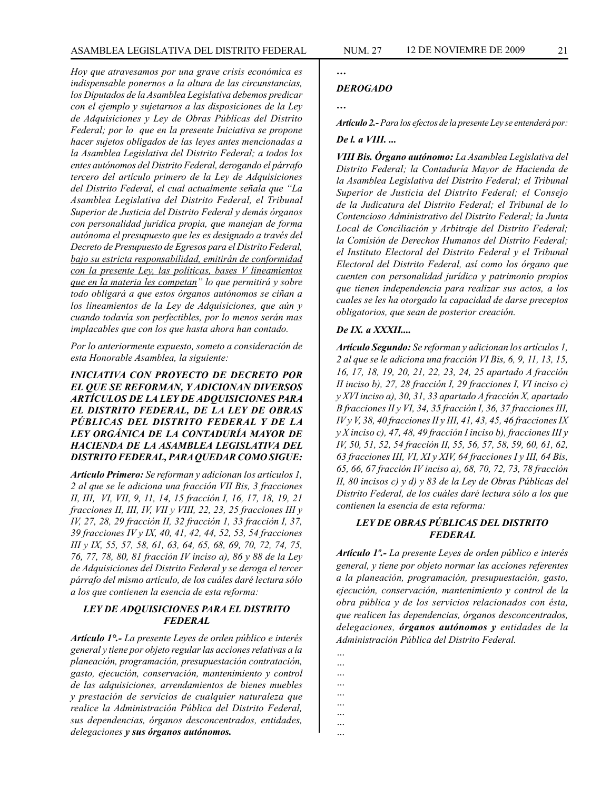*Hoy que atravesamos por una grave crisis económica es indispensable ponernos a la altura de las circunstancias, los Diputados de la Asamblea Legislativa debemos predicar con el ejemplo y sujetarnos a las disposiciones de la Ley de Adquisiciones y Ley de Obras Públicas del Distrito Federal; por lo que en la presente Iniciativa se propone hacer sujetos obligados de las leyes antes mencionadas a la Asamblea Legislativa del Distrito Federal; a todos los entes autónomos del Distrito Federal, derogando el párrafo tercero del artículo primero de la Ley de Adquisiciones del Distrito Federal, el cual actualmente señala que "La Asamblea Legislativa del Distrito Federal, el Tribunal Superior de Justicia del Distrito Federal y demás órganos con personalidad jurídica propia, que manejan de forma autónoma el presupuesto que les es designado a través del Decreto de Presupuesto de Egresos para el Distrito Federal, bajo su estricta responsabilidad, emitirán de conformidad con la presente Ley, las políticas, bases V lineamientos que en la materia les competan" lo que permitirá y sobre todo obligará a que estos órganos autónomos se ciñan a los lineamientos de la Ley de Adquisiciones, que aún y cuando todavía son perfectibles, por lo menos serán mas implacables que con los que hasta ahora han contado.* 

*Por lo anteriormente expuesto, someto a consideración de esta Honorable Asamblea, la siguiente:*

*INICIATIVA CON PROYECTO DE DECRETO POR EL QUE SE REFORMAN, Y ADICIONAN DIVERSOS ARTÍCULOS DE LA LEY DE ADQUISICIONES PARA EL DISTRITO FEDERAL, DE LA LEY DE OBRAS PÚBLICAS DEL DISTRITO FEDERAL Y DE LA LEY ORGÁNICA DE LA CONTADURÍA MAYOR DE HACIENDA DE LA ASAMBLEA LEGISLATIVA DEL DISTRITO FEDERAL, PARA QUEDAR COMO SIGUE:*

*Artículo Primero: Se reforman y adicionan los artículos 1, 2 al que se le adiciona una fracción VII Bis, 3 fracciones II, III, VI, VII, 9, 11, 14, 15 fracción I, 16, 17, 18, 19, 21 fracciones II, III, IV, VII y VIII, 22, 23, 25 fracciones III y IV, 27, 28, 29 fracción II, 32 fracción 1, 33 fracción I, 37, 39 fracciones IV y IX, 40, 41, 42, 44, 52, 53, 54 fracciones III y IX, 55, 57, 58, 61, 63, 64, 65, 68, 69, 70, 72, 74, 75, 76, 77, 78, 80, 81 fracción IV inciso a), 86 y 88 de la Ley de Adquisiciones del Distrito Federal y se deroga el tercer párrafo del mismo artículo, de los cuáles daré lectura sólo a los que contienen la esencia de esta reforma:*

#### *LEY DE ADQUISICIONES PARA EL DISTRITO FEDERAL*

*Artículo 1°.- La presente Leyes de orden público e interés general y tiene por objeto regular las acciones relativas a la planeación, programación, presupuestación contratación, gasto, ejecución, conservación, mantenimiento y control de las adquisiciones, arrendamientos de bienes muebles y prestación de servicios de cualquier naturaleza que realice la Administración Pública del Distrito Federal, sus dependencias, órganos desconcentrados, entidades, delegaciones y sus órganos autónomos.*

*…*

#### *DEROGADO*

*…*

*Artículo 2.- Para los efectos de la presente Ley se entenderá por:*

#### *De l. a VIII. ...*

*VIII Bis. Órgano autónomo: La Asamblea Legislativa del Distrito Federal; la Contaduría Mayor de Hacienda de la Asamblea Legislativa del Distrito Federal; el Tribunal Superior de Justicia del Distrito Federal; el Consejo de la Judicatura del Distrito Federal; el Tribunal de lo Contencioso Administrativo del Distrito Federal; la Junta Local de Conciliación y Arbitraje del Distrito Federal; la Comisión de Derechos Humanos del Distrito Federal; el Instituto Electoral del Distrito Federal y el Tribunal Electoral del Distrito Federal, así como los órgano que cuenten con personalidad jurídica y patrimonio propios que tienen independencia para realizar sus actos, a los cuales se les ha otorgado la capacidad de darse preceptos obligatorios, que sean de posterior creación.*

#### *De IX. a XXXII....*

*Artículo Segundo: Se reforman y adicionan los artículos 1, 2 al que se le adiciona una fracción VI Bis, 6, 9, 11, 13, 15, 16, 17, 18, 19, 20, 21, 22, 23, 24, 25 apartado A fracción II inciso b), 27, 28 fracción I, 29 fracciones I, VI inciso c) y XVI inciso a), 30, 31, 33 apartado A fracción X, apartado B fracciones II y VI, 34, 35 fracción I, 36, 37 fracciones III, IV y V, 38, 40 fracciones II y III, 41, 43, 45, 46 fracciones IX y X inciso c), 47, 48, 49 fracción I inciso b), fracciones III y IV, 50, 51, 52, 54 fracción II, 55, 56, 57, 58, 59, 60, 61, 62, 63 fracciones III, VI, XI y XIV, 64 fracciones I y III, 64 Bis, 65, 66, 67 fracción IV inciso a), 68, 70, 72, 73, 78 fracción II, 80 incisos c) y d) y 83 de la Ley de Obras Públicas del Distrito Federal, de los cuáles daré lectura sólo a los que contienen la esencia de esta reforma:*

#### *LEY DE OBRAS PÚBLICAS DEL DISTRITO FEDERAL*

*Artículo 1º.- La presente Leyes de orden público e interés general, y tiene por objeto normar las acciones referentes a la planeación, programación, presupuestación, gasto, ejecución, conservación, mantenimiento y control de la obra pública y de los servicios relacionados con ésta, que realicen las dependencias, órganos desconcentrados, delegaciones, órganos autónomos y entidades de la Administración Pública del Distrito Federal.*

- *… …*
- *…*
- *…*
- *…*
- *… …*

*…*

- *…*
	-
	-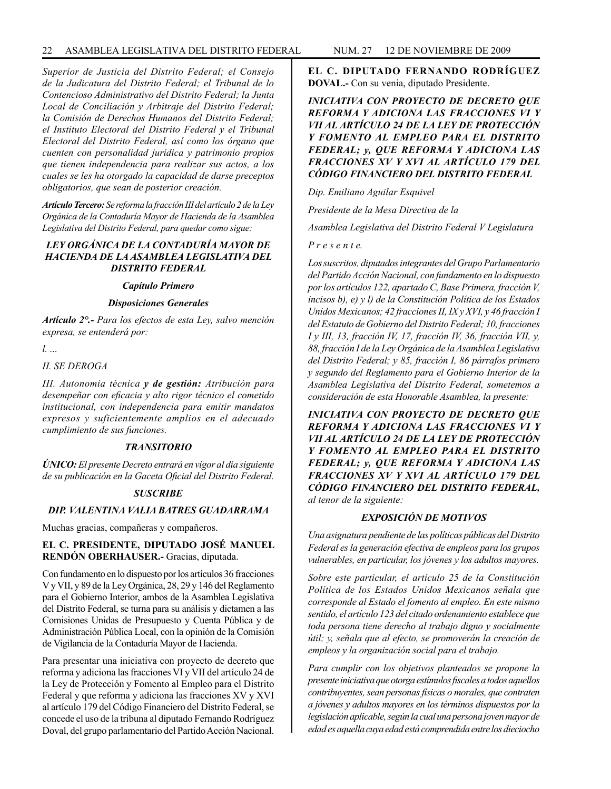*Superior de Justicia del Distrito Federal; el Consejo de la Judicatura del Distrito Federal; el Tribunal de lo Contencioso Administrativo del Distrito Federal; la Junta Local de Conciliación y Arbitraje del Distrito Federal; la Comisión de Derechos Humanos del Distrito Federal; el Instituto Electoral del Distrito Federal y el Tribunal Electoral del Distrito Federal, así como los órgano que cuenten con personalidad jurídica y patrimonio propios que tienen independencia para realizar sus actos, a los cuales se les ha otorgado la capacidad de darse preceptos obligatorios, que sean de posterior creación.*

*Artículo Tercero: Se reforma la fracción III del artículo 2 de la Ley Orgánica de la Contaduría Mayor de Hacienda de la Asamblea Legislativa del Distrito Federal, para quedar como sigue:*

#### *LEY ORGÁNICA DE LA CONTADURÍA MAYOR DE HACIENDA DE LA ASAMBLEA LEGISLATIVA DEL DISTRITO FEDERAL*

#### *Capítulo Primero*

#### *Disposiciones Generales*

*Artículo 2°.- Para los efectos de esta Ley, salvo mención expresa, se entenderá por:*

*l. ...*

#### *II. SE DEROGA*

*III. Autonomía técnica y de gestión: Atribución para desempeñar con eficacia y alto rigor técnico el cometido institucional, con independencia para emitir mandatos expresos y suficientemente amplios en el adecuado cumplimiento de sus funciones.*

#### *TRANSITORIO*

*ÚNICO: El presente Decreto entrará en vigor al día siguiente de su publicación en la Gaceta Oficial del Distrito Federal.*

#### *SUSCRIBE*

#### *DIP. VALENTINA VALIA BATRES GUADARRAMA*

Muchas gracias, compañeras y compañeros.

#### **EL C. PRESIDENTE, DIPUTADO JOSÉ MANUEL RENDÓN OBERHAUSER.-** Gracias, diputada.

Con fundamento en lo dispuesto por los artículos 36 fracciones V y VII, y 89 de la Ley Orgánica, 28, 29 y 146 del Reglamento para el Gobierno Interior, ambos de la Asamblea Legislativa del Distrito Federal, se turna para su análisis y dictamen a las Comisiones Unidas de Presupuesto y Cuenta Pública y de Administración Pública Local, con la opinión de la Comisión de Vigilancia de la Contaduría Mayor de Hacienda.

Para presentar una iniciativa con proyecto de decreto que reforma y adiciona las fracciones VI y VII del artículo 24 de la Ley de Protección y Fomento al Empleo para el Distrito Federal y que reforma y adiciona las fracciones XV y XVI al artículo 179 del Código Financiero del Distrito Federal, se concede el uso de la tribuna al diputado Fernando Rodríguez Doval, del grupo parlamentario del Partido Acción Nacional.

**EL C. DIPUTADO FERNANDO RODRÍGUEZ DOVAL.-** Con su venia, diputado Presidente.

*INICIATIVA CON PROYECTO DE DECRETO QUE REFORMA Y ADICIONA LAS FRACCIONES VI Y VII AL ARTÍCULO 24 DE LA LEY DE PROTECCIÓN Y FOMENTO AL EMPLEO PARA EL DISTRITO FEDERAL; y, QUE REFORMA Y ADICIONA LAS FRACCIONES XV Y XVI AL ARTÍCULO 179 DEL CÓDIGO FINANCIERO DEL DISTRITO FEDERAL*

*Dip. Emiliano Aguilar Esquivel*

*Presidente de la Mesa Directiva de la*

*Asamblea Legislativa del Distrito Federal V Legislatura*

#### *P r e s e n t e.*

*Los suscritos, diputados integrantes del Grupo Parlamentario del Partido Acción Nacional, con fundamento en lo dispuesto por los artículos 122, apartado C, Base Primera, fracción V, incisos b), e) y l) de la Constitución Política de los Estados Unidos Mexicanos; 42 fracciones II, IX y XVI, y 46 fracción I del Estatuto de Gobierno del Distrito Federal; 10, fracciones I y III, 13, fracción IV, 17, fracción IV, 36, fracción VII, y, 88, fracción I de la Ley Orgánica de la Asamblea Legislativa del Distrito Federal; y 85, fracción I, 86 párrafos primero y segundo del Reglamento para el Gobierno Interior de la Asamblea Legislativa del Distrito Federal, sometemos a consideración de esta Honorable Asamblea, la presente:* 

*INICIATIVA CON PROYECTO DE DECRETO QUE REFORMA Y ADICIONA LAS FRACCIONES VI Y VII AL ARTÍCULO 24 DE LA LEY DE PROTECCIÓN Y FOMENTO AL EMPLEO PARA EL DISTRITO FEDERAL; y, QUE REFORMA Y ADICIONA LAS FRACCIONES XV Y XVI AL ARTÍCULO 179 DEL CÓDIGO FINANCIERO DEL DISTRITO FEDERAL, al tenor de la siguiente:*

#### *EXPOSICIÓN DE MOTIVOS*

*Una asignatura pendiente de las políticas públicas del Distrito Federal es la generación efectiva de empleos para los grupos vulnerables, en particular, los jóvenes y los adultos mayores.* 

*Sobre este particular, el artículo 25 de la Constitución Política de los Estados Unidos Mexicanos señala que corresponde al Estado el fomento al empleo. En este mismo sentido, el artículo 123 del citado ordenamiento establece que toda persona tiene derecho al trabajo digno y socialmente útil; y, señala que al efecto, se promoverán la creación de empleos y la organización social para el trabajo.* 

*Para cumplir con los objetivos planteados se propone la presente iniciativa que otorga estímulos fiscales a todos aquellos contribuyentes, sean personas físicas o morales, que contraten a jóvenes y adultos mayores en los términos dispuestos por la legislación aplicable, según la cual una persona joven mayor de edad es aquella cuya edad está comprendida entre los dieciocho*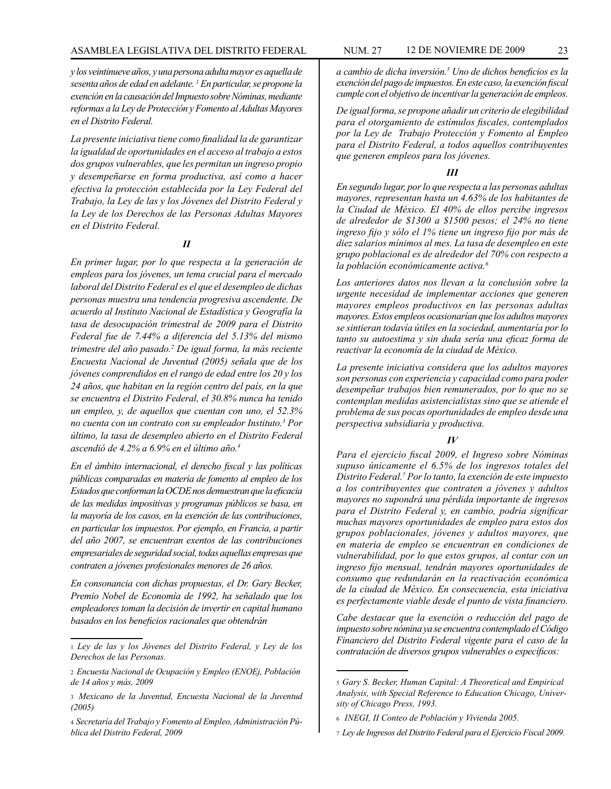*y los veintinueve años, y una persona adulta mayor es aquella de sesenta años de edad en adelante. 1 En particular, se propone la exención en la causación del Impuesto sobre Nóminas, mediante reformas a la Ley de Protección y Fomento al Adultas Mayores en el Distrito Federal.*

*La presente iniciativa tiene como finalidad la de garantizar la igualdad de oportunidades en el acceso al trabajo a estos dos grupos vulnerables, que les permitan un ingreso propio y desempeñarse en forma productiva, así como a hacer efectiva la protección establecida por la Ley Federal del Trabajo, la Ley de las y los Jóvenes del Distrito Federal y la Ley de los Derechos de las Personas Adultas Mayores en el Distrito Federal.*

#### *II*

*En primer lugar, por lo que respecta a la generación de empleos para los jóvenes, un tema crucial para el mercado laboral del Distrito Federal es el que el desempleo de dichas personas muestra una tendencia progresiva ascendente. De acuerdo al Instituto Nacional de Estadística y Geografía la tasa de desocupación trimestral de 2009 para el Distrito Federal fue de 7.44% a diferencia del 5.13% del mismo trimestre del año pasado.2 De igual forma, la más reciente Encuesta Nacional de Juventud (2005) señala que de los jóvenes comprendidos en el rango de edad entre los 20 y los 24 años, que habitan en la región centro del país, en la que se encuentra el Distrito Federal, el 30.8% nunca ha tenido un empleo, y, de aquellos que cuentan con uno, el 52.3% no cuenta con un contrato con su empleador Instituto.3 Por último, la tasa de desempleo abierto en el Distrito Federal ascendió de 4.2% a 6.9% en el último año.4*

*En el ámbito internacional, el derecho fiscal y las políticas públicas comparadas en materia de fomento al empleo de los Estados que conforman la OCDE nos demuestran que la eficacia de las medidas impositivas y programas públicos se basa, en la mayoría de los casos, en la exención de las contribuciones, en particular los impuestos. Por ejemplo, en Francia, a partir del año 2007, se encuentran exentos de las contribuciones empresariales de seguridad social, todas aquellas empresas que contraten a jóvenes profesionales menores de 26 años.* 

*En consonancia con dichas propuestas, el Dr. Gary Becker, Premio Nobel de Economía de 1992, ha señalado que los empleadores toman la decisión de invertir en capital humano basados en los beneficios racionales que obtendrán*

<sup>4</sup> *Secretaría del Trabajo y Fomento al Empleo, Administración Pública del Distrito Federal, 2009*

*a cambio de dicha inversión.5 Uno de dichos beneficios es la exención del pago de impuestos. En este caso, la exención fiscal cumple con el objetivo de incentivar la generación de empleos.*

*De igual forma, se propone añadir un criterio de elegibilidad para el otorgamiento de estímulos fiscales, contemplados por la Ley de Trabajo Protección y Fomento al Empleo para el Distrito Federal, a todos aquellos contribuyentes que generen empleos para los jóvenes.* 

#### *III*

*En segundo lugar, por lo que respecta a las personas adultas mayores, representan hasta un 4.63% de los habitantes de la Ciudad de México. El 40% de ellos percibe ingresos de alrededor de \$1300 a \$1500 pesos; el 24% no tiene ingreso fijo y sólo el 1% tiene un ingreso fijo por más de diez salarios mínimos al mes. La tasa de desempleo en este grupo poblacional es de alrededor del 70% con respecto a la población económicamente activa.6*

*Los anteriores datos nos llevan a la conclusión sobre la urgente necesidad de implementar acciones que generen mayores empleos productivos en las personas adultas mayores. Estos empleos ocasionarían que los adultos mayores se sintieran todavía útiles en la sociedad, aumentaría por lo tanto su autoestima y sin duda sería una eficaz forma de reactivar la economía de la ciudad de México.* 

*La presente iniciativa considera que los adultos mayores son personas con experiencia y capacidad como para poder desempeñar trabajos bien remunerados, por lo que no se contemplan medidas asistencialistas sino que se atiende el problema de sus pocas oportunidades de empleo desde una perspectiva subsidiaria y productiva.*

#### *IV*

*Para el ejercicio fiscal 2009, el Ingreso sobre Nóminas supuso únicamente el 6.5% de los ingresos totales del Distrito Federal.7 Por lo tanto, la exención de este impuesto a los contribuyentes que contraten a jóvenes y adultos mayores no supondrá una pérdida importante de ingresos para el Distrito Federal y, en cambio, podría significar muchas mayores oportunidades de empleo para estos dos grupos poblacionales, jóvenes y adultos mayores, que en materia de empleo se encuentran en condiciones de vulnerabilidad, por lo que estos grupos, al contar con un ingreso fijo mensual, tendrán mayores oportunidades de consumo que redundarán en la reactivación económica de la ciudad de México. En consecuencia, esta iniciativa es perfectamente viable desde el punto de vista financiero.*

*Cabe destacar que la exención o reducción del pago de impuesto sobre nómina ya se encuentra contemplado el Código Financiero del Distrito Federal vigente para el caso de la contratación de diversos grupos vulnerables o específicos:*

<sup>1</sup> *Ley de las y los Jóvenes del Distrito Federal, y Ley de los Derechos de las Personas.* 

<sup>2</sup> *Encuesta Nacional de Ocupación y Empleo (ENOEj, Población de 14 años y más, 2009*

<sup>3</sup> *Mexicano de la Juventud, Encuesta Nacional de la Juventud (2005)*

<sup>5</sup> *Gary S. Becker, Human Capital: A Theoretical and Empirical Analysis, with Special Reference to Education Chicago, University of Chicago Press, 1993.*

<sup>6</sup> *INEGI, II Conteo de Población y Vivienda 2005.*

<sup>7</sup> *Ley de Ingresos del Distrito Federal para el Ejercicio Fiscal 2009.*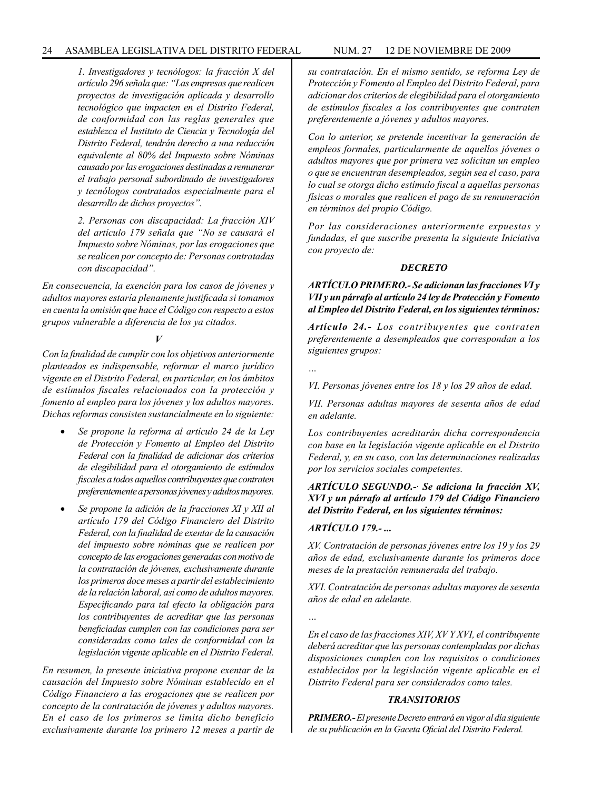*1. Investigadores y tecnólogos: la fracción X del artículo 296 señala que: "Las empresas que realicen proyectos de investigación aplicada y desarrollo tecnológico que impacten en el Distrito Federal, de conformidad con las reglas generales que establezca el Instituto de Ciencia y Tecnología del Distrito Federal, tendrán derecho a una reducción equivalente al 80% del Impuesto sobre Nóminas causado por las erogaciones destinadas a remunerar el trabajo personal subordinado de investigadores y tecnólogos contratados especialmente para el desarrollo de dichos proyectos".*

*2. Personas con discapacidad: La fracción XIV del artículo 179 señala que "No se causará el Impuesto sobre Nóminas, por las erogaciones que se realicen por concepto de: Personas contratadas con discapacidad".*

*En consecuencia, la exención para los casos de jóvenes y adultos mayores estaría plenamente justificada si tomamos en cuenta la omisión que hace el Código con respecto a estos grupos vulnerable a diferencia de los ya citados.*

#### *V*

*Con la finalidad de cumplir con los objetivos anteriormente planteados es indispensable, reformar el marco jurídico vigente en el Distrito Federal, en particular, en los ámbitos de estímulos fiscales relacionados con la protección y fomento al empleo para los jóvenes y los adultos mayores. Dichas reformas consisten sustancialmente en lo siguiente:*

- • *Se propone la reforma al artículo 24 de la Ley de Protección y Fomento al Empleo del Distrito Federal con la finalidad de adicionar dos criterios de elegibilidad para el otorgamiento de estímulos fiscales a todos aquellos contribuyentes que contraten preferentemente a personas jóvenes y adultos mayores.*
- • *Se propone la adición de la fracciones XI y XII al artículo 179 del Código Financiero del Distrito Federal, con la finalidad de exentar de la causación del impuesto sobre nóminas que se realicen por concepto de las erogaciones generadas con motivo de la contratación de jóvenes, exclusivamente durante los primeros doce meses a partir del establecimiento de la relación laboral, así como de adultos mayores. Especificando para tal efecto la obligación para los contribuyentes de acreditar que las personas beneficiadas cumplen con las condiciones para ser consideradas como tales de conformidad con la legislación vigente aplicable en el Distrito Federal.*

*En resumen, la presente iniciativa propone exentar de la causación del Impuesto sobre Nóminas establecido en el Código Financiero a las erogaciones que se realicen por concepto de la contratación de jóvenes y adultos mayores. En el caso de los primeros se limita dicho beneficio exclusivamente durante los primero 12 meses a partir de* 

*su contratación. En el mismo sentido, se reforma Ley de Protección y Fomento al Empleo del Distrito Federal, para adicionar dos criterios de elegibilidad para el otorgamiento de estímulos fiscales a los contribuyentes que contraten preferentemente a jóvenes y adultos mayores.*

*Con lo anterior, se pretende incentivar la generación de empleos formales, particularmente de aquellos jóvenes o adultos mayores que por primera vez solicitan un empleo o que se encuentran desempleados, según sea el caso, para lo cual se otorga dicho estímulo fiscal a aquellas personas físicas o morales que realicen el pago de su remuneración en términos del propio Código.*

*Por las consideraciones anteriormente expuestas y fundadas, el que suscribe presenta la siguiente Iniciativa con proyecto de:*

#### *DECRETO*

*ARTÍCULO PRIMERO.- Se adicionan las fracciones VI y VII y un párrafo al artículo 24 ley de Protección y Fomento al Empleo del Distrito Federal, en los siguientes términos:*

*Artículo 24.- Los contribuyentes que contraten preferentemente a desempleados que correspondan a los siguientes grupos:*

*…*

*VI. Personas jóvenes entre los 18 y los 29 años de edad.*

*VII. Personas adultas mayores de sesenta años de edad en adelante.*

*Los contribuyentes acreditarán dicha correspondencia con base en la legislación vigente aplicable en el Distrito Federal, y, en su caso, con las determinaciones realizadas por los servicios sociales competentes.*

*ARTÍCULO SEGUNDO.-· Se adiciona la fracción XV, XVI y un párrafo al artículo 179 del Código Financiero del Distrito Federal, en los siguientes términos:*

#### *ARTÍCULO 179.- ...*

*XV. Contratación de personas jóvenes entre los 19 y los 29 años de edad, exclusivamente durante los primeros doce meses de la prestación remunerada del trabajo.*

*XVI. Contratación de personas adultas mayores de sesenta años de edad en adelante.*

*…*

*En el caso de las fracciones XIV, XV Y XVI, el contribuyente deberá acreditar que las personas contempladas por dichas disposiciones cumplen con los requisitos o condiciones establecidos por la legislación vigente aplicable en el Distrito Federal para ser considerados como tales.*

#### *TRANSITORIOS*

*PRIMERO.- El presente Decreto entrará en vigor al día siguiente de su publicación en la Gaceta Oficial del Distrito Federal.*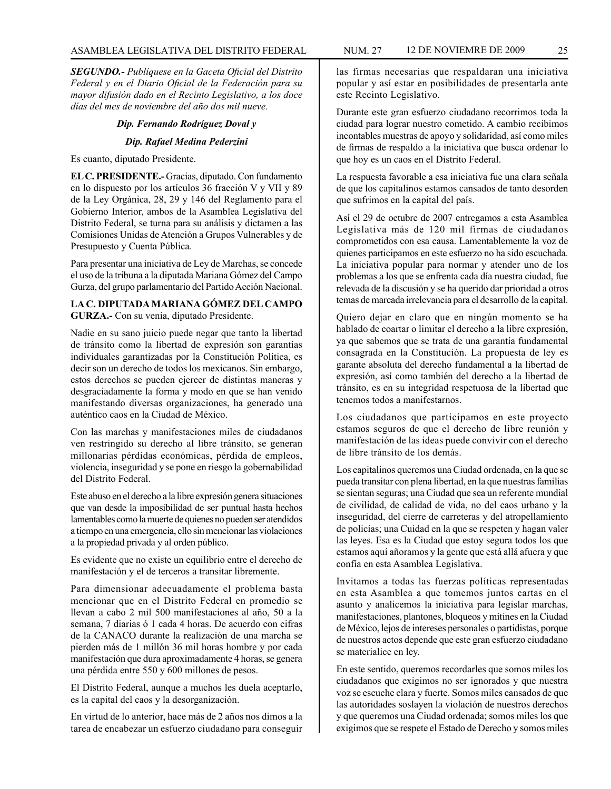*SEGUNDO.- Publíquese en la Gaceta Oficial del Distrito Federal y en el Diario Oficial de la Federación para su mayor difusión dado en el Recinto Legislativo, a los doce días del mes de noviembre del año dos mil nueve.*

#### *Dip. Fernando Rodríguez Doval y*

#### *Dip. Rafael Medina Pederzini*

Es cuanto, diputado Presidente.

**EL C. PRESIDENTE.-** Gracias, diputado. Con fundamento en lo dispuesto por los artículos 36 fracción V y VII y 89 de la Ley Orgánica, 28, 29 y 146 del Reglamento para el Gobierno Interior, ambos de la Asamblea Legislativa del Distrito Federal, se turna para su análisis y dictamen a las Comisiones Unidas de Atención a Grupos Vulnerables y de Presupuesto y Cuenta Pública.

Para presentar una iniciativa de Ley de Marchas, se concede el uso de la tribuna a la diputada Mariana Gómez del Campo Gurza, del grupo parlamentario del Partido Acción Nacional.

#### **LA C. DIPUTADA MARIANA GÓMEZ DEL CAMPO GURZA.-** Con su venia, diputado Presidente.

Nadie en su sano juicio puede negar que tanto la libertad de tránsito como la libertad de expresión son garantías individuales garantizadas por la Constitución Política, es decir son un derecho de todos los mexicanos. Sin embargo, estos derechos se pueden ejercer de distintas maneras y desgraciadamente la forma y modo en que se han venido manifestando diversas organizaciones, ha generado una auténtico caos en la Ciudad de México.

Con las marchas y manifestaciones miles de ciudadanos ven restringido su derecho al libre tránsito, se generan millonarias pérdidas económicas, pérdida de empleos, violencia, inseguridad y se pone en riesgo la gobernabilidad del Distrito Federal.

Este abuso en el derecho a la libre expresión genera situaciones que van desde la imposibilidad de ser puntual hasta hechos lamentables como la muerte de quienes no pueden ser atendidos a tiempo en una emergencia, ello sin mencionar las violaciones a la propiedad privada y al orden público.

Es evidente que no existe un equilibrio entre el derecho de manifestación y el de terceros a transitar libremente.

Para dimensionar adecuadamente el problema basta mencionar que en el Distrito Federal en promedio se llevan a cabo 2 mil 500 manifestaciones al año, 50 a la semana, 7 diarias ó 1 cada 4 horas. De acuerdo con cifras de la CANACO durante la realización de una marcha se pierden más de 1 millón 36 mil horas hombre y por cada manifestación que dura aproximadamente 4 horas, se genera una pérdida entre 550 y 600 millones de pesos.

El Distrito Federal, aunque a muchos les duela aceptarlo, es la capital del caos y la desorganización.

En virtud de lo anterior, hace más de 2 años nos dimos a la tarea de encabezar un esfuerzo ciudadano para conseguir las firmas necesarias que respaldaran una iniciativa popular y así estar en posibilidades de presentarla ante este Recinto Legislativo.

Durante este gran esfuerzo ciudadano recorrimos toda la ciudad para lograr nuestro cometido. A cambio recibimos incontables muestras de apoyo y solidaridad, así como miles de firmas de respaldo a la iniciativa que busca ordenar lo que hoy es un caos en el Distrito Federal.

La respuesta favorable a esa iniciativa fue una clara señala de que los capitalinos estamos cansados de tanto desorden que sufrimos en la capital del país.

Así el 29 de octubre de 2007 entregamos a esta Asamblea Legislativa más de 120 mil firmas de ciudadanos comprometidos con esa causa. Lamentablemente la voz de quienes participamos en este esfuerzo no ha sido escuchada. La iniciativa popular para normar y atender uno de los problemas a los que se enfrenta cada día nuestra ciudad, fue relevada de la discusión y se ha querido dar prioridad a otros temas de marcada irrelevancia para el desarrollo de la capital.

Quiero dejar en claro que en ningún momento se ha hablado de coartar o limitar el derecho a la libre expresión, ya que sabemos que se trata de una garantía fundamental consagrada en la Constitución. La propuesta de ley es garante absoluta del derecho fundamental a la libertad de expresión, así como también del derecho a la libertad de tránsito, es en su integridad respetuosa de la libertad que tenemos todos a manifestarnos.

Los ciudadanos que participamos en este proyecto estamos seguros de que el derecho de libre reunión y manifestación de las ideas puede convivir con el derecho de libre tránsito de los demás.

Los capitalinos queremos una Ciudad ordenada, en la que se pueda transitar con plena libertad, en la que nuestras familias se sientan seguras; una Ciudad que sea un referente mundial de civilidad, de calidad de vida, no del caos urbano y la inseguridad, del cierre de carreteras y del atropellamiento de policías; una Cuidad en la que se respeten y hagan valer las leyes. Esa es la Ciudad que estoy segura todos los que estamos aquí añoramos y la gente que está allá afuera y que confía en esta Asamblea Legislativa.

Invitamos a todas las fuerzas políticas representadas en esta Asamblea a que tomemos juntos cartas en el asunto y analicemos la iniciativa para legislar marchas, manifestaciones, plantones, bloqueos y mítines en la Ciudad de México, lejos de intereses personales o partidistas, porque de nuestros actos depende que este gran esfuerzo ciudadano se materialice en ley.

En este sentido, queremos recordarles que somos miles los ciudadanos que exigimos no ser ignorados y que nuestra voz se escuche clara y fuerte. Somos miles cansados de que las autoridades soslayen la violación de nuestros derechos y que queremos una Ciudad ordenada; somos miles los que exigimos que se respete el Estado de Derecho y somos miles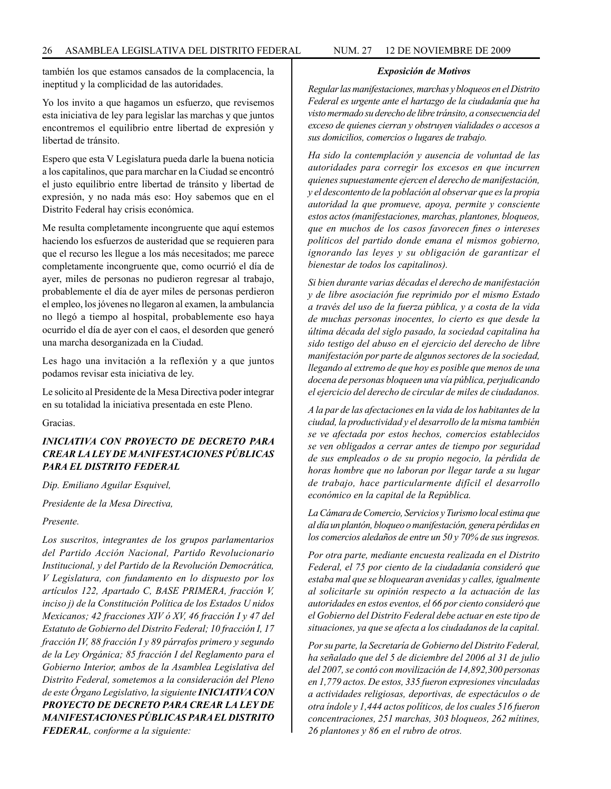*Exposición de Motivos*

también los que estamos cansados de la complacencia, la ineptitud y la complicidad de las autoridades.

Yo los invito a que hagamos un esfuerzo, que revisemos esta iniciativa de ley para legislar las marchas y que juntos encontremos el equilibrio entre libertad de expresión y libertad de tránsito.

Espero que esta V Legislatura pueda darle la buena noticia a los capitalinos, que para marchar en la Ciudad se encontró el justo equilibrio entre libertad de tránsito y libertad de expresión, y no nada más eso: Hoy sabemos que en el Distrito Federal hay crisis económica.

Me resulta completamente incongruente que aquí estemos haciendo los esfuerzos de austeridad que se requieren para que el recurso les llegue a los más necesitados; me parece completamente incongruente que, como ocurrió el día de ayer, miles de personas no pudieron regresar al trabajo, probablemente el día de ayer miles de personas perdieron el empleo, los jóvenes no llegaron al examen, la ambulancia no llegó a tiempo al hospital, probablemente eso haya ocurrido el día de ayer con el caos, el desorden que generó una marcha desorganizada en la Ciudad.

Les hago una invitación a la reflexión y a que juntos podamos revisar esta iniciativa de ley.

Le solicito al Presidente de la Mesa Directiva poder integrar en su totalidad la iniciativa presentada en este Pleno.

Gracias.

#### *INICIATIVA CON PROYECTO DE DECRETO PARA CREAR LA LEY DE MANIFESTACIONES PÚBLICAS PARA EL DISTRITO FEDERAL*

*Dip. Emiliano Aguilar Esquivel,*

*Presidente de la Mesa Directiva,*

*Presente.*

*Los suscritos, integrantes de los grupos parlamentarios del Partido Acción Nacional, Partido Revolucionario Institucional, y del Partido de la Revolución Democrática, V Legislatura, con fundamento en lo dispuesto por los artículos 122, Apartado C, BASE PRIMERA, fracción V, inciso j) de la Constitución Política de los Estados U nidos Mexicanos; 42 fracciones XIV ó XV, 46 fracción I y 47 del Estatuto de Gobierno del Distrito Federal; 10 fracción I, 17 fracción IV, 88 fracción I y 89 párrafos primero y segundo de la Ley Orgánica; 85 fracción I del Reglamento para el Gobierno Interior, ambos de la Asamblea Legislativa del Distrito Federal, sometemos a la consideración del Pleno de este Órgano Legislativo, la siguiente INICIATIVA CON PROYECTO DE DECRETO PARA CREAR LA LEY DE MANIFESTACIONES PÚBLICAS PARA EL DISTRITO FEDERAL, conforme a la siguiente:*

*Regular las manifestaciones, marchas y bloqueos en el Distrito Federal es urgente ante el hartazgo de la ciudadanía que ha visto mermado su derecho de libre tránsito, a consecuencia del exceso de quienes cierran y obstruyen vialidades o accesos a sus domicilios, comercios o lugares de trabajo.*

*Ha sido la contemplación y ausencia de voluntad de las autoridades para corregir los excesos en que incurren quienes supuestamente ejercen el derecho de manifestación, y el descontento de la población al observar que es la propia autoridad la que promueve, apoya, permite y consciente estos actos (manifestaciones, marchas, plantones, bloqueos, que en muchos de los casos favorecen fines o intereses políticos del partido donde emana el mismos gobierno, ignorando las leyes y su obligación de garantizar el bienestar de todos los capitalinos).*

*Si bien durante varias décadas el derecho de manifestación y de libre asociación fue reprimido por el mismo Estado a través del uso de la fuerza pública, y a costa de la vida de muchas personas inocentes, lo cierto es que desde la última década del siglo pasado, la sociedad capitalina ha sido testigo del abuso en el ejercicio del derecho de libre manifestación por parte de algunos sectores de la sociedad, llegando al extremo de que hoy es posible que menos de una docena de personas bloqueen una vía pública, perjudicando el ejercicio del derecho de circular de miles de ciudadanos.*

*A la par de las afectaciones en la vida de los habitantes de la ciudad, la productividad y el desarrollo de la misma también se ve afectada por estos hechos, comercios establecidos se ven obligados a cerrar antes de tiempo por seguridad de sus empleados o de su propio negocio, la pérdida de horas hombre que no laboran por llegar tarde a su lugar de trabajo, hace particularmente difícil el desarrollo económico en la capital de la República.* 

*La Cámara de Comercio, Servicios y Turismo local estima que al día un plantón, bloqueo o manifestación, genera pérdidas en los comercios aledaños de entre un 50 y 70% de sus ingresos.*

*Por otra parte, mediante encuesta realizada en el Distrito Federal, el 75 por ciento de la ciudadanía consideró que estaba mal que se bloquearan avenidas y calles, igualmente al solicitarle su opinión respecto a la actuación de las autoridades en estos eventos, el 66 por ciento consideró que el Gobierno del Distrito Federal debe actuar en este tipo de situaciones, ya que se afecta a los ciudadanos de la capital.* 

*Por su parte, la Secretaría de Gobierno del Distrito Federal, ha señalado que del 5 de diciembre del 2006 al 31 de julio del 2007, se contó con movilización de 14,892,300 personas en 1,779 actos. De estos, 335 fueron expresiones vinculadas a actividades religiosas, deportivas, de espectáculos o de otra índole y 1,444 actos políticos, de los cuales 516 fueron concentraciones, 251 marchas, 303 bloqueos, 262 mítines, 26 plantones y 86 en el rubro de otros.*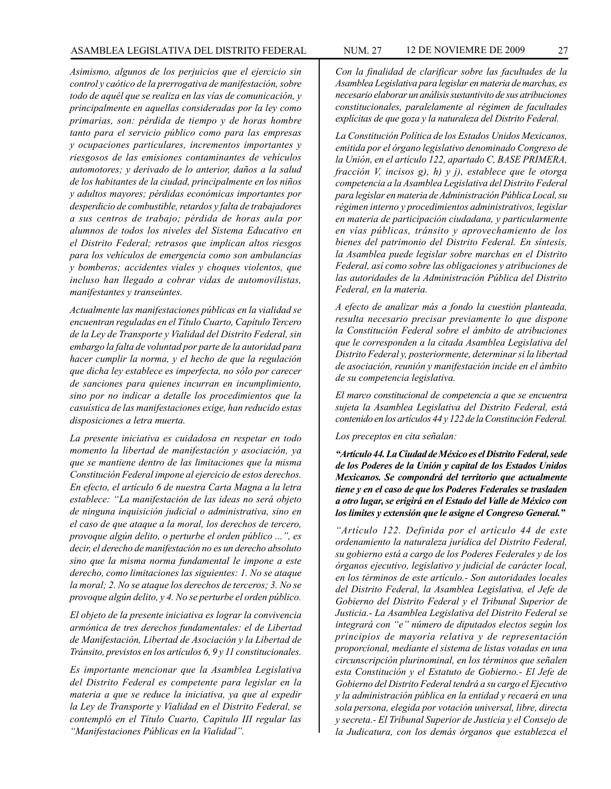*Asimismo, algunos de los perjuicios que el ejercicio sin control y caótico de la prerrogativa de manifestación, sobre todo de aquél que se realiza en las vías de comunicación, y principalmente en aquellas consideradas por la ley como primarias, son: pérdida de tiempo y de horas hombre tanto para el servicio público como para las empresas y ocupaciones particulares, incrementos importantes y riesgosos de las emisiones contaminantes de vehículos automotores; y derivado de lo anterior, daños a la salud de los habitantes de la ciudad, principalmente en los niños y adultos mayores; pérdidas económicas importantes por desperdicio de combustible, retardos y falta de trabajadores a sus centros de trabajo; pérdida de horas aula por alumnos de todos los niveles del Sistema Educativo en el Distrito Federal; retrasos que implican altos riesgos para los vehículos de emergencia como son ambulancias y bomberos; accidentes viales y choques violentos, que incluso han llegado a cobrar vidas de automovilistas, manifestantes y transeúntes.*

*Actualmente las manifestaciones públicas en la vialidad se encuentran reguladas en el Título Cuarto, Capítulo Tercero de la Ley de Transporte y Vialidad del Distrito Federal, sin embargo la falta de voluntad por parte de la autoridad para hacer cumplir la norma, y el hecho de que la regulación que dicha ley establece es imperfecta, no sólo por carecer de sanciones para quienes incurran en incumplimiento, sino por no indicar a detalle los procedimientos que la casuística de las manifestaciones exige, han reducido estas disposiciones a letra muerta.*

*La presente iniciativa es cuidadosa en respetar en todo momento la libertad de manifestación y asociación, ya que se mantiene dentro de las limitaciones que la misma Constitución Federal impone al ejercicio de estos derechos. En efecto, el artículo 6 de nuestra Carta Magna a la letra establece: "La manifestación de las ideas no será objeto de ninguna inquisición judicial o administrativa, sino en el caso de que ataque a la moral, los derechos de tercero, provoque algún delito, o perturbe el orden público ...", es decir, el derecho de manifestación no es un derecho absoluto sino que la misma norma fundamental le impone a este derecho, como limitaciones las siguientes: 1. No se ataque la moral; 2. No se ataque los derechos de terceros; 3. No se provoque algún delito, y 4. No se perturbe el orden público.*

*El objeto de la presente iniciativa es lograr la convivencia armónica de tres derechos fundamentales: el de Libertad de Manifestación, Libertad de Asociación y la Libertad de Tránsito, previstos en los artículos 6, 9 y 11 constitucionales.*

*Es importante mencionar que la Asamblea Legislativa del Distrito Federal es competente para legislar en la materia a que se reduce la iniciativa, ya que al expedir la Ley de Transporte y Vialidad en el Distrito Federal, se contempló en el Título Cuarto, Capitulo III regular las "Manifestaciones Públicas en la Vialidad".*

*Con la finalidad de clarificar sobre las facultades de la Asamblea Legislativa para legislar en materia de marchas, es necesario elaborar un análisis sustantivito de sus atribuciones constitucionales, paralelamente al régimen de facultades explícitas de que goza y la naturaleza del Distrito Federal.*

*La Constitución Política de los Estados Unidos Mexicanos, emitida por el órgano legislativo denominado Congreso de la Unión, en el artículo 122, apartado C, BASE PRIMERA, fracción V, incisos g), h) y j), establece que le otorga competencia a la Asamblea Legislativa del Distrito Federal para legislar en materia de Administración Pública Local, su régimen interno y procedimientos administrativos, legislar en materia de participación ciudadana, y particularmente en vías públicas, tránsito y aprovechamiento de los bienes del patrimonio del Distrito Federal. En síntesis, la Asamblea puede legislar sobre marchas en el Distrito Federal, así como sobre las obligaciones y atribuciones de las autoridades de la Administración Pública del Distrito Federal, en la materia.*

*A efecto de analizar más a fondo la cuestión planteada, resulta necesario precisar previamente lo que dispone la Constitución Federal sobre el ámbito de atribuciones que le corresponden a la citada Asamblea Legislativa del Distrito Federal y, posteriormente, determinar si la libertad de asociación, reunión y manifestación incide en el ámbito de su competencia legislativa.*

*El marco constitucional de competencia a que se encuentra sujeta la Asamblea Legislativa del Distrito Federal, está contenido en los artículos 44 y 122 de la Constitución Federal.*

*Los preceptos en cita señalan:* 

*"Artículo 44. La Ciudad de México es el Distrito Federal, sede de los Poderes de la Unión y capital de los Estados Unidos Mexicanos. Se compondrá del territorio que actualmente tiene y en el caso de que los Poderes Federales se trasladen a otro lugar, se erigirá en el Estado del Valle de México con los límites y extensión que le asigne el Congreso General."*

*"Artículo 122. Definida por el artículo 44 de este ordenamiento la naturaleza jurídica del Distrito Federal, su gobierno está a cargo de los Poderes Federales y de los órganos ejecutivo, legislativo y judicial de carácter local, en los términos de este artículo.- Son autoridades locales del Distrito Federal, la Asamblea Legislativa, el Jefe de Gobierno del Distrito Federal y el Tribunal Superior de Justicia.- La Asamblea Legislativa del Distrito Federal se integrará con "e" número de diputados electos según los principios de mayoría relativa y de representación proporcional, mediante el sistema de listas votadas en una circunscripción plurinominal, en los términos que señalen esta Constitución y el Estatuto de Gobierno.- El Jefe de Gobierno del Distrito Federal tendrá a su cargo el Ejecutivo y la administración pública en la entidad y recaerá en una sola persona, elegida por votación universal, libre, directa y secreta.- El Tribunal Superior de Justicia y el Consejo de la Judicatura, con los demás órganos que establezca el*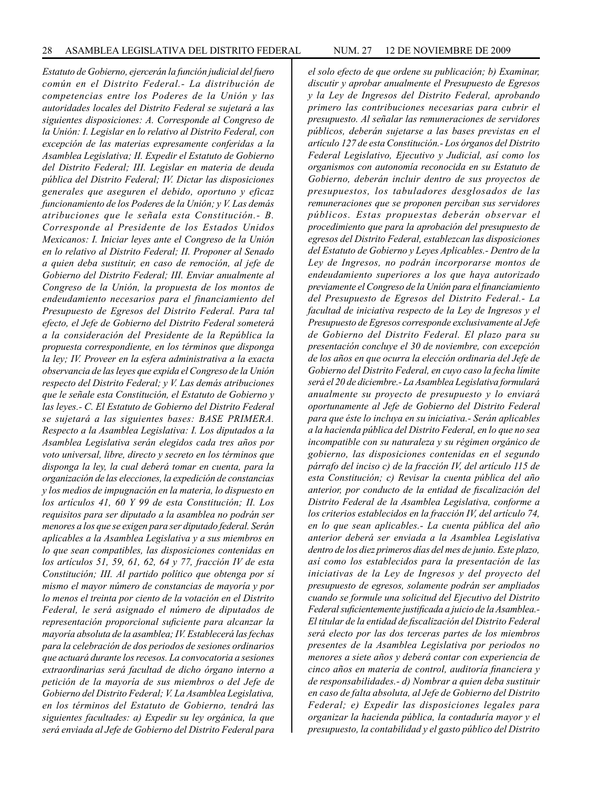*Estatuto de Gobierno, ejercerán la función judicial del fuero común en el Distrito Federal.- La distribución de competencias entre los Poderes de la Unión y las autoridades locales del Distrito Federal se sujetará a las siguientes disposiciones: A. Corresponde al Congreso de la Unión: I. Legislar en lo relativo al Distrito Federal, con excepción de las materias expresamente conferidas a la Asamblea Legislativa; II. Expedir el Estatuto de Gobierno del Distrito Federal; III. Legislar en materia de deuda pública del Distrito Federal; IV. Dictar las disposiciones generales que aseguren el debido, oportuno y eficaz funcionamiento de los Poderes de la Unión; y V. Las demás atribuciones que le señala esta Constitución.- B. Corresponde al Presidente de los Estados Unidos Mexicanos: I. Iniciar leyes ante el Congreso de la Unión en lo relativo al Distrito Federal; II. Proponer al Senado a quien deba sustituir, en caso de remoción, al jefe de Gobierno del Distrito Federal; III. Enviar anualmente al Congreso de la Unión, la propuesta de los montos de endeudamiento necesarios para el financiamiento del Presupuesto de Egresos del Distrito Federal. Para tal efecto, el Jefe de Gobierno del Distrito Federal someterá a la consideración del Presidente de la República la propuesta correspondiente, en los términos que disponga la ley; IV. Proveer en la esfera administrativa a la exacta observancia de las leyes que expida el Congreso de la Unión respecto del Distrito Federal; y V. Las demás atribuciones que le señale esta Constitución, el Estatuto de Gobierno y las leyes.- C. El Estatuto de Gobierno del Distrito Federal se sujetará a las siguientes bases: BASE PRIMERA. Respecto a la Asamblea Legislativa: I. Los diputados a la Asamblea Legislativa serán elegidos cada tres años por voto universal, libre, directo y secreto en los términos que disponga la ley, la cual deberá tomar en cuenta, para la organización de las elecciones, la expedición de constancias y los medios de impugnación en la materia, lo dispuesto en los artículos 41, 60 Y 99 de esta Constitución; II. Los requisitos para ser diputado a la asamblea no podrán ser menores a los que se exigen para ser diputado federal. Serán aplicables a la Asamblea Legislativa y a sus miembros en lo que sean compatibles, las disposiciones contenidas en los artículos 51, 59, 61, 62, 64 y 77, fracción IV de esta Constitución; III. Al partido político que obtenga por sí mismo el mayor número de constancias de mayoría y por lo menos el treinta por ciento de la votación en el Distrito Federal, le será asignado el número de diputados de representación proporcional suficiente para alcanzar la mayoría absoluta de la asamblea; IV. Establecerá las fechas para la celebración de dos periodos de sesiones ordinarios que actuará durante los recesos. La convocatoria a sesiones extraordinarias será facultad de dicho órgano interno a petición de la mayoría de sus miembros o del Jefe de Gobierno del Distrito Federal; V. La Asamblea Legislativa, en los términos del Estatuto de Gobierno, tendrá las siguientes facultades: a) Expedir su ley orgánica, la que será enviada al Jefe de Gobierno del Distrito Federal para* 

*el solo efecto de que ordene su publicación; b) Examinar, discutir y aprobar anualmente el Presupuesto de Egresos y la Ley de Ingresos del Distrito Federal, aprobando primero las contribuciones necesarias para cubrir el presupuesto. Al señalar las remuneraciones de servidores públicos, deberán sujetarse a las bases previstas en el artículo 127 de esta Constitución.- Los órganos del Distrito Federal Legislativo, Ejecutivo y Judicial, así como los organismos con autonomía reconocida en su Estatuto de Gobierno, deberán incluir dentro de sus proyectos de presupuestos, los tabuladores desglosados de las remuneraciones que se proponen perciban sus servidores públicos. Estas propuestas deberán observar el procedimiento que para la aprobación del presupuesto de egresos del Distrito Federal, establezcan las disposiciones del Estatuto de Gobierno y Leyes Aplicables.- Dentro de la Ley de Ingresos, no podrán incorporarse montos de endeudamiento superiores a los que haya autorizado previamente el Congreso de la Unión para el financiamiento del Presupuesto de Egresos del Distrito Federal.- La facultad de iniciativa respecto de la Ley de Ingresos y el Presupuesto de Egresos corresponde exclusivamente al Jefe de Gobierno del Distrito Federal. El plazo para su presentación concluye el 30 de noviembre, con excepción de los años en que ocurra la elección ordinaria del Jefe de Gobierno del Distrito Federal, en cuyo caso la fecha límite será el 20 de diciembre.- La Asamblea Legislativa formulará anualmente su proyecto de presupuesto y lo enviará oportunamente al Jefe de Gobierno del Distrito Federal para que éste lo incluya en su iniciativa.- Serán aplicables a la hacienda pública del Distrito Federal, en lo que no sea incompatible con su naturaleza y su régimen orgánico de gobierno, las disposiciones contenidas en el segundo párrafo del inciso c) de la fracción IV, del artículo 115 de esta Constitución; c) Revisar la cuenta pública del año anterior, por conducto de la entidad de fiscalización del Distrito Federal de la Asamblea Legislativa, conforme a los criterios establecidos en la fracción IV, del artículo 74, en lo que sean aplicables.- La cuenta pública del año anterior deberá ser enviada a la Asamblea Legislativa dentro de los diez primeros días del mes de junio. Este plazo, así como los establecidos para la presentación de las iniciativas de la Ley de Ingresos y del proyecto del presupuesto de egresos, solamente podrán ser ampliados cuando se formule una solicitud del Ejecutivo del Distrito Federal suficientemente justificada a juicio de la Asamblea.- El titular de la entidad de fiscalización del Distrito Federal será electo por las dos terceras partes de los miembros presentes de la Asamblea Legislativa por periodos no menores a siete años y deberá contar con experiencia de cinco años en materia de control, auditoría financiera y de responsabilidades.- d) Nombrar a quien deba sustituir en caso de falta absoluta, al Jefe de Gobierno del Distrito Federal; e) Expedir las disposiciones legales para organizar la hacienda pública, la contaduría mayor y el presupuesto, la contabilidad y el gasto público del Distrito*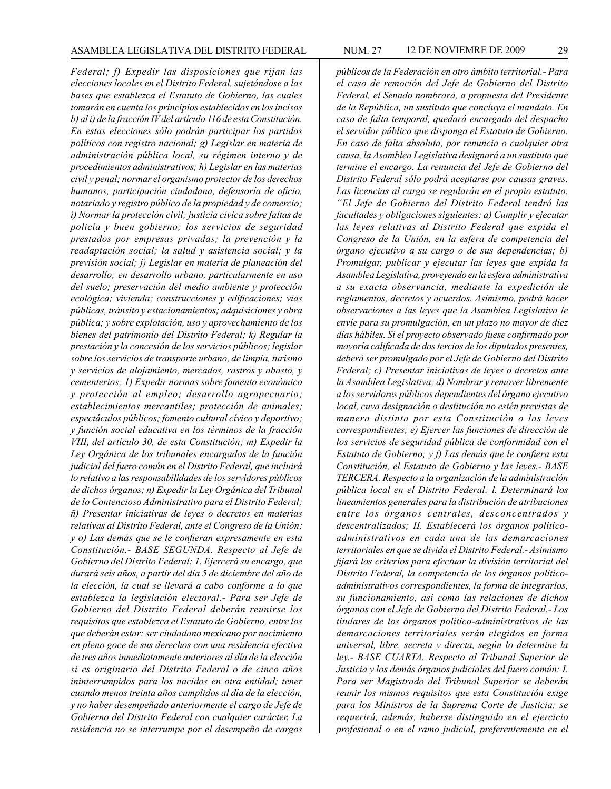*Federal; f) Expedir las disposiciones que rijan las elecciones locales en el Distrito Federal, sujetándose a las bases que establezca el Estatuto de Gobierno, las cuales tomarán en cuenta los principios establecidos en los incisos b) al i) de la fracción IV del artículo 116 de esta Constitución. En estas elecciones sólo podrán participar los partidos políticos con registro nacional; g) Legislar en materia de administración pública local, su régimen interno y de procedimientos administrativos; h) Legislar en las materias civil y penal; normar el organismo protector de los derechos humanos, participación ciudadana, defensoría de oficio, notariado y registro público de la propiedad y de comercio; i) Normar la protección civil; justicia cívica sobre faltas de policía y buen gobierno; los servicios de seguridad prestados por empresas privadas; la prevención y la readaptación social; la salud y asistencia social; y la previsión social; j) Legislar en materia de planeación del desarrollo; en desarrollo urbano, particularmente en uso del suelo; preservación del medio ambiente y protección ecológica; vivienda; construcciones y edificaciones; vías públicas, tránsito y estacionamientos; adquisiciones y obra pública; y sobre explotación, uso y aprovechamiento de los bienes del patrimonio del Distrito Federal; k) Regular la prestación y la concesión de los servicios públicos; legislar sobre los servicios de transporte urbano, de limpia, turismo y servicios de alojamiento, mercados, rastros y abasto, y cementerios; 1) Expedir normas sobre fomento económico y protección al empleo; desarrollo agropecuario; establecimientos mercantiles; protección de animales; espectáculos públicos; fomento cultural cívico y deportivo; y función social educativa en los términos de la fracción VIII, del artículo 30, de esta Constitución; m) Expedir la Ley Orgánica de los tribunales encargados de la función judicial del fuero común en el Distrito Federal, que incluirá lo relativo a las responsabilidades de los servidores públicos de dichos órganos; n) Expedir la Ley Orgánica del Tribunal de lo Contencioso Administrativo para el Distrito Federal; ñ) Presentar iniciativas de leyes o decretos en materias relativas al Distrito Federal, ante el Congreso de la Unión; y o) Las demás que se le confieran expresamente en esta Constitución.- BASE SEGUNDA. Respecto al Jefe de Gobierno del Distrito Federal: 1. Ejercerá su encargo, que durará seis años, a partir del día 5 de diciembre del año de la elección, la cual se llevará a cabo conforme a lo que establezca la legislación electoral.- Para ser Jefe de Gobierno del Distrito Federal deberán reunirse los requisitos que establezca el Estatuto de Gobierno, entre los que deberán estar: ser ciudadano mexicano por nacimiento en pleno goce de sus derechos con una residencia efectiva de tres años inmediatamente anteriores al día de la elección si es originario del Distrito Federal o de cinco años ininterrumpidos para los nacidos en otra entidad; tener cuando menos treinta años cumplidos al día de la elección, y no haber desempeñado anteriormente el cargo de Jefe de Gobierno del Distrito Federal con cualquier carácter. La residencia no se interrumpe por el desempeño de cargos*  *públicos de la Federación en otro ámbito territorial.- Para el caso de remoción del Jefe de Gobierno del Distrito Federal, el Senado nombrará, a propuesta del Presidente de la República, un sustituto que concluya el mandato. En caso de falta temporal, quedará encargado del despacho el servidor público que disponga el Estatuto de Gobierno. En caso de falta absoluta, por renuncia o cualquier otra causa, la Asamblea Legislativa designará a un sustituto que termine el encargo. La renuncia del Jefe de Gobierno del Distrito Federal sólo podrá aceptarse por causas graves. Las licencias al cargo se regularán en el propio estatuto. "El Jefe de Gobierno del Distrito Federal tendrá las facultades y obligaciones siguientes: a) Cumplir y ejecutar las leyes relativas al Distrito Federal que expida el Congreso de la Unión, en la esfera de competencia del órgano ejecutivo a su cargo o de sus dependencias; b) Promulgar, publicar y ejecutar las leyes que expida la Asamblea Legislativa, proveyendo en la esfera administrativa a su exacta observancia, mediante la expedición de reglamentos, decretos y acuerdos. Asimismo, podrá hacer observaciones a las leyes que la Asamblea Legislativa le envíe para su promulgación, en un plazo no mayor de diez días hábiles. Si el proyecto observado fuese confirmado por mayoría calificada de dos tercios de los diputados presentes, deberá ser promulgado por el Jefe de Gobierno del Distrito Federal; c) Presentar iniciativas de leyes o decretos ante la Asamblea Legislativa; d) Nombrar y remover libremente a los servidores públicos dependientes del órgano ejecutivo local, cuya designación o destitución no estén previstas de manera distinta por esta Constitución o las leyes correspondientes; e) Ejercer las funciones de dirección de los servicios de seguridad pública de conformidad con el Estatuto de Gobierno; y f) Las demás que le confiera esta Constitución, el Estatuto de Gobierno y las leyes.- BASE TERCERA. Respecto a la organización de la administración pública local en el Distrito Federal: l. Determinará los lineamientos generales para la distribución de atribuciones entre los órganos centrales, desconcentrados y descentralizados; II. Establecerá los órganos políticoadministrativos en cada una de las demarcaciones territoriales en que se divida el Distrito Federal.- Asimismo fijará los criterios para efectuar la división territorial del Distrito Federal, la competencia de los órganos políticoadministrativos correspondientes, la forma de integrarlos, su funcionamiento, así como las relaciones de dichos órganos con el Jefe de Gobierno del Distrito Federal.- Los titulares de los órganos político-administrativos de las demarcaciones territoriales serán elegidos en forma universal, libre, secreta y directa, según lo determine la ley.- BASE CUARTA. Respecto al Tribunal Superior de Justicia y los demás órganos judiciales del fuero común: I. Para ser Magistrado del Tribunal Superior se deberán reunir los mismos requisitos que esta Constitución exige para los Ministros de la Suprema Corte de Justicia; se requerirá, además, haberse distinguido en el ejercicio profesional o en el ramo judicial, preferentemente en el*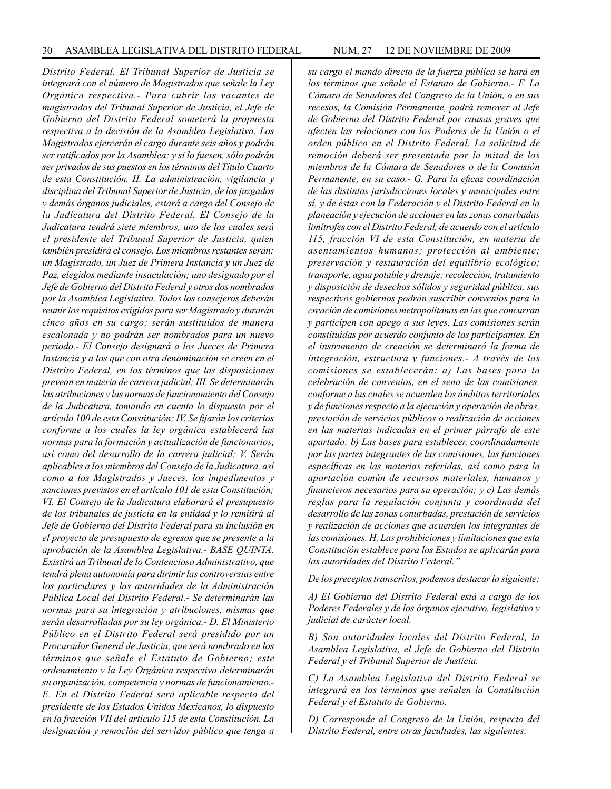*Distrito Federal. El Tribunal Superior de Justicia se integrará con el número de Magistrados que señale la Ley Orgánica respectiva.- Para cubrir las vacantes de magistrados del Tribunal Superior de Justicia, el Jefe de Gobierno del Distrito Federal someterá la propuesta respectiva a la decisión de la Asamblea Legislativa. Los Magistrados ejercerán el cargo durante seis años y podrán ser ratificados por la Asamblea; y si lo fuesen, sólo podrán ser privados de sus puestos en los términos del Título Cuarto de esta Constitución. II. La administración, vigilancia y disciplina del Tribunal Superior de Justicia, de los juzgados y demás órganos judiciales, estará a cargo del Consejo de la Judicatura del Distrito Federal. El Consejo de la Judicatura tendrá siete miembros, uno de los cuales será el presidente del Tribunal Superior de Justicia, quien también presidirá el consejo. Los miembros restantes serán: un Magistrado, un Juez de Primera Instancia y un Juez de Paz, elegidos mediante insaculación; uno designado por el Jefe de Gobierno del Distrito Federal y otros dos nombrados por la Asamblea Legislativa. Todos los consejeros deberán reunir los requisitos exigidos para ser Magistrado y durarán cinco años en su cargo; serán sustituidos de manera escalonada y no podrán ser nombrados para un nuevo periodo.- El Consejo designará a los Jueces de Primera Instancia y a los que con otra denominación se creen en el Distrito Federal, en los términos que las disposiciones prevean en materia de carrera judicial; III. Se determinarán las atribuciones y las normas de funcionamiento del Consejo de la Judicatura, tomando en cuenta lo dispuesto por el artículo 100 de esta Constitución; IV. Se fijarán los criterios conforme a los cuales la ley orgánica establecerá las normas para la formación y actualización de funcionarios, así como del desarrollo de la carrera judicial; V. Serán aplicables a los miembros del Consejo de la Judicatura, así como a los Magistrados y Jueces, los impedimentos y sanciones previstos en el artículo 101 de esta Constitución; VI. El Consejo de la Judicatura elaborará el presupuesto de los tribunales de justicia en la entidad y lo remitirá al Jefe de Gobierno del Distrito Federal para su inclusión en el proyecto de presupuesto de egresos que se presente a la aprobación de la Asamblea Legislativa.- BASE QUINTA. Existirá un Tribunal de lo Contencioso Administrativo, que tendrá plena autonomía para dirimir las controversias entre los particulares y las autoridades de la Administración Pública Local del Distrito Federal.- Se determinarán las normas para su integración y atribuciones, mismas que serán desarrolladas por su ley orgánica.- D. El Ministerio Público en el Distrito Federal será presidido por un Procurador General de Justicia, que será nombrado en los términos que señale el Estatuto de Gobierno; este ordenamiento y la Ley Orgánica respectiva determinarán su organización, competencia y normas de funcionamiento.- E. En el Distrito Federal será aplicable respecto del presidente de los Estados Unidos Mexicanos, lo dispuesto en la fracción VII del artículo 115 de esta Constitución. La designación y remoción del servidor público que tenga a* 

*su cargo el mando directo de la fuerza pública se hará en los términos que señale el Estatuto de Gobierno.- F. La Cámara de Senadores del Congreso de la Unión, o en sus recesos, la Comisión Permanente, podrá remover al Jefe de Gobierno del Distrito Federal por causas graves que afecten las relaciones con los Poderes de la Unión o el orden público en el Distrito Federal. La solicitud de remoción deberá ser presentada por la mitad de los miembros de la Cámara de Senadores o de la Comisión Permanente, en su caso.- G. Para la eficaz coordinación de las distintas jurisdicciones locales y municipales entre sí, y de éstas con la Federación y el Distrito Federal en la planeación y ejecución de acciones en las zonas conurbadas limítrofes con el Distrito Federal, de acuerdo con el artículo 115, fracción VI de esta Constitución, en materia de asentamientos humanos; protección al ambiente; preservación y restauración del equilibrio ecológico; transporte, agua potable y drenaje; recolección, tratamiento y disposición de desechos sólidos y seguridad pública, sus respectivos gobiernos podrán suscribir convenios para la creación de comisiones metropolitanas en las que concurran y participen con apego a sus leyes. Las comisiones serán constituidas por acuerdo conjunto de los participantes. En el instrumento de creación se determinará la forma de integración, estructura y funciones.- A través de las comisiones se establecerán: a) Las bases para la celebración de convenios, en el seno de las comisiones, conforme a las cuales se acuerden los ámbitos territoriales y de funciones respecto a la ejecución y operación de obras, prestación de servicios públicos o realización de acciones en las materias indicadas en el primer párrafo de este apartado; b) Las bases para establecer, coordinadamente por las partes integrantes de las comisiones, las funciones específicas en las materias referidas, así como para la aportación común de recursos materiales, humanos y financieros necesarios para su operación; y c) Las demás reglas para la regulación conjunta y coordinada del desarrollo de las zonas conurbadas, prestación de servicios y realización de acciones que acuerden los integrantes de las comisiones. H. Las prohibiciones y limitaciones que esta Constitución establece para los Estados se aplicarán para las autoridades del Distrito Federal."*

*De los preceptos transcritos, podemos destacar lo siguiente:*

*A) El Gobierno del Distrito Federal está a cargo de los Poderes Federales y de los órganos ejecutivo, legislativo y judicial de carácter local.*

*B) Son autoridades locales del Distrito Federal, la Asamblea Legislativa, el Jefe de Gobierno del Distrito Federal y el Tribunal Superior de Justicia.*

*C) La Asamblea Legislativa del Distrito Federal se integrará en los términos que señalen la Constitución Federal y el Estatuto de Gobierno.*

*D) Corresponde al Congreso de la Unión, respecto del Distrito Federal, entre otras facultades, las siguientes:*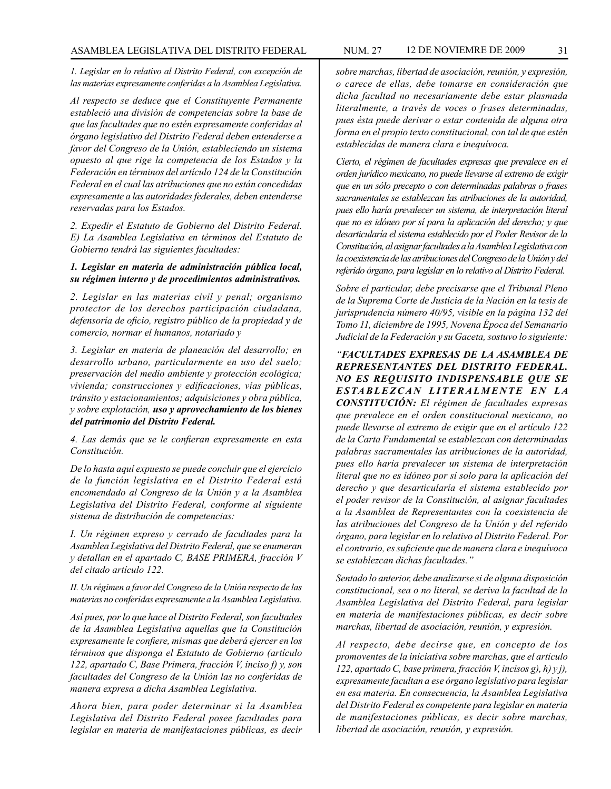*1. Legislar en lo relativo al Distrito Federal, con excepción de las materias expresamente conferidas a la Asamblea Legislativa.*

*Al respecto se deduce que el Constituyente Permanente estableció una división de competencias sobre la base de que las facultades que no estén expresamente conferidas al órgano legislativo del Distrito Federal deben entenderse a favor del Congreso de la Unión, estableciendo un sistema opuesto al que rige la competencia de los Estados y la Federación en términos del artículo 124 de la Constitución Federal en el cual las atribuciones que no están concedidas expresamente a las autoridades federales, deben entenderse reservadas para los Estados.* 

*2. Expedir el Estatuto de Gobierno del Distrito Federal. E) La Asamblea Legislativa en términos del Estatuto de Gobierno tendrá las siguientes facultades:* 

#### *1. Legislar en materia de administración pública local, su régimen interno y de procedimientos administrativos.*

*2. Legislar en las materias civil y penal; organismo protector de los derechos participación ciudadana, defensoría de oficio, registro público de la propiedad y de comercio, normar el humanos, notariado y* 

*3. Legislar en materia de planeación del desarrollo; en desarrollo urbano, particularmente en uso del suelo; preservación del medio ambiente y protección ecológica; vivienda; construcciones y edificaciones, vías públicas, tránsito y estacionamientos; adquisiciones y obra pública, y sobre explotación, uso y aprovechamiento de los bienes del patrimonio del Distrito Federal.*

*4. Las demás que se le confieran expresamente en esta Constitución.* 

*De lo hasta aquí expuesto se puede concluir que el ejercicio de la función legislativa en el Distrito Federal está encomendado al Congreso de la Unión y a la Asamblea Legislativa del Distrito Federal, conforme al siguiente sistema de distribución de competencias:*

*I. Un régimen expreso y cerrado de facultades para la Asamblea Legislativa del Distrito Federal, que se enumeran y detallan en el apartado C, BASE PRIMERA, fracción V del citado artículo 122.*

*II. Un régimen a favor del Congreso de la Unión respecto de las materias no conferidas expresamente a la Asamblea Legislativa.* 

*Así pues, por lo que hace al Distrito Federal, son facultades de la Asamblea Legislativa aquellas que la Constitución expresamente le confiere, mismas que deberá ejercer en los términos que disponga el Estatuto de Gobierno (artículo 122, apartado C, Base Primera, fracción V, inciso f) y, son facultades del Congreso de la Unión las no conferidas de manera expresa a dicha Asamblea Legislativa.* 

*Ahora bien, para poder determinar si la Asamblea Legislativa del Distrito Federal posee facultades para legislar en materia de manifestaciones públicas, es decir*

*sobre marchas, libertad de asociación, reunión, y expresión, o carece de ellas, debe tomarse en consideración que dicha facultad no necesariamente debe estar plasmada literalmente, a través de voces o frases determinadas, pues ésta puede derivar o estar contenida de alguna otra forma en el propio texto constitucional, con tal de que estén establecidas de manera clara e inequívoca.*

*Cierto, el régimen de facultades expresas que prevalece en el orden jurídico mexicano, no puede llevarse al extremo de exigir que en un sólo precepto o con determinadas palabras o frases sacramentales se establezcan las atribuciones de la autoridad, pues ello haría prevalecer un sistema, de interpretación literal que no es idóneo por sí para la aplicación del derecho; y que desarticularía el sistema establecido por el Poder Revisor de la Constitución, al asignar facultades a la Asamblea Legislativa con la coexistencia de las atribuciones del Congreso de la Unión y del referido órgano, para legislar en lo relativo al Distrito Federal.*

*Sobre el particular, debe precisarse que el Tribunal Pleno de la Suprema Corte de Justicia de la Nación en la tesis de jurisprudencia número 40/95, visible en la página 132 del Tomo 11, diciembre de 1995, Novena Época del Semanario Judicial de la Federación y su Gaceta, sostuvo lo siguiente:*

*"FACULTADES EXPRESAS DE LA ASAMBLEA DE REPRESENTANTES DEL DISTRITO FEDERAL. NO ES REQUISITO INDISPENSABLE QUE SE E S TA B L E Z C A N L I T E R A L M E N T E E N L A CONSTITUCIÓN: El régimen de facultades expresas que prevalece en el orden constitucional mexicano, no puede llevarse al extremo de exigir que en el artículo 122 de la Carta Fundamental se establezcan con determinadas palabras sacramentales las atribuciones de la autoridad, pues ello haría prevalecer un sistema de interpretación literal que no es idóneo por sí solo para la aplicación del derecho y que desarticularía el sistema establecido por el poder revisor de la Constitución, al asignar facultades a la Asamblea de Representantes con la coexistencia de las atribuciones del Congreso de la Unión y del referido órgano, para legislar en lo relativo al Distrito Federal. Por el contrario, es suficiente que de manera clara e inequívoca se establezcan dichas facultades."*

*Sentado lo anterior, debe analizarse si de alguna disposición constitucional, sea o no literal, se deriva la facultad de la Asamblea Legislativa del Distrito Federal, para legislar en materia de manifestaciones públicas, es decir sobre marchas, libertad de asociación, reunión, y expresión.*

*Al respecto, debe decirse que, en concepto de los promoventes de la iniciativa sobre marchas, que el artículo 122, apartado C, base primera, fracción V, incisos g), h) y j), expresamente facultan a ese órgano legislativo para legislar en esa materia. En consecuencia, la Asamblea Legislativa del Distrito Federal es competente para legislar en materia de manifestaciones públicas, es decir sobre marchas, libertad de asociación, reunión, y expresión.*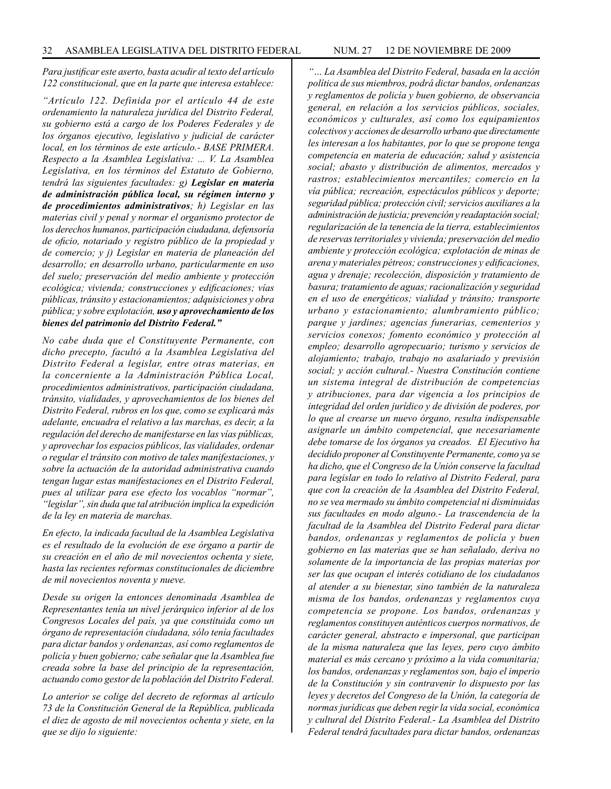#### *Para justificar este aserto, basta acudir al texto del artículo 122 constitucional, que en la parte que interesa establece:*

*"Artículo 122. Definida por el artículo 44 de este ordenamiento la naturaleza jurídica del Distrito Federal, su gobierno está a cargo de los Poderes Federales y de los órganos ejecutivo, legislativo y judicial de carácter local, en los términos de este artículo.- BASE PRIMERA. Respecto a la Asamblea Legislativa: ... V. La Asamblea Legislativa, en los términos del Estatuto de Gobierno, tendrá las siguientes facultades: g) Legislar en materia de administración pública local, su régimen interno y de procedimientos administrativos; h) Legislar en las materias civil y penal y normar el organismo protector de los derechos humanos, participación ciudadana, defensoría de oficio, notariado y registro público de la propiedad y de comercio; y j) Legislar en materia de planeación del desarrollo; en desarrollo urbano, particularmente en uso del suelo; preservación del medio ambiente y protección ecológica; vivienda; construcciones y edificaciones; vías públicas, tránsito y estacionamientos; adquisiciones y obra pública; y sobre explotación, uso y aprovechamiento de los bienes del patrimonio del Distrito Federal."*

*No cabe duda que el Constituyente Permanente, con dicho precepto, facultó a la Asamblea Legislativa del Distrito Federal a legislar, entre otras materias, en la concerniente a la Administración Pública Local, procedimientos administrativos, participación ciudadana, tránsito, vialidades, y aprovechamientos de los bienes del Distrito Federal, rubros en los que, como se explicará más adelante, encuadra el relativo a las marchas, es decir, a la regulación del derecho de manifestarse en las vías públicas, y aprovechar los espacios públicos, las vialidades, ordenar o regular el tránsito con motivo de tales manifestaciones, y sobre la actuación de la autoridad administrativa cuando tengan lugar estas manifestaciones en el Distrito Federal, pues al utilizar para ese efecto los vocablos "normar", "legislar", sin duda que tal atribución implica la expedición de la ley en materia de marchas.*

*En efecto, la indicada facultad de la Asamblea Legislativa es el resultado de la evolución de ese órgano a partir de su creación en el año de mil novecientos ochenta y siete, hasta las recientes reformas constitucionales de diciembre de mil novecientos noventa y nueve.*

*Desde su origen la entonces denominada Asamblea de Representantes tenía un nivel jerárquico inferior al de los Congresos Locales del país, ya que constituida como un órgano de representación ciudadana, sólo tenía facultades para dictar bandos y ordenanzas, así como reglamentos de policía y buen gobierno; cabe señalar que la Asamblea fue creada sobre la base del principio de la representación, actuando como gestor de la población del Distrito Federal.*

*Lo anterior se colige del decreto de reformas al artículo 73 de la Constitución General de la República, publicada el diez de agosto de mil novecientos ochenta y siete, en la que se dijo lo siguiente:*

*"… La Asamblea del Distrito Federal, basada en la acción política de sus miembros, podrá dictar bandos, ordenanzas y reglamentos de policía y buen gobierno, de observancia general, en relación a los servicios públicos, sociales, económicos y culturales, así como los equipamientos colectivos y acciones de desarrollo urbano que directamente les interesan a los habitantes, por lo que se propone tenga competencia en materia de educación; salud y asistencia social; abasto y distribución de alimentos, mercados y rastros; establecimientos mercantiles; comercio en la vía pública; recreación, espectáculos públicos y deporte; seguridad pública; protección civil; servicios auxiliares a la administración de justicia; prevención y readaptación social; regularización de la tenencia de la tierra, establecimientos de reservas territoriales y vivienda; preservación del medio ambiente y protección ecológica; explotación de minas de arena y materiales pétreos; construcciones y edificaciones, agua y drenaje; recolección, disposición y tratamiento de basura; tratamiento de aguas; racionalización y seguridad en el uso de energéticos; vialidad y tránsito; transporte urbano y estacionamiento; alumbramiento público; parque y jardines; agencias funerarias, cementerios y servicios conexos; fomento económico y protección al empleo; desarrollo agropecuario; turismo y servicios de alojamiento; trabajo, trabajo no asalariado y previsión social; y acción cultural.- Nuestra Constitución contiene un sistema integral de distribución de competencias y atribuciones, para dar vigencia a los principios de integridad del orden jurídico y de división de poderes, por lo que al crearse un nuevo órgano, resulta indispensable asignarle un ámbito competencial, que necesariamente debe tomarse de los órganos ya creados. El Ejecutivo ha decidido proponer al Constituyente Permanente, como ya se ha dicho, que el Congreso de la Unión conserve la facultad para legislar en todo lo relativo al Distrito Federal, para que con la creación de la Asamblea del Distrito Federal, no se vea mermado su ámbito competencial ni disminuidas sus facultades en modo alguno.- La trascendencia de la facultad de la Asamblea del Distrito Federal para dictar bandos, ordenanzas y reglamentos de policía y buen gobierno en las materias que se han señalado, deriva no solamente de la importancia de las propias materias por ser las que ocupan el interés cotidiano de los ciudadanos al atender a su bienestar, sino también de la naturaleza misma de los bandos, ordenanzas y reglamentos cuya competencia se propone. Los bandos, ordenanzas y reglamentos constituyen auténticos cuerpos normativos, de carácter general, abstracto e impersonal, que participan de la misma naturaleza que las leyes, pero cuyo ámbito material es más cercano y próximo a la vida comunitaria; los bandos, ordenanzas y reglamentos son, bajo el imperio de la Constitución y sin contravenir lo dispuesto por las leyes y decretos del Congreso de la Unión, la categoría de normas jurídicas que deben regir la vida social, económica y cultural del Distrito Federal.- La Asamblea del Distrito Federal tendrá facultades para dictar bandos, ordenanzas*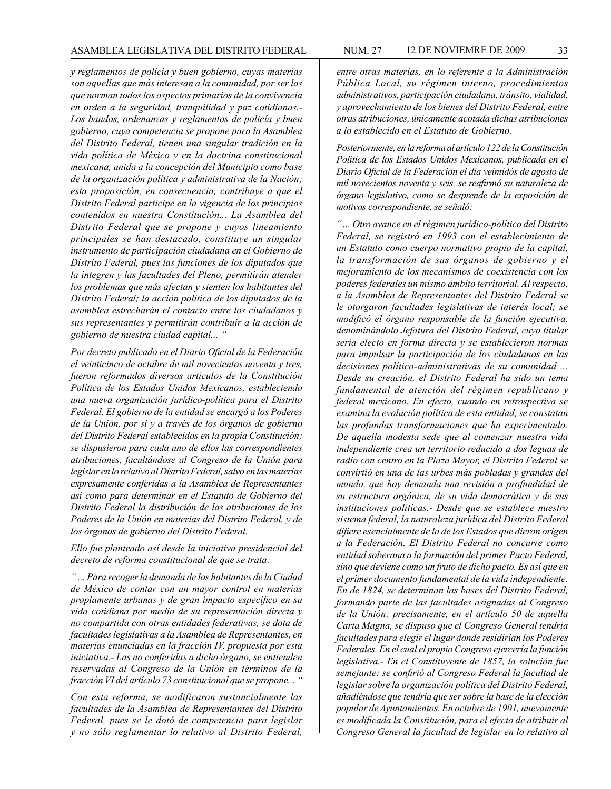*y reglamentos de policía y buen gobierno, cuyas materias son aquellas que más interesan a la comunidad, por ser las que norman todos los aspectos primarios de la convivencia en orden a la seguridad, tranquilidad y paz cotidianas.- Los bandos, ordenanzas y reglamentos de policía y buen gobierno, cuya competencia se propone para la Asamblea del Distrito Federal, tienen una singular tradición en la vida política de México y en la doctrina constitucional mexicana, unida a la concepción del Municipio como base de la organización política y administrativa de la Nación; esta proposición, en consecuencia, contribuye a que el Distrito Federal participe en la vigencia de los principios contenidos en nuestra Constitución... La Asamblea del Distrito Federal que se propone y cuyos lineamiento principales se han destacado, constituye un singular instrumento de participación ciudadana en el Gobierno de Distrito Federal, pues las funciones de los diputados que la integren y las facultades del Pleno, permitirán atender los problemas que más afectan y sienten los habitantes del Distrito Federal; la acción política de los diputados de la asamblea estrecharán el contacto entre los ciudadanos y sus representantes y permitirán contribuir a la acción de gobierno de nuestra ciudad capital... "*

*Por decreto publicado en el Diario Oficial de la Federación el veinticinco de octubre de mil novecientos noventa y tres, fueron reformados diversos artículos de la Constitución Política de los Estados Unidos Mexicanos, estableciendo una nueva organización jurídico-política para el Distrito Federal. El gobierno de la entidad se encargó a los Poderes de la Unión, por sí y a través de los órganos de gobierno del Distrito Federal establecidos en la propia Constitución; se dispusieron para cada uno de ellos las correspondientes atribuciones, facultándose al Congreso de la Unión para legislar en lo relativo al Distrito Federal, salvo en las materias expresamente conferidas a la Asamblea de Representantes así como para determinar en el Estatuto de Gobierno del Distrito Federal la distribución de las atribuciones de los Poderes de la Unión en materias del Distrito Federal, y de los órganos de gobierno del Distrito Federal.*

*Ello fue planteado así desde la iniciativa presidencial del decreto de reforma constitucional de que se trata:* 

*" ... Para recoger la demanda de los habitantes de la Ciudad de México de contar con un mayor control en materias propiamente urbanas y de gran impacto específico en su vida cotidiana por medio de su representación directa y no compartida con otras entidades federativas, se dota de facultades legislativas a la Asamblea de Representantes, en materias enunciadas en la fracción IV, propuesta por esta iniciativa.- Las no conferidas a dicho órgano, se entienden reservadas al Congreso de la Unión en términos de la fracción VI del artículo 73 constitucional que se propone... "*

*Con esta reforma, se modificaron sustancialmente las facultades de la Asamblea de Representantes del Distrito Federal, pues se le dotó de competencia para legislar y no sólo reglamentar lo relativo al Distrito Federal,* 

*entre otras materias, en lo referente a la Administración Pública Local, su régimen interno, procedimientos administrativos, participación ciudadana, tránsito, vialidad, y aprovechamiento de los bienes del Distrito Federal, entre otras atribuciones, únicamente acotada dichas atribuciones a lo establecido en el Estatuto de Gobierno.* 

*Posteriormente, en la reforma al artículo 122 de la Constitución Política de los Estados Unidos Mexicanos, publicada en el Diario Oficial de la Federación el día veintidós de agosto de mil novecientos noventa y seis, se reafirmó su naturaleza de órgano legislativo, como se desprende de la exposición de motivos correspondiente, se señaló:*

*"… Otro avance en el régimen jurídico-político del Distrito Federal, se registró en 1993 con el establecimiento de un Estatuto como cuerpo normativo propio de la capital, la transformación de sus órganos de gobierno y el mejoramiento de los mecanismos de coexistencia con los poderes federales un mismo ámbito territorial. Al respecto, a la Asamblea de Representantes del Distrito Federal se le otorgaron facultades legislativas de interés local; se modificó el órgano responsable de la función ejecutiva, denominándolo Jefatura del Distrito Federal, cuyo titular sería electo en forma directa y se establecieron normas para impulsar la participación de los ciudadanos en las decisiones político-administrativas de su comunidad ... Desde su creación, el Distrito Federal ha sido un tema fundamental de atención del régimen republicano y federal mexicano. En efecto, cuando en retrospectiva se examina la evolución política de esta entidad, se constatan las profundas transformaciones que ha experimentado. De aquella modesta sede que al comenzar nuestra vida independiente crea un territorio reducido a dos leguas de radio con centro en la Plaza Mayor, el Distrito Federal se convirtió en una de las urbes más pobladas y grandes del mundo, que hoy demanda una revisión a profundidad de su estructura orgánica, de su vida democrática y de sus instituciones políticas.- Desde que se establece nuestro sistema federal, la naturaleza jurídica del Distrito Federal difiere esencialmente de la de los Estados que dieron origen a la Federación. El Distrito Federal no concurre como entidad soberana a la formación del primer Pacto Federal, sino que deviene como un fruto de dicho pacto. Es así que en el primer documento fundamental de la vida independiente. En de 1824, se determinan las bases del Distrito Federal, formando parte de las facultades asignadas al Congreso de la Unión; precisamente, en el artículo 50 de aquella Carta Magna, se dispuso que el Congreso General tendría facultades para elegir el lugar donde residirían los Poderes Federales. En el cual el propio Congreso ejercería la función legislativa.- En el Constituyente de 1857, la solución fue semejante: se confirió al Congreso Federal la facultad de legislar sobre la organización política del Distrito Federal, añadiéndose que tendría que ser sobre la base de la elección popular de Ayuntamientos. En octubre de 1901, nuevamente es modificada la Constitución, para el efecto de atribuir al Congreso General la facultad de legislar en lo relativo al*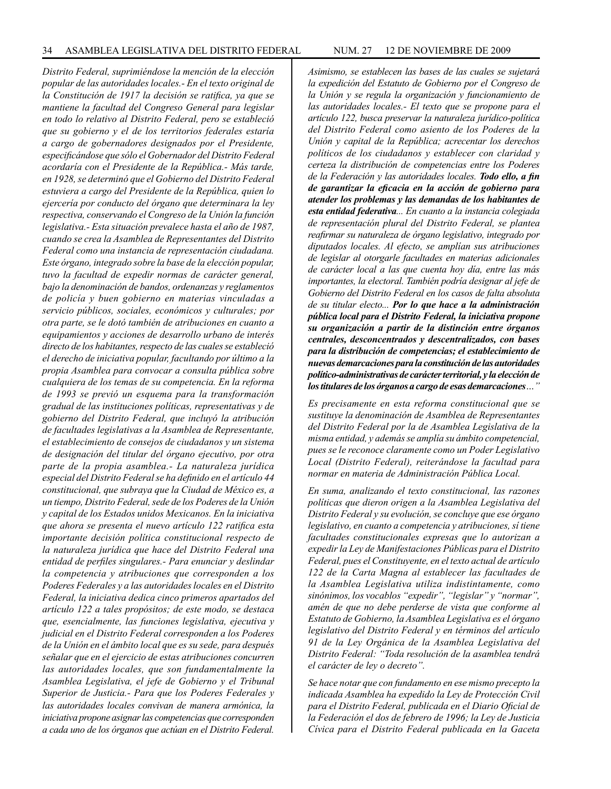*Distrito Federal, suprimiéndose la mención de la elección popular de las autoridades locales.- En el texto original de la Constitución de 1917 la decisión se ratifica, ya que se mantiene la facultad del Congreso General para legislar en todo lo relativo al Distrito Federal, pero se estableció que su gobierno y el de los territorios federales estaría a cargo de gobernadores designados por el Presidente, especificándose que sólo el Gobernador del Distrito Federal acordaría con el Presidente de la República.- Más tarde, en 1928, se determinó que el Gobierno del Distrito Federal estuviera a cargo del Presidente de la República, quien lo ejercería por conducto del órgano que determinara la ley respectiva, conservando el Congreso de la Unión la función legislativa.- Esta situación prevalece hasta el año de 1987, cuando se crea la Asamblea de Representantes del Distrito Federal como una instancia de representación ciudadana. Este órgano, integrado sobre la base de la elección popular, tuvo la facultad de expedir normas de carácter general, bajo la denominación de bandos, ordenanzas y reglamentos de policía y buen gobierno en materias vinculadas a servicio públicos, sociales, económicos y culturales; por otra parte, se le dotó también de atribuciones en cuanto a equipamientos y acciones de desarrollo urbano de interés directo de los habitantes, respecto de las cuales se estableció el derecho de iniciativa popular, facultando por último a la propia Asamblea para convocar a consulta pública sobre cualquiera de los temas de su competencia. En la reforma de 1993 se previó un esquema para la transformación gradual de las instituciones políticas, representativas y de gobierno del Distrito Federal, que incluyó la atribución de facultades legislativas a la Asamblea de Representante, el establecimiento de consejos de ciudadanos y un sistema de designación del titular del órgano ejecutivo, por otra parte de la propia asamblea.- La naturaleza jurídica especial del Distrito Federal se ha definido en el artículo 44 constitucional, que subraya que la Ciudad de México es, a un tiempo, Distrito Federal, sede de los Poderes de la Unión y capital de los Estados unidos Mexicanos. En la iniciativa que ahora se presenta el nuevo artículo 122 ratifica esta importante decisión política constitucional respecto de la naturaleza jurídica que hace del Distrito Federal una entidad de perfiles singulares.- Para enunciar y deslindar la competencia y atribuciones que corresponden a los Poderes Federales y a las autoridades locales en el Distrito Federal, la iniciativa dedica cinco primeros apartados del artículo 122 a tales propósitos; de este modo, se destaca que, esencialmente, las funciones legislativa, ejecutiva y judicial en el Distrito Federal corresponden a los Poderes de la Unión en el ámbito local que es su sede, para después señalar que en el ejercicio de estas atribuciones concurren las autoridades locales, que son fundamentalmente la Asamblea Legislativa, el jefe de Gobierno y el Tribunal Superior de Justicia.- Para que los Poderes Federales y las autoridades locales convivan de manera armónica, la iniciativa propone asignar las competencias que corresponden a cada uno de los órganos que actúan en el Distrito Federal.*  *Asimismo, se establecen las bases de las cuales se sujetará la expedición del Estatuto de Gobierno por el Congreso de la Unión y se regula la organización y funcionamiento de las autoridades locales.- El texto que se propone para el artículo 122, busca preservar la naturaleza jurídico-política del Distrito Federal como asiento de los Poderes de la Unión y capital de la República; acrecentar los derechos políticos de los ciudadanos y establecer con claridad y certeza la distribución de competencias entre los Poderes de la Federación y las autoridades locales. Todo ello, a fin de garantizar la eficacia en la acción de gobierno para atender los problemas y las demandas de los habitantes de esta entidad federativa... En cuanto a la instancia colegiada de representación plural del Distrito Federal, se plantea reafirmar su naturaleza de órgano legislativo, integrado por diputados locales. Al efecto, se amplían sus atribuciones de legislar al otorgarle facultades en materias adicionales de carácter local a las que cuenta hoy día, entre las más importantes, la electoral. También podría designar al jefe de Gobierno del Distrito Federal en los casos de falta absoluta de su titular electo... Por lo que hace a la administración pública local para el Distrito Federal, la iniciativa propone su organización a partir de la distinción entre órganos centrales, desconcentrados y descentralizados, con bases para la distribución de competencias; el establecimiento de nuevas demarcaciones para la constitución de las autoridades político-administrativas de carácter territorial, y la elección de los titulares de los órganos a cargo de esas demarcaciones…"*

*Es precisamente en esta reforma constitucional que se sustituye la denominación de Asamblea de Representantes del Distrito Federal por la de Asamblea Legislativa de la misma entidad, y además se amplía su ámbito competencial, pues se le reconoce claramente como un Poder Legislativo Local (Distrito Federal), reiterándose la facultad para normar en materia de Administración Pública Local.*

*En suma, analizando el texto constitucional, las razones políticas que dieron origen a la Asamblea Legislativa del Distrito Federal y su evolución, se concluye que ese órgano legislativo, en cuanto a competencia y atribuciones, sí tiene facultades constitucionales expresas que lo autorizan a expedir la Ley de Manifestaciones Públicas para el Distrito Federal, pues el Constituyente, en el texto actual de artículo 122 de la Carta Magna al establecer las facultades de la Asamblea Legislativa utiliza indistintamente, como sinónimos, los vocablos "expedir", "legislar" y "normar", amén de que no debe perderse de vista que conforme al Estatuto de Gobierno, la Asamblea Legislativa es el órgano legislativo del Distrito Federal y en términos del artículo 91 de la Ley Orgánica de la Asamblea Legislativa del Distrito Federal: "Toda resolución de la asamblea tendrá el carácter de ley o decreto".*

*Se hace notar que con fundamento en ese mismo precepto la indicada Asamblea ha expedido la Ley de Protección Civil para el Distrito Federal, publicada en el Diario Oficial de la Federación el dos de febrero de 1996; la Ley de Justicia Cívica para el Distrito Federal publicada en la Gaceta*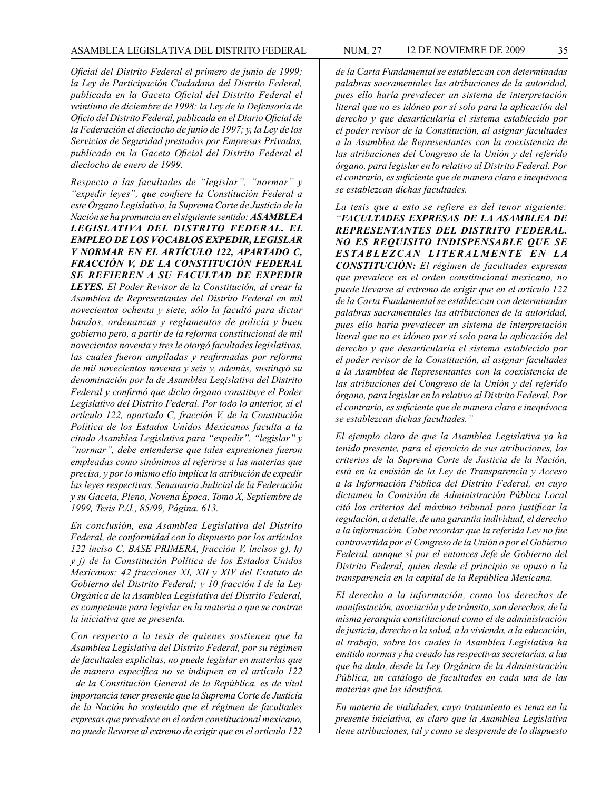*Oficial del Distrito Federal el primero de junio de 1999; la Ley de Participación Ciudadana del Distrito Federal, publicada en la Gaceta Oficial del Distrito Federal el veintiuno de diciembre de 1998; la Ley de la Defensoría de Oficio del Distrito Federal, publicada en el Diario Oficial de la Federación el dieciocho de junio de 1997; y, la Ley de los Servicios de Seguridad prestados por Empresas Privadas, publicada en la Gaceta Oficial del Distrito Federal el dieciocho de enero de 1999.*

*Respecto a las facultades de "legislar", "normar" y "expedir leyes", que confiere la Constitución Federal a este Órgano Legislativo, la Suprema Corte de Justicia de la Nación se ha pronuncia en el siguiente sentido: ASAMBLEA LEGISLATIVA DEL DISTRITO FEDERAL. EL EMPLEO DE LOS VOCABLOS EXPEDIR, LEGISLAR Y NORMAR EN EL ARTÍCULO 122, APARTADO C, FRACCIÓN V, DE LA CONSTITUCIÓN FEDERAL SE REFIEREN A SU FACULTAD DE EXPEDIR LEYES. El Poder Revisor de la Constitución, al crear la Asamblea de Representantes del Distrito Federal en mil novecientos ochenta y siete, sólo la facultó para dictar bandos, ordenanzas y reglamentos de policía y buen gobierno pero, a partir de la reforma constitucional de mil novecientos noventa y tres le otorgó facultades legislativas, las cuales fueron ampliadas y reafirmadas por reforma de mil novecientos noventa y seis y, además, sustituyó su denominación por la de Asamblea Legislativa del Distrito Federal y confirmó que dicho órgano constituye el Poder Legislativo del Distrito Federal. Por todo lo anterior, si el artículo 122, apartado C, fracción V, de la Constitución Política de los Estados Unidos Mexicanos faculta a la citada Asamblea Legislativa para "expedir", "legislar" y "normar", debe entenderse que tales expresiones fueron empleadas como sinónimos al referirse a las materias que precisa, y por lo mismo ello implica la atribución de expedir las leyes respectivas. Semanario Judicial de la Federación y su Gaceta, Pleno, Novena Época, Tomo X, Septiembre de 1999, Tesis P./J., 85/99, Página. 613.*

*En conclusión, esa Asamblea Legislativa del Distrito Federal, de conformidad con lo dispuesto por los artículos 122 inciso C, BASE PRIMERA, fracción V, incisos g), h) y j) de la Constitución Política de los Estados Unidos Mexicanos; 42 fracciones XI, XII y XIV del Estatuto de Gobierno del Distrito Federal; y 10 fracción I de la Ley Orgánica de la Asamblea Legislativa del Distrito Federal, es competente para legislar en la materia a que se contrae la iniciativa que se presenta.* 

*Con respecto a la tesis de quienes sostienen que la Asamblea Legislativa del Distrito Federal, por su régimen de facultades explícitas, no puede legislar en materias que de manera específica no se indiquen en el artículo 122 –de la Constitución General de la República, es de vital importancia tener presente que la Suprema Corte de Justicia de la Nación ha sostenido que el régimen de facultades expresas que prevalece en el orden constitucional mexicano, no puede llevarse al extremo de exigir que en el artículo 122* 

*de la Carta Fundamental se establezcan con determinadas palabras sacramentales las atribuciones de la autoridad, pues ello haría prevalecer un sistema de interpretación literal que no es idóneo por sí solo para la aplicación del derecho y que desarticularía el sistema establecido por el poder revisor de la Constitución, al asignar facultades a la Asamblea de Representantes con la coexistencia de las atribuciones del Congreso de la Unión y del referido órgano, para legislar en lo relativo al Distrito Federal. Por el contrario, es suficiente que de manera clara e inequívoca se establezcan dichas facultades.*

*La tesis que a esto se refiere es del tenor siguiente: "FACULTADES EXPRESAS DE LA ASAMBLEA DE REPRESENTANTES DEL DISTRITO FEDERAL. NO ES REQUISITO INDISPENSABLE QUE SE E S TA B L E Z C A N L I T E R A L M E N T E E N L A CONSTITUCIÓN: El régimen de facultades expresas que prevalece en el orden constitucional mexicano, no puede llevarse al extremo de exigir que en el artículo 122 de la Carta Fundamental se establezcan con determinadas palabras sacramentales las atribuciones de la autoridad, pues ello haría prevalecer un sistema de interpretación literal que no es idóneo por sí solo para la aplicación del derecho y que desarticularía el sistema establecido por el poder revisor de la Constitución, al asignar facultades a la Asamblea de Representantes con la coexistencia de las atribuciones del Congreso de la Unión y del referido órgano, para legislar en lo relativo al Distrito Federal. Por el contrario, es suficiente que de manera clara e inequívoca se establezcan dichas facultades."*

*El ejemplo claro de que la Asamblea Legislativa ya ha tenido presente, para el ejercicio de sus atribuciones, los criterios de la Suprema Corte de Justicia de la Nación, está en la emisión de la Ley de Transparencia y Acceso a la Información Pública del Distrito Federal, en cuyo dictamen la Comisión de Administración Pública Local citó los criterios del máximo tribunal para justificar la regulación, a detalle, de una garantía individual, el derecho a la información. Cabe recordar que la referida Ley no fue controvertida por el Congreso de la Unión o por el Gobierno Federal, aunque sí por el entonces Jefe de Gobierno del Distrito Federal, quien desde el principio se opuso a la transparencia en la capital de la República Mexicana.*

*El derecho a la información, como los derechos de manifestación, asociación y de tránsito, son derechos, de la misma jerarquía constitucional como el de administración de justicia, derecho a la salud, a la vivienda, a la educación, al trabajo, sobre los cuales la Asamblea Legislativa ha emitido normas y ha creado las respectivas secretarías, a las que ha dado, desde la Ley Orgánica de la Administración Pública, un catálogo de facultades en cada una de las materias que las identifica.* 

*En materia de vialidades, cuyo tratamiento es tema en la presente iniciativa, es claro que la Asamblea Legislativa tiene atribuciones, tal y como se desprende de lo dispuesto*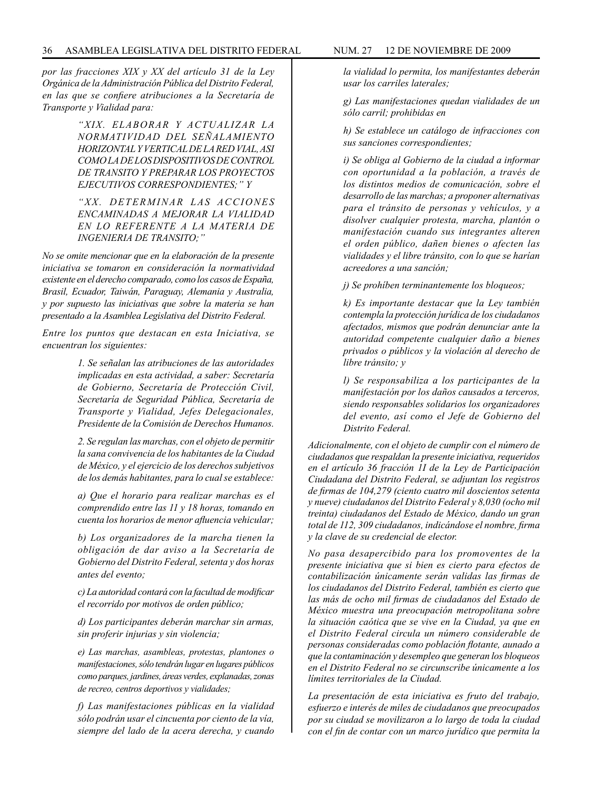*por las fracciones XIX y XX del artículo 31 de la Ley Orgánica de la Administración Pública del Distrito Federal, en las que se confiere atribuciones a la Secretaría de Transporte y Vialidad para:*

> *"XIX. ELABORAR Y ACTUALIZAR LA NORMATIVIDAD DEL SEÑALAMIENTO HORIZONTAL Y VERTICAL DE LA RED VIAL, ASI COMO LA DE LOS DISPOSITIVOS DE CONTROL DE TRANSITO Y PREPARAR LOS PROYECTOS EJECUTIVOS CORRESPONDIENTES;" Y*

> $"XX.$  DETERMINAR LAS ACCIONES *ENCAMINADAS A MEJORAR LA VIALIDAD EN LO REFERENTE A LA MATERIA DE INGENIERIA DE TRANSITO;"*

*No se omite mencionar que en la elaboración de la presente iniciativa se tomaron en consideración la normatividad existente en el derecho comparado, como los casos de España, Brasil, Ecuador, Taiwán, Paraguay, Alemania y Australia, y por supuesto las iniciativas que sobre la materia se han presentado a la Asamblea Legislativa del Distrito Federal.*

*Entre los puntos que destacan en esta Iniciativa, se encuentran los siguientes:* 

> *1. Se señalan las atribuciones de las autoridades implicadas en esta actividad, a saber: Secretaría de Gobierno, Secretaría de Protección Civil, Secretaría de Seguridad Pública, Secretaría de Transporte y Vialidad, Jefes Delegacionales, Presidente de la Comisión de Derechos Humanos.*

> *2. Se regulan las marchas, con el objeto de permitir la sana convivencia de los habitantes de la Ciudad de México, y el ejercicio de los derechos subjetivos de los demás habitantes, para lo cual se establece:*

> *a) Que el horario para realizar marchas es el comprendido entre las 11 y 18 horas, tomando en cuenta los horarios de menor afluencia vehicular;*

> *b) Los organizadores de la marcha tienen la obligación de dar aviso a la Secretaría de Gobierno del Distrito Federal, setenta y dos horas antes del evento;*

> *c) La autoridad contará con la facultad de modificar el recorrido por motivos de orden público;*

> *d) Los participantes deberán marchar sin armas, sin proferir injurias y sin violencia;*

*e) Las marchas, asambleas, protestas, plantones o manifestaciones, sólo tendrán lugar en lugares públicos como parques, jardines, áreas verdes, explanadas, zonas de recreo, centros deportivos y vialidades;*

*f) Las manifestaciones públicas en la vialidad sólo podrán usar el cincuenta por ciento de la vía, siempre del lado de la acera derecha, y cuando* 

*la vialidad lo permita, los manifestantes deberán usar los carriles laterales;*

*g) Las manifestaciones quedan vialidades de un sólo carril; prohibidas en*

*h) Se establece un catálogo de infracciones con sus sanciones correspondientes;*

*i) Se obliga al Gobierno de la ciudad a informar con oportunidad a la población, a través de los distintos medios de comunicación, sobre el desarrollo de las marchas; a proponer alternativas para el tránsito de personas y vehículos, y a disolver cualquier protesta, marcha, plantón o manifestación cuando sus integrantes alteren el orden público, dañen bienes o afecten las vialidades y el libre tránsito, con lo que se harían acreedores a una sanción;*

*j) Se prohíben terminantemente los bloqueos;* 

*k) Es importante destacar que la Ley también contempla la protección jurídica de los ciudadanos afectados, mismos que podrán denunciar ante la autoridad competente cualquier daño a bienes privados o públicos y la violación al derecho de libre tránsito; y*

*l) Se responsabiliza a los participantes de la manifestación por los daños causados a terceros, siendo responsables solidarios los organizadores del evento, así como el Jefe de Gobierno del Distrito Federal.*

*Adicionalmente, con el objeto de cumplir con el número de ciudadanos que respaldan la presente iniciativa, requeridos en el artículo 36 fracción 1I de la Ley de Participación Ciudadana del Distrito Federal, se adjuntan los registros de firmas de 104,279 (ciento cuatro mil doscientos setenta y nueve) ciudadanos del Distrito Federal y 8,030 (ocho mil treinta) ciudadanos del Estado de México, dando un gran total de 112, 309 ciudadanos, indicándose el nombre, firma y la clave de su credencial de elector.* 

*No pasa desapercibido para los promoventes de la presente iniciativa que si bien es cierto para efectos de contabilización únicamente serán validas las firmas de los ciudadanos del Distrito Federal, también es cierto que las más de ocho mil firmas de ciudadanos del Estado de México muestra una preocupación metropolitana sobre la situación caótica que se vive en la Ciudad, ya que en el Distrito Federal circula un número considerable de personas consideradas como población flotante, aunado a que la contaminación y desempleo que generan los bloqueos en el Distrito Federal no se circunscribe únicamente a los límites territoriales de la Ciudad.* 

*La presentación de esta iniciativa es fruto del trabajo, esfuerzo e interés de miles de ciudadanos que preocupados por su ciudad se movilizaron a lo largo de toda la ciudad con el fin de contar con un marco jurídico que permita la*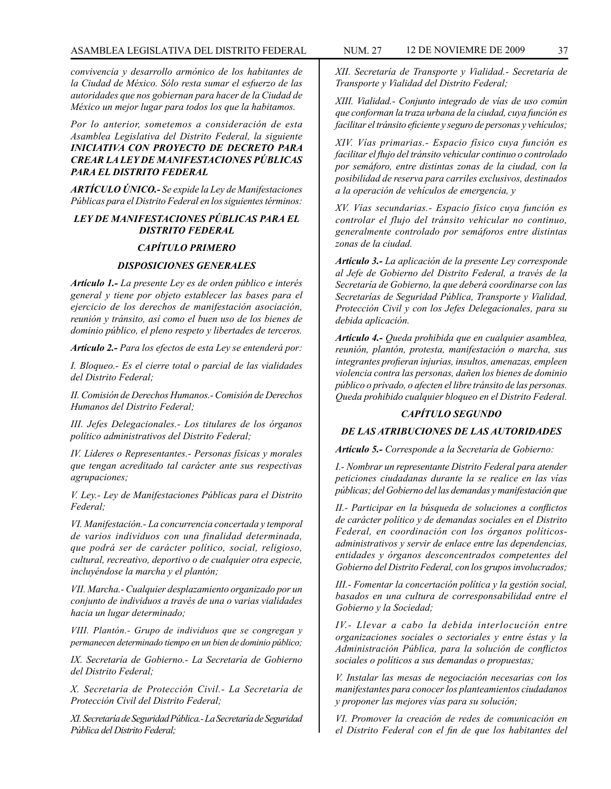*convivencia y desarrollo armónico de los habitantes de la Ciudad de México. Sólo resta sumar el esfuerzo de las autoridades que nos gobiernan para hacer de la Ciudad de México un mejor lugar para todos los que la habitamos.*

*Por lo anterior, sometemos a consideración de esta Asamblea Legislativa del Distrito Federal, la siguiente INICIATIVA CON PROYECTO DE DECRETO PARA CREAR LA LEY DE MANIFESTACIONES PÚBLICAS PARA EL DISTRITO FEDERAL*

*ARTÍCULO ÚNICO.- Se expide la Ley de Manifestaciones Públicas para el Distrito Federal en los siguientes términos:*

# *LEY DE MANIFESTACIONES PÚBLICAS PARA EL DISTRITO FEDERAL*

### *CAPÍTULO PRIMERO*

#### *DISPOSICIONES GENERALES*

*Artículo 1.- La presente Ley es de orden público e interés general y tiene por objeto establecer las bases para el ejercicio de los derechos de manifestación asociación, reunión y tránsito, así como el buen uso de los bienes de dominio público, el pleno respeto y libertades de terceros.*

*Artículo 2.- Para los efectos de esta Ley se entenderá por:*

*I. Bloqueo.- Es el cierre total o parcial de las vialidades del Distrito Federal;*

*II. Comisión de Derechos Humanos.- Comisión de Derechos Humanos del Distrito Federal;*

*III. Jefes Delegacionales.- Los titulares de los órganos político administrativos del Distrito Federal;*

*IV. Líderes o Representantes.- Personas físicas y morales que tengan acreditado tal carácter ante sus respectivas agrupaciones;*

*V. Ley.- Ley de Manifestaciones Públicas para el Distrito Federal;*

*VI. Manifestación.- La concurrencia concertada y temporal de varios individuos con una finalidad determinada, que podrá ser de carácter político, social, religioso, cultural, recreativo, deportivo o de cualquier otra especie, incluyéndose la marcha y el plantón;*

*VII. Marcha.- Cualquier desplazamiento organizado por un conjunto de individuos a través de una o varias vialidades hacia un lugar determinado;*

*VIII. Plantón.- Grupo de individuos que se congregan y permanecen determinado tiempo en un bien de dominio público;*

*IX. Secretaría de Gobierno.- La Secretaría de Gobierno del Distrito Federal;*

*X. Secretaría de Protección Civil.- La Secretaría de Protección Civil del Distrito Federal;*

*XI. Secretaría de Seguridad Pública.- La Secretaría de Seguridad Pública del Distrito Federal;*

*XII. Secretaría de Transporte y Vialidad.- Secretaría de Transporte y Vialidad del Distrito Federal;*

*XIII. Vialidad.- Conjunto integrado de vías de uso común que conforman la traza urbana de la ciudad, cuya función es facilitar el tránsito eficiente y seguro de personas y vehículos;*

*XIV. Vías primarias.- Espacio físico cuya función es facilitar el flujo del tránsito vehicular continuo o controlado por semáforo, entre distintas zonas de la ciudad, con la posibilidad de reserva para carriles exclusivos, destinados a la operación de vehículos de emergencia, y*

*XV. Vías secundarias.- Espacio físico cuya función es controlar el flujo del tránsito vehicular no continuo, generalmente controlado por semáforos entre distintas zonas de la ciudad.*

*Artículo 3.- La aplicación de la presente Ley corresponde al Jefe de Gobierno del Distrito Federal, a través de la Secretaría de Gobierno, la que deberá coordinarse con las Secretarías de Seguridad Pública, Transporte y Vialidad, Protección Civil y con los Jefes Delegacionales, para su debida aplicación.*

*Artículo 4.- Queda prohibida que en cualquier asamblea, reunión, plantón, protesta, manifestación o marcha, sus integrantes profieran injurias, insultos, amenazas, empleen violencia contra las personas, dañen los bienes de dominio público o privado, o afecten el libre tránsito de las personas. Queda prohibido cualquier bloqueo en el Distrito Federal.*

### *CAPÍTULO SEGUNDO*

## *DE LAS ATRIBUCIONES DE LAS AUTORIDADES*

*Artículo 5.- Corresponde a la Secretaría de Gobierno:*

*I.- Nombrar un representante Distrito Federal para atender peticiones ciudadanas durante la se realice en las vías públicas; del Gobierno del las demandas y manifestación que*

*II.- Participar en la búsqueda de soluciones a conflictos de carácter político y de demandas sociales en el Distrito Federal, en coordinación con los órganos políticosadministrativos y servir de enlace entre las dependencias, entidades y órganos desconcentrados competentes del Gobierno del Distrito Federal, con los grupos involucrados;*

*III.- Fomentar la concertación política y la gestión social, basados en una cultura de corresponsabilidad entre el Gobierno y la Sociedad;*

*IV.- Llevar a cabo la debida interlocución entre organizaciones sociales o sectoriales y entre éstas y la Administración Pública, para la solución de conflictos sociales o políticos a sus demandas o propuestas;*

*V. Instalar las mesas de negociación necesarias con los manifestantes para conocer los planteamientos ciudadanos y proponer las mejores vías para su solución;* 

*VI. Promover la creación de redes de comunicación en el Distrito Federal con el fin de que los habitantes del*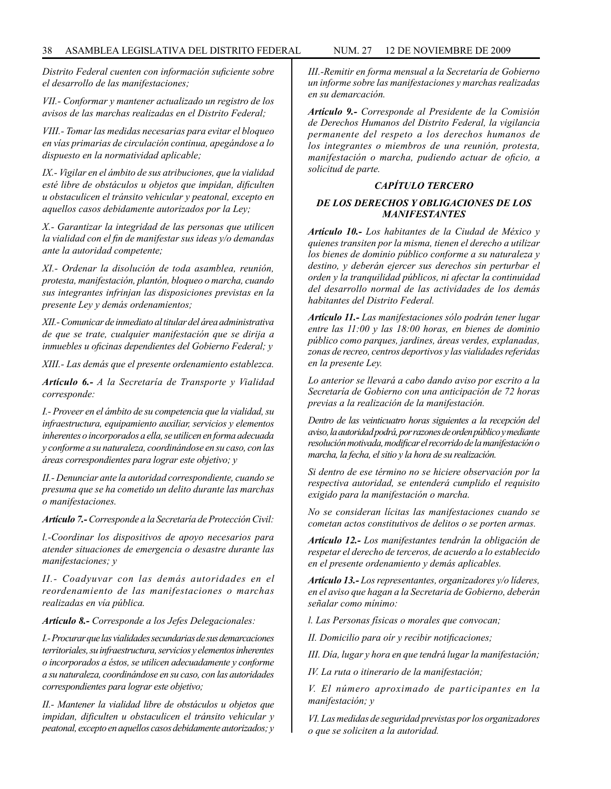*Distrito Federal cuenten con información suficiente sobre el desarrollo de las manifestaciones;* 

*VII.- Conformar y mantener actualizado un registro de los avisos de las marchas realizadas en el Distrito Federal;*

*VIII.- Tomar las medidas necesarias para evitar el bloqueo en vías primarias de circulación continua, apegándose a lo dispuesto en la normatividad aplicable;*

*IX.- Vigilar en el ámbito de sus atribuciones, que la vialidad esté libre de obstáculos u objetos que impidan, dificulten u obstaculicen el tránsito vehicular y peatonal, excepto en aquellos casos debidamente autorizados por la Ley;*

*X.- Garantizar la integridad de las personas que utilicen la vialidad con el fin de manifestar sus ideas y/o demandas ante la autoridad competente;*

*XI.- Ordenar la disolución de toda asamblea, reunión, protesta, manifestación, plantón, bloqueo o marcha, cuando sus integrantes infrinjan las disposiciones previstas en la presente Ley y demás ordenamientos;* 

*XII.- Comunicar de inmediato al titular del área administrativa de que se trate, cualquier manifestación que se dirija a inmuebles u oficinas dependientes del Gobierno Federal; y* 

*XIII.- Las demás que el presente ordenamiento establezca.*

*Artículo 6.- A la Secretaría de Transporte y Vialidad corresponde:*

*I.- Proveer en el ámbito de su competencia que la vialidad, su infraestructura, equipamiento auxiliar, servicios y elementos inherentes o incorporados a ella, se utilicen en forma adecuada y conforme a su naturaleza, coordinándose en su caso, con las áreas correspondientes para lograr este objetivo; y*

*II.- Denunciar ante la autoridad correspondiente, cuando se presuma que se ha cometido un delito durante las marchas o manifestaciones.*

*Artículo 7.- Corresponde a la Secretaría de Protección Civil:*

*l.-Coordinar los dispositivos de apoyo necesarios para atender situaciones de emergencia o desastre durante las manifestaciones; y*

*II.- Coadyuvar con las demás autoridades en el reordenamiento de las manifestaciones o marchas realizadas en vía pública.*

*Artículo 8.- Corresponde a los Jefes Delegacionales:* 

*I.- Procurar que las vialidades secundarias de sus demarcaciones territoriales, su infraestructura, servicios y elementos inherentes o incorporados a éstos, se utilicen adecuadamente y conforme a su naturaleza, coordinándose en su caso, con las autoridades correspondientes para lograr este objetivo;*

*II.- Mantener la vialidad libre de obstáculos u objetos que impidan, dificulten u obstaculicen el tránsito vehicular y peatonal, excepto en aquellos casos debidamente autorizados; y* *III.-Remitir en forma mensual a la Secretaría de Gobierno un informe sobre las manifestaciones y marchas realizadas en su demarcación.*

*Artículo 9.- Corresponde al Presidente de la Comisión de Derechos Humanos del Distrito Federal, la vigilancia permanente del respeto a los derechos humanos de los integrantes o miembros de una reunión, protesta, manifestación o marcha, pudiendo actuar de oficio, a solicitud de parte.*

## *CAPÍTULO TERCERO*

## *DE LOS DERECHOS Y OBLIGACIONES DE LOS MANIFESTANTES*

*Artículo 10.- Los habitantes de la Ciudad de México y quienes transiten por la misma, tienen el derecho a utilizar los bienes de dominio público conforme a su naturaleza y destino, y deberán ejercer sus derechos sin perturbar el orden y la tranquilidad públicos, ni afectar la continuidad del desarrollo normal de las actividades de los demás habitantes del Distrito Federal.*

*Artículo 11.- Las manifestaciones sólo podrán tener lugar entre las 11:00 y las 18:00 horas, en bienes de dominio público como parques, jardines, áreas verdes, explanadas, zonas de recreo, centros deportivos y las vialidades referidas en la presente Ley.*

*Lo anterior se llevará a cabo dando aviso por escrito a la Secretaría de Gobierno con una anticipación de 72 horas previas a la realización de la manifestación.* 

*Dentro de las veinticuatro horas siguientes a la recepción del aviso, la autoridad podrá, por razones de orden público y mediante resolución motivada, modificar el recorrido de la manifestación o marcha, la fecha, el sitio y la hora de su realización.*

*Si dentro de ese término no se hiciere observación por la respectiva autoridad, se entenderá cumplido el requisito exigido para la manifestación o marcha.* 

*No se consideran lícitas las manifestaciones cuando se cometan actos constitutivos de delitos o se porten armas.*

*Artículo 12.- Los manifestantes tendrán la obligación de respetar el derecho de terceros, de acuerdo a lo establecido en el presente ordenamiento y demás aplicables.*

*Artículo 13.- Los representantes, organizadores y/o líderes, en el aviso que hagan a la Secretaria de Gobierno, deberán señalar como mínimo:*

*l. Las Personas físicas o morales que convocan;*

*II. Domicilio para oír y recibir notificaciones;* 

*III. Día, lugar y hora en que tendrá lugar la manifestación;*

*IV. La ruta o itinerario de la manifestación;*

*V. El número aproximado de participantes en la manifestación; y*

*VI. Las medidas de seguridad previstas por los organizadores o que se soliciten a la autoridad.*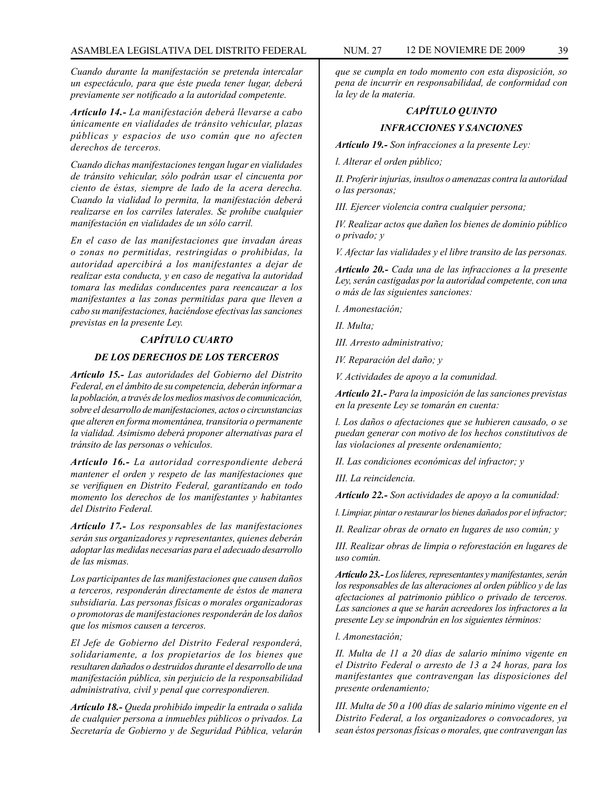*Cuando durante la manifestación se pretenda intercalar un espectáculo, para que éste pueda tener lugar, deberá previamente ser notificado a la autoridad competente.*

*Artículo 14.- La manifestación deberá llevarse a cabo únicamente en vialidades de tránsito vehicular, plazas públicas y espacios de uso común que no afecten derechos de terceros.*

*Cuando dichas manifestaciones tengan lugar en vialidades de tránsito vehicular, sólo podrán usar el cincuenta por ciento de éstas, siempre de lado de la acera derecha. Cuando la vialidad lo permita, la manifestación deberá realizarse en los carriles laterales. Se prohíbe cualquier manifestación en vialidades de un sólo carril.*

*En el caso de las manifestaciones que invadan áreas o zonas no permitidas, restringidas o prohibidas, la autoridad apercibirá a los manifestantes a dejar de realizar esta conducta, y en caso de negativa la autoridad tomara las medidas conducentes para reencauzar a los manifestantes a las zonas permitidas para que lleven a cabo su manifestaciones, haciéndose efectivas las sanciones previstas en la presente Ley.*

# *CAPÍTULO CUARTO*

# *DE LOS DERECHOS DE LOS TERCEROS*

*Artículo 15.- Las autoridades del Gobierno del Distrito Federal, en el ámbito de su competencia, deberán informar a la población, a través de los medios masivos de comunicación, sobre el desarrollo de manifestaciones, actos o circunstancias que alteren en forma momentánea, transitoria o permanente la vialidad. Asimismo deberá proponer alternativas para el tránsito de las personas o vehículos.*

*Artículo 16.- La autoridad correspondiente deberá mantener el orden y respeto de las manifestaciones que se verifiquen en Distrito Federal, garantizando en todo momento los derechos de los manifestantes y habitantes del Distrito Federal.*

*Artículo 17.- Los responsables de las manifestaciones serán sus organizadores y representantes, quienes deberán adoptar las medidas necesarias para el adecuado desarrollo de las mismas.* 

*Los participantes de las manifestaciones que causen daños a terceros, responderán directamente de éstos de manera subsidiaria. Las personas físicas o morales organizadoras o promotoras de manifestaciones responderán de los daños que los mismos causen a terceros.*

*El Jefe de Gobierno del Distrito Federal responderá, solidariamente, a los propietarios de los bienes que resultaren dañados o destruidos durante el desarrollo de una manifestación pública, sin perjuicio de la responsabilidad administrativa, civil y penal que correspondieren.*

*Artículo 18.- Queda prohibido impedir la entrada o salida de cualquier persona a inmuebles públicos o privados. La Secretaría de Gobierno y de Seguridad Pública, velarán* 

*que se cumpla en todo momento con esta disposición, so pena de incurrir en responsabilidad, de conformidad con la ley de la materia.*

## *CAPÍTULO QUINTO*

## *INFRACCIONES Y SANCIONES*

*Artículo 19.- Son infracciones a la presente Ley:*

*l. Alterar el orden público;* 

*II. Proferir injurias, insultos o amenazas contra la autoridad o las personas;*

*III. Ejercer violencia contra cualquier persona;* 

*IV. Realizar actos que dañen los bienes de dominio público o privado; y*

*V. Afectar las vialidades y el libre transito de las personas.*

*Artículo 20.- Cada una de las infracciones a la presente Ley, serán castigadas por la autoridad competente, con una o más de las siguientes sanciones:*

*l. Amonestación;*

*II. Multa;*

*III. Arresto administrativo;*

*IV. Reparación del daño; y*

*V. Actividades de apoyo a la comunidad.*

*Artículo 21.- Para la imposición de las sanciones previstas en la presente Ley se tomarán en cuenta:*

*l. Los daños o afectaciones que se hubieren causado, o se puedan generar con motivo de los hechos constitutivos de las violaciones al presente ordenamiento;*

*II. Las condiciones económicas del infractor; y*

*III. La reincidencia.*

*Artículo 22.- Son actividades de apoyo a la comunidad:*

*l. Limpiar, pintar o restaurar los bienes dañados por el infractor;*

*II. Realizar obras de ornato en lugares de uso común; y*

*III. Realizar obras de limpia o reforestación en lugares de uso común.*

*Artículo 23.- Los líderes, representantes y manifestantes, serán los responsables de las alteraciones al orden público y de las afectaciones al patrimonio público o privado de terceros. Las sanciones a que se harán acreedores los infractores a la presente Ley se impondrán en los siguientes términos:*

*l. Amonestación;*

*II. Multa de 11 a 20 días de salario mínimo vigente en el Distrito Federal o arresto de 13 a 24 horas, para los manifestantes que contravengan las disposiciones del presente ordenamiento;*

*III. Multa de 50 a 100 días de salario mínimo vigente en el Distrito Federal, a los organizadores o convocadores, ya sean éstos personas físicas o morales, que contravengan las*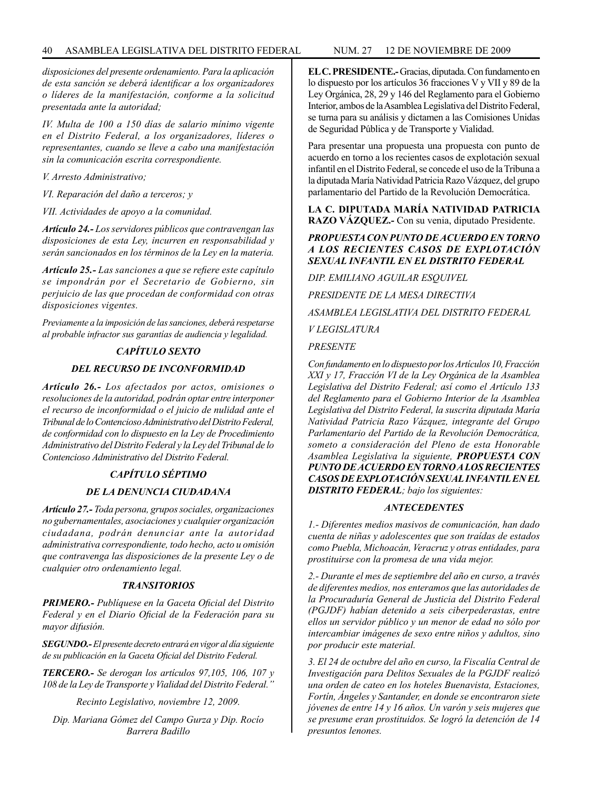*disposiciones del presente ordenamiento. Para la aplicación de esta sanción se deberá identificar a los organizadores o líderes de la manifestación, conforme a la solicitud presentada ante la autoridad;*

*IV. Multa de 100 a 150 días de salario mínimo vigente en el Distrito Federal, a los organizadores, líderes o representantes, cuando se lleve a cabo una manifestación sin la comunicación escrita correspondiente.*

*V. Arresto Administrativo;*

*VI. Reparación del daño a terceros; y*

*VII. Actividades de apoyo a la comunidad.*

*Artículo 24.- Los servidores públicos que contravengan las disposiciones de esta Ley, incurren en responsabilidad y serán sancionados en los términos de la Ley en la materia.*

*Artículo 25.- Las sanciones a que se refiere este capítulo se impondrán por el Secretario de Gobierno, sin perjuicio de las que procedan de conformidad con otras disposiciones vigentes.*

*Previamente a la imposición de las sanciones, deberá respetarse al probable infractor sus garantías de audiencia y legalidad.*

# *CAPÍTULO SEXTO*

## *DEL RECURSO DE INCONFORMIDAD*

*Artículo 26.- Los afectados por actos, omisiones o resoluciones de la autoridad, podrán optar entre interponer el recurso de inconformidad o el juicio de nulidad ante el Tribunal de lo Contencioso Administrativo del Distrito Federal, de conformidad con lo dispuesto en la Ley de Procedimiento Administrativo del Distrito Federal y la Ley del Tribunal de lo Contencioso Administrativo del Distrito Federal.*

# *CAPÍTULO SÉPTIMO*

# *DE LA DENUNCIA CIUDADANA*

*Artículo 27.- Toda persona, grupos sociales, organizaciones no gubernamentales, asociaciones y cualquier organización ciudadana, podrán denunciar ante la autoridad administrativa correspondiente, todo hecho, acto u omisión que contravenga las disposiciones de la presente Ley o de cualquier otro ordenamiento legal.*

## *TRANSITORIOS*

*PRIMERO.- Publíquese en la Gaceta Oficial del Distrito Federal y en el Diario Oficial de la Federación para su mayor difusión.*

*SEGUNDO.- El presente decreto entrará en vigor al día siguiente de su publicación en la Gaceta Oficial del Distrito Federal.*

*TERCERO.- Se derogan los artículos 97,105, 106, 107 y 108 de la Ley de Transporte y Vialidad del Distrito Federal."*

*Recinto Legislativo, noviembre 12, 2009.*

*Dip. Mariana Gómez del Campo Gurza y Dip. Rocío Barrera Badillo*

**EL C. PRESIDENTE.-** Gracias, diputada. Con fundamento en lo dispuesto por los artículos 36 fracciones V y VII y 89 de la Ley Orgánica, 28, 29 y 146 del Reglamento para el Gobierno Interior, ambos de la Asamblea Legislativa del Distrito Federal, se turna para su análisis y dictamen a las Comisiones Unidas de Seguridad Pública y de Transporte y Vialidad.

Para presentar una propuesta una propuesta con punto de acuerdo en torno a los recientes casos de explotación sexual infantil en el Distrito Federal, se concede el uso de la Tribuna a la diputada María Natividad Patricia Razo Vázquez, del grupo parlamentario del Partido de la Revolución Democrática.

## **LA C. DIPUTADA MARÍA NATIVIDAD PATRICIA RAZO VÁZQUEZ.-** Con su venia, diputado Presidente.

# *PROPUESTA CON PUNTO DE ACUERDO EN TORNO A LOS RECIENTES CASOS DE EXPLOTACIÓN SEXUAL INFANTIL EN EL DISTRITO FEDERAL*

*DIP. EMILIANO AGUILAR ESQUIVEL*

*PRESIDENTE DE LA MESA DIRECTIVA*

*ASAMBLEA LEGISLATIVA DEL DISTRITO FEDERAL*

*V LEGISLATURA*

## *PRESENTE*

*Con fundamento en lo dispuesto por los Artículos 10, Fracción XXI y 17, Fracción VI de la Ley Orgánica de la Asamblea Legislativa del Distrito Federal; así como el Artículo 133 del Reglamento para el Gobierno Interior de la Asamblea Legislativa del Distrito Federal, la suscrita diputada María Natividad Patricia Razo Vázquez, integrante del Grupo Parlamentario del Partido de la Revolución Democrática, someto a consideración del Pleno de esta Honorable Asamblea Legislativa la siguiente, PROPUESTA CON PUNTO DE ACUERDO EN TORNO A LOS RECIENTES CASOS DE EXPLOTACIÓN SEXUAL INFANTIL EN EL DISTRITO FEDERAL; bajo los siguientes:*

## *ANTECEDENTES*

*1.- Diferentes medios masivos de comunicación, han dado cuenta de niñas y adolescentes que son traídas de estados como Puebla, Michoacán, Veracruz y otras entidades, para prostituirse con la promesa de una vida mejor.*

*2.- Durante el mes de septiembre del año en curso, a través de diferentes medios, nos enteramos que las autoridades de la Procuraduría General de Justicia del Distrito Federal (PGJDF) habían detenido a seis ciberpederastas, entre ellos un servidor público y un menor de edad no sólo por intercambiar imágenes de sexo entre niños y adultos, sino por producir este material.*

*3. El 24 de octubre del año en curso, la Fiscalía Central de Investigación para Delitos Sexuales de la PGJDF realizó una orden de cateo en los hoteles Buenavista, Estaciones, Fortín, Ángeles y Santander, en donde se encontraron siete jóvenes de entre 14 y 16 años. Un varón y seis mujeres que se presume eran prostituidos. Se logró la detención de 14 presuntos lenones.*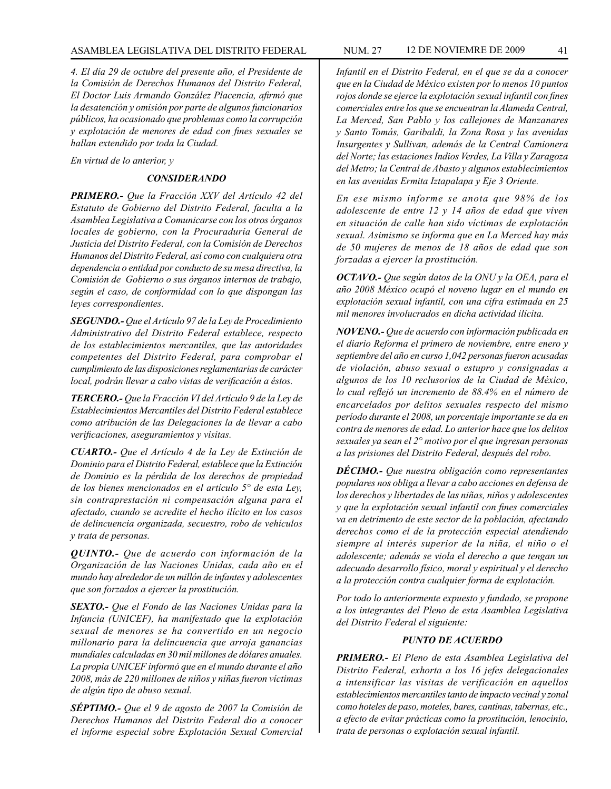*4. El día 29 de octubre del presente año, el Presidente de la Comisión de Derechos Humanos del Distrito Federal, El Doctor Luis Armando González Placencia, afirmó que la desatención y omisión por parte de algunos funcionarios públicos, ha ocasionado que problemas como la corrupción y explotación de menores de edad con fines sexuales se hallan extendido por toda la Ciudad.*

*En virtud de lo anterior, y*

#### *CONSIDERANDO*

*PRIMERO.- Que la Fracción XXV del Artículo 42 del Estatuto de Gobierno del Distrito Federal, faculta a la Asamblea Legislativa a Comunicarse con los otros órganos locales de gobierno, con la Procuraduría General de Justicia del Distrito Federal, con la Comisión de Derechos Humanos del Distrito Federal, así como con cualquiera otra dependencia o entidad por conducto de su mesa directiva, la Comisión de Gobierno o sus órganos internos de trabajo, según el caso, de conformidad con lo que dispongan las leyes correspondientes.*

*SEGUNDO.- Que el Artículo 97 de la Ley de Procedimiento Administrativo del Distrito Federal establece, respecto de los establecimientos mercantiles, que las autoridades competentes del Distrito Federal, para comprobar el cumplimiento de las disposiciones reglamentarias de carácter local, podrán llevar a cabo vistas de verificación a éstos.*

*TERCERO.- Que la Fracción VI del Artículo 9 de la Ley de Establecimientos Mercantiles del Distrito Federal establece como atribución de las Delegaciones la de llevar a cabo verificaciones, aseguramientos y visitas.*

*CUARTO.- Que el Artículo 4 de la Ley de Extinción de Dominio para el Distrito Federal, establece que la Extinción de Dominio es la pérdida de los derechos de propiedad de los bienes mencionados en el artículo 5° de esta Ley, sin contraprestación ni compensación alguna para el afectado, cuando se acredite el hecho ilícito en los casos de delincuencia organizada, secuestro, robo de vehículos y trata de personas.*

*QUINTO.- Que de acuerdo con información de la Organización de las Naciones Unidas, cada año en el mundo hay alrededor de un millón de infantes y adolescentes que son forzados a ejercer la prostitución.*

*SEXTO.- Que el Fondo de las Naciones Unidas para la Infancia (UNICEF), ha manifestado que la explotación sexual de menores se ha convertido en un negocio millonario para la delincuencia que arroja ganancias mundiales calculadas en 30 mil millones de dólares anuales. La propia UNICEF informó que en el mundo durante el año 2008, más de 220 millones de niños y niñas fueron víctimas de algún tipo de abuso sexual.* 

*SÉPTIMO.- Que el 9 de agosto de 2007 la Comisión de Derechos Humanos del Distrito Federal dio a conocer el informe especial sobre Explotación Sexual Comercial* 

*Infantil en el Distrito Federal, en el que se da a conocer que en la Ciudad de México existen por lo menos 10 puntos rojos donde se ejerce la explotación sexual infantil con fines comerciales entre los que se encuentran la Alameda Central, La Merced, San Pablo y los callejones de Manzanares y Santo Tomás, Garibaldi, la Zona Rosa y las avenidas Insurgentes y Sullivan, además de la Central Camionera del Norte; las estaciones Indios Verdes, La Villa y Zaragoza del Metro; la Central de Abasto y algunos establecimientos en las avenidas Ermita Iztapalapa y Eje 3 Oriente.*

*En ese mismo informe se anota que 98% de los adolescente de entre 12 y 14 años de edad que viven en situación de calle han sido víctimas de explotación sexual. Asimismo se informa que en La Merced hay más de 50 mujeres de menos de 18 años de edad que son forzadas a ejercer la prostitución.*

*OCTAVO.- Que según datos de la ONU y la OEA, para el año 2008 México ocupó el noveno lugar en el mundo en explotación sexual infantil, con una cifra estimada en 25 mil menores involucrados en dicha actividad ilícita.*

*NOVENO.- Que de acuerdo con información publicada en el diario Reforma el primero de noviembre, entre enero y septiembre del año en curso 1,042 personas fueron acusadas de violación, abuso sexual o estupro y consignadas a algunos de los 10 reclusorios de la Ciudad de México, lo cual reflejó un incremento de 88.4% en el número de encarcelados por delitos sexuales respecto del mismo período durante el 2008, un porcentaje importante se da en contra de menores de edad. Lo anterior hace que los delitos sexuales ya sean el 2° motivo por el que ingresan personas a las prisiones del Distrito Federal, después del robo.*

*DÉCIMO.- Que nuestra obligación como representantes populares nos obliga a llevar a cabo acciones en defensa de los derechos y libertades de las niñas, niños y adolescentes y que la explotación sexual infantil con fines comerciales va en detrimento de este sector de la población, afectando derechos como el de la protección especial atendiendo siempre al interés superior de la niña, el niño o el adolescente; además se viola el derecho a que tengan un adecuado desarrollo físico, moral y espiritual y el derecho a la protección contra cualquier forma de explotación.*

*Por todo lo anteriormente expuesto y fundado, se propone a los integrantes del Pleno de esta Asamblea Legislativa del Distrito Federal el siguiente:*

## *PUNTO DE ACUERDO*

*PRIMERO.- El Pleno de esta Asamblea Legislativa del Distrito Federal, exhorta a los 16 jefes delegacionales a intensificar las visitas de verificación en aquellos establecimientos mercantiles tanto de impacto vecinal y zonal como hoteles de paso, moteles, bares, cantinas, tabernas, etc., a efecto de evitar prácticas como la prostitución, lenocinio, trata de personas o explotación sexual infantil.*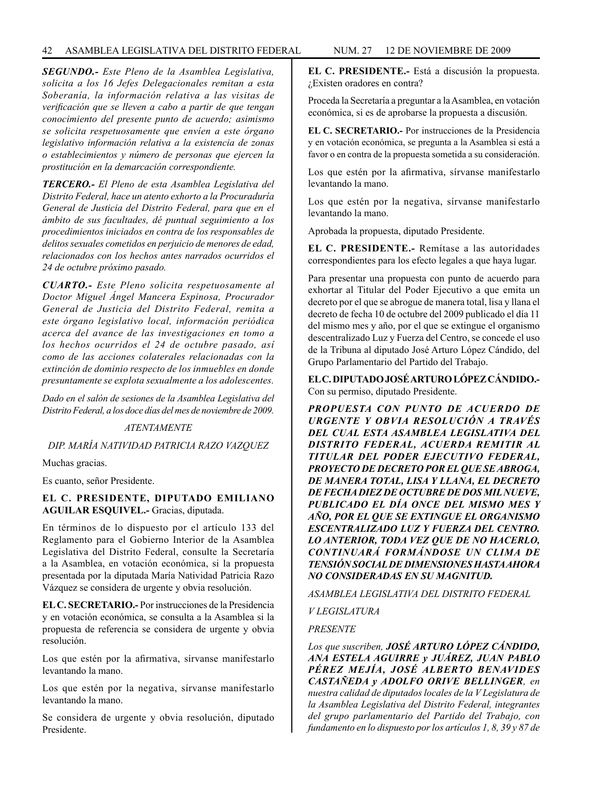*SEGUNDO.- Este Pleno de la Asamblea Legislativa, solicita a los 16 Jefes Delegacionales remitan a esta Soberanía, la información relativa a las visitas de verificación que se lleven a cabo a partir de que tengan conocimiento del presente punto de acuerdo; asimismo se solicita respetuosamente que envíen a este órgano legislativo información relativa a la existencia de zonas o establecimientos y número de personas que ejercen la prostitución en la demarcación correspondiente.* 

*TERCERO.- El Pleno de esta Asamblea Legislativa del Distrito Federal, hace un atento exhorto a la Procuraduría General de Justicia del Distrito Federal, para que en el ámbito de sus facultades, dé puntual seguimiento a los procedimientos iniciados en contra de los responsables de delitos sexuales cometidos en perjuicio de menores de edad, relacionados con los hechos antes narrados ocurridos el 24 de octubre próximo pasado.*

*CUARTO.- Este Pleno solicita respetuosamente al Doctor Miguel Ángel Mancera Espinosa, Procurador General de Justicia del Distrito Federal, remita a este órgano legislativo local, información periódica acerca del avance de las investigaciones en tomo a los hechos ocurridos el 24 de octubre pasado, así como de las acciones colaterales relacionadas con la extinción de dominio respecto de los inmuebles en donde presuntamente se explota sexualmente a los adolescentes.*

*Dado en el salón de sesiones de la Asamblea Legislativa del Distrito Federal, a los doce días del mes de noviembre de 2009.*

## *ATENTAMENTE*

*DIP. MARÍA NATIVIDAD PATRICIA RAZO VAZQUEZ*

Muchas gracias.

Es cuanto, señor Presidente.

## **EL C. PRESIDENTE, DIPUTADO EMILIANO AGUILAR ESQUIVEL.-** Gracias, diputada.

En términos de lo dispuesto por el artículo 133 del Reglamento para el Gobierno Interior de la Asamblea Legislativa del Distrito Federal, consulte la Secretaría a la Asamblea, en votación económica, si la propuesta presentada por la diputada María Natividad Patricia Razo Vázquez se considera de urgente y obvia resolución.

**EL C. SECRETARIO.-** Por instrucciones de la Presidencia y en votación económica, se consulta a la Asamblea si la propuesta de referencia se considera de urgente y obvia resolución.

Los que estén por la afirmativa, sírvanse manifestarlo levantando la mano.

Los que estén por la negativa, sírvanse manifestarlo levantando la mano.

Se considera de urgente y obvia resolución, diputado Presidente.

**EL C. PRESIDENTE.-** Está a discusión la propuesta. ¿Existen oradores en contra?

Proceda la Secretaría a preguntar a la Asamblea, en votación económica, si es de aprobarse la propuesta a discusión.

**EL C. SECRETARIO.-** Por instrucciones de la Presidencia y en votación económica, se pregunta a la Asamblea si está a favor o en contra de la propuesta sometida a su consideración.

Los que estén por la afirmativa, sírvanse manifestarlo levantando la mano.

Los que estén por la negativa, sírvanse manifestarlo levantando la mano.

Aprobada la propuesta, diputado Presidente.

**EL C. PRESIDENTE.-** Remítase a las autoridades correspondientes para los efecto legales a que haya lugar.

Para presentar una propuesta con punto de acuerdo para exhortar al Titular del Poder Ejecutivo a que emita un decreto por el que se abrogue de manera total, lisa y llana el decreto de fecha 10 de octubre del 2009 publicado el día 11 del mismo mes y año, por el que se extingue el organismo descentralizado Luz y Fuerza del Centro, se concede el uso de la Tribuna al diputado José Arturo López Cándido, del Grupo Parlamentario del Partido del Trabajo.

**EL C. DIPUTADO JOSÉ ARTURO LÓPEZ CÁNDIDO.-**  Con su permiso, diputado Presidente.

*PROPUESTA CON PUNTO DE ACUERDO DE URGENTE Y OBVIA RESOLUCIÓN A TRAVÉS DEL CUAL ESTA ASAMBLEA LEGISLATIVA DEL DISTRITO FEDERAL, ACUERDA REMITIR AL TITULAR DEL PODER EJECUTIVO FEDERAL, PROYECTO DE DECRETO POR EL QUE SE ABROGA, DE MANERA TOTAL, LISA Y LLANA, EL DECRETO DE FECHA DIEZ DE OCTUBRE DE DOS MIL NUEVE, PUBLICADO EL DÍA ONCE DEL MISMO MES Y AÑO, POR EL QUE SE EXTINGUE EL ORGANISMO ESCENTRALIZADO LUZ Y FUERZA DEL CENTRO. LO ANTERIOR, TODA VEZ QUE DE NO HACERLO, CONTINUARÁ FORMÁNDOSE UN CLIMA DE TENSIÓN SOCIAL DE DIMENSIONES HASTA AHORA NO CONSIDERADAS EN SU MAGNITUD.*

*ASAMBLEA LEGISLATIVA DEL DISTRITO FEDERAL*

*V LEGISLATURA*

*PRESENTE*

*Los que suscriben, JOSÉ ARTURO LÓPEZ CÁNDIDO, ANA ESTELA AGUIRRE y JUÁREZ, JUAN PABLO PÉREZ MEJÍA, JOSÉ ALBERTO BENAVIDES CASTAÑEDA y ADOLFO ORIVE BELLINGER, en nuestra calidad de diputados locales de la V Legislatura de la Asamblea Legislativa del Distrito Federal, integrantes del grupo parlamentario del Partido del Trabajo, con fundamento en lo dispuesto por los artículos 1, 8, 39 y 87 de*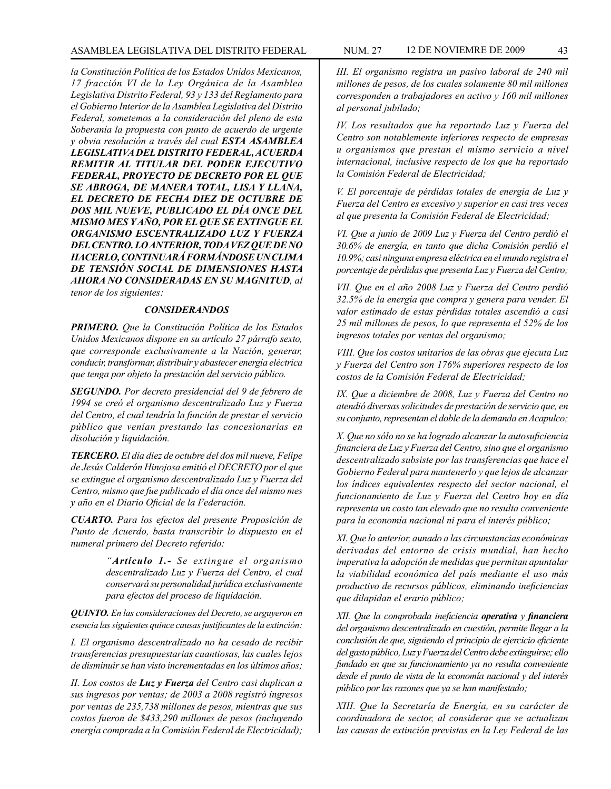*la Constitución Política de los Estados Unidos Mexicanos, 17 fracción VI de la Ley Orgánica de la Asamblea Legislativa Distrito Federal, 93 y 133 del Reglamento para el Gobierno Interior de la Asamblea Legislativa del Distrito Federal, sometemos a la consideración del pleno de esta Soberanía la propuesta con punto de acuerdo de urgente y obvia resolución a través del cual ESTA ASAMBLEA LEGISLATIVA DEL DISTRITO FEDERAL, ACUERDA REMITIR AL TITULAR DEL PODER EJECUTIVO FEDERAL, PROYECTO DE DECRETO POR EL QUE SE ABROGA, DE MANERA TOTAL, LISA Y LLANA, EL DECRETO DE FECHA DIEZ DE OCTUBRE DE DOS MIL NUEVE, PUBLICADO EL DÍA ONCE DEL MISMO MES Y AÑO, POR EL QUE SE EXTINGUE EL ORGANISMO ESCENTRALIZADO LUZ Y FUERZA DEL CENTRO. LO ANTERIOR, TODA VEZ QUE DE NO HACERLO, CONTINUARÁ FORMÁNDOSE UN CLIMA DE TENSIÓN SOCIAL DE DIMENSIONES HASTA AHORA NO CONSIDERADAS EN SU MAGNITUD, al tenor de los siguientes:*

#### *CONSIDERANDOS*

*PRIMERO. Que la Constitución Política de los Estados Unidos Mexicanos dispone en su artículo 27 párrafo sexto, que corresponde exclusivamente a la Nación, generar, conducir, transformar, distribuir y abastecer energía eléctrica que tenga por objeto la prestación del servicio público.*

*SEGUNDO. Por decreto presidencial del 9 de febrero de 1994 se creó el organismo descentralizado Luz y Fuerza del Centro, el cual tendría la función de prestar el servicio público que venían prestando las concesionarias en disolución y liquidación.*

*TERCERO. El día diez de octubre del dos mil nueve, Felipe de Jesús Calderón Hinojosa emitió el DECRETO por el que se extingue el organismo descentralizado Luz y Fuerza del Centro, mismo que fue publicado el día once del mismo mes y año en el Diario Oficial de la Federación.*

*CUARTO. Para los efectos del presente Proposición de Punto de Acuerdo, basta transcribir lo dispuesto en el numeral primero del Decreto referido:*

> *"Artículo 1.- Se extingue el organismo descentralizado Luz y Fuerza del Centro, el cual conservará su personalidad jurídica exclusivamente para efectos del proceso de liquidación.*

*QUINTO. En las consideraciones del Decreto, se arguyeron en esencia las siguientes quince causas justificantes de la extinción:*

*I. El organismo descentralizado no ha cesado de recibir transferencias presupuestarias cuantiosas, las cuales lejos de disminuir se han visto incrementadas en los últimos años;*

*II. Los costos de Luz y Fuerza del Centro casi duplican a sus ingresos por ventas; de 2003 a 2008 registró ingresos por ventas de 235,738 millones de pesos, mientras que sus costos fueron de \$433,290 millones de pesos (incluyendo energía comprada a la Comisión Federal de Electricidad);*

*III. El organismo registra un pasivo laboral de 240 mil millones de pesos, de los cuales solamente 80 mil millones corresponden a trabajadores en activo y 160 mil millones al personal jubilado;*

*IV. Los resultados que ha reportado Luz y Fuerza del Centro son notablemente inferiores respecto de empresas u organismos que prestan el mismo servicio a nivel internacional, inclusive respecto de los que ha reportado la Comisión Federal de Electricidad;*

*V. El porcentaje de pérdidas totales de energía de Luz y Fuerza del Centro es excesivo y superior en casi tres veces al que presenta la Comisión Federal de Electricidad;*

*VI. Que a junio de 2009 Luz y Fuerza del Centro perdió el 30.6% de energía, en tanto que dicha Comisión perdió el 10.9%; casi ninguna empresa eléctrica en el mundo registra el porcentaje de pérdidas que presenta Luz y Fuerza del Centro;*

*VII. Que en el año 2008 Luz y Fuerza del Centro perdió 32.5% de la energía que compra y genera para vender. El valor estimado de estas pérdidas totales ascendió a casi 25 mil millones de pesos, lo que representa el 52% de los ingresos totales por ventas del organismo;*

*VIII. Que los costos unitarios de las obras que ejecuta Luz y Fuerza del Centro son 176% superiores respecto de los costos de la Comisión Federal de Electricidad;*

*IX. Que a diciembre de 2008, Luz y Fuerza del Centro no atendió diversas solicitudes de prestación de servicio que, en su conjunto, representan el doble de la demanda en Acapulco;*

*X. Que no sólo no se ha logrado alcanzar la autosuficiencia financiera de Luz y Fuerza del Centro, sino que el organismo descentralizado subsiste por las transferencias que hace el Gobierno Federal para mantenerlo y que lejos de alcanzar los índices equivalentes respecto del sector nacional, el funcionamiento de Luz y Fuerza del Centro hoy en día representa un costo tan elevado que no resulta conveniente para la economía nacional ni para el interés público;*

*XI. Que lo anterior, aunado a las circunstancias económicas derivadas del entorno de crisis mundial, han hecho imperativa la adopción de medidas que permitan apuntalar la viabilidad económica del país mediante el uso más productivo de recursos públicos, eliminando ineficiencias que dilapidan el erario público;*

*XII. Que la comprobada ineficiencia operativa y financiera del organismo descentralizado en cuestión, permite llegar a la conclusión de que, siguiendo el principio de ejercicio eficiente del gasto público, Luz y Fuerza del Centro debe extinguirse; ello fundado en que su funcionamiento ya no resulta conveniente desde el punto de vista de la economía nacional y del interés público por las razones que ya se han manifestado;*

*XIII. Que la Secretaría de Energía, en su carácter de coordinadora de sector, al considerar que se actualizan las causas de extinción previstas en la Ley Federal de las*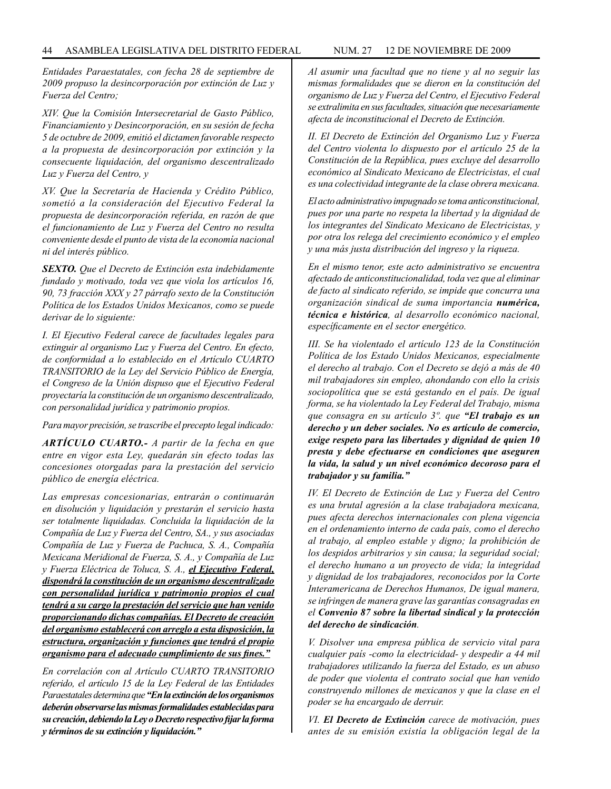*Entidades Paraestatales, con fecha 28 de septiembre de 2009 propuso la desincorporación por extinción de Luz y Fuerza del Centro;* 

*XIV. Que la Comisión Intersecretarial de Gasto Público, Financiamiento y Desincorporación, en su sesión de fecha 5 de octubre de 2009, emitió el dictamen favorable respecto a la propuesta de desincorporación por extinción y la consecuente liquidación, del organismo descentralizado Luz y Fuerza del Centro, y*

*XV. Que la Secretaría de Hacienda y Crédito Público, sometió a la consideración del Ejecutivo Federal la propuesta de desincorporación referida, en razón de que el funcionamiento de Luz y Fuerza del Centro no resulta conveniente desde el punto de vista de la economía nacional ni del interés público.*

*SEXTO. Que el Decreto de Extinción esta indebidamente fundado y motivado, toda vez que viola los artículos 16, 90, 73 fracción XXX y 27 párrafo sexto de la Constitución Política de los Estados Unidos Mexicanos, como se puede derivar de lo siguiente:*

*I. El Ejecutivo Federal carece de facultades legales para extinguir al organismo Luz y Fuerza del Centro. En efecto, de conformidad a lo establecido en el Artículo CUARTO TRANSITORIO de la Ley del Servicio Público de Energía, el Congreso de la Unión dispuso que el Ejecutivo Federal proyectaría la constitución de un organismo descentralizado, con personalidad jurídica y patrimonio propios.*

*Para mayor precisión, se trascribe el precepto legal indicado:*

*ARTÍCULO CUARTO.- A partir de la fecha en que entre en vigor esta Ley, quedarán sin efecto todas las concesiones otorgadas para la prestación del servicio público de energía eléctrica.*

*Las empresas concesionarias, entrarán o continuarán en disolución y liquidación y prestarán el servicio hasta ser totalmente liquidadas. Concluida la liquidación de la Compañía de Luz y Fuerza del Centro, SA., y sus asociadas Compañía de Luz y Fuerza de Pachuca, S. A., Compañía Mexicana Meridional de Fuerza, S. A., y Compañía de Luz y Fuerza Eléctrica de Toluca, S. A., el Ejecutivo Federal, dispondrá la constitución de un organismo descentralizado con personalidad jurídica y patrimonio propios el cual tendrá a su cargo la prestación del servicio que han venido proporcionando dichas compañías. El Decreto de creación del organismo establecerá con arreglo a esta disposición, la estructura, organización y funciones que tendrá el propio organismo para el adecuado cumplimiento de sus fines."*

*En correlación con al Artículo CUARTO TRANSITORIO referido, el artículo 15 de la Ley Federal de las Entidades Paraestatales determina que "En la extinción de los organismos deberán observarse las mismas formalidades establecidas para su creación, debiendo la Ley o Decreto respectivo fijar la forma y términos de su extinción y liquidación."*

*Al asumir una facultad que no tiene y al no seguir las mismas formalidades que se dieron en la constitución del organismo de Luz y Fuerza del Centro, el Ejecutivo Federal se extralimita en sus facultades, situación que necesariamente afecta de inconstitucional el Decreto de Extinción.*

*II. El Decreto de Extinción del Organismo Luz y Fuerza del Centro violenta lo dispuesto por el artículo 25 de la Constitución de la República, pues excluye del desarrollo económico al Sindicato Mexicano de Electricistas, el cual es una colectividad integrante de la clase obrera mexicana.*

*El acto administrativo impugnado se toma anticonstitucional, pues por una parte no respeta la libertad y la dignidad de los integrantes del Sindicato Mexicano de Electricistas, y por otra los relega del crecimiento económico y el empleo y una más justa distribución del ingreso y la riqueza.*

*En el mismo tenor, este acto administrativo se encuentra afectado de anticonstitucionalidad, toda vez que al eliminar de facto al sindicato referido, se impide que concurra una organización sindical de suma importancia numérica, técnica e histórica, al desarrollo económico nacional, específicamente en el sector energético.*

*III. Se ha violentado el artículo 123 de la Constitución Política de los Estado Unidos Mexicanos, especialmente el derecho al trabajo. Con el Decreto se dejó a más de 40 mil trabajadores sin empleo, ahondando con ello la crisis sociopolítica que se está gestando en el país. De igual forma, se ha violentado la Ley Federal del Trabajo, misma que consagra en su artículo 3º. que "El trabajo es un derecho y un deber sociales. No es artículo de comercio, exige respeto para las libertades y dignidad de quien 10 presta y debe efectuarse en condiciones que aseguren la vida, la salud y un nivel económico decoroso para el trabajador y su familia."*

*IV. El Decreto de Extinción de Luz y Fuerza del Centro es una brutal agresión a la clase trabajadora mexicana, pues afecta derechos internacionales con plena vigencia en el ordenamiento interno de cada país, como el derecho al trabajo, al empleo estable y digno; la prohibición de los despidos arbitrarios y sin causa; la seguridad social; el derecho humano a un proyecto de vida; la integridad y dignidad de los trabajadores, reconocidos por la Corte Interamericana de Derechos Humanos, De igual manera, se infringen de manera grave las garantías consagradas en el Convenio 87 sobre la libertad sindical y la protección del derecho de sindicación.*

*V. Disolver una empresa pública de servicio vital para cualquier país -como la electricidad- y despedir a 44 mil trabajadores utilizando la fuerza del Estado, es un abuso de poder que violenta el contrato social que han venido construyendo millones de mexicanos y que la clase en el poder se ha encargado de derruir.* 

*VI. El Decreto de Extinción carece de motivación, pues antes de su emisión existía la obligación legal de la*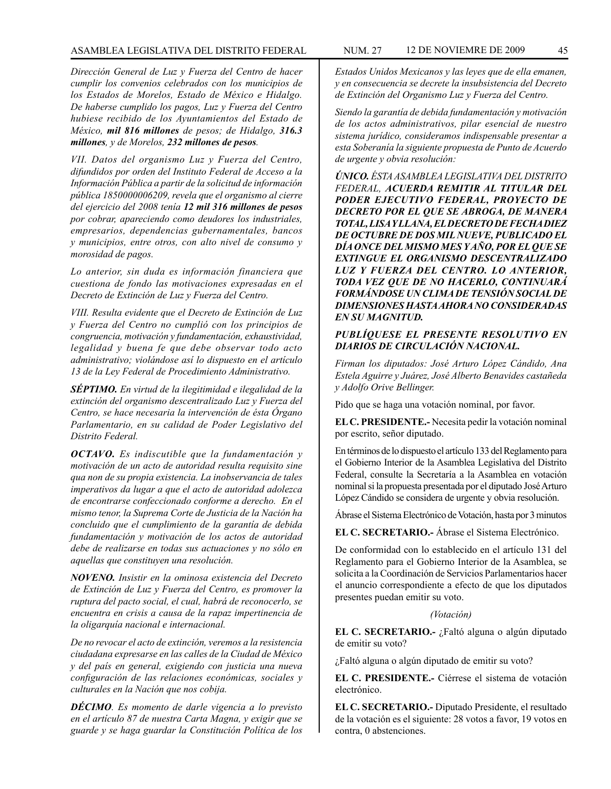## ASAMBLEA LEGISLATIVA DEL DISTRITO FEDERAL NUM. 27 12 de NOVIEMRE de 2009 45

*Dirección General de Luz y Fuerza del Centro de hacer cumplir los convenios celebrados con los municipios de los Estados de Morelos, Estado de México e Hidalgo. De haberse cumplido los pagos, Luz y Fuerza del Centro hubiese recibido de los Ayuntamientos del Estado de México, mil 816 millones de pesos; de Hidalgo, 316.3 millones, y de Morelos, 232 millones de pesos.*

*VII. Datos del organismo Luz y Fuerza del Centro, difundidos por orden del Instituto Federal de Acceso a la Información Pública a partir de la solicitud de información pública 1850000006209, revela que el organismo al cierre del ejercicio del 2008 tenía 12 mil 316 millones de pesos por cobrar, apareciendo como deudores los industriales, empresarios, dependencias gubernamentales, bancos y municipios, entre otros, con alto nivel de consumo y morosidad de pagos.*

*Lo anterior, sin duda es información financiera que cuestiona de fondo las motivaciones expresadas en el Decreto de Extinción de Luz y Fuerza del Centro.* 

*VIII. Resulta evidente que el Decreto de Extinción de Luz y Fuerza del Centro no cumplió con los principios de congruencia, motivación y fundamentación, exhaustividad, legalidad y buena fe que debe observar todo acto administrativo; violándose así lo dispuesto en el artículo 13 de la Ley Federal de Procedimiento Administrativo.*

*SÉPTIMO. En virtud de la ilegitimidad e ilegalidad de la extinción del organismo descentralizado Luz y Fuerza del Centro, se hace necesaria la intervención de ésta Órgano Parlamentario, en su calidad de Poder Legislativo del Distrito Federal.* 

*OCTAVO. Es indiscutible que la fundamentación y motivación de un acto de autoridad resulta requisito sine qua non de su propia existencia. La inobservancia de tales imperativos da lugar a que el acto de autoridad adolezca de encontrarse confeccionado conforme a derecho. En el mismo tenor, la Suprema Corte de Justicia de la Nación ha concluido que el cumplimiento de la garantía de debida fundamentación y motivación de los actos de autoridad debe de realizarse en todas sus actuaciones y no sólo en aquellas que constituyen una resolución.*

*NOVENO. Insistir en la ominosa existencia del Decreto de Extinción de Luz y Fuerza del Centro, es promover la ruptura del pacto social, el cual, habrá de reconocerlo, se encuentra en crisis a causa de la rapaz impertinencia de la oligarquía nacional e internacional.* 

*De no revocar el acto de extinción, veremos a la resistencia ciudadana expresarse en las calles de la Ciudad de México y del país en general, exigiendo con justicia una nueva configuración de las relaciones económicas, sociales y culturales en la Nación que nos cobija.*

*DÉCIMO. Es momento de darle vigencia a lo previsto en el artículo 87 de nuestra Carta Magna, y exigir que se guarde y se haga guardar la Constitución Política de los* 

*Estados Unidos Mexicanos y las leyes que de ella emanen, y en consecuencia se decrete la insubsistencia del Decreto de Extinción del Organismo Luz y Fuerza del Centro.*

*Siendo la garantía de debida fundamentación y motivación de los actos administrativos, pilar esencial de nuestro sistema jurídico, consideramos indispensable presentar a esta Soberanía la siguiente propuesta de Punto de Acuerdo de urgente y obvia resolución:* 

*ÚNICO. ÉSTA ASAMBLEA LEGISLATIVA DEL DISTRITO FEDERAL, ACUERDA REMITIR AL TITULAR DEL PODER EJECUTIVO FEDERAL, PROYECTO DE DECRETO POR EL QUE SE ABROGA, DE MANERA TOTAL, LISA Y LLANA, EL DECRETO DE FECHA DIEZ DE OCTUBRE DE DOS MIL NUEVE, PUBLICADO EL DÍA ONCE DEL MISMO MES Y AÑO, POR EL QUE SE EXTINGUE EL ORGANISMO DESCENTRALIZADO LUZ Y FUERZA DEL CENTRO. LO ANTERIOR, TODA VEZ QUE DE NO HACERLO, CONTINUARÁ FORMÁNDOSE UN CLIMA DE TENSIÓN SOCIAL DE DIMENSIONES HASTA AHORA NO CONSIDERADAS EN SU MAGNITUD.*

## *PUBLÍQUESE EL PRESENTE RESOLUTIVO EN DIARIOS DE CIRCULACIÓN NACIONAL.*

*Firman los diputados: José Arturo López Cándido, Ana Estela Aguirre y Juárez, José Alberto Benavides castañeda y Adolfo Orive Bellinger.*

Pido que se haga una votación nominal, por favor.

**EL C. PRESIDENTE.-** Necesita pedir la votación nominal por escrito, señor diputado.

En términos de lo dispuesto el artículo 133 del Reglamento para el Gobierno Interior de la Asamblea Legislativa del Distrito Federal, consulte la Secretaría a la Asamblea en votación nominal si la propuesta presentada por el diputado José Arturo López Cándido se considera de urgente y obvia resolución.

Ábrase el Sistema Electrónico de Votación, hasta por 3 minutos

**EL C. SECRETARIO.-** Ábrase el Sistema Electrónico.

De conformidad con lo establecido en el artículo 131 del Reglamento para el Gobierno Interior de la Asamblea, se solicita a la Coordinación de Servicios Parlamentarios hacer el anuncio correspondiente a efecto de que los diputados presentes puedan emitir su voto.

#### *(Votación)*

**EL C. SECRETARIO.-** ¿Faltó alguna o algún diputado de emitir su voto?

¿Faltó alguna o algún diputado de emitir su voto?

**EL C. PRESIDENTE.-** Ciérrese el sistema de votación electrónico.

**EL C. SECRETARIO.-** Diputado Presidente, el resultado de la votación es el siguiente: 28 votos a favor, 19 votos en contra, 0 abstenciones.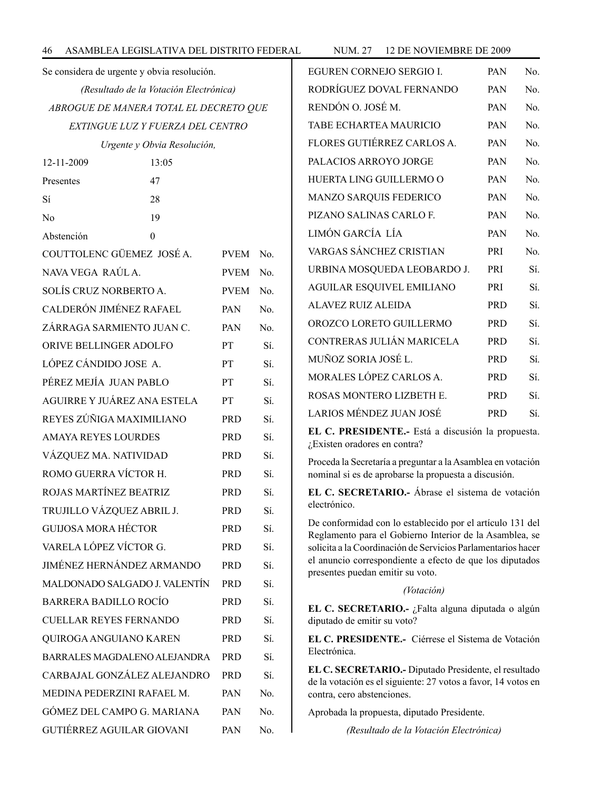| Se considera de urgente y obvia resolución.      |                                        |             |                |  |
|--------------------------------------------------|----------------------------------------|-------------|----------------|--|
| (Resultado de la Votación Electrónica)           |                                        |             |                |  |
|                                                  | ABROGUE DE MANERA TOTAL EL DECRETO QUE |             |                |  |
| EXTINGUE LUZ Y FUERZA DEL CENTRO                 |                                        |             |                |  |
|                                                  | Urgente y Obvia Resolución,            |             |                |  |
| 12-11-2009                                       | 13:05                                  |             |                |  |
| Presentes                                        | 47                                     |             |                |  |
| Sí                                               | 28                                     |             |                |  |
| N <sub>0</sub>                                   | 19                                     |             |                |  |
| Abstención                                       | 0                                      |             |                |  |
| COUTTOLENC GÜEMEZ JOSÉ A.                        |                                        | <b>PVEM</b> | No.            |  |
| NAVA VEGA RAÚLA.                                 |                                        | <b>PVEM</b> | N <sub>0</sub> |  |
| SOLÍS CRUZ NORBERTO A.                           |                                        | <b>PVEM</b> | N <sub>0</sub> |  |
| CALDERÓN JIMÉNEZ RAFAEL                          |                                        | PAN         | No.            |  |
| ZÁRRAGA SARMIENTO JUAN C.                        |                                        | PAN         | No.            |  |
| ORIVE BELLINGER ADOLFO                           |                                        | <b>PT</b>   | Sí.            |  |
| LÓPEZ CÁNDIDO JOSE A.                            |                                        | <b>PT</b>   | Sí.            |  |
| PÉREZ MEJÍA JUAN PABLO                           | PT                                     | Sí.         |                |  |
| AGUIRRE Y JUÁREZ ANA ESTELA                      | <b>PT</b>                              | Sí.         |                |  |
| REYES ZÚÑIGA MAXIMILIANO                         |                                        | <b>PRD</b>  | Sí.            |  |
| <b>AMAYA REYES LOURDES</b>                       |                                        | <b>PRD</b>  | Sí.            |  |
| VÁZQUEZ MA. NATIVIDAD                            |                                        | <b>PRD</b>  | Sí.            |  |
| ROMO GUERRA VÍCTOR H.                            |                                        | <b>PRD</b>  | Sí.            |  |
| ROJAS MARTÍNEZ BEATRIZ                           |                                        | <b>PRD</b>  | Sí.            |  |
| TRUJILLO VÁZQUEZ ABRIL J.                        |                                        | <b>PRD</b>  | Sí             |  |
| <b>GUIJOSA MORA HÉCTOR</b>                       |                                        | <b>PRD</b>  | Sí.            |  |
| VARELA LÓPEZ VÍCTOR G.                           |                                        | PRD         | Sí.            |  |
| JIMÉNEZ HERNÁNDEZ ARMANDO                        |                                        | PRD         | Sí.            |  |
| MALDONADO SALGADO J. VALENTÍN PRD                |                                        |             | Sí.            |  |
| <b>BARRERA BADILLO ROCÍO</b>                     |                                        | PRD         | Sí.            |  |
| <b>CUELLAR REYES FERNANDO</b>                    |                                        | PRD         | Sí.            |  |
| QUIROGA ANGUIANO KAREN                           |                                        | PRD         | Sí.            |  |
| BARRALES MAGDALENO ALEJANDRA PRD                 |                                        |             | Sí.            |  |
| CARBAJAL GONZÁLEZ ALEJANDRO PRD Sí.              |                                        |             |                |  |
| MEDINA PEDERZINI RAFAEL M. PAN                   |                                        |             | No.            |  |
| GÓMEZ DEL CAMPO G. MARIANA PAN<br>N <sub>0</sub> |                                        |             |                |  |
| GUTIÉRREZ AGUILAR GIOVANI PAN                    |                                        | No.         |                |  |

| EGUREN CORNEJO SERGIO L     | <b>PAN</b> | No             |
|-----------------------------|------------|----------------|
| RODRÍGUEZ DOVAL FERNANDO    | <b>PAN</b> | No.            |
| RENDÓN O. JOSÉ M.           | <b>PAN</b> | No.            |
| TABE ECHARTEA MAURICIO      | <b>PAN</b> | No.            |
| FLORES GUTIÉRREZ CARLOS A.  | <b>PAN</b> | No             |
| PALACIOS ARROYO JORGE       | <b>PAN</b> | No.            |
| HUERTA LING GUILLERMO O     | <b>PAN</b> | No.            |
| MANZO SARQUIS FEDERICO      | <b>PAN</b> | No.            |
| PIZANO SALINAS CARLO E      | <b>PAN</b> | No.            |
| LIMÓN GARCÍA LÍA            | <b>PAN</b> | N <sub>0</sub> |
| VARGAS SÁNCHEZ CRISTIAN     | <b>PRI</b> | N <sub>0</sub> |
| URBINA MOSQUEDA LEOBARDO J. | <b>PRI</b> | Sí             |
| AGUILAR ESQUIVEL EMILIANO   | PRI        | Sí.            |
| ALAVEZ RUIZ ALEIDA          | <b>PRD</b> | Sí.            |
| OROZCO LORETO GUILLERMO     | <b>PRD</b> | Sí             |
| CONTRERAS JULIÁN MARICELA   | <b>PRD</b> | Sí.            |
| MUÑOZ SORIA JOSÉ L.         | <b>PRD</b> | Sí             |
| MORALES LÓPEZ CARLOS A.     | <b>PRD</b> | Sí             |
| ROSAS MONTERO LIZBETH E.    | <b>PRD</b> | Sí.            |
| LARIOS MÉNDEZ JUAN JOSÉ     | <b>PRD</b> | Sí.            |
|                             |            |                |

**EL C. PRESIDENTE.-** Está a discusión la propuesta. ¿Existen oradores en contra?

Proceda la Secretaría a preguntar a la Asamblea en votación nominal si es de aprobarse la propuesta a discusión.

**EL C. SECRETARIO.-** Ábrase el sistema de votación electrónico.

De conformidad con lo establecido por el artículo 131 del Reglamento para el Gobierno Interior de la Asamblea, se solicita a la Coordinación de Servicios Parlamentarios hacer el anuncio correspondiente a efecto de que los diputados presentes puedan emitir su voto.

#### *(Votación)*

**EL C. SECRETARIO.-** ¿Falta alguna diputada o algún diputado de emitir su voto?

**EL C. PRESIDENTE.-** Ciérrese el Sistema de Votación Electrónica.

**EL C. SECRETARIO.-** Diputado Presidente, el resultado de la votación es el siguiente: 27 votos a favor, 14 votos en contra, cero abstenciones.

Aprobada la propuesta, diputado Presidente.

*(Resultado de la Votación Electrónica)*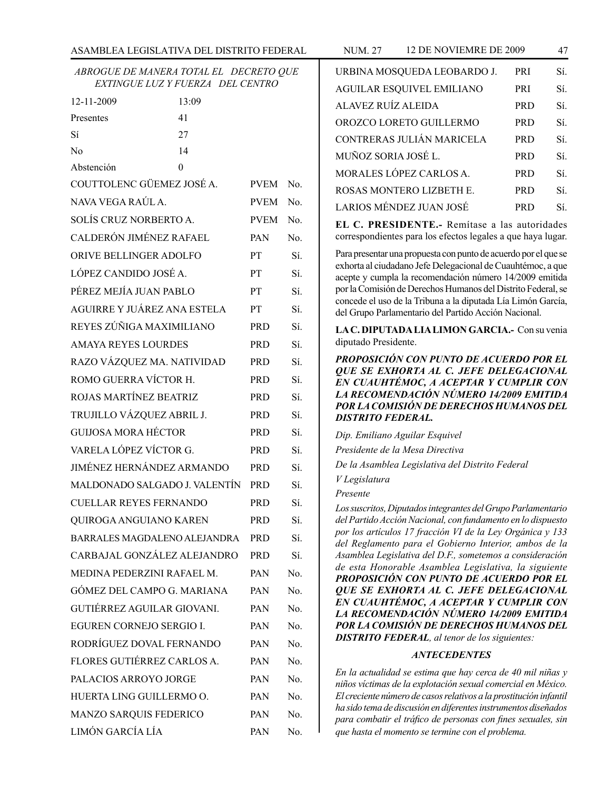| ABROGUE DE MANERA TOTAL EL DECRETO QUE<br>EXTINGUE LUZ Y FUERZA DEL CENTRO |       |             |                |
|----------------------------------------------------------------------------|-------|-------------|----------------|
| 12-11-2009                                                                 | 13:09 |             |                |
| Presentes                                                                  | 41    |             |                |
| Sí                                                                         | 27    |             |                |
| No                                                                         | 14    |             |                |
| Abstención                                                                 | 0     |             |                |
| COUTTOLENC GÜEMEZ JOSÉ A.                                                  |       | PVEM        | No.            |
| NAVA VEGA RAÚL A.                                                          |       | <b>PVEM</b> | No.            |
| SOLÍS CRUZ NORBERTO A.                                                     |       | <b>PVEM</b> | No.            |
| CALDERÓN JIMÉNEZ RAFAEL                                                    |       | PAN         | No.            |
| <b>ORIVE BELLINGER ADOLFO</b>                                              |       | <b>PT</b>   | Sí.            |
| LÓPEZ CANDIDO JOSÉ A.                                                      |       | PT          | Sí.            |
| PÉREZ MEJÍA JUAN PABLO                                                     |       | PT          | Sí.            |
| AGUIRRE Y JUÁREZ ANA ESTELA                                                |       | <b>PT</b>   | Sí.            |
| REYES ZÚÑIGA MAXIMILIANO                                                   |       | <b>PRD</b>  | Sí.            |
| <b>AMAYA REYES LOURDES</b>                                                 |       | <b>PRD</b>  | Sí.            |
| RAZO VÁZQUEZ MA. NATIVIDAD                                                 |       | <b>PRD</b>  | Sí.            |
| ROMO GUERRA VÍCTOR H.                                                      |       | <b>PRD</b>  | Sí.            |
| ROJAS MARTÍNEZ BEATRIZ                                                     |       | <b>PRD</b>  | Sí.            |
| TRUJILLO VÁZQUEZ ABRIL J.                                                  |       | <b>PRD</b>  | Sí.            |
| <b>GUIJOSA MORA HÉCTOR</b>                                                 |       | <b>PRD</b>  | Sí.            |
| VARELA LÓPEZ VÍCTOR G.                                                     |       | <b>PRD</b>  | Sí.            |
| JIMÉNEZ HERNÁNDEZ ARMANDO                                                  |       | <b>PRD</b>  | Sí.            |
| MALDONADO SALGADO J. VALENTÍN                                              |       | <b>PRD</b>  | Sí.            |
| <b>CUELLAR REYES FERNANDO</b>                                              |       | <b>PRD</b>  | Sí.            |
| QUIROGA ANGUIANO KAREN                                                     |       | <b>PRD</b>  | Sí.            |
| BARRALES MAGDALENO ALEJANDRA                                               |       | <b>PRD</b>  | Sí.            |
| CARBAJAL GONZÁLEZ ALEJANDRO                                                |       | <b>PRD</b>  | Sí.            |
| MEDINA PEDERZINI RAFAEL M.                                                 |       | PAN         | No.            |
| GÓMEZ DEL CAMPO G. MARIANA                                                 |       | PAN         | No.            |
| GUTIÉRREZ AGUILAR GIOVANI.                                                 |       | PAN         | No.            |
| EGUREN CORNEJO SERGIO I.                                                   |       | PAN         | N <sub>0</sub> |
| RODRÍGUEZ DOVAL FERNANDO                                                   |       | PAN         | No.            |
| FLORES GUTIÉRREZ CARLOS A.                                                 |       | PAN         | N <sub>0</sub> |
| PALACIOS ARROYO JORGE                                                      |       | PAN         | N <sub>0</sub> |
| HUERTA LING GUILLERMO O.                                                   |       | PAN         | N <sub>0</sub> |
| MANZO SARQUIS FEDERICO                                                     |       | PAN         | No.            |
| LIMÓN GARCÍA LÍA                                                           |       | PAN         | No.            |

|                          | URBINA MOSQUEDA LEOBARDO J.      | <b>PRI</b> | Sí. |
|--------------------------|----------------------------------|------------|-----|
|                          | <b>AGUILAR ESQUIVEL EMILIANO</b> | <b>PRI</b> | Sí. |
| ALAVEZ RUÍZ ALEIDA       |                                  | <b>PRD</b> | Sí. |
| OROZCO LORETO GUILLERMO  |                                  | <b>PRD</b> | Sí. |
|                          | CONTRERAS JULIÁN MARICELA        | <b>PRD</b> | Sí. |
| MUÑOZ SORIA JOSÉ L.      |                                  | <b>PRD</b> | Sí. |
| MORALES LÓPEZ CARLOS A.  |                                  | <b>PRD</b> | Sí. |
| ROSAS MONTERO LIZBETH E. |                                  | <b>PRD</b> | Sí. |
| LARIOS MÉNDEZ JUAN JOSÉ  |                                  | <b>PRD</b> | Sí  |
|                          |                                  |            |     |

**EL C. PRESIDENTE.-** Remítase a las autoridades correspondientes para los efectos legales a que haya lugar.

Para presentar una propuesta con punto de acuerdo por el que se exhorta al ciudadano Jefe Delegacional de Cuauhtémoc, a que acepte y cumpla la recomendación número 14/2009 emitida por la Comisión de Derechos Humanos del Distrito Federal, se concede el uso de la Tribuna a la diputada Lía Limón García, del Grupo Parlamentario del Partido Acción Nacional.

**LA C. DIPUTADA LIA LIMON GARCIA.-** Con su venia diputado Presidente.

# *PROPOSICIÓN CON PUNTO DE ACUERDO POR EL QUE SE EXHORTA AL C. JEFE DELEGACIONAL EN CUAUHTÉMOC, A ACEPTAR Y CUMPLIR CON LA RECOMENDACIÓN NÚMERO 14/2009 EMITIDA POR LA COMISIÓN DE DERECHOS HUMANOS DEL DISTRITO FEDERAL.*

*Dip. Emiliano Aguilar Esquivel*

*Presidente de la Mesa Directiva*

*De la Asamblea Legislativa del Distrito Federal*

*V Legislatura*

*Presente*

*Los suscritos, Diputados integrantes del Grupo Parlamentario del Partido Acción Nacional, con fundamento en lo dispuesto por los artículos 17 fracción VI de la Ley Orgánica y 133 del Reglamento para el Gobierno Interior, ambos de la Asamblea Legislativa del D.F., sometemos a consideración de esta Honorable Asamblea Legislativa, la siguiente PROPOSICIÓN CON PUNTO DE ACUERDO POR EL QUE SE EXHORTA AL C. JEFE DELEGACIONAL EN CUAUHTÉMOC, A ACEPTAR Y CUMPLIR CON LA RECOMENDACIÓN NÚMERO 14/2009 EMITIDA POR LA COMISIÓN DE DERECHOS HUMANOS DEL DISTRITO FEDERAL, al tenor de los siguientes:*

## *ANTECEDENTES*

*En la actualidad se estima que hay cerca de 40 mil niñas y niños víctimas de la explotación sexual comercial en México. El creciente número de casos relativos a la prostitución infantil ha sido tema de discusión en diferentes instrumentos diseñados para combatir el tráfico de personas con fines sexuales, sin que hasta el momento se termine con el problema.*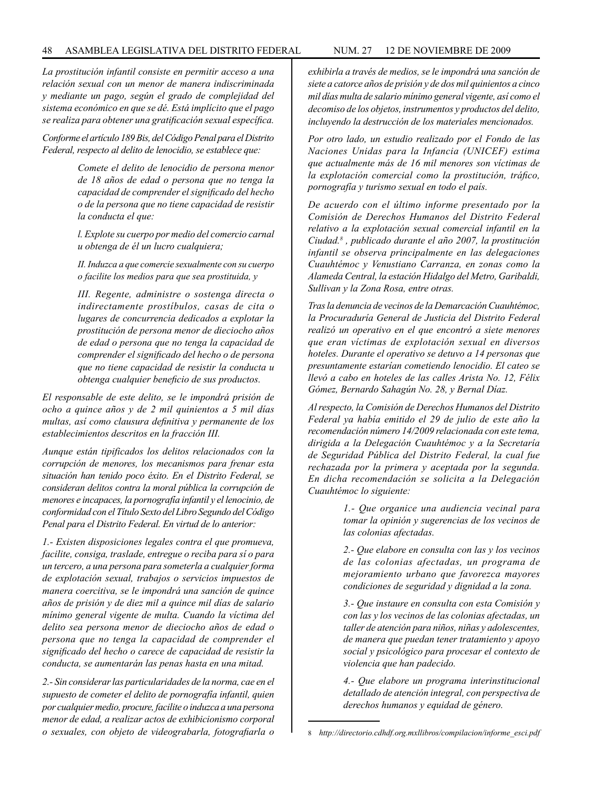*La prostitución infantil consiste en permitir acceso a una relación sexual con un menor de manera indiscriminada y mediante un pago, según el grado de complejidad del sistema económico en que se dé. Está implícito que el pago se realiza para obtener una gratificación sexual específica.*

*Conforme el artículo 189 Bis, del Código Penal para el Distrito Federal, respecto al delito de lenocidio, se establece que:* 

> *Comete el delito de lenocidio de persona menor de 18 años de edad o persona que no tenga la capacidad de comprender el significado del hecho o de la persona que no tiene capacidad de resistir la conducta el que:*

> *l. Explote su cuerpo por medio del comercio carnal u obtenga de él un lucro cualquiera;*

> *II. Induzca a que comercie sexualmente con su cuerpo o facilite los medios para que sea prostituida, y*

> *III. Regente, administre o sostenga directa o indirectamente prostíbulos, casas de cita o lugares de concurrencia dedicados a explotar la prostitución de persona menor de dieciocho años de edad o persona que no tenga la capacidad de comprender el significado del hecho o de persona que no tiene capacidad de resistir la conducta u obtenga cualquier beneficio de sus productos.*

*El responsable de este delito, se le impondrá prisión de ocho a quince años y de 2 mil quinientos a 5 mil días multas, así como clausura definitiva y permanente de los establecimientos descritos en la fracción III.*

*Aunque están tipificados los delitos relacionados con la corrupción de menores, los mecanismos para frenar esta situación han tenido poco éxito. En el Distrito Federal, se consideran delitos contra la moral pública la corrupción de menores e incapaces, la pornografía infantil y el lenocinio, de conformidad con el Título Sexto del Libro Segundo del Código Penal para el Distrito Federal. En virtud de lo anterior:* 

*1.- Existen disposiciones legales contra el que promueva, facilite, consiga, traslade, entregue o reciba para sí o para un tercero, a una persona para someterla a cualquier forma de explotación sexual, trabajos o servicios impuestos de manera coercitiva, se le impondrá una sanción de quince años de prisión y de diez mil a quince mil días de salario mínimo general vigente de multa. Cuando la víctima del delito sea persona menor de dieciocho años de edad o persona que no tenga la capacidad de comprender el significado del hecho o carece de capacidad de resistir la conducta, se aumentarán las penas hasta en una mitad.*

*2.- Sin considerar las particularidades de la norma, cae en el supuesto de cometer el delito de pornografía infantil, quien por cualquier medio, procure, facilite o induzca a una persona menor de edad, a realizar actos de exhibicionismo corporal o sexuales, con objeto de videograbarla, fotografiarla o* 

*exhibirla a través de medios, se le impondrá una sanción de siete a catorce años de prisión y de dos mil quinientos a cinco mil días multa de salario mínimo general vigente, así como el decomiso de los objetos, instrumentos y productos del delito, incluyendo la destrucción de los materiales mencionados.* 

*Por otro lado, un estudio realizado por el Fondo de las Naciones Unidas para la Infancia (UNICEF) estima que actualmente más de 16 mil menores son víctimas de la explotación comercial como la prostitución, tráfico, pornografía y turismo sexual en todo el país.*

*De acuerdo con el último informe presentado por la Comisión de Derechos Humanos del Distrito Federal relativo a la explotación sexual comercial infantil en la Ciudad.8 , publicado durante el año 2007, la prostitución infantil se observa principalmente en las delegaciones Cuauhtémoc y Venustiano Carranza, en zonas como la Alameda Central, la estación Hidalgo del Metro, Garibaldi, Sullivan y la Zona Rosa, entre otras.* 

*Tras la denuncia de vecinos de la Demarcación Cuauhtémoc, la Procuraduría General de Justicia del Distrito Federal realizó un operativo en el que encontró a siete menores que eran víctimas de explotación sexual en diversos hoteles. Durante el operativo se detuvo a 14 personas que presuntamente estarían cometiendo lenocidio. El cateo se llevó a cabo en hoteles de las calles Arista No. 12, Félix Gómez, Bernardo Sahagún No. 28, y Bernal Díaz.*

*Al respecto, la Comisión de Derechos Humanos del Distrito Federal ya había emitido el 29 de julio de este año la recomendación número 14/2009 relacionada con este tema, dirigida a la Delegación Cuauhtémoc y a la Secretaría de Seguridad Pública del Distrito Federal, la cual fue rechazada por la primera y aceptada por la segunda. En dicha recomendación se solicita a la Delegación Cuauhtémoc lo siguiente:*

> *1.- Que organice una audiencia vecinal para tomar la opinión y sugerencias de los vecinos de las colonias afectadas.*

> *2.- Que elabore en consulta con las y los vecinos de las colonias afectadas, un programa de mejoramiento urbano que favorezca mayores condiciones de seguridad y dignidad a la zona.*

> *3.- Que instaure en consulta con esta Comisión y con las y los vecinos de las colonias afectadas, un taller de atención para niños, niñas y adolescentes, de manera que puedan tener tratamiento y apoyo social y psicológico para procesar el contexto de violencia que han padecido.*

> *4.- Que elabore un programa interinstitucional detallado de atención integral, con perspectiva de derechos humanos y equidad de género.*

<sup>8</sup> *http://directorio.cdhdf.org.mxllibros/compilacion/informe\_esci.pdf*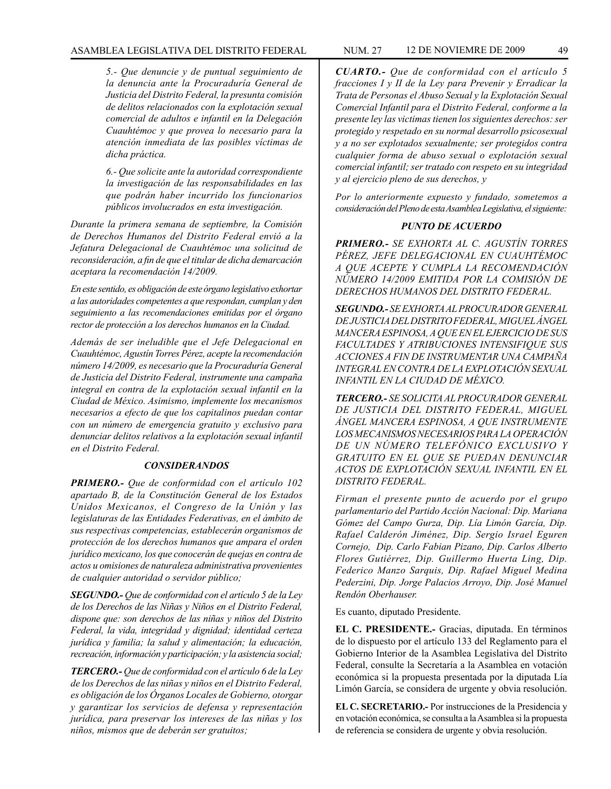*5.- Que denuncie y de puntual seguimiento de la denuncia ante la Procuraduría General de Justicia del Distrito Federal, la presunta comisión de delitos relacionados con la explotación sexual comercial de adultos e infantil en la Delegación Cuauhtémoc y que provea lo necesario para la atención inmediata de las posibles víctimas de dicha práctica.*

*6.- Que solicite ante la autoridad correspondiente la investigación de las responsabilidades en las que podrán haber incurrido los funcionarios públicos involucrados en esta investigación.*

*Durante la primera semana de septiembre, la Comisión de Derechos Humanos del Distrito Federal envió a la Jefatura Delegacional de Cuauhtémoc una solicitud de reconsideración, a fin de que el titular de dicha demarcación aceptara la recomendación 14/2009.*

*En este sentido, es obligación de este órgano legislativo exhortar a las autoridades competentes a que respondan, cumplan y den seguimiento a las recomendaciones emitidas por el órgano rector de protección a los derechos humanos en la Ciudad.*

*Además de ser ineludible que el Jefe Delegacional en Cuauhtémoc, Agustín Torres Pérez, acepte la recomendación número 14/2009, es necesario que la Procuraduría General de Justicia del Distrito Federal, instrumente una campaña integral en contra de la explotación sexual infantil en la Ciudad de México. Asimismo, implemente los mecanismos necesarios a efecto de que los capitalinos puedan contar con un número de emergencia gratuito y exclusivo para denunciar delitos relativos a la explotación sexual infantil en el Distrito Federal.*

#### *CONSIDERANDOS*

*PRIMERO.- Que de conformidad con el artículo 102 apartado B, de la Constitución General de los Estados Unidos Mexicanos, el Congreso de la Unión y las legislaturas de las Entidades Federativas, en el ámbito de sus respectivas competencias, establecerán organismos de protección de los derechos humanos que ampara el orden jurídico mexicano, los que conocerán de quejas en contra de actos u omisiones de naturaleza administrativa provenientes de cualquier autoridad o servidor público;*

*SEGUNDO.- Que de conformidad con el artículo 5 de la Ley de los Derechos de las Niñas y Niños en el Distrito Federal, dispone que: son derechos de las niñas y niños del Distrito Federal, la vida, integridad y dignidad; identidad certeza jurídica y familia; la salud y alimentación; la educación, recreación, información y participación; y la asistencia social;*

*TERCERO.- Que de conformidad con el artículo 6 de la Ley de los Derechos de las niñas y niños en el Distrito Federal, es obligación de los Órganos Locales de Gobierno, otorgar y garantizar los servicios de defensa y representación jurídica, para preservar los intereses de las niñas y los niños, mismos que de deberán ser gratuitos;*

*CUARTO.- Que de conformidad con el artículo 5 fracciones I y II de la Ley para Prevenir y Erradicar la Trata de Personas el Abuso Sexual y la Explotación Sexual Comercial Infantil para el Distrito Federal, conforme a la presente ley las victimas tienen los siguientes derechos: ser protegido y respetado en su normal desarrollo psicosexual y a no ser explotados sexualmente; ser protegidos contra cualquier forma de abuso sexual o explotación sexual comercial infantil; ser tratado con respeto en su integridad y al ejercicio pleno de sus derechos, y*

*Por lo anteriormente expuesto y fundado, sometemos a consideración del Pleno de esta Asamblea Legislativa, el siguiente:*

## *PUNTO DE ACUERDO*

*PRIMERO.- SE EXHORTA AL C. AGUSTÍN TORRES PÉREZ, JEFE DELEGACIONAL EN CUAUHTÉMOC A QUE ACEPTE Y CUMPLA LA RECOMENDACIÓN NÚMERO 14/2009 EMITIDA POR LA COMISIÓN DE DERECHOS HUMANOS DEL DISTRITO FEDERAL.*

*SEGUNDO.- SE EXHORTA AL PROCURADOR GENERAL DE JUSTICIA DEL DISTRITO FEDERAL, MIGUEL ÁNGEL MANCERA ESPINOSA, A QUE EN EL EJERCICIO DE SUS FACULTADES Y ATRIBUCIONES INTENSIFIQUE SUS ACCIONES A FIN DE INSTRUMENTAR UNA CAMPAÑA INTEGRAL EN CONTRA DE LA EXPLOTACIÓN SEXUAL INFANTIL EN LA CIUDAD DE MÉXICO.* 

*TERCERO.- SE SOLICITA AL PROCURADOR GENERAL DE JUSTICIA DEL DISTRITO FEDERAL, MIGUEL ÁNGEL MANCERA ESPINOSA, A QUE INSTRUMENTE LOS MECANISMOS NECESARIOS PARA LA OPERACIÓN DE UN NÚMERO TELEFÓNICO EXCLUSIVO Y GRATUITO EN EL QUE SE PUEDAN DENUNCIAR ACTOS DE EXPLOTACIÓN SEXUAL INFANTIL EN EL DISTRITO FEDERAL.*

*Firman el presente punto de acuerdo por el grupo parlamentario del Partido Acción Nacional: Dip. Mariana Gómez del Campo Gurza, Dip. Lía Limón García, Dip. Rafael Calderón Jiménez, Dip. Sergio Israel Eguren Cornejo, Dip. Carlo Fabian Pizano, Dip. Carlos Alberto Flores Gutiérrez, Dip. Guillermo Huerta Ling, Dip. Federico Manzo Sarquis, Dip. Rafael Miguel Medina Pederzini, Dip. Jorge Palacios Arroyo, Dip. José Manuel Rendón Oberhauser.*

Es cuanto, diputado Presidente.

**EL C. PRESIDENTE.-** Gracias, diputada. En términos de lo dispuesto por el artículo 133 del Reglamento para el Gobierno Interior de la Asamblea Legislativa del Distrito Federal, consulte la Secretaría a la Asamblea en votación económica si la propuesta presentada por la diputada Lía Limón García, se considera de urgente y obvia resolución.

**EL C. SECRETARIO.-** Por instrucciones de la Presidencia y en votación económica, se consulta a la Asamblea si la propuesta de referencia se considera de urgente y obvia resolución.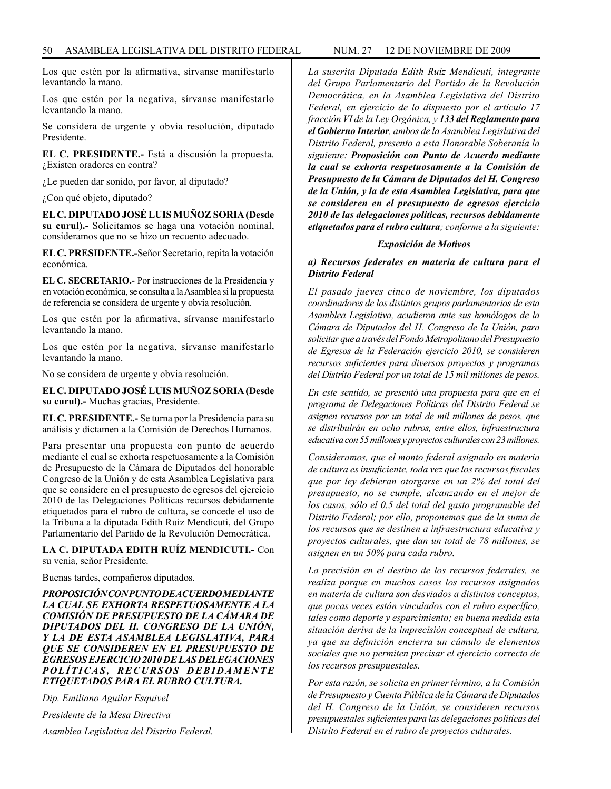Los que estén por la afirmativa, sírvanse manifestarlo levantando la mano.

Los que estén por la negativa, sírvanse manifestarlo levantando la mano.

Se considera de urgente y obvia resolución, diputado Presidente.

**EL C. PRESIDENTE.-** Está a discusión la propuesta. ¿Existen oradores en contra?

¿Le pueden dar sonido, por favor, al diputado?

¿Con qué objeto, diputado?

**EL C. DIPUTADO JOSÉ LUIS MUÑOZ SORIA (Desde su curul).-** Solicitamos se haga una votación nominal, consideramos que no se hizo un recuento adecuado.

**EL C. PRESIDENTE.-**Señor Secretario, repita la votación económica.

**EL C. SECRETARIO.-** Por instrucciones de la Presidencia y en votación económica, se consulta a la Asamblea si la propuesta de referencia se considera de urgente y obvia resolución.

Los que estén por la afirmativa, sírvanse manifestarlo levantando la mano.

Los que estén por la negativa, sírvanse manifestarlo levantando la mano.

No se considera de urgente y obvia resolución.

**EL C. DIPUTADO JOSÉ LUIS MUÑOZ SORIA (Desde su curul).-** Muchas gracias, Presidente.

**EL C. PRESIDENTE.-** Se turna por la Presidencia para su análisis y dictamen a la Comisión de Derechos Humanos.

Para presentar una propuesta con punto de acuerdo mediante el cual se exhorta respetuosamente a la Comisión de Presupuesto de la Cámara de Diputados del honorable Congreso de la Unión y de esta Asamblea Legislativa para que se considere en el presupuesto de egresos del ejercicio 2010 de las Delegaciones Políticas recursos debidamente etiquetados para el rubro de cultura, se concede el uso de la Tribuna a la diputada Edith Ruiz Mendicuti, del Grupo Parlamentario del Partido de la Revolución Democrática.

**LA C. DIPUTADA EDITH RUÍZ MENDICUTI.-** Con su venia, señor Presidente.

Buenas tardes, compañeros diputados.

*PROPOSICIÓN CON PUNTO DE ACUERDO MEDIANTE LA CUAL SE EXHORTA RESPETUOSAMENTE A LA COMISIÓN DE PRESUPUESTO DE LA CÁMARA DE DIPUTADOS DEL H. CONGRESO DE LA UNIÓN, Y LA DE ESTA ASAMBLEA LEGISLATIVA, PARA QUE SE CONSIDEREN EN EL PRESUPUESTO DE EGRESOS EJERCICIO 2010 DE LAS DELEGACIONES P O L Í T I C A S , R E C U R S O S D E B I D A M E N T E ETIQUETADOS PARA EL RUBRO CULTURA.*

*Dip. Emiliano Aguilar Esquivel*

*Presidente de la Mesa Directiva*

*Asamblea Legislativa del Distrito Federal.*

*La suscrita Diputada Edith Ruiz Mendicuti, integrante del Grupo Parlamentario del Partido de la Revolución Democrática, en la Asamblea Legislativa del Distrito Federal, en ejercicio de lo dispuesto por el artículo 17 fracción VI de la Ley Orgánica, y 133 del Reglamento para el Gobierno Interior, ambos de la Asamblea Legislativa del Distrito Federal, presento a esta Honorable Soberanía la siguiente: Proposición con Punto de Acuerdo mediante la cual se exhorta respetuosamente a la Comisión de Presupuesto de la Cámara de Diputados del H. Congreso de la Unión, y la de esta Asamblea Legislativa, para que se consideren en el presupuesto de egresos ejercicio 2010 de las delegaciones políticas, recursos debidamente etiquetados para el rubro cultura; conforme a la siguiente:*

#### *Exposición de Motivos*

## *a) Recursos federales en materia de cultura para el Distrito Federal*

*El pasado jueves cinco de noviembre, los diputados coordinadores de los distintos grupos parlamentarios de esta Asamblea Legislativa, acudieron ante sus homólogos de la Cámara de Diputados del H. Congreso de la Unión, para solicitar que a través del Fondo Metropolitano del Presupuesto de Egresos de la Federación ejercicio 2010, se consideren recursos suficientes para diversos proyectos y programas del Distrito Federal por un total de 15 mil millones de pesos.*

*En este sentido, se presentó una propuesta para que en el programa de Delegaciones Políticas del Distrito Federal se asignen recursos por un total de mil millones de pesos, que se distribuirán en ocho rubros, entre ellos, infraestructura educativa con 55 millones y proyectos culturales con 23 millones.* 

*Consideramos, que el monto federal asignado en materia de cultura es insuficiente, toda vez que los recursos fiscales que por ley debieran otorgarse en un 2% del total del presupuesto, no se cumple, alcanzando en el mejor de los casos, sólo el 0.5 del total del gasto programable del Distrito Federal; por ello, proponemos que de la suma de los recursos que se destinen a infraestructura educativa y proyectos culturales, que dan un total de 78 millones, se asignen en un 50% para cada rubro.*

*La precisión en el destino de los recursos federales, se realiza porque en muchos casos los recursos asignados en materia de cultura son desviados a distintos conceptos, que pocas veces están vinculados con el rubro específico, tales como deporte y esparcimiento; en buena medida esta situación deriva de la imprecisión conceptual de cultura, ya que su definición encierra un cúmulo de elementos sociales que no permiten precisar el ejercicio correcto de los recursos presupuestales.*

*Por esta razón, se solicita en primer término, a la Comisión de Presupuesto y Cuenta Pública de la Cámara de Diputados del H. Congreso de la Unión, se consideren recursos presupuestales suficientes para las delegaciones políticas del Distrito Federal en el rubro de proyectos culturales.*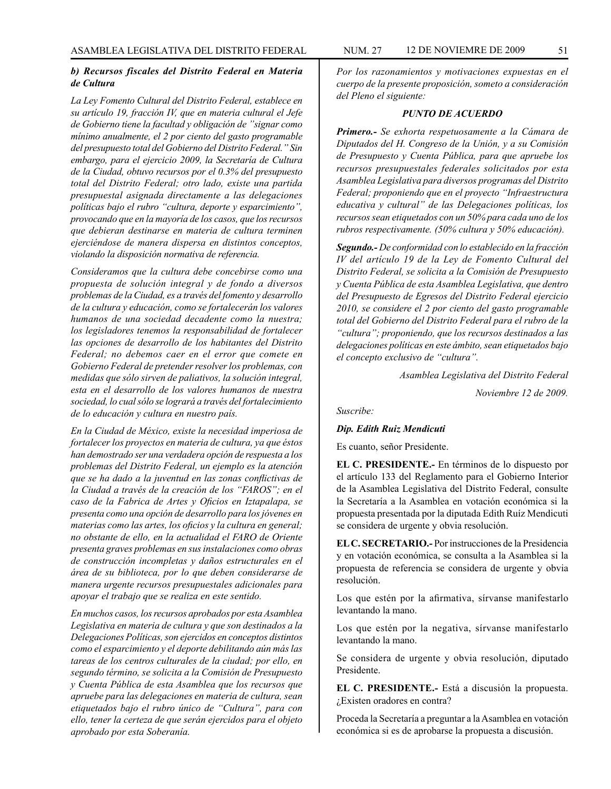## *b) Recursos fiscales del Distrito Federal en Materia de Cultura*

*La Ley Fomento Cultural del Distrito Federal, establece en su artículo 19, fracción IV, que en materia cultural el Jefe de Gobierno tiene la facultad y obligación de "signar como mínimo anualmente, el 2 por ciento del gasto programable del presupuesto total del Gobierno del Distrito Federal." Sin embargo, para el ejercicio 2009, la Secretaría de Cultura de la Ciudad, obtuvo recursos por el 0.3% del presupuesto total del Distrito Federal; otro lado, existe una partida presupuestal asignada directamente a las delegaciones políticas bajo el rubro "cultura, deporte y esparcimiento", provocando que en la mayoría de los casos, que los recursos que debieran destinarse en materia de cultura terminen ejerciéndose de manera dispersa en distintos conceptos, violando la disposición normativa de referencia.*

*Consideramos que la cultura debe concebirse como una propuesta de solución integral y de fondo a diversos problemas de la Ciudad, es a través del fomento y desarrollo de la cultura y educación, como se fortalecerán los valores humanos de una sociedad decadente como la nuestra; los legisladores tenemos la responsabilidad de fortalecer las opciones de desarrollo de los habitantes del Distrito Federal; no debemos caer en el error que comete en Gobierno Federal de pretender resolver los problemas, con medidas que sólo sirven de paliativos, la solución integral, esta en el desarrollo de los valores humanos de nuestra sociedad, lo cual sólo se logrará a través del fortalecimiento de lo educación y cultura en nuestro país.*

*En la Ciudad de México, existe la necesidad imperiosa de fortalecer los proyectos en materia de cultura, ya que éstos han demostrado ser una verdadera opción de respuesta a los problemas del Distrito Federal, un ejemplo es la atención que se ha dado a la juventud en las zonas conflictivas de la Ciudad a través de la creación de los "FAROS"; en el caso de la Fabrica de Artes y Oficios en Iztapalapa, se presenta como una opción de desarrollo para los jóvenes en materias como las artes, los oficios y la cultura en general; no obstante de ello, en la actualidad el FARO de Oriente presenta graves problemas en sus instalaciones como obras de construcción incompletas y daños estructurales en el área de su biblioteca, por lo que deben considerarse de manera urgente recursos presupuestales adicionales para apoyar el trabajo que se realiza en este sentido.*

*En muchos casos, los recursos aprobados por esta Asamblea Legislativa en materia de cultura y que son destinados a la Delegaciones Políticas, son ejercidos en conceptos distintos como el esparcimiento y el deporte debilitando aún más las tareas de los centros culturales de la ciudad; por ello, en segundo término, se solicita a la Comisión de Presupuesto y Cuenta Pública de esta Asamblea que los recursos que apruebe para las delegaciones en materia de cultura, sean etiquetados bajo el rubro único de "Cultura", para con ello, tener la certeza de que serán ejercidos para el objeto aprobado por esta Soberanía.*

*Por los razonamientos y motivaciones expuestas en el cuerpo de la presente proposición, someto a consideración del Pleno el siguiente:*

### *PUNTO DE ACUERDO*

*Primero.- Se exhorta respetuosamente a la Cámara de Diputados del H. Congreso de la Unión, y a su Comisión de Presupuesto y Cuenta Pública, para que apruebe los recursos presupuestales federales solicitados por esta Asamblea Legislativa para diversos programas del Distrito Federal; proponiendo que en el proyecto "Infraestructura educativa y cultural" de las Delegaciones políticas, los recursos sean etiquetados con un 50% para cada uno de los rubros respectivamente. (50% cultura y 50% educación).*

*Segundo.- De conformidad con lo establecido en la fracción IV del artículo 19 de la Ley de Fomento Cultural del Distrito Federal, se solicita a la Comisión de Presupuesto y Cuenta Pública de esta Asamblea Legislativa, que dentro del Presupuesto de Egresos del Distrito Federal ejercicio 2010, se considere el 2 por ciento del gasto programable total del Gobierno del Distrito Federal para el rubro de la "cultura"; proponiendo, que los recursos destinados a las delegaciones políticas en este ámbito, sean etiquetados bajo el concepto exclusivo de "cultura".*

*Asamblea Legislativa del Distrito Federal*

*Noviembre 12 de 2009.*

*Suscribe:*

#### *Dip. Edith Ruiz Mendicuti*

Es cuanto, señor Presidente.

**EL C. PRESIDENTE.-** En términos de lo dispuesto por el artículo 133 del Reglamento para el Gobierno Interior de la Asamblea Legislativa del Distrito Federal, consulte la Secretaría a la Asamblea en votación económica si la propuesta presentada por la diputada Edith Ruíz Mendicuti se considera de urgente y obvia resolución.

**EL C. SECRETARIO.-** Por instrucciones de la Presidencia y en votación económica, se consulta a la Asamblea si la propuesta de referencia se considera de urgente y obvia resolución.

Los que estén por la afirmativa, sírvanse manifestarlo levantando la mano.

Los que estén por la negativa, sírvanse manifestarlo levantando la mano.

Se considera de urgente y obvia resolución, diputado Presidente.

**EL C. PRESIDENTE.-** Está a discusión la propuesta. ¿Existen oradores en contra?

Proceda la Secretaría a preguntar a la Asamblea en votación económica si es de aprobarse la propuesta a discusión.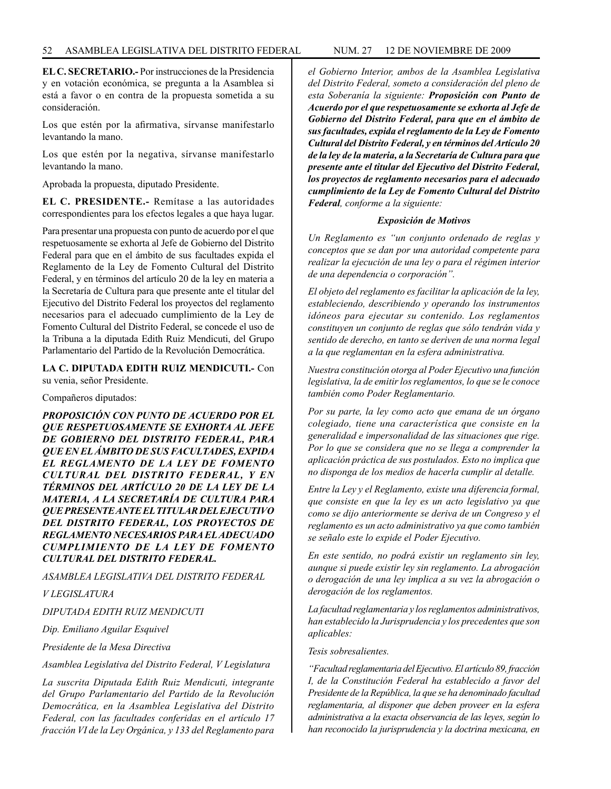**EL C. SECRETARIO.-** Por instrucciones de la Presidencia y en votación económica, se pregunta a la Asamblea si está a favor o en contra de la propuesta sometida a su consideración.

Los que estén por la afirmativa, sírvanse manifestarlo levantando la mano.

Los que estén por la negativa, sírvanse manifestarlo levantando la mano.

Aprobada la propuesta, diputado Presidente.

**EL C. PRESIDENTE.-** Remítase a las autoridades correspondientes para los efectos legales a que haya lugar.

Para presentar una propuesta con punto de acuerdo por el que respetuosamente se exhorta al Jefe de Gobierno del Distrito Federal para que en el ámbito de sus facultades expida el Reglamento de la Ley de Fomento Cultural del Distrito Federal, y en términos del artículo 20 de la ley en materia a la Secretaría de Cultura para que presente ante el titular del Ejecutivo del Distrito Federal los proyectos del reglamento necesarios para el adecuado cumplimiento de la Ley de Fomento Cultural del Distrito Federal, se concede el uso de la Tribuna a la diputada Edith Ruiz Mendicuti, del Grupo Parlamentario del Partido de la Revolución Democrática.

**LA C. DIPUTADA EDITH RUIZ MENDICUTI.-** Con su venia, señor Presidente.

Compañeros diputados:

*PROPOSICIÓN CON PUNTO DE ACUERDO POR EL QUE RESPETUOSAMENTE SE EXHORTA AL JEFE DE GOBIERNO DEL DISTRITO FEDERAL, PARA QUE EN EL ÁMBITO DE SUS FACULTADES, EXPIDA EL REGLAMENTO DE LA LEY DE FOMENTO CULTURAL DEL DISTRITO FEDERAL, Y EN TÉRMINOS DEL ARTÍCULO 20 DE LA LEY DE LA MATERIA, A LA SECRETARÍA DE CULTURA PARA QUE PRESENTE ANTE EL TITULAR DEL EJECUTIVO DEL DISTRITO FEDERAL, LOS PROYECTOS DE REGLAMENTO NECESARIOS PARA EL ADECUADO CUMPLIMIENTO DE LA LEY DE FOMENTO CULTURAL DEL DISTRITO FEDERAL.*

*ASAMBLEA LEGISLATIVA DEL DISTRITO FEDERAL*

*V LEGISLATURA*

*DIPUTADA EDITH RUIZ MENDICUTI*

*Dip. Emiliano Aguilar Esquivel*

*Presidente de la Mesa Directiva*

*Asamblea Legislativa del Distrito Federal, V Legislatura*

*La suscrita Diputada Edith Ruiz Mendicuti, integrante del Grupo Parlamentario del Partido de la Revolución Democrática, en la Asamblea Legislativa del Distrito Federal, con las facultades conferidas en el artículo 17 fracción VI de la Ley Orgánica, y 133 del Reglamento para*  *el Gobierno Interior, ambos de la Asamblea Legislativa del Distrito Federal, someto a consideración del pleno de esta Soberanía la siguiente: Proposición con Punto de Acuerdo por el que respetuosamente se exhorta al Jefe de Gobierno del Distrito Federal, para que en el ámbito de sus facultades, expida el reglamento de la Ley de Fomento Cultural del Distrito Federal, y en términos del Artículo 20 de la ley de la materia, a la Secretaría de Cultura para que presente ante el titular del Ejecutivo del Distrito Federal, los proyectos de reglamento necesarios para el adecuado cumplimiento de la Ley de Fomento Cultural del Distrito Federal, conforme a la siguiente:* 

#### *Exposición de Motivos*

*Un Reglamento es "un conjunto ordenado de reglas y conceptos que se dan por una autoridad competente para realizar la ejecución de una ley o para el régimen interior de una dependencia o corporación".*

*El objeto del reglamento es facilitar la aplicación de la ley, estableciendo, describiendo y operando los instrumentos idóneos para ejecutar su contenido. Los reglamentos constituyen un conjunto de reglas que sólo tendrán vida y sentido de derecho, en tanto se deriven de una norma legal a la que reglamentan en la esfera administrativa.*

*Nuestra constitución otorga al Poder Ejecutivo una función legislativa, la de emitir los reglamentos, lo que se le conoce también como Poder Reglamentario.*

*Por su parte, la ley como acto que emana de un órgano colegiado, tiene una característica que consiste en la generalidad e impersonalidad de las situaciones que rige. Por lo que se considera que no se llega a comprender la aplicación práctica de sus postulados. Esto no implica que no disponga de los medios de hacerla cumplir al detalle.*

*Entre la Ley y el Reglamento, existe una diferencia formal, que consiste en que la ley es un acto legislativo ya que como se dijo anteriormente se deriva de un Congreso y el reglamento es un acto administrativo ya que como también se señalo este lo expide el Poder Ejecutivo.*

*En este sentido, no podrá existir un reglamento sin ley, aunque si puede existir ley sin reglamento. La abrogación o derogación de una ley implica a su vez la abrogación o derogación de los reglamentos.*

*La facultad reglamentaria y los reglamentos administrativos, han establecido la Jurisprudencia y los precedentes que son aplicables:*

*Tesis sobresalientes.*

*"Facultad reglamentaria del Ejecutivo. El artículo 89, fracción I, de la Constitución Federal ha establecido a favor del Presidente de la República, la que se ha denominado facultad reglamentaria, al disponer que deben proveer en la esfera administrativa a la exacta observancia de las leyes, según lo han reconocido la jurisprudencia y la doctrina mexicana, en*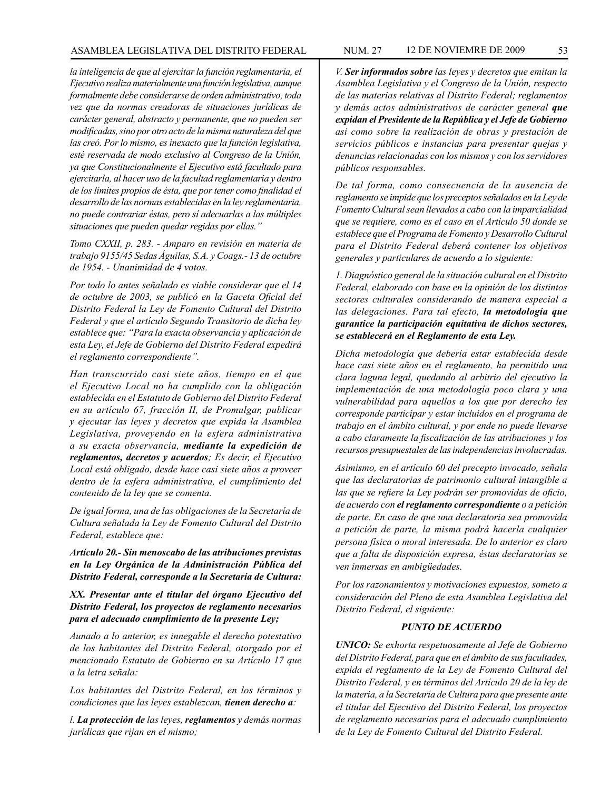*la inteligencia de que al ejercitar la función reglamentaria, el Ejecutivo realiza materialmente una función legislativa, aunque formalmente debe considerarse de orden administrativo, toda vez que da normas creadoras de situaciones jurídicas de carácter general, abstracto y permanente, que no pueden ser modificadas, sino por otro acto de la misma naturaleza del que las creó. Por lo mismo, es inexacto que la función legislativa, esté reservada de modo exclusivo al Congreso de la Unión, ya que Constitucionalmente el Ejecutivo está facultado para ejercitarla, al hacer uso de la facultad reglamentaria y dentro de los límites propios de ésta, que por tener como finalidad el desarrollo de las normas establecidas en la ley reglamentaria, no puede contrariar éstas, pero sí adecuarlas a las múltiples situaciones que pueden quedar regidas por ellas."*

*Tomo CXXII, p. 283. - Amparo en revisión en materia de trabajo 9155/45 Sedas Águilas, S.A. y Coags.- 13 de octubre de 1954. - Unanimidad de 4 votos.*

*Por todo lo antes señalado es viable considerar que el 14 de octubre de 2003, se publicó en la Gaceta Oficial del Distrito Federal la Ley de Fomento Cultural del Distrito Federal y que el artículo Segundo Transitorio de dicha ley establece que: "Para la exacta observancia y aplicación de esta Ley, el Jefe de Gobierno del Distrito Federal expedirá el reglamento correspondiente".*

*Han transcurrido casi siete años, tiempo en el que el Ejecutivo Local no ha cumplido con la obligación establecida en el Estatuto de Gobierno del Distrito Federal en su artículo 67, fracción II, de Promulgar, publicar y ejecutar las leyes y decretos que expida la Asamblea Legislativa, proveyendo en la esfera administrativa a su exacta observancia, mediante la expedición de reglamentos, decretos y acuerdos; Es decir, el Ejecutivo Local está obligado, desde hace casi siete años a proveer dentro de la esfera administrativa, el cumplimiento del contenido de la ley que se comenta.*

*De igual forma, una de las obligaciones de la Secretaría de Cultura señalada la Ley de Fomento Cultural del Distrito Federal, establece que:*

*Artículo 20.- Sin menoscabo de las atribuciones previstas en la Ley Orgánica de la Administración Pública del Distrito Federal, corresponde a la Secretaría de Cultura:*

*XX. Presentar ante el titular del órgano Ejecutivo del Distrito Federal, los proyectos de reglamento necesarios para el adecuado cumplimiento de la presente Ley;*

*Aunado a lo anterior, es innegable el derecho potestativo de los habitantes del Distrito Federal, otorgado por el mencionado Estatuto de Gobierno en su Artículo 17 que a la letra señala:*

*Los habitantes del Distrito Federal, en los términos y condiciones que las leyes establezcan, tienen derecho a:*

*l. La protección de las leyes, reglamentos y demás normas jurídicas que rijan en el mismo;*

*V. Ser informados sobre las leyes y decretos que emitan la Asamblea Legislativa y el Congreso de la Unión, respecto de las materias relativas al Distrito Federal; reglamentos y demás actos administrativos de carácter general que expidan el Presidente de la República y el Jefe de Gobierno así como sobre la realización de obras y prestación de servicios públicos e instancias para presentar quejas y denuncias relacionadas con los mismos y con los servidores públicos responsables.*

*De tal forma, como consecuencia de la ausencia de reglamento se impide que los preceptos señalados en la Ley de Fomento Cultural sean llevados a cabo con la imparcialidad que se requiere, como es el caso en el Artículo 50 donde se establece que el Programa de Fomento y Desarrollo Cultural para el Distrito Federal deberá contener los objetivos generales y particulares de acuerdo a lo siguiente:*

*1. Diagnóstico general de la situación cultural en el Distrito Federal, elaborado con base en la opinión de los distintos sectores culturales considerando de manera especial a las delegaciones. Para tal efecto, la metodología que garantice la participación equitativa de dichos sectores, se establecerá en el Reglamento de esta Ley.*

*Dicha metodología que debería estar establecida desde hace casi siete años en el reglamento, ha permitido una clara laguna legal, quedando al arbitrio del ejecutivo la implementación de una metodología poco clara y una vulnerabilidad para aquellos a los que por derecho les corresponde participar y estar incluidos en el programa de trabajo en el ámbito cultural, y por ende no puede llevarse a cabo claramente la fiscalización de las atribuciones y los recursos presupuestales de las independencias involucradas.*

*Asimismo, en el artículo 60 del precepto invocado, señala que las declaratorias de patrimonio cultural intangible a las que se refiere la Ley podrán ser promovidas de oficio, de acuerdo con el reglamento correspondiente o a petición de parte. En caso de que una declaratoria sea promovida a petición de parte, la misma podrá hacerla cualquier persona física o moral interesada. De lo anterior es claro que a falta de disposición expresa, éstas declaratorias se ven inmersas en ambigüedades.* 

*Por los razonamientos y motivaciones expuestos, someto a consideración del Pleno de esta Asamblea Legislativa del Distrito Federal, el siguiente:*

## *PUNTO DE ACUERDO*

*UNICO: Se exhorta respetuosamente al Jefe de Gobierno del Distrito Federal, para que en el ámbito de sus facultades, expida el reglamento de la Ley de Fomento Cultural del Distrito Federal, y en términos del Artículo 20 de la ley de la materia, a la Secretaría de Cultura para que presente ante el titular del Ejecutivo del Distrito Federal, los proyectos de reglamento necesarios para el adecuado cumplimiento de la Ley de Fomento Cultural del Distrito Federal.*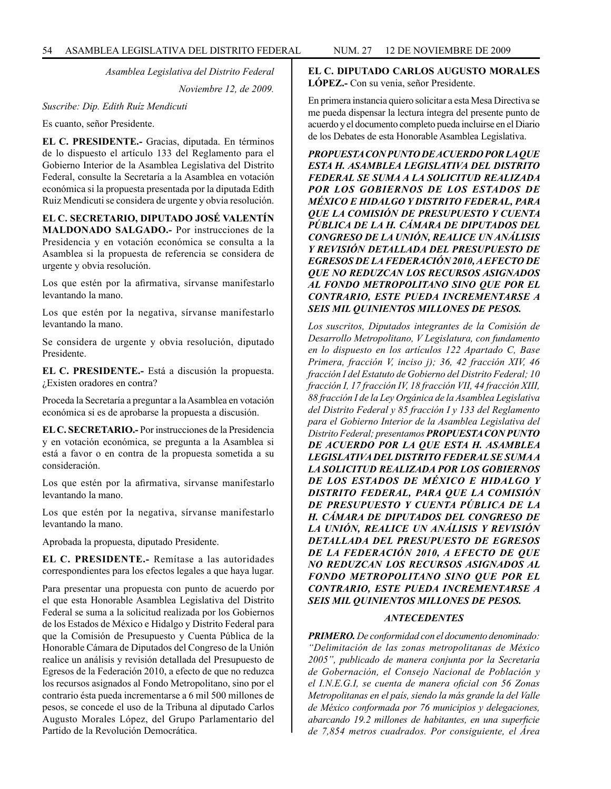*Asamblea Legislativa del Distrito Federal Noviembre 12, de 2009.*

*Suscribe: Dip. Edith Ruíz Mendicuti*

Es cuanto, señor Presidente.

**EL C. PRESIDENTE.-** Gracias, diputada. En términos de lo dispuesto el artículo 133 del Reglamento para el Gobierno Interior de la Asamblea Legislativa del Distrito Federal, consulte la Secretaría a la Asamblea en votación económica si la propuesta presentada por la diputada Edith Ruiz Mendicuti se considera de urgente y obvia resolución.

**EL C. SECRETARIO, DIPUTADO JOSÉ VALENTÍN MALDONADO SALGADO.-** Por instrucciones de la Presidencia y en votación económica se consulta a la Asamblea si la propuesta de referencia se considera de urgente y obvia resolución.

Los que estén por la afirmativa, sírvanse manifestarlo levantando la mano.

Los que estén por la negativa, sírvanse manifestarlo levantando la mano.

Se considera de urgente y obvia resolución, diputado Presidente.

**EL C. PRESIDENTE.-** Está a discusión la propuesta. ¿Existen oradores en contra?

Proceda la Secretaría a preguntar a la Asamblea en votación económica si es de aprobarse la propuesta a discusión.

**EL C. SECRETARIO.-** Por instrucciones de la Presidencia y en votación económica, se pregunta a la Asamblea si está a favor o en contra de la propuesta sometida a su consideración.

Los que estén por la afirmativa, sírvanse manifestarlo levantando la mano.

Los que estén por la negativa, sírvanse manifestarlo levantando la mano.

Aprobada la propuesta, diputado Presidente.

**EL C. PRESIDENTE.-** Remítase a las autoridades correspondientes para los efectos legales a que haya lugar.

Para presentar una propuesta con punto de acuerdo por el que esta Honorable Asamblea Legislativa del Distrito Federal se suma a la solicitud realizada por los Gobiernos de los Estados de México e Hidalgo y Distrito Federal para que la Comisión de Presupuesto y Cuenta Pública de la Honorable Cámara de Diputados del Congreso de la Unión realice un análisis y revisión detallada del Presupuesto de Egresos de la Federación 2010, a efecto de que no reduzca los recursos asignados al Fondo Metropolitano, sino por el contrario ésta pueda incrementarse a 6 mil 500 millones de pesos, se concede el uso de la Tribuna al diputado Carlos Augusto Morales López, del Grupo Parlamentario del Partido de la Revolución Democrática.

**EL C. DIPUTADO CARLOS AUGUSTO MORALES LÓPEZ.-** Con su venia, señor Presidente.

En primera instancia quiero solicitar a esta Mesa Directiva se me pueda dispensar la lectura íntegra del presente punto de acuerdo y el documento completo pueda incluirse en el Diario de los Debates de esta Honorable Asamblea Legislativa.

*PROPUESTA CON PUNTO DE ACUERDO POR LA QUE ESTA H. ASAMBLEA LEGISLATIVA DEL DISTRITO FEDERAL SE SUMA A LA SOLICITUD REALIZADA POR LOS GOBIERNOS DE LOS ESTADOS DE MÉXICO E HIDALGO Y DISTRITO FEDERAL, PARA QUE LA COMISIÓN DE PRESUPUESTO Y CUENTA PÚBLICA DE LA H. CÁMARA DE DIPUTADOS DEL CONGRESO DE LA UNIÓN, REALICE UN ANÁLISIS Y REVISIÓN DETALLADA DEL PRESUPUESTO DE EGRESOS DE LA FEDERACIÓN 2010, A EFECTO DE QUE NO REDUZCAN LOS RECURSOS ASIGNADOS AL FONDO METROPOLITANO SINO QUE POR EL CONTRARIO, ESTE PUEDA INCREMENTARSE A SEIS MIL QUINIENTOS MILLONES DE PESOS.*

*Los suscritos, Diputados integrantes de la Comisión de Desarrollo Metropolitano, V Legislatura, con fundamento en lo dispuesto en los artículos 122 Apartado C, Base Primera, fracción V, inciso j); 36, 42 fracción XIV, 46 fracción I del Estatuto de Gobierno del Distrito Federal; 10 fracción I, 17 fracción IV, 18 fracción VII, 44 fracción XIII, 88 fracción I de la Ley Orgánica de la Asamblea Legislativa del Distrito Federal y 85 fracción I y 133 del Reglamento para el Gobierno Interior de la Asamblea Legislativa del Distrito Federal; presentamos PROPUESTA CON PUNTO DE ACUERDO POR LA QUE ESTA H. ASAMBLEA LEGISLATIVA DEL DISTRITO FEDERAL SE SUMA A LA SOLICITUD REALIZADA POR LOS GOBIERNOS DE LOS ESTADOS DE MÉXICO E HIDALGO Y DISTRITO FEDERAL, PARA QUE LA COMISIÓN DE PRESUPUESTO Y CUENTA PÚBLICA DE LA H. CÁMARA DE DIPUTADOS DEL CONGRESO DE LA UNIÓN, REALICE UN ANÁLISIS Y REVISIÓN DETALLADA DEL PRESUPUESTO DE EGRESOS DE LA FEDERACIÓN 2010, A EFECTO DE QUE NO REDUZCAN LOS RECURSOS ASIGNADOS AL FONDO METROPOLITANO SINO QUE POR EL CONTRARIO, ESTE PUEDA INCREMENTARSE A SEIS MIL QUINIENTOS MILLONES DE PESOS.*

## *ANTECEDENTES*

*PRIMERO. De conformidad con el documento denominado: "Delimitación de las zonas metropolitanas de México 2005", publicado de manera conjunta por la Secretaría de Gobernación, el Consejo Nacional de Población y el I.N.E.G.I, se cuenta de manera oficial con 56 Zonas Metropolitanas en el país, siendo la más grande la del Valle de México conformada por 76 municipios y delegaciones, abarcando 19.2 millones de habitantes, en una superficie de 7,854 metros cuadrados. Por consiguiente, el Área*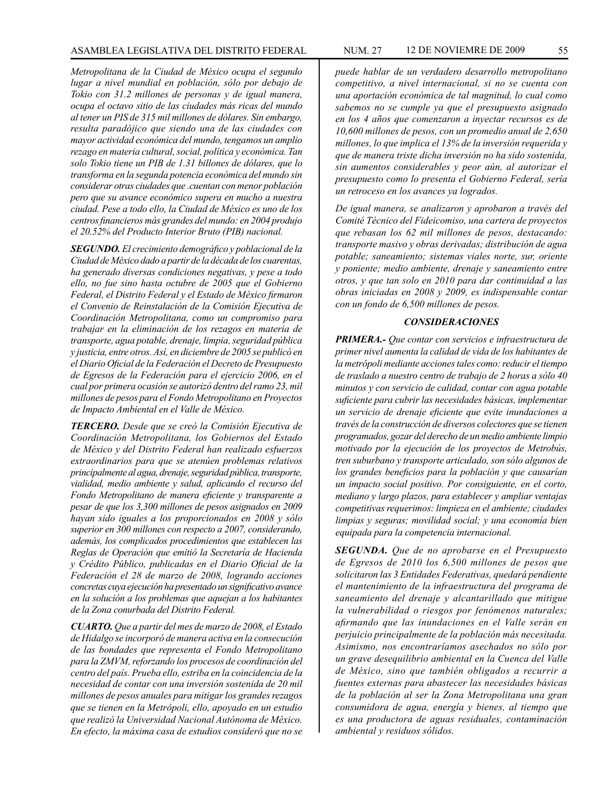*Metropolitana de la Ciudad de México ocupa el segundo lugar a nivel mundial en población, sólo por debajo de Tokio con 31.2 millones de personas y de igual manera, ocupa el octavo sitio de las ciudades más ricas del mundo al tener un PIS de 315 mil millones de dólares. Sin embargo, resulta paradójico que siendo una de las ciudades con mayor actividad económica del mundo, tengamos un amplio rezago en materia cultural, social, política y económica. Tan solo Tokio tiene un PIB de 1.31 billones de dólares, que lo transforma en la segunda potencia económica del mundo sin considerar otras ciudades que .cuentan con menor población pero que su avance económico supera en mucho a nuestra ciudad. Pese a todo ello, la Ciudad de México es uno de los centros financieros más grandes del mundo: en 2004 produjo el 20.52% del Producto Interior Bruto (PIB) nacional.*

*SEGUNDO. El crecimiento demográfico y poblacional de la Ciudad de México dado a partir de la década de los cuarentas, ha generado diversas condiciones negativas, y pese a todo ello, no fue sino hasta octubre de 2005 que el Gobierno Federal, el Distrito Federal y el Estado de México firmaron el Convenio de Reinstalación de la Comisión Ejecutiva de Coordinación Metropolitana, como un compromiso para trabajar en la eliminación de los rezagos en materia de transporte, agua potable, drenaje, limpia, seguridad pública y justicia, entre otros. Así, en diciembre de 2005 se publicó en el Diario Oficial de la Federación el Decreto de Presupuesto de Egresos de la Federación para el ejercicio 2006, en el cual por primera ocasión se autorizó dentro del ramo 23, mil millones de pesos para el Fondo Metropolitano en Proyectos de Impacto Ambiental en el Valle de México.*

*TERCERO. Desde que se creó la Comisión Ejecutiva de Coordinación Metropolitana, los Gobiernos del Estado de México y del Distrito Federal han realizado esfuerzos extraordinarios para que se atenúen problemas relativos principalmente al agua, drenaje, seguridad pública, transporte, vialidad, medio ambiente y salud, aplicando el recurso del Fondo Metropolitano de manera eficiente y transparente a pesar de que los 3,300 millones de pesos asignados en 2009 hayan sido iguales a los proporcionados en 2008 y sólo superior en 300 millones con respecto a 2007, considerando, además, los complicados procedimientos que establecen las Reglas de Operación que emitió la Secretaría de Hacienda y Crédito Público, publicadas en el Diario Oficial de la Federación el 28 de marzo de 2008, logrando acciones concretas cuya ejecución ha presentado un significativo avance en la solución a los problemas que aquejan a los habitantes de la Zona conurbada del Distrito Federal.*

*CUARTO. Que a partir del mes de marzo de 2008, el Estado de Hidalgo se incorporó de manera activa en la consecución de las bondades que representa el Fondo Metropolitano para la ZMVM, reforzando los procesos de coordinación del centro del país. Prueba ello, estriba en la coincidencia de la necesidad de contar con una inversión sostenida de 20 mil millones de pesos anuales para mitigar los grandes rezagos que se tienen en la Metrópoli, ello, apoyado en un estudio que realizó la Universidad Nacional Autónoma de México. En efecto, la máxima casa de estudios consideró que no se* 

*puede hablar de un verdadero desarrollo metropolitano competitivo, a nivel internacional, si no se cuenta con una aportación económica de tal magnitud, lo cual como sabemos no se cumple ya que el presupuesto asignado en los 4 años que comenzaron a inyectar recursos es de 10,600 millones de pesos, con un promedio anual de 2,650 millones, lo que implica el 13% de la inversión requerida y que de manera triste dicha inversión no ha sido sostenida, sin aumentos considerables y peor aún, al autorizar el presupuesto como lo presenta el Gobierno Federal, sería un retroceso en los avances ya logrados.*

*De igual manera, se analizaron y aprobaron a través del Comité Técnico del Fideicomiso, una cartera de proyectos que rebasan los 62 mil millones de pesos, destacando: transporte masivo y obras derivadas; distribución de agua potable; saneamiento; sistemas viales norte, sur, oriente y poniente; medio ambiente, drenaje y saneamiento entre otros, y que tan solo en 2010 para dar continuidad a las obras iniciadas en 2008 y 2009, es indispensable contar con un fondo de 6,500 millones de pesos.*

#### *CONSIDERACIONES*

*PRIMERA.- Que contar con servicios e infraestructura de primer nivel aumenta la calidad de vida de los habitantes de la metrópoli mediante acciones tales como: reducir el tiempo de traslado a nuestro centro de trabajo de 2 horas a sólo 40 minutos y con servicio de calidad, contar con agua potable suficiente para cubrir las necesidades básicas, implementar un servicio de drenaje eficiente que evite inundaciones a través de la construcción de diversos colectores que se tienen programados, gozar del derecho de un medio ambiente limpio motivado por la ejecución de los proyectos de Metrobús, tren suburbano y transporte articulado, son sólo algunos de los grandes beneficios para la población y que causarían un impacto social positivo. Por consiguiente, en el corto, mediano y largo plazos, para establecer y ampliar ventajas competitivas requerimos: limpieza en el ambiente; ciudades limpias y seguras; movilidad social; y una economía bien equipada para la competencia internacional.*

*SEGUNDA. Que de no aprobarse en el Presupuesto de Egresos de 2010 los 6,500 millones de pesos que solicitaron las 3 Entidades Federativas, quedará pendiente el mantenimiento de la infraestructura del programa de saneamiento del drenaje y alcantarillado que mitigue la vulnerabilidad o riesgos por fenómenos naturales; afirmando que las inundaciones en el Valle serán en perjuicio principalmente de la población más necesitada. Asimismo, nos encontraríamos asechados no sólo por un grave desequilibrio ambiental en la Cuenca del Valle de México, sino que también obligados a recurrir a fuentes externas para abastecer las necesidades básicas de la población al ser la Zona Metropolitana una gran consumidora de agua, energía y bienes, al tiempo que es una productora de aguas residuales, contaminación ambiental y residuos sólidos.*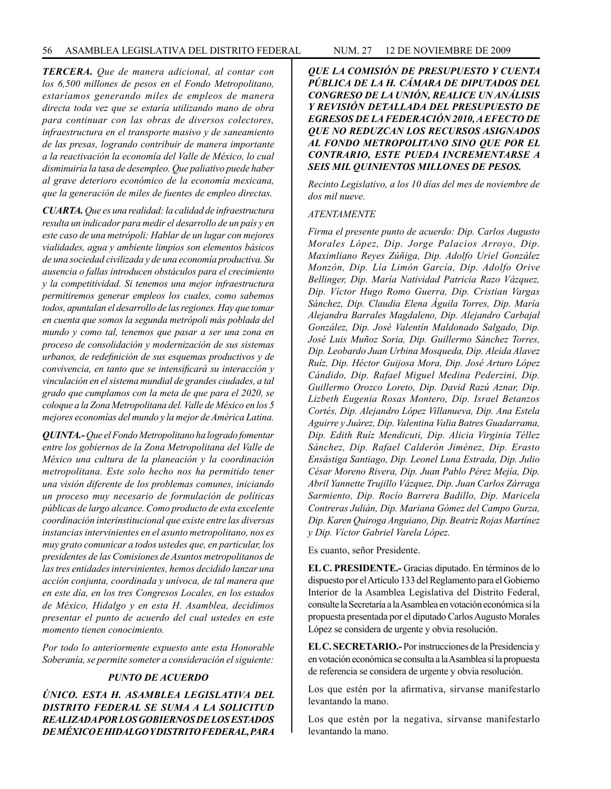*TERCERA. Que de manera adicional, al contar con los 6,500 millones de pesos en el Fondo Metropolitano, estaríamos generando miles de empleos de manera directa toda vez que se estaría utilizando mano de obra para continuar con las obras de diversos colectores, infraestructura en el transporte masivo y de saneamiento de las presas, logrando contribuir de manera importante a la reactivación la economía del Valle de México, lo cual disminuiría la tasa de desempleo. Que paliativo puede haber al grave deterioro económico de la economía mexicana, que la generación de miles de fuentes de empleo directas.*

*CUARTA. Que es una realidad: la calidad de infraestructura resulta un indicador para medir el desarrollo de un país y en este caso de una metrópoli: Hablar de un lugar con mejores vialidades, agua y ambiente limpios son elementos básicos de una sociedad civilizada y de una economía productiva. Su ausencia o fallas introducen obstáculos para el crecimiento y la competitividad. Si tenemos una mejor infraestructura permitiremos generar empleos los cuales, como sabemos todos, apuntalan el desarrollo de las regiones. Hay que tomar en cuenta que somos la segunda metrópoli más poblada del mundo y como tal, tenemos que pasar a ser una zona en proceso de consolidación y modernización de sus sistemas urbanos, de redefinición de sus esquemas productivos y de convivencia, en tanto que se intensificará su interacción y vinculación en el sistema mundial de grandes ciudades, a tal grado que cumplamos con la meta de que para el 2020, se coloque a la Zona Metropolitana del. Valle de México en los 5 mejores economías del mundo y la mejor de América Latina.*

*QUINTA.- Que el Fondo Metropolitano ha logrado fomentar entre los gobiernos de la Zona Metropolitana del Valle de México una cultura de la planeación y la coordinación metropolitana. Este solo hecho nos ha permitido tener una visión diferente de los problemas comunes, iniciando un proceso muy necesario de formulación de políticas públicas de largo alcance. Como producto de esta excelente coordinación interinstitucional que existe entre las diversas instancias intervinientes en el asunto metropolitano, nos es muy grato comunicar a todos ustedes que, en particular, los presidentes de las Comisiones de Asuntos metropolitanos de las tres entidades intervinientes, hemos decidido lanzar una acción conjunta, coordinada y unívoca, de tal manera que en este día, en los tres Congresos Locales, en los estados de México, Hidalgo y en esta H. Asamblea, decidimos presentar el punto de acuerdo del cual ustedes en este momento tienen conocimiento.*

*Por todo lo anteriormente expuesto ante esta Honorable Soberanía, se permite someter a consideración el siguiente:* 

#### *PUNTO DE ACUERDO*

*ÚNICO. ESTA H. ASAMBLEA LEGISLATIVA DEL DISTRITO FEDERAL SE SUMA A LA SOLICITUD REALIZADA POR LOS GOBIERNOS DE LOS ESTADOS DE MÉXICO E HIDALGO Y DISTRITO FEDERAL, PARA* 

*QUE LA COMISIÓN DE PRESUPUESTO Y CUENTA PÚBLICA DE LA H. CÁMARA DE DIPUTADOS DEL CONGRESO DE LA UNIÓN, REALICE UN ANÁLISIS Y REVISIÓN DETALLADA DEL PRESUPUESTO DE EGRESOS DE LA FEDERACIÓN 2010, A EFECTO DE QUE NO REDUZCAN LOS RECURSOS ASIGNADOS AL FONDO METROPOLITANO SINO QUE POR EL CONTRARIO, ESTE PUEDA INCREMENTARSE A SEIS MIL QUINIENTOS MILLONES DE PESOS.*

*Recinto Legislativo, a los 10 días del mes de noviembre de dos mil nueve.*

#### *ATENTAMENTE*

*Firma el presente punto de acuerdo: Dip. Carlos Augusto Morales López, Dip. Jorge Palacios Arroyo, Dip. Maximliano Reyes Zúñiga, Dip. Adolfo Uriel González Monzón, Dip. Lía Limón García, Dip. Adolfo Orive Bellinger, Dip. María Natividad Patricia Razo Vázquez, Dip. Víctor Hugo Romo Guerra, Dip. Cristian Vargas Sánchez, Dip. Claudia Elena Águila Torres, Dip. María Alejandra Barrales Magdaleno, Dip. Alejandro Carbajal González, Dip. José Valentín Maldonado Salgado, Dip. José Luis Muñoz Soria, Dip. Guillermo Sánchez Torres, Dip. Leobardo Juan Urbina Mosqueda, Dip. Aleida Alavez Ruíz, Dip. Héctor Guijosa Mora, Dip. José Arturo López Cándido, Dip. Rafael Miguel Medina Pederzini, Dip. Guillermo Orozco Loreto, Dip. David Razú Aznar, Dip. Lizbeth Eugenia Rosas Montero, Dip. Israel Betanzos Cortés, Dip. Alejandro López Villanueva, Dip. Ana Estela Aguirre y Juárez, Dip. Valentina Valia Batres Guadarrama, Dip. Edith Ruíz Mendicuti, Dip. Alicia Virginia Téllez Sánchez, Dip. Rafael Calderón Jiménez, Dip. Erasto Ensástiga Santiago, Dip. Leonel Luna Estrada, Dip. Julio César Moreno Rivera, Dip. Juan Pablo Pérez Mejía, Dip. Abril Yannette Trujillo Vázquez, Dip. Juan Carlos Zárraga Sarmiento, Dip. Rocío Barrera Badillo, Dip. Maricela Contreras Julián, Dip. Mariana Gómez del Campo Gurza, Dip. Karen Quiroga Anguiano, Dip. Beatriz Rojas Martínez y Dip. Víctor Gabriel Varela López.*

Es cuanto, señor Presidente.

**EL C. PRESIDENTE.-** Gracias diputado. En términos de lo dispuesto por el Artículo 133 del Reglamento para el Gobierno Interior de la Asamblea Legislativa del Distrito Federal, consulte la Secretaría a la Asamblea en votación económica si la propuesta presentada por el diputado Carlos Augusto Morales López se considera de urgente y obvia resolución.

**EL C. SECRETARIO.-** Por instrucciones de la Presidencia y en votación económica se consulta a la Asamblea si la propuesta de referencia se considera de urgente y obvia resolución.

Los que estén por la afirmativa, sírvanse manifestarlo levantando la mano.

Los que estén por la negativa, sírvanse manifestarlo levantando la mano.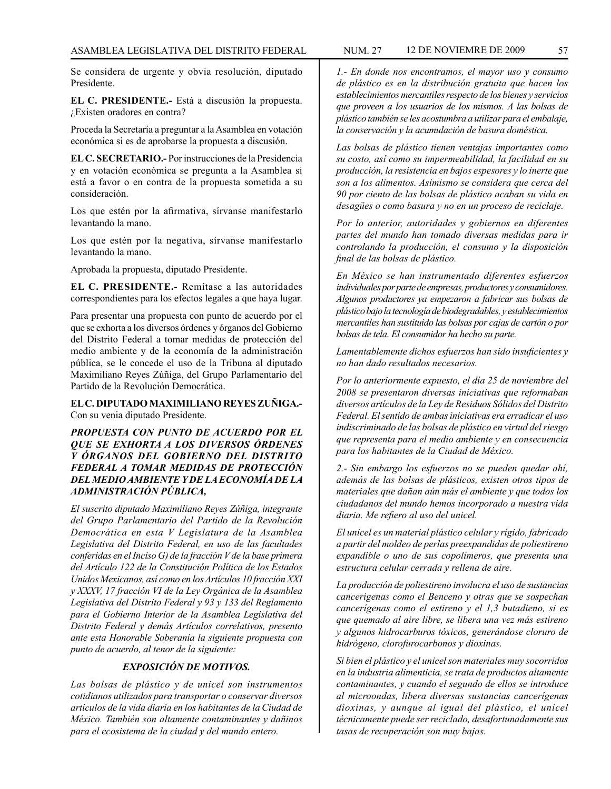Se considera de urgente y obvia resolución, diputado Presidente.

**EL C. PRESIDENTE.-** Está a discusión la propuesta. ¿Existen oradores en contra?

Proceda la Secretaría a preguntar a la Asamblea en votación económica si es de aprobarse la propuesta a discusión.

**EL C. SECRETARIO.-** Por instrucciones de la Presidencia y en votación económica se pregunta a la Asamblea si está a favor o en contra de la propuesta sometida a su consideración.

Los que estén por la afirmativa, sírvanse manifestarlo levantando la mano.

Los que estén por la negativa, sírvanse manifestarlo levantando la mano.

Aprobada la propuesta, diputado Presidente.

**EL C. PRESIDENTE.-** Remítase a las autoridades correspondientes para los efectos legales a que haya lugar.

Para presentar una propuesta con punto de acuerdo por el que se exhorta a los diversos órdenes y órganos del Gobierno del Distrito Federal a tomar medidas de protección del medio ambiente y de la economía de la administración pública, se le concede el uso de la Tribuna al diputado Maximiliano Reyes Zúñiga, del Grupo Parlamentario del Partido de la Revolución Democrática.

**EL C. DIPUTADO MAXIMILIANO REYES ZUÑIGA.-** Con su venia diputado Presidente.

*PROPUESTA CON PUNTO DE ACUERDO POR EL QUE SE EXHORTA A LOS DIVERSOS ÓRDENES Y ÓRGANOS DEL GOBIERNO DEL DISTRITO FEDERAL A TOMAR MEDIDAS DE PROTECCIÓN DEL MEDIO AMBIENTE Y DE LA ECONOMÍA DE LA ADMINISTRACIÓN PÚBLICA,*

*El suscrito diputado Maximiliano Reyes Zúñiga, integrante del Grupo Parlamentario del Partido de la Revolución Democrática en esta V Legislatura de la Asamblea Legislativa del Distrito Federal, en uso de las facultades conferidas en el Inciso G) de la fracción V de la base primera del Artículo 122 de la Constitución Política de los Estados Unidos Mexicanos, así como en los Artículos 10 fracción XXI y XXXV, 17 fracción VI de la Ley Orgánica de la Asamblea Legislativa del Distrito Federal y 93 y 133 del Reglamento para el Gobierno Interior de la Asamblea Legislativa del Distrito Federal y demás Artículos correlativos, presento ante esta Honorable Soberanía la siguiente propuesta con punto de acuerdo, al tenor de la siguiente:* 

## *EXPOSICIÓN DE MOTIVOS.*

*Las bolsas de plástico y de unicel son instrumentos cotidianos utilizados para transportar o conservar diversos artículos de la vida diaria en los habitantes de la Ciudad de México. También son altamente contaminantes y dañinos para el ecosistema de la ciudad y del mundo entero.* 

*1.- En donde nos encontramos, el mayor uso y consumo de plástico es en la distribución gratuita que hacen los establecimientos mercantiles respecto de los bienes y servicios que proveen a los usuarios de los mismos. A las bolsas de plástico también se les acostumbra a utilizar para el embalaje, la conservación y la acumulación de basura doméstica.* 

*Las bolsas de plástico tienen ventajas importantes como su costo, así como su impermeabilidad, la facilidad en su producción, la resistencia en bajos espesores y lo inerte que son a los alimentos. Asimismo se considera que cerca del 90 por ciento de las bolsas de plástico acaban su vida en desagües o como basura y no en un proceso de reciclaje.* 

*Por lo anterior, autoridades y gobiernos en diferentes partes del mundo han tomado diversas medidas para ir controlando la producción, el consumo y la disposición final de las bolsas de plástico.* 

*En México se han instrumentado diferentes esfuerzos individuales por parte de empresas, productores y consumidores. Algunos productores ya empezaron a fabricar sus bolsas de plástico bajo la tecnología de biodegradables, y establecimientos mercantiles han sustituido las bolsas por cajas de cartón o por bolsas de tela. El consumidor ha hecho su parte.* 

*Lamentablemente dichos esfuerzos han sido insuficientes y no han dado resultados necesarios.* 

*Por lo anteriormente expuesto, el día 25 de noviembre del 2008 se presentaron diversas iniciativas que reformaban diversos artículos de la Ley de Residuos Sólidos del Distrito Federal. El sentido de ambas iniciativas era erradicar el uso indiscriminado de las bolsas de plástico en virtud del riesgo que representa para el medio ambiente y en consecuencia para los habitantes de la Ciudad de México.* 

*2.- Sin embargo los esfuerzos no se pueden quedar ahí, además de las bolsas de plásticos, existen otros tipos de materiales que dañan aún más el ambiente y que todos los ciudadanos del mundo hemos incorporado a nuestra vida diaria. Me refiero al uso del unicel.* 

*El unicel es un material plástico celular y rígido, fabricado a partir del moldeo de perlas preexpandidas de poliestireno expandible o uno de sus copolímeros, que presenta una estructura celular cerrada y rellena de aire.* 

*La producción de poliestireno involucra el uso de sustancias cancerigenas como el Benceno y otras que se sospechan cancerígenas como el estireno y el 1,3 butadieno, si es que quemado al aire libre, se libera una vez más estireno y algunos hidrocarburos tóxicos, generándose cloruro de hidrógeno, clorofurocarbonos y dioxinas.* 

*Si bien el plástico y el unicel son materiales muy socorridos en la industria alimenticia, se trata de productos altamente contaminantes, y cuando el segundo de ellos se introduce al microondas, libera diversas sustancias cancerígenas dioxinas, y aunque al igual del plástico, el unicel técnicamente puede ser reciclado, desafortunadamente sus tasas de recuperación son muy bajas.*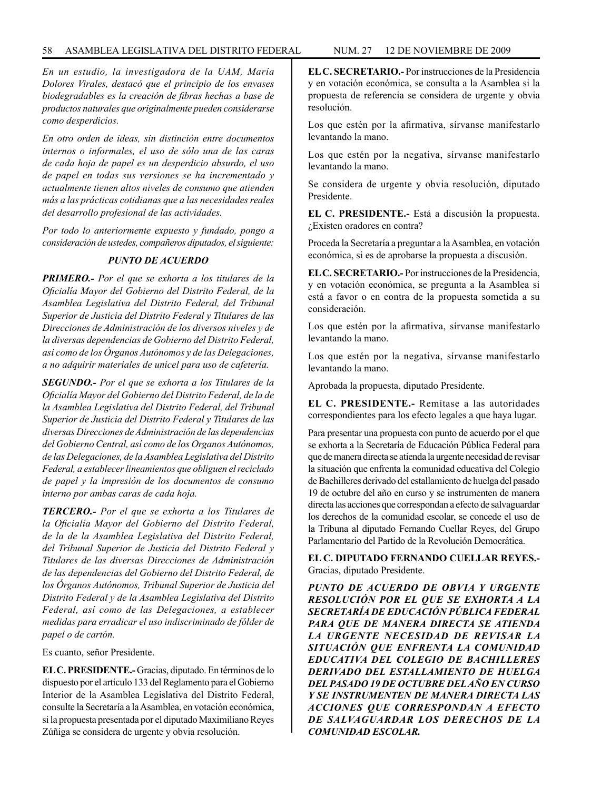*En un estudio, la investigadora de la UAM, María Dolores Virales, destacó que el principio de los envases biodegradables es la creación de fibras hechas a base de productos naturales que originalmente pueden considerarse como desperdicios.* 

*En otro orden de ideas, sin distinción entre documentos internos o informales, el uso de sólo una de las caras de cada hoja de papel es un desperdicio absurdo, el uso de papel en todas sus versiones se ha incrementado y actualmente tienen altos niveles de consumo que atienden más a las prácticas cotidianas que a las necesidades reales del desarrollo profesional de las actividades.* 

*Por todo lo anteriormente expuesto y fundado, pongo a consideración de ustedes, compañeros diputados, el siguiente:* 

## *PUNTO DE ACUERDO*

*PRIMERO.- Por el que se exhorta a los titulares de la Oficialía Mayor del Gobierno del Distrito Federal, de la Asamblea Legislativa del Distrito Federal, del Tribunal Superior de Justicia del Distrito Federal y Titulares de las Direcciones de Administración de los diversos niveles y de la diversas dependencias de Gobierno del Distrito Federal, así como de los Órganos Autónomos y de las Delegaciones, a no adquirir materiales de unicel para uso de cafetería.*

*SEGUNDO.- Por el que se exhorta a los Titulares de la Oficialía Mayor del Gobierno del Distrito Federal, de la de la Asamblea Legislativa del Distrito Federal, del Tribunal Superior de Justicia del Distrito Federal y Titulares de las diversas Direcciones de Administración de las dependencias del Gobierno Central, así como de los Organos Autónomos, de las Delegaciones, de la Asamblea Legislativa del Distrito Federal, a establecer lineamientos que obliguen el reciclado de papel y la impresión de los documentos de consumo interno por ambas caras de cada hoja.*

*TERCERO.- Por el que se exhorta a los Titulares de la Oficialía Mayor del Gobierno del Distrito Federal, de la de la Asamblea Legislativa del Distrito Federal, del Tribunal Superior de Justicia del Distrito Federal y Titulares de las diversas Direcciones de Administración de las dependencias del Gobierno del Distrito Federal, de los Órganos Autónomos, Tribunal Superior de Justicia del Distrito Federal y de la Asamblea Legislativa del Distrito Federal, así como de las Delegaciones, a establecer medidas para erradicar el uso indiscriminado de fólder de papel o de cartón.*

Es cuanto, señor Presidente.

**EL C. PRESIDENTE.-** Gracias, diputado. En términos de lo dispuesto por el artículo 133 del Reglamento para el Gobierno Interior de la Asamblea Legislativa del Distrito Federal, consulte la Secretaría a la Asamblea, en votación económica, si la propuesta presentada por el diputado Maximiliano Reyes Zúñiga se considera de urgente y obvia resolución.

**EL C. SECRETARIO.-** Por instrucciones de la Presidencia y en votación económica, se consulta a la Asamblea si la propuesta de referencia se considera de urgente y obvia resolución.

Los que estén por la afirmativa, sírvanse manifestarlo levantando la mano.

Los que estén por la negativa, sírvanse manifestarlo levantando la mano.

Se considera de urgente y obvia resolución, diputado Presidente.

**EL C. PRESIDENTE.-** Está a discusión la propuesta. ¿Existen oradores en contra?

Proceda la Secretaría a preguntar a la Asamblea, en votación económica, si es de aprobarse la propuesta a discusión.

**EL C. SECRETARIO.-** Por instrucciones de la Presidencia, y en votación económica, se pregunta a la Asamblea si está a favor o en contra de la propuesta sometida a su consideración.

Los que estén por la afirmativa, sírvanse manifestarlo levantando la mano.

Los que estén por la negativa, sírvanse manifestarlo levantando la mano.

Aprobada la propuesta, diputado Presidente.

**EL C. PRESIDENTE.-** Remítase a las autoridades correspondientes para los efecto legales a que haya lugar.

Para presentar una propuesta con punto de acuerdo por el que se exhorta a la Secretaría de Educación Pública Federal para que de manera directa se atienda la urgente necesidad de revisar la situación que enfrenta la comunidad educativa del Colegio de Bachilleres derivado del estallamiento de huelga del pasado 19 de octubre del año en curso y se instrumenten de manera directa las acciones que correspondan a efecto de salvaguardar los derechos de la comunidad escolar, se concede el uso de la Tribuna al diputado Fernando Cuellar Reyes, del Grupo Parlamentario del Partido de la Revolución Democrática.

**EL C. DIPUTADO FERNANDO CUELLAR REYES.-**  Gracias, diputado Presidente.

*PUNTO DE ACUERDO DE OBVIA Y URGENTE RESOLUCIÓN POR EL QUE SE EXHORTA A LA SECRETARÍA DE EDUCACIÓN PÚBLICA FEDERAL PARA QUE DE MANERA DIRECTA SE ATIENDA LA URGENTE NECESIDAD DE REVISAR LA SITUACIÓN QUE ENFRENTA LA COMUNIDAD EDUCATIVA DEL COLEGIO DE BACHILLERES DERIVADO DEL ESTALLAMIENTO DE HUELGA DEL PASADO 19 DE OCTUBRE DEL AÑO EN CURSO Y SE INSTRUMENTEN DE MANERA DIRECTA LAS ACCIONES QUE CORRESPONDAN A EFECTO DE SALVAGUARDAR LOS DERECHOS DE LA COMUNIDAD ESCOLAR.*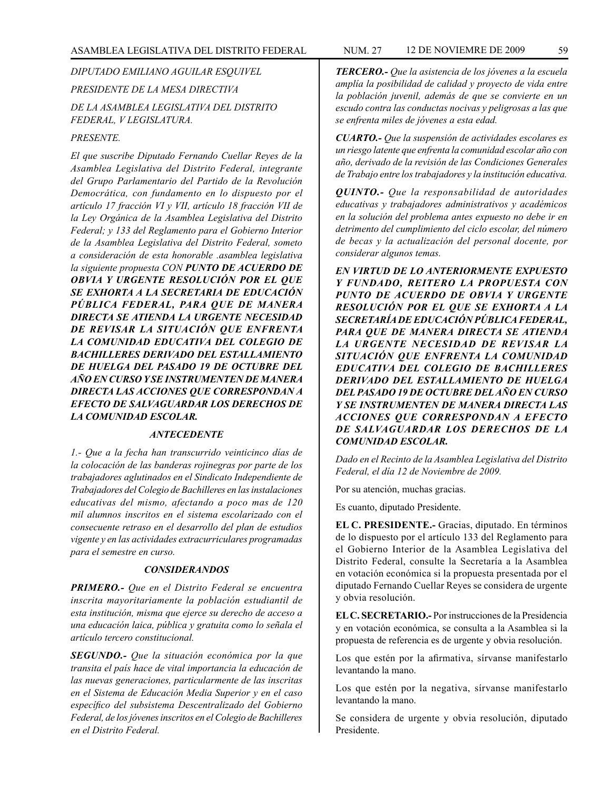# *PRESIDENTE DE LA MESA DIRECTIVA*

*DE LA ASAMBLEA LEGISLATIVA DEL DISTRITO FEDERAL, V LEGISLATURA.*

## *PRESENTE.*

*El que suscribe Diputado Fernando Cuellar Reyes de la Asamblea Legislativa del Distrito Federal, integrante del Grupo Parlamentario del Partido de la Revolución Democrática, con fundamento en lo dispuesto por el artículo 17 fracción VI y VII, artículo 18 fracción VII de la Ley Orgánica de la Asamblea Legislativa del Distrito Federal; y 133 del Reglamento para el Gobierno Interior de la Asamblea Legislativa del Distrito Federal, someto a consideración de esta honorable .asamblea legislativa la siguiente propuesta CON PUNTO DE ACUERDO DE OBVIA Y URGENTE RESOLUCIÓN POR EL QUE SE EXHORTA A LA SECRETARIA DE EDUCACIÓN PÚBLICA FEDERAL, PARA QUE DE MANERA DIRECTA SE ATIENDA LA URGENTE NECESIDAD DE REVISAR LA SITUACIÓN QUE ENFRENTA LA COMUNIDAD EDUCATIVA DEL COLEGIO DE BACHILLERES DERIVADO DEL ESTALLAMIENTO DE HUELGA DEL PASADO 19 DE OCTUBRE DEL AÑO EN CURSO Y SE INSTRUMENTEN DE MANERA DIRECTA LAS ACCIONES QUE CORRESPONDAN A EFECTO DE SALVAGUARDAR LOS DERECHOS DE LA COMUNIDAD ESCOLAR.*

## *ANTECEDENTE*

*1.- Que a la fecha han transcurrido veinticinco días de la colocación de las banderas rojinegras por parte de los trabajadores aglutinados en el Sindicato Independiente de Trabajadores del Colegio de Bachilleres en las instalaciones educativas del mismo, afectando a poco mas de 120 mil alumnos inscritos en el sistema escolarizado con el consecuente retraso en el desarrollo del plan de estudios vigente y en las actividades extracurriculares programadas para el semestre en curso.*

# *CONSIDERANDOS*

*PRIMERO.- Que en el Distrito Federal se encuentra inscrita mayoritariamente la población estudiantil de esta institución, misma que ejerce su derecho de acceso a una educación laica, pública y gratuita como lo señala el artículo tercero constitucional.*

*SEGUNDO.- Que la situación económica por la que transita el país hace de vital importancia la educación de las nuevas generaciones, particularmente de las inscritas en el Sistema de Educación Media Superior y en el caso específico del subsistema Descentralizado del Gobierno Federal, de los jóvenes inscritos en el Colegio de Bachilleres en el Distrito Federal.*

*TERCERO.- Que la asistencia de los jóvenes a la escuela amplía la posibilidad de calidad y proyecto de vida entre la población juvenil, además de que se convierte en un escudo contra las conductas nocivas y peligrosas a las que se enfrenta miles de jóvenes a esta edad.*

*CUARTO.- Que la suspensión de actividades escolares es un riesgo latente que enfrenta la comunidad escolar año con año, derivado de la revisión de las Condiciones Generales de Trabajo entre los trabajadores y la institución educativa.* 

*QUINTO.- Que la responsabilidad de autoridades educativas y trabajadores administrativos y académicos en la solución del problema antes expuesto no debe ir en detrimento del cumplimiento del ciclo escolar, del número de becas y la actualización del personal docente, por considerar algunos temas.*

*EN VIRTUD DE LO ANTERIORMENTE EXPUESTO Y FUNDADO, REITERO LA PROPUESTA CON PUNTO DE ACUERDO DE OBVIA Y URGENTE RESOLUCIÓN POR EL QUE SE EXHORTA A LA SECRETARÍA DE EDUCACIÓN PÚBLICA FEDERAL, PARA QUE DE MANERA DIRECTA SE ATIENDA LA URGENTE NECESIDAD DE REVISAR LA SITUACIÓN QUE ENFRENTA LA COMUNIDAD EDUCATIVA DEL COLEGIO DE BACHILLERES DERIVADO DEL ESTALLAMIENTO DE HUELGA DEL PASADO 19 DE OCTUBRE DEL AÑO EN CURSO Y SE INSTRUMENTEN DE MANERA DIRECTA LAS ACCIONES QUE CORRESPONDAN A EFECTO DE SALVAGUARDAR LOS DERECHOS DE LA COMUNIDAD ESCOLAR.* 

*Dado en el Recinto de la Asamblea Legislativa del Distrito Federal, el día 12 de Noviembre de 2009.*

Por su atención, muchas gracias.

Es cuanto, diputado Presidente.

**EL C. PRESIDENTE.-** Gracias, diputado. En términos de lo dispuesto por el artículo 133 del Reglamento para el Gobierno Interior de la Asamblea Legislativa del Distrito Federal, consulte la Secretaría a la Asamblea en votación económica si la propuesta presentada por el diputado Fernando Cuellar Reyes se considera de urgente y obvia resolución.

**EL C. SECRETARIO.-** Por instrucciones de la Presidencia y en votación económica, se consulta a la Asamblea si la propuesta de referencia es de urgente y obvia resolución.

Los que estén por la afirmativa, sírvanse manifestarlo levantando la mano.

Los que estén por la negativa, sírvanse manifestarlo levantando la mano.

Se considera de urgente y obvia resolución, diputado Presidente.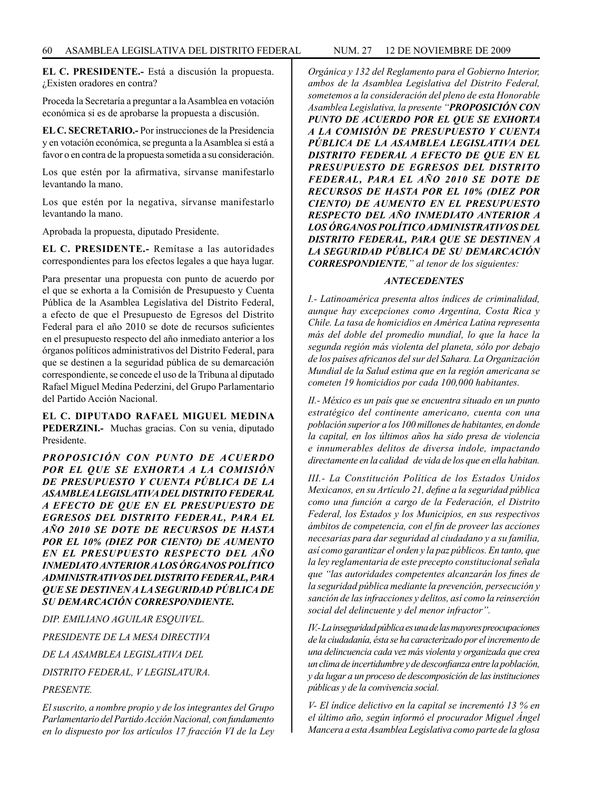**EL C. PRESIDENTE.-** Está a discusión la propuesta. ¿Existen oradores en contra?

Proceda la Secretaría a preguntar a la Asamblea en votación económica si es de aprobarse la propuesta a discusión.

**EL C. SECRETARIO.-** Por instrucciones de la Presidencia y en votación económica, se pregunta a la Asamblea si está a favor o en contra de la propuesta sometida a su consideración.

Los que estén por la afirmativa, sírvanse manifestarlo levantando la mano.

Los que estén por la negativa, sírvanse manifestarlo levantando la mano.

Aprobada la propuesta, diputado Presidente.

**EL C. PRESIDENTE.-** Remítase a las autoridades correspondientes para los efectos legales a que haya lugar.

Para presentar una propuesta con punto de acuerdo por el que se exhorta a la Comisión de Presupuesto y Cuenta Pública de la Asamblea Legislativa del Distrito Federal, a efecto de que el Presupuesto de Egresos del Distrito Federal para el año 2010 se dote de recursos suficientes en el presupuesto respecto del año inmediato anterior a los órganos políticos administrativos del Distrito Federal, para que se destinen a la seguridad pública de su demarcación correspondiente, se concede el uso de la Tribuna al diputado Rafael Miguel Medina Pederzini, del Grupo Parlamentario del Partido Acción Nacional.

**EL C. DIPUTADO RAFAEL MIGUEL MEDINA PEDERZINI.-** Muchas gracias. Con su venia, diputado Presidente.

*PROPOSICIÓN CON PUNTO DE ACUERDO POR EL QUE SE EXHORTA A LA COMISIÓN DE PRESUPUESTO Y CUENTA PÚBLICA DE LA ASAMBLEA LEGISLATIVA DEL DISTRITO FEDERAL A EFECTO DE QUE EN EL PRESUPUESTO DE EGRESOS DEL DISTRITO FEDERAL, PARA EL AÑO 2010 SE DOTE DE RECURSOS DE HASTA POR EL 10% (DIEZ POR CIENTO) DE AUMENTO EN EL PRESUPUESTO RESPECTO DEL AÑO INMEDIATO ANTERIOR A LOS ÓRGANOS POLÍTICO ADMINISTRATIVOS DEL DISTRITO FEDERAL, PARA QUE SE DESTINEN A LA SEGURIDAD PÚBLICA DE SU DEMARCACIÓN CORRESPONDIENTE.*

*DIP. EMILIANO AGUILAR ESQUIVEL.*

*PRESIDENTE DE LA MESA DIRECTIVA*

*DE LA ASAMBLEA LEGISLATIVA DEL*

*DISTRITO FEDERAL, V LEGISLATURA.*

*PRESENTE.*

*El suscrito, a nombre propio y de los integrantes del Grupo Parlamentario del Partido Acción Nacional, con fundamento en lo dispuesto por los artículos 17 fracción VI de la Ley*  *Orgánica y 132 del Reglamento para el Gobierno Interior, ambos de la Asamblea Legislativa del Distrito Federal, sometemos a la consideración del pleno de esta Honorable Asamblea Legislativa, la presente "PROPOSICIÓN CON PUNTO DE ACUERDO POR EL QUE SE EXHORTA A LA COMISIÓN DE PRESUPUESTO Y CUENTA PÚBLICA DE LA ASAMBLEA LEGISLATIVA DEL DISTRITO FEDERAL A EFECTO DE QUE EN EL PRESUPUESTO DE EGRESOS DEL DISTRITO FEDERAL, PARA EL AÑO 2010 SE DOTE DE RECURSOS DE HASTA POR EL 10% (DIEZ POR CIENTO) DE AUMENTO EN EL PRESUPUESTO RESPECTO DEL AÑO INMEDIATO ANTERIOR A LOS ÓRGANOS POLÍTICO ADMINISTRATIVOS DEL DISTRITO FEDERAL, PARA QUE SE DESTINEN A LA SEGURIDAD PÚBLICA DE SU DEMARCACIÓN CORRESPONDIENTE," al tenor de los siguientes:*

#### *ANTECEDENTES*

*I.- Latinoamérica presenta altos índices de criminalidad, aunque hay excepciones como Argentina, Costa Rica y Chile. La tasa de homicidios en América Latina representa más del doble del promedio mundial, lo que la hace la segunda región más violenta del planeta, sólo por debajo de los países africanos del sur del Sahara. La Organización Mundial de la Salud estima que en la región americana se cometen 19 homicidios por cada 100,000 habitantes.*

*II.- México es un país que se encuentra situado en un punto estratégico del continente americano, cuenta con una población superior a los 100 millones de habitantes, en donde la capital, en los últimos años ha sido presa de violencia e innumerables delitos de diversa índole, impactando directamente en la calidad de vida de los que en ella habitan.*

*III.- La Constitución Política de los Estados Unidos Mexicanos, en su Artículo 21, define a la seguridad pública como una función a cargo de la Federación, el Distrito Federal, los Estados y los Municipios, en sus respectivos ámbitos de competencia, con el fin de proveer las acciones necesarias para dar seguridad al ciudadano y a su familia, así como garantizar el orden y la paz públicos. En tanto, que la ley reglamentaria de este precepto constitucional señala que "las autoridades competentes alcanzarán los fines de la seguridad pública mediante la prevención, persecución y sanción de las infracciones y delitos, así como la reinserción social del delincuente y del menor infractor".*

*IV.- La inseguridad pública es una de las mayores preocupaciones de la ciudadanía, ésta se ha caracterizado por el incremento de una delincuencia cada vez más violenta y organizada que crea un clima de incertidumbre y de desconfianza entre la población, y da lugar a un proceso de descomposición de las instituciones públicas y de la convivencia social.*

*V- El índice delictivo en la capital se incrementó 13 % en el último año, según informó el procurador Miguel Ángel Mancera a esta Asamblea Legislativa como parte de la glosa*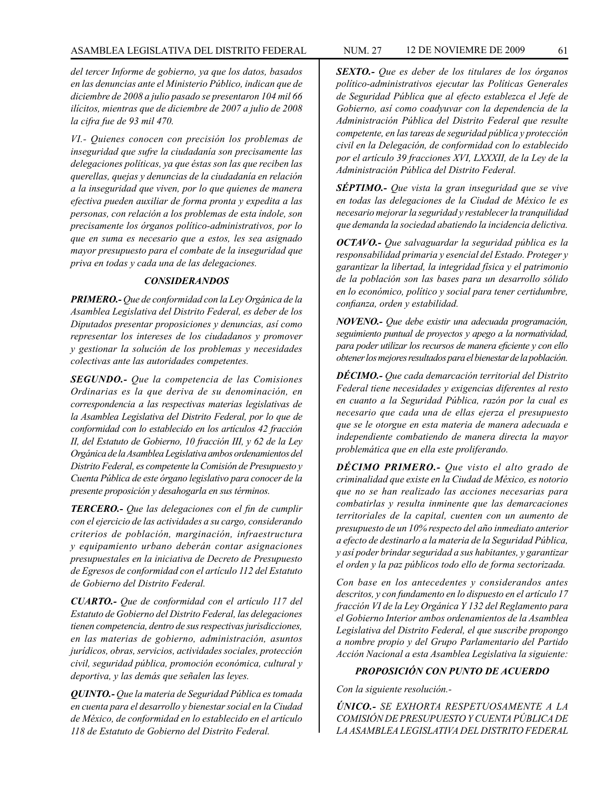*del tercer Informe de gobierno, ya que los datos, basados en las denuncias ante el Ministerio Público, indican que de diciembre de 2008 a julio pasado se presentaron 104 mil 66 ilícitos, mientras que de diciembre de 2007 a julio de 2008 la cifra fue de 93 mil 470.*

*VI.- Quienes conocen con precisión los problemas de inseguridad que sufre la ciudadanía son precisamente las delegaciones políticas, ya que éstas son las que reciben las querellas, quejas y denuncias de la ciudadanía en relación a la inseguridad que viven, por lo que quienes de manera efectiva pueden auxiliar de forma pronta y expedita a las personas, con relación a los problemas de esta índole, son precisamente los órganos político-administrativos, por lo que en suma es necesario que a estos, les sea asignado mayor presupuesto para el combate de la inseguridad que priva en todas y cada una de las delegaciones.*

#### *CONSIDERANDOS*

*PRIMERO.- Que de conformidad con la Ley Orgánica de la Asamblea Legislativa del Distrito Federal, es deber de los Diputados presentar proposiciones y denuncias, así como representar los intereses de los ciudadanos y promover y gestionar la solución de los problemas y necesidades colectivas ante las autoridades competentes.*

*SEGUNDO.- Que la competencia de las Comisiones Ordinarias es la que deriva de su denominación, en correspondencia a las respectivas materias legislativas de la Asamblea Legislativa del Distrito Federal, por lo que de conformidad con lo establecido en los artículos 42 fracción II, del Estatuto de Gobierno, 10 fracción III, y 62 de la Ley Orgánica de la Asamblea Legislativa ambos ordenamientos del Distrito Federal, es competente la Comisión de Presupuesto y Cuenta Pública de este órgano legislativo para conocer de la presente proposición y desahogarla en sus términos.*

*TERCERO.- Que las delegaciones con el fin de cumplir con el ejercicio de las actividades a su cargo, considerando criterios de población, marginación, infraestructura y equipamiento urbano deberán contar asignaciones presupuestales en la iniciativa de Decreto de Presupuesto de Egresos de conformidad con el artículo 112 del Estatuto de Gobierno del Distrito Federal.*

*CUARTO.- Que de conformidad con el artículo 117 del Estatuto de Gobierno del Distrito Federal, las delegaciones tienen competencia, dentro de sus respectivas jurisdicciones, en las materias de gobierno, administración, asuntos jurídicos, obras, servicios, actividades sociales, protección civil, seguridad pública, promoción económica, cultural y deportiva, y las demás que señalen las leyes.* 

*QUINTO.- Que la materia de Seguridad Pública es tomada en cuenta para el desarrollo y bienestar social en la Ciudad de México, de conformidad en lo establecido en el artículo 118 de Estatuto de Gobierno del Distrito Federal.*

*SEXTO.- Que es deber de los titulares de los órganos político-administrativos ejecutar las Políticas Generales de Seguridad Pública que al efecto establezca el Jefe de Gobierno, así como coadyuvar con la dependencia de la Administración Pública del Distrito Federal que resulte competente, en las tareas de seguridad pública y protección civil en la Delegación, de conformidad con lo establecido por el artículo 39 fracciones XVI, LXXXII, de la Ley de la Administración Pública del Distrito Federal.*

*SÉPTIMO.- Que vista la gran inseguridad que se vive en todas las delegaciones de la Ciudad de México le es necesario mejorar la seguridad y restablecer la tranquilidad que demanda la sociedad abatiendo la incidencia delictiva.* 

*OCTAVO.- Que salvaguardar la seguridad pública es la responsabilidad primaria y esencial del Estado. Proteger y garantizar la libertad, la integridad física y el patrimonio de la población son las bases para un desarrollo sólido en lo económico, político y social para tener certidumbre, confianza, orden y estabilidad.* 

*NOVENO.- Que debe existir una adecuada programación, seguimiento puntual de proyectos y apego a la normatividad, para poder utilizar los recursos de manera eficiente y con ello obtener los mejores resultados para el bienestar de la población.*

*DÉCIMO.- Que cada demarcación territorial del Distrito Federal tiene necesidades y exigencias diferentes al resto en cuanto a la Seguridad Pública, razón por la cual es necesario que cada una de ellas ejerza el presupuesto que se le otorgue en esta materia de manera adecuada e independiente combatiendo de manera directa la mayor problemática que en ella este proliferando.*

*DÉCIMO PRIMERO.- Que visto el alto grado de criminalidad que existe en la Ciudad de México, es notorio que no se han realizado las acciones necesarias para combatirlas y resulta inminente que las demarcaciones territoriales de la capital, cuenten con un aumento de presupuesto de un 10% respecto del año inmediato anterior a efecto de destinarlo a la materia de la Seguridad Pública, y así poder brindar seguridad a sus habitantes, y garantizar el orden y la paz públicos todo ello de forma sectorizada.*

*Con base en los antecedentes y considerandos antes descritos, y con fundamento en lo dispuesto en el artículo 17 fracción VI de la Ley Orgánica Y 132 del Reglamento para el Gobierno Interior ambos ordenamientos de la Asamblea Legislativa del Distrito Federal, el que suscribe propongo a nombre propio y del Grupo Parlamentario del Partido Acción Nacional a esta Asamblea Legislativa la siguiente:*

# *PROPOSICIÓN CON PUNTO DE ACUERDO*

*Con la siguiente resolución.-*

*ÚNICO.- SE EXHORTA RESPETUOSAMENTE A LA COMISIÓN DE PRESUPUESTO Y CUENTA PÚBLICA DE LA ASAMBLEA LEGISLATIVA DEL DISTRITO FEDERAL*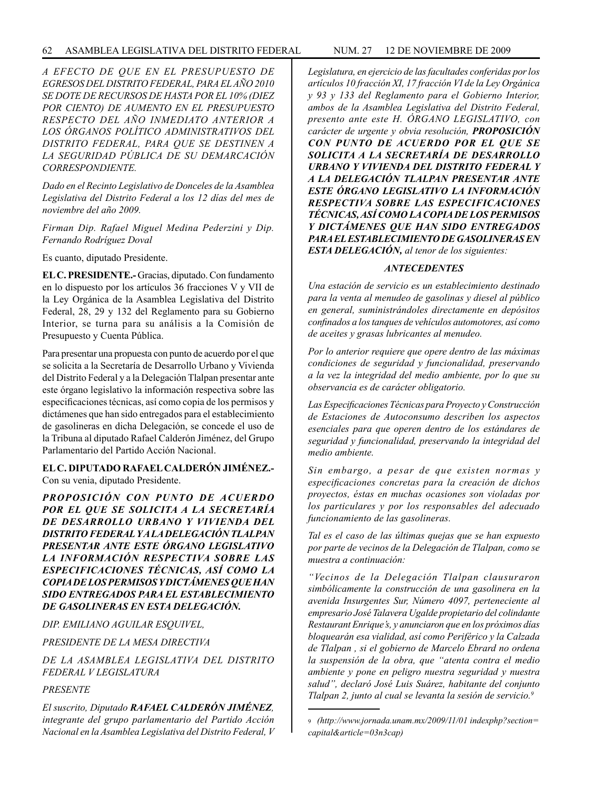#### 62 ASAMBLEA LEGISLATIVA DEL DISTRITO FEDERAL NUM. 27 12 de NOVIEMBRE de 2009

*A EFECTO DE QUE EN EL PRESUPUESTO DE EGRESOS DEL DISTRITO FEDERAL, PARA EL AÑO 2010 SE DOTE DE RECURSOS DE HASTA POR EL 10% (DIEZ POR CIENTO) DE AUMENTO EN EL PRESUPUESTO RESPECTO DEL AÑO INMEDIATO ANTERIOR A LOS ÓRGANOS POLÍTICO ADMINISTRATIVOS DEL DISTRITO FEDERAL, PARA QUE SE DESTINEN A LA SEGURIDAD PÚBLICA DE SU DEMARCACIÓN CORRESPONDIENTE.* 

*Dado en el Recinto Legislativo de Donceles de la Asamblea Legislativa del Distrito Federal a los 12 días del mes de noviembre del año 2009.*

*Firman Dip. Rafael Miguel Medina Pederzini y Dip. Fernando Rodríguez Doval*

Es cuanto, diputado Presidente.

**EL C. PRESIDENTE.-** Gracias, diputado. Con fundamento en lo dispuesto por los artículos 36 fracciones V y VII de la Ley Orgánica de la Asamblea Legislativa del Distrito Federal, 28, 29 y 132 del Reglamento para su Gobierno Interior, se turna para su análisis a la Comisión de Presupuesto y Cuenta Pública.

Para presentar una propuesta con punto de acuerdo por el que se solicita a la Secretaría de Desarrollo Urbano y Vivienda del Distrito Federal y a la Delegación Tlalpan presentar ante este órgano legislativo la información respectiva sobre las especificaciones técnicas, así como copia de los permisos y dictámenes que han sido entregados para el establecimiento de gasolineras en dicha Delegación, se concede el uso de la Tribuna al diputado Rafael Calderón Jiménez, del Grupo Parlamentario del Partido Acción Nacional.

# **EL C. DIPUTADO RAFAEL CALDERÓN JIMÉNEZ.-** Con su venia, diputado Presidente.

*PROPOSICIÓN CON PUNTO DE ACUERDO POR EL QUE SE SOLICITA A LA SECRETARÍA DE DESARROLLO URBANO Y VIVIENDA DEL DISTRITO FEDERAL Y A LA DELEGACIÓN TLALPAN PRESENTAR ANTE ESTE ÓRGANO LEGISLATIVO LA INFORMACIÓN RESPECTIVA SOBRE LAS ESPECIFICACIONES TÉCNICAS, ASÍ COMO LA COPIA DE LOS PERMISOS Y DICTÁMENES QUE HAN SIDO ENTREGADOS PARA EL ESTABLECIMIENTO DE GASOLINERAS EN ESTA DELEGACIÓN.*

*DIP. EMILIANO AGUILAR ESQUIVEL,*

*PRESIDENTE DE LA MESA DIRECTIVA*

*DE LA ASAMBLEA LEGISLATIVA DEL DISTRITO FEDERAL V LEGISLATURA*

## *PRESENTE*

*El suscrito, Diputado RAFAEL CALDERÓN JIMÉNEZ, integrante del grupo parlamentario del Partido Acción Nacional en la Asamblea Legislativa del Distrito Federal, V* *Legislatura, en ejercicio de las facultades conferidas por los artículos 10 fracción XI, 17 fracción VI de la Ley Orgánica y 93 y 133 del Reglamento para el Gobierno Interior, ambos de la Asamblea Legislativa del Distrito Federal, presento ante este H. ÓRGANO LEGISLATIVO, con carácter de urgente y obvia resolución, PROPOSICIÓN CON PUNTO DE ACUERDO POR EL QUE SE SOLICITA A LA SECRETARÍA DE DESARROLLO URBANO Y VIVIENDA DEL DISTRITO FEDERAL Y A LA DELEGACIÓN TLALPAN PRESENTAR ANTE ESTE ÓRGANO LEGISLATIVO LA INFORMACIÓN RESPECTIVA SOBRE LAS ESPECIFICACIONES TÉCNICAS, ASÍ COMO LA COPIA DE LOS PERMISOS Y DICTÁMENES QUE HAN SIDO ENTREGADOS PARA EL ESTABLECIMIENTO DE GASOLINERAS EN ESTA DELEGACIÓN, al tenor de los siguientes:*

## *ANTECEDENTES*

*Una estación de servicio es un establecimiento destinado para la venta al menudeo de gasolinas y diesel al público en general, suministrándoles directamente en depósitos confinados a los tanques de vehículos automotores, así como de aceites y grasas lubricantes al menudeo.* 

*Por lo anterior requiere que opere dentro de las máximas condiciones de seguridad y funcionalidad, preservando a la vez la integridad del medio ambiente, por lo que su observancia es de carácter obligatorio.*

*Las Especificaciones Técnicas para Proyecto y Construcción de Estaciones de Autoconsumo describen los aspectos esenciales para que operen dentro de los estándares de seguridad y funcionalidad, preservando la integridad del medio ambiente.* 

*Sin embargo, a pesar de que existen normas y especificaciones concretas para la creación de dichos proyectos, éstas en muchas ocasiones son violadas por los particulares y por los responsables del adecuado funcionamiento de las gasolineras.* 

*Tal es el caso de las últimas quejas que se han expuesto por parte de vecinos de la Delegación de Tlalpan, como se muestra a continuación:*

*"Vecinos de la Delegación Tlalpan clausuraron simbólicamente la construcción de una gasolinera en la avenida Insurgentes Sur, Número 4097, perteneciente al empresario José Talavera Ugalde propietario del colindante Restaurant Enrique's, y anunciaron que en los próximos días bloquearán esa vialidad, así como Periférico y la Calzada de Tlalpan , si el gobierno de Marcelo Ebrard no ordena la suspensión de la obra, que "atenta contra el medio ambiente y pone en peligro nuestra seguridad y nuestra salud", declaró José Luis Suárez, habitante del conjunto Tlalpan 2, junto al cual se levanta la sesión de servicio.9*

<sup>9</sup> *(http://www.jornada.unam.mx/2009/11/01 indexphp?section= capital&article=03n3cap)*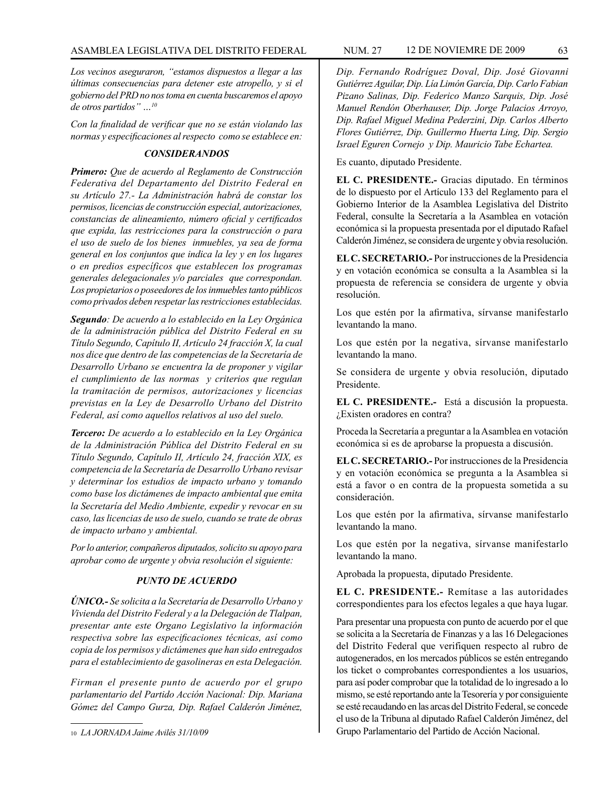*Los vecinos aseguraron, "estamos dispuestos a llegar a las últimas consecuencias para detener este atropello, y si el gobierno del PRD no nos toma en cuenta buscaremos el apoyo de otros partidos" …10*

*Con la finalidad de verificar que no se están violando las normas y especificaciones al respecto como se establece en:*

## *CONSIDERANDOS*

*Primero: Que de acuerdo al Reglamento de Construcción Federativa del Departamento del Distrito Federal en su Artículo 27.- La Administración habrá de constar los permisos, licencias de construcción especial, autorizaciones, constancias de alineamiento, número oficial y certificados que expida, las restricciones para la construcción o para el uso de suelo de los bienes inmuebles, ya sea de forma general en los conjuntos que indica la ley y en los lugares o en predios específicos que establecen los programas generales delegacionales y/o parciales que correspondan. Los propietarios o poseedores de los inmuebles tanto públicos como privados deben respetar las restricciones establecidas.*

*Segundo: De acuerdo a lo establecido en la Ley Orgánica de la administración pública del Distrito Federal en su Título Segundo, Capítulo II, Artículo 24 fracción X, la cual nos dice que dentro de las competencias de la Secretaría de Desarrollo Urbano se encuentra la de proponer y vigilar el cumplimiento de las normas y criterios que regulan la tramitación de permisos, autorizaciones y licencias previstas en la Ley de Desarrollo Urbano del Distrito Federal, así como aquellos relativos al uso del suelo.*

*Tercero: De acuerdo a lo establecido en la Ley Orgánica de la Administración Pública del Distrito Federal en su Título Segundo, Capítulo II, Artículo 24, fracción XIX, es competencia de la Secretaría de Desarrollo Urbano revisar y determinar los estudios de impacto urbano y tomando como base los dictámenes de impacto ambiental que emita la Secretaría del Medio Ambiente, expedir y revocar en su caso, las licencias de uso de suelo, cuando se trate de obras de impacto urbano y ambiental.*

*Por lo anterior, compañeros diputados, solicito su apoyo para aprobar como de urgente y obvia resolución el siguiente:* 

# *PUNTO DE ACUERDO*

*ÚNICO.- Se solicita a la Secretaría de Desarrollo Urbano y Vivienda del Distrito Federal y a la Delegación de Tlalpan, presentar ante este Organo Legislativo la información respectiva sobre las especificaciones técnicas, así como copia de los permisos y dictámenes que han sido entregados para el establecimiento de gasolineras en esta Delegación.*

*Firman el presente punto de acuerdo por el grupo parlamentario del Partido Acción Nacional: Dip. Mariana Gómez del Campo Gurza, Dip. Rafael Calderón Jiménez,* 

*Dip. Fernando Rodríguez Doval, Dip. José Giovanni Gutiérrez Aguilar, Dip. Lía Limón García, Dip. Carlo Fabian Pizano Salinas, Dip. Federico Manzo Sarquis, Dip. José Manuel Rendón Oberhauser, Dip. Jorge Palacios Arroyo, Dip. Rafael Miguel Medina Pederzini, Dip. Carlos Alberto Flores Gutiérrez, Dip. Guillermo Huerta Ling, Dip. Sergio Israel Eguren Cornejo y Dip. Mauricio Tabe Echartea.*

Es cuanto, diputado Presidente.

**EL C. PRESIDENTE.-** Gracias diputado. En términos de lo dispuesto por el Artículo 133 del Reglamento para el Gobierno Interior de la Asamblea Legislativa del Distrito Federal, consulte la Secretaría a la Asamblea en votación económica si la propuesta presentada por el diputado Rafael Calderón Jiménez, se considera de urgente y obvia resolución.

**EL C. SECRETARIO.-** Por instrucciones de la Presidencia y en votación económica se consulta a la Asamblea si la propuesta de referencia se considera de urgente y obvia resolución.

Los que estén por la afirmativa, sírvanse manifestarlo levantando la mano.

Los que estén por la negativa, sírvanse manifestarlo levantando la mano.

Se considera de urgente y obvia resolución, diputado Presidente.

**EL C. PRESIDENTE.-** Está a discusión la propuesta. ¿Existen oradores en contra?

Proceda la Secretaría a preguntar a la Asamblea en votación económica si es de aprobarse la propuesta a discusión.

**EL C. SECRETARIO.-** Por instrucciones de la Presidencia y en votación económica se pregunta a la Asamblea si está a favor o en contra de la propuesta sometida a su consideración.

Los que estén por la afirmativa, sírvanse manifestarlo levantando la mano.

Los que estén por la negativa, sírvanse manifestarlo levantando la mano.

Aprobada la propuesta, diputado Presidente.

**EL C. PRESIDENTE.-** Remítase a las autoridades correspondientes para los efectos legales a que haya lugar.

Para presentar una propuesta con punto de acuerdo por el que se solicita a la Secretaría de Finanzas y a las 16 Delegaciones del Distrito Federal que verifiquen respecto al rubro de autogenerados, en los mercados públicos se estén entregando los ticket o comprobantes correspondientes a los usuarios, para así poder comprobar que la totalidad de lo ingresado a lo mismo, se esté reportando ante la Tesorería y por consiguiente se esté recaudando en las arcas del Distrito Federal, se concede el uso de la Tribuna al diputado Rafael Calderón Jiménez, del Grupo Parlamentario del Partido de Acción Nacional.

<sup>10</sup> *LA JORNADA Jaime Avilés 31/10/09*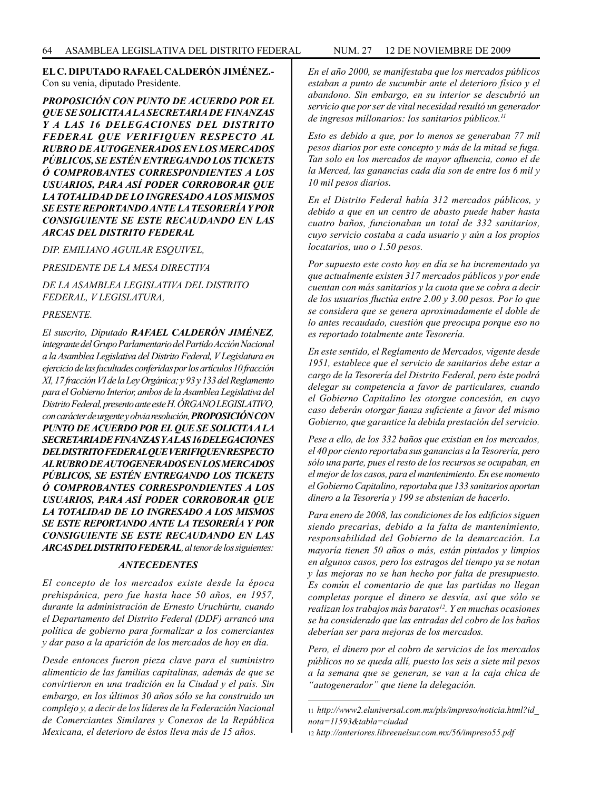## **EL C. DIPUTADO RAFAEL CALDERÓN JIMÉNEZ.-** Con su venia, diputado Presidente.

*PROPOSICIÓN CON PUNTO DE ACUERDO POR EL QUE SE SOLICITA A LA SECRETARIA DE FINANZAS Y A LAS 16 DELEGACIONES DEL DISTRITO FEDERAL QUE VERIFIQUEN RESPECTO AL RUBRO DE AUTOGENERADOS EN LOS MERCADOS PÚBLICOS, SE ESTÉN ENTREGANDO LOS TICKETS Ó COMPROBANTES CORRESPONDIENTES A LOS USUARIOS, PARA ASÍ PODER CORROBORAR QUE LA TOTALIDAD DE LO INGRESADO A LOS MISMOS SE ESTE REPORTANDO ANTE LA TESORERÍA Y POR CONSIGUIENTE SE ESTE RECAUDANDO EN LAS ARCAS DEL DISTRITO FEDERAL*

*DIP. EMILIANO AGUILAR ESQUIVEL,*

*PRESIDENTE DE LA MESA DIRECTIVA*

*DE LA ASAMBLEA LEGISLATIVA DEL DISTRITO FEDERAL, V LEGISLATURA,*

#### *PRESENTE.*

*El suscrito, Diputado RAFAEL CALDERÓN JIMÉNEZ, integrante del Grupo Parlamentario del Partido Acción Nacional a la Asamblea Legislativa del Distrito Federal, V Legislatura en ejercicio de las facultades conferidas por los artículos 10 fracción XI, 17 fracción VI de la Ley Orgánica; y 93 y 133 del Reglamento para el Gobierno Interior, ambos de la Asamblea Legislativa del Distrito Federal, presento ante este H. ÓRGANO LEGISLATIVO, con carácter de urgente y obvia resolución, PROPOSICIÓN CON PUNTO DE ACUERDO POR EL QUE SE SOLICITA A LA SECRETARIA DE FINANZAS Y A LAS 16 DELEGACIONES DEL DISTRITO FEDERAL QUE VERIFIQUEN RESPECTO AL RUBRO DE AUTOGENERADOS EN LOS MERCADOS PÚBLICOS, SE ESTÉN ENTREGANDO LOS TICKETS Ó COMPROBANTES CORRESPONDIENTES A LOS USUARIOS, PARA ASÍ PODER CORROBORAR QUE LA TOTALIDAD DE LO INGRESADO A LOS MISMOS SE ESTE REPORTANDO ANTE LA TESORERÍA Y POR CONSIGUIENTE SE ESTE RECAUDANDO EN LAS ARCAS DEL DISTRITO FEDERAL, al tenor de los siguientes:*

#### *ANTECEDENTES*

*El concepto de los mercados existe desde la época prehispánica, pero fue hasta hace 50 años, en 1957, durante la administración de Ernesto Uruchúrtu, cuando el Departamento del Distrito Federal (DDF) arrancó una política de gobierno para formalizar a los comerciantes y dar paso a la aparición de los mercados de hoy en día.*

*Desde entonces fueron pieza clave para el suministro alimenticio de las familias capitalinas, además de que se convirtieron en una tradición en la Ciudad y el país. Sin embargo, en los últimos 30 años sólo se ha construido un complejo y, a decir de los líderes de la Federación Nacional de Comerciantes Similares y Conexos de la República Mexicana, el deterioro de éstos lleva más de 15 años.*

*En el año 2000, se manifestaba que los mercados públicos estaban a punto de sucumbir ante el deterioro físico y el abandono. Sin embargo, en su interior se descubrió un servicio que por ser de vital necesidad resultó un generador de ingresos millonarios: los sanitarios públicos.11*

*Esto es debido a que, por lo menos se generaban 77 mil pesos diarios por este concepto y más de la mitad se fuga. Tan solo en los mercados de mayor afluencia, como el de la Merced, las ganancias cada día son de entre los 6 mil y 10 mil pesos diarios.*

*En el Distrito Federal había 312 mercados públicos, y debido a que en un centro de abasto puede haber hasta cuatro baños, funcionaban un total de 332 sanitarios, cuyo servicio costaba a cada usuario y aún a los propios locatarios, uno o 1.50 pesos.*

*Por supuesto este costo hoy en día se ha incrementado ya que actualmente existen 317 mercados públicos y por ende cuentan con más sanitarios y la cuota que se cobra a decir de los usuarios fluctúa entre 2.00 y 3.00 pesos. Por lo que se considera que se genera aproximadamente el doble de lo antes recaudado, cuestión que preocupa porque eso no es reportado totalmente ante Tesorería.* 

*En este sentido, el Reglamento de Mercados, vigente desde 1951, establece que el servicio de sanitarios debe estar a cargo de la Tesorería del Distrito Federal, pero éste podrá delegar su competencia a favor de particulares, cuando el Gobierno Capitalino les otorgue concesión, en cuyo caso deberán otorgar fianza suficiente a favor del mismo Gobierno, que garantice la debida prestación del servicio.*

*Pese a ello, de los 332 baños que existían en los mercados, el 40 por ciento reportaba sus ganancias a la Tesorería, pero sólo una parte, pues el resto de los recursos se ocupaban, en el mejor de los casos, para el mantenimiento. En ese momento el Gobierno Capitalino, reportaba que 133 sanitarios aportan dinero a la Tesorería y 199 se abstenían de hacerlo.*

*Para enero de 2008, las condiciones de los edificios siguen siendo precarias, debido a la falta de mantenimiento, responsabilidad del Gobierno de la demarcación. La mayoría tienen 50 años o más, están pintados y limpios en algunos casos, pero los estragos del tiempo ya se notan y las mejoras no se han hecho por falta de presupuesto. Es común el comentario de que las partidas no llegan completas porque el dinero se desvía, así que sólo se realizan los trabajos más baratos<sup>12</sup>. Y en muchas ocasiones se ha considerado que las entradas del cobro de los baños deberían ser para mejoras de los mercados.* 

*Pero, el dinero por el cobro de servicios de los mercados públicos no se queda allí, puesto los seis a siete mil pesos a la semana que se generan, se van a la caja chica de "autogenerador" que tiene la delegación.*

<sup>11</sup>*http://www2.eluniversal.com.mx/pls/impreso/noticia.html?id\_ nota=11593&tabla=ciudad*

<sup>12</sup> *http://anteriores.libreenelsur.com.mx/56/impreso55.pdf*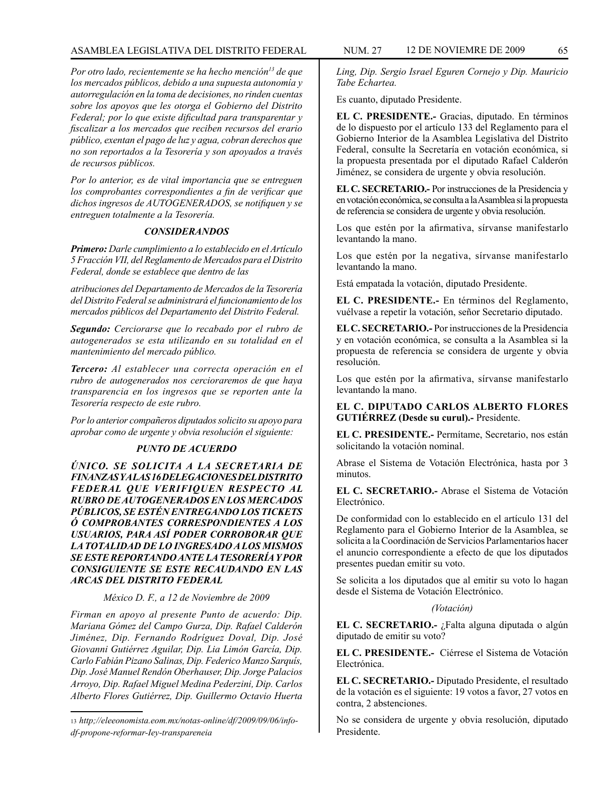## ASAMBLEA LEGISLATIVA DEL DISTRITO FEDERAL NUM. 27 12 de NOVIEMRE de 2009 65

Por otro lado, recientemente se ha hecho mención<sup>13</sup> de que *los mercados públicos, debido a una supuesta autonomía y autorregulación en la toma de decisiones, no rinden cuentas sobre los apoyos que les otorga el Gobierno del Distrito Federal; por lo que existe dificultad para transparentar y fiscalizar a los mercados que reciben recursos del erario público, exentan el pago de luz y agua, cobran derechos que no son reportados a la Tesorería y son apoyados a través de recursos públicos.*

*Por lo anterior, es de vital importancia que se entreguen los comprobantes correspondientes a fin de verificar que dichos ingresos de AUTOGENERADOS, se notifiquen y se entreguen totalmente a la Tesorería.*

## *CONSIDERANDOS*

*Primero: Darle cumplimiento a lo establecido en el Artículo 5 Fracción VII, del Reglamento de Mercados para el Distrito Federal, donde se establece que dentro de las* 

*atribuciones del Departamento de Mercados de la Tesorería del Distrito Federal se administrará el funcionamiento de los mercados públicos del Departamento del Distrito Federal.*

*Segundo: Cerciorarse que lo recabado por el rubro de autogenerados se esta utilizando en su totalidad en el mantenimiento del mercado público.* 

*Tercero: Al establecer una correcta operación en el rubro de autogenerados nos cercioraremos de que haya transparencia en los ingresos que se reporten ante la Tesorería respecto de este rubro.*

*Por lo anterior compañeros diputados solicito su apoyo para aprobar como de urgente y obvia resolución el siguiente:*

## *PUNTO DE ACUERDO*

*ÚNICO. SE SOLICITA A LA SECRETARIA DE FINANZAS Y A LAS 16 DELEGACIONES DEL DISTRITO FEDERAL QUE VERIFIQUEN RESPECTO AL RUBRO DE AUTOGENERADOS EN LOS MERCADOS PÚBLICOS, SE ESTÉN ENTREGANDO LOS TICKETS Ó COMPROBANTES CORRESPONDIENTES A LOS USUARIOS, PARA ASÍ PODER CORROBORAR QUE LA TOTALIDAD DE LO INGRESADO A LOS MISMOS SE ESTE REPORTANDO ANTE LA TESORERÍA Y POR CONSIGUIENTE SE ESTE RECAUDANDO EN LAS ARCAS DEL DISTRITO FEDERAL*

## *México D. F., a 12 de Noviembre de 2009*

*Firman en apoyo al presente Punto de acuerdo: Dip. Mariana Gómez del Campo Gurza, Dip. Rafael Calderón Jiménez, Dip. Fernando Rodríguez Doval, Dip. José Giovanni Gutiérrez Aguilar, Dip. Lia Limón García, Dip. Carlo Fabián Pizano Salinas, Dip. Federico Manzo Sarquís, Dip. José Manuel Rendón Oberhauser, Dip. Jorge Palacios Arroyo, Dip. Rafael Miguel Medina Pederzini, Dip. Carlos Alberto Flores Gutiérrez, Dip. Guillermo Octavio Huerta*  *Ling, Dip. Sergio Israel Eguren Cornejo y Dip. Mauricio Tabe Echartea.*

Es cuanto, diputado Presidente.

**EL C. PRESIDENTE.-** Gracias, diputado. En términos de lo dispuesto por el artículo 133 del Reglamento para el Gobierno Interior de la Asamblea Legislativa del Distrito Federal, consulte la Secretaría en votación económica, si la propuesta presentada por el diputado Rafael Calderón Jiménez, se considera de urgente y obvia resolución.

**EL C. SECRETARIO.-** Por instrucciones de la Presidencia y en votación económica, se consulta a la Asamblea si la propuesta de referencia se considera de urgente y obvia resolución.

Los que estén por la afirmativa, sírvanse manifestarlo levantando la mano.

Los que estén por la negativa, sírvanse manifestarlo levantando la mano.

Está empatada la votación, diputado Presidente.

**EL C. PRESIDENTE.-** En términos del Reglamento, vuélvase a repetir la votación, señor Secretario diputado.

**EL C. SECRETARIO.-** Por instrucciones de la Presidencia y en votación económica, se consulta a la Asamblea si la propuesta de referencia se considera de urgente y obvia resolución.

Los que estén por la afirmativa, sírvanse manifestarlo levantando la mano.

## **EL C. DIPUTADO CARLOS ALBERTO FLORES GUTIÉRREZ (Desde su curul).-** Presidente.

**EL C. PRESIDENTE.-** Permítame, Secretario, nos están solicitando la votación nominal.

Abrase el Sistema de Votación Electrónica, hasta por 3 minutos.

**EL C. SECRETARIO.-** Abrase el Sistema de Votación Electrónico.

De conformidad con lo establecido en el artículo 131 del Reglamento para el Gobierno Interior de la Asamblea, se solicita a la Coordinación de Servicios Parlamentarios hacer el anuncio correspondiente a efecto de que los diputados presentes puedan emitir su voto.

Se solicita a los diputados que al emitir su voto lo hagan desde el Sistema de Votación Electrónico.

#### *(Votación)*

**EL C. SECRETARIO.-** ¿Falta alguna diputada o algún diputado de emitir su voto?

**EL C. PRESIDENTE.-** Ciérrese el Sistema de Votación Electrónica.

**EL C. SECRETARIO.-** Diputado Presidente, el resultado de la votación es el siguiente: 19 votos a favor, 27 votos en contra, 2 abstenciones.

No se considera de urgente y obvia resolución, diputado Presidente.

<sup>13</sup> *http;//eleeonomista.eom.mx/notas-online/df/2009/09/06/infodf-propone-reformar-Iey-transpareneia*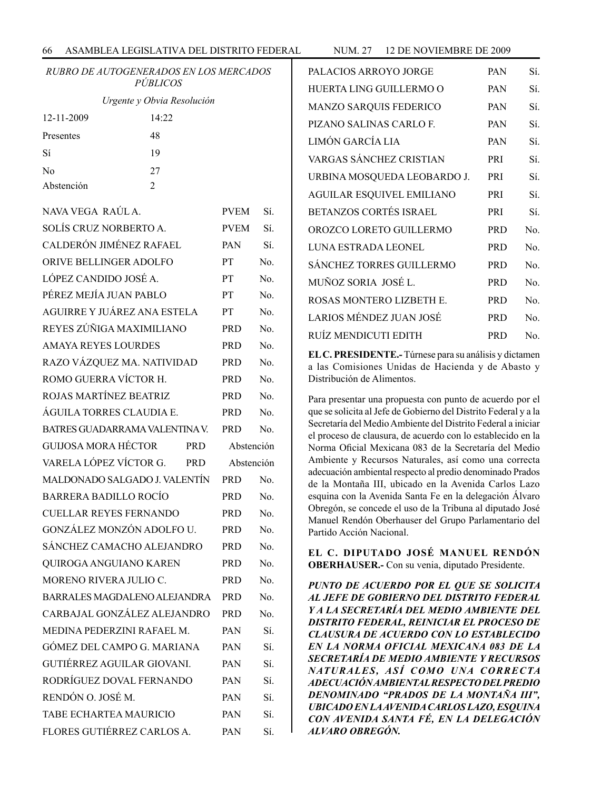| RUBRO DE AUTOGENERADOS EN LOS MERCADOS |                            |             |     | PALACIOS ARROYO JORO                                           |
|----------------------------------------|----------------------------|-------------|-----|----------------------------------------------------------------|
|                                        | PÚBLICOS                   |             |     | HUERTA LING GUILLERN                                           |
|                                        | Urgente y Obvia Resolución |             |     | <b>MANZO SARQUIS FEDER</b>                                     |
| 12-11-2009                             | 14:22                      |             |     | PIZANO SALINAS CARLO                                           |
| Presentes                              | 48                         |             |     | LIMÓN GARCÍA LIA                                               |
| Sí                                     | 19                         |             |     | VARGAS SÁNCHEZ CRIST                                           |
| No                                     | 27                         |             |     | URBINA MOSQUEDA LEC                                            |
| Abstención                             | $\overline{2}$             |             |     | <b>AGUILAR ESQUIVEL EMI</b>                                    |
| NAVA VEGA RAÚLA.                       |                            | <b>PVEM</b> | Sí. | BETANZOS CORTÉS ISRA                                           |
| SOLÍS CRUZ NORBERTO A.                 |                            | <b>PVEM</b> | Sí. | OROZCO LORETO GUILL                                            |
| CALDERÓN JIMÉNEZ RAFAEL                |                            | PAN         | Sí. | LUNA ESTRADA LEONEL                                            |
| ORIVE BELLINGER ADOLFO                 |                            | <b>PT</b>   | No. | <b>SÁNCHEZ TORRES GUILI</b>                                    |
| LÓPEZ CANDIDO JOSÉ A.                  |                            | <b>PT</b>   | No. | MUÑOZ SORIA JOSÉ L.                                            |
| PÉREZ MEJÍA JUAN PABLO                 |                            | <b>PT</b>   | No. | <b>ROSAS MONTERO LIZBE</b>                                     |
| AGUIRRE Y JUÁREZ ANA ESTELA            |                            | <b>PT</b>   | No. | LARIOS MÉNDEZ JUAN J                                           |
| REYES ZÚÑIGA MAXIMILIANO               |                            | <b>PRD</b>  | No. | RUÍZ MENDICUTI EDITH                                           |
| <b>AMAYA REYES LOURDES</b>             |                            | <b>PRD</b>  | No. | ELC. PRESIDENTE.- Túrn                                         |
| RAZO VÁZQUEZ MA. NATIVIDAD             |                            | <b>PRD</b>  | No. | a las Comisiones Unidas o                                      |
| ROMO GUERRA VÍCTOR H.                  |                            | <b>PRD</b>  | No. | Distribución de Alimentos.                                     |
| ROJAS MARTÍNEZ BEATRIZ                 |                            | <b>PRD</b>  | No. | Para presentar una propuesta                                   |
| ÁGUILA TORRES CLAUDIA E.               |                            | <b>PRD</b>  | No. | que se solicita al Jefe de Gobi<br>Secretaría del Medio Ambien |
| BATRES GUADARRAMA VALENTINA V.         |                            | <b>PRD</b>  | No. | el proceso de clausura, de aci                                 |
| <b>GUIJOSA MORA HÉCTOR</b>             | <b>PRD</b>                 | Abstención  |     | Norma Oficial Mexicana 08                                      |
| VARELA LÓPEZ VÍCTOR G.                 | <b>PRD</b>                 | Abstención  |     | Ambiente y Recursos Natur<br>adecuación ambiental respecto     |
| MALDONADO SALGADO J. VALENTÍN          |                            | <b>PRD</b>  | No. | de la Montaña III, ubicado                                     |
| <b>BARRERA BADILLO ROCÍO</b>           |                            | <b>PRD</b>  | No. | esquina con la Avenida Sant                                    |
| <b>CUELLAR REYES FERNANDO</b>          |                            | PRD         | No. | Obregón, se concede el uso d<br>Manuel Rendón Oberhauser       |
| GONZÁLEZ MONZÓN ADOLFO U.              |                            | <b>PRD</b>  | No. | Partido Acción Nacional.                                       |
| SÁNCHEZ CAMACHO ALEJANDRO              |                            | <b>PRD</b>  | No. | EL C. DIPUTADO JOS                                             |
| QUIROGA ANGUIANO KAREN                 |                            | <b>PRD</b>  | No. | <b>OBERHAUSER.- Con su ve</b>                                  |
| MORENO RIVERA JULIO C.                 |                            | <b>PRD</b>  | No. | <b>PUNTO DE ACUERDO PO</b>                                     |
| BARRALES MAGDALENO ALEJANDRA           |                            | <b>PRD</b>  | No. | <b>AL JEFE DE GOBIERNO</b>                                     |
| CARBAJAL GONZÁLEZ ALEJANDRO            |                            | <b>PRD</b>  | No. | Y A LA SECRETARÍA DEL<br><b>DISTRITO FEDERAL, REA</b>          |
| MEDINA PEDERZINI RAFAEL M.             |                            | PAN         | Sí. | <b>CLAUSURA DE ACUERDO</b>                                     |
| GÓMEZ DEL CAMPO G. MARIANA             |                            | PAN         | Sí. | EN LA NORMA OFICIAL<br><b>SECRETARÍA DE MEDIO</b>              |
| GUTIÉRREZ AGUILAR GIOVANI.             |                            | PAN         | Sí. | NATURALES, ASÍ CO                                              |
| RODRÍGUEZ DOVAL FERNANDO               |                            | PAN         | Sí. | <i><b>ADECUACIÓN AMBIENTA</b></i>                              |
| RENDÓN O. JOSÉ M.                      |                            | PAN         | Sí. | <b>DENOMINADO "PRADO"</b><br><b>UBICADO EN LAAVENIDA</b>       |
| TABE ECHARTEA MAURICIO                 |                            | PAN         | Sí. | CON AVENIDA SANTA F                                            |
| FLORES GUTIÉRREZ CARLOS A.             |                            | PAN         | Sí. | ALVARO OBREGÓN.                                                |

| PALACIOS ARROYO JORGE            | <b>PAN</b> | Sí. |
|----------------------------------|------------|-----|
| HUERTA LING GUILLERMO O          | <b>PAN</b> | Sí. |
| MANZO SARQUIS FEDERICO           | <b>PAN</b> | Sí. |
| PIZANO SALINAS CARLO E           | <b>PAN</b> | Sí. |
| LIMÓN GARCÍA LIA                 | <b>PAN</b> | Sí. |
| VARGAS SÁNCHEZ CRISTIAN          | <b>PRI</b> | Sí. |
| URBINA MOSQUEDA LEOBARDO J.      | <b>PRI</b> | Sí. |
| <b>AGUILAR ESQUIVEL EMILIANO</b> | <b>PRI</b> | Sí. |
| BETANZOS CORTÉS ISRAEL           | <b>PRI</b> | Sí. |
| OROZCO LORETO GUILLERMO          | <b>PRD</b> | No. |
| LUNA ESTRADA LEONEL              | <b>PRD</b> | No. |
| <b>SÁNCHEZ TORRES GUILLERMO</b>  | <b>PRD</b> | No. |
| MUÑOZ SORIA JOSÉ L.              | <b>PRD</b> | No. |
| ROSAS MONTERO LIZBETH E.         | <b>PRD</b> | No. |
| LARIOS MÉNDEZ JUAN JOSÉ          | <b>PRD</b> | No. |
| RUÍZ MENDICUTI EDITH             | <b>PRD</b> | No. |
|                                  |            |     |

**EL C. PRESIDENTE.-** Túrnese para su análisis y dictamen de Hacienda y de Abasto y

a con punto de acuerdo por el ierno del Distrito Federal y a la te del Distrito Federal a iniciar uerdo con lo establecido en la 33 de la Secretaría del Medio rales, así como una correcta o al predio denominado Prados en la Avenida Carlos Lazo a Fe en la delegación Álvaro de la Tribuna al diputado José del Grupo Parlamentario del

SÉ MANUEL RENDÓN enia, diputado Presidente.

*PUNTO DE ACUERDO POR EL QUE SE SOLICITA AL JEFE DE GOBIERNO DEL DISTRITO FEDERAL Y A LA SECRETARÍA DEL MEDIO AMBIENTE DEL DISTRITO FEDERAL, REINICIAR EL PROCESO DE CLAUSURA DE ACUERDO CON LO ESTABLECIDO EN LA NORMA OFICIAL MEXICANA 083 DE LA*  **AMBIENTE Y RECURSOS** *NATURALES, ASÍ COMO UNA CORRECTA ADECUACIÓN AMBIENTAL RESPECTO DEL PREDIO DENOMINADO "PRADOS DE LA MONTAÑA III", UBICADO EN LA AVENIDA CARLOS LAZO, ESQUINA CON AVENIDA SANTA FÉ, EN LA DELEGACIÓN*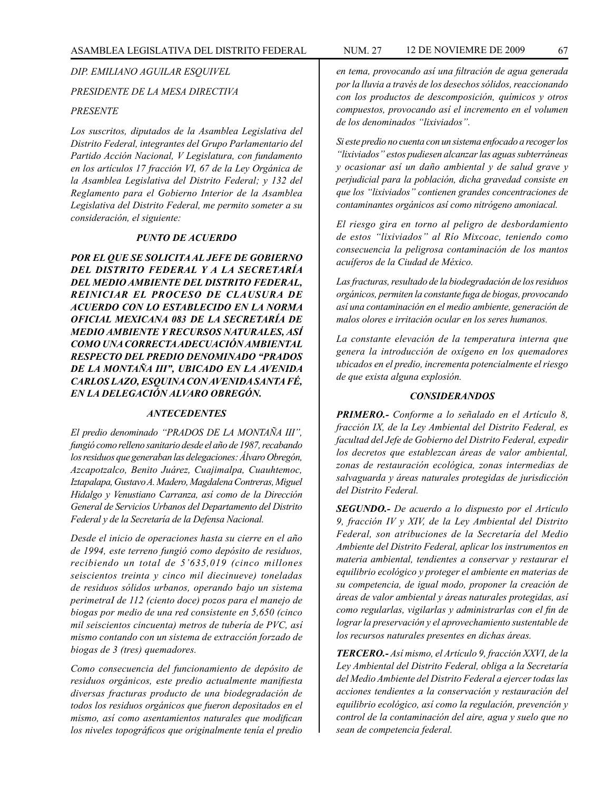## *DIP. EMILIANO AGUILAR ESQUIVEL*

#### *PRESIDENTE DE LA MESA DIRECTIVA*

### *PRESENTE*

*Los suscritos, diputados de la Asamblea Legislativa del Distrito Federal, integrantes del Grupo Parlamentario del Partido Acción Nacional, V Legislatura, con fundamento en los artículos 17 fracción VI, 67 de la Ley Orgánica de la Asamblea Legislativa del Distrito Federal; y 132 del Reglamento para el Gobierno Interior de la Asamblea Legislativa del Distrito Federal, me permito someter a su consideración, el siguiente:*

#### *PUNTO DE ACUERDO*

*POR EL QUE SE SOLICITA AL JEFE DE GOBIERNO DEL DISTRITO FEDERAL Y A LA SECRETARÍA DEL MEDIO AMBIENTE DEL DISTRITO FEDERAL, REINICIAR EL PROCESO DE CLAUSURA DE ACUERDO CON LO ESTABLECIDO EN LA NORMA OFICIAL MEXICANA 083 DE LA SECRETARÍA DE MEDIO AMBIENTE Y RECURSOS NATURALES, ASÍ COMO UNA CORRECTA ADECUACIÓN AMBIENTAL RESPECTO DEL PREDIO DENOMINADO "PRADOS DE LA MONTAÑA III", UBICADO EN LA AVENIDA CARLOS LAZO, ESQUINA CON AVENIDA SANTA FÉ, EN LA DELEGACIÓN ALVARO OBREGÓN.*

### *ANTECEDENTES*

*El predio denominado "PRADOS DE LA MONTAÑA III", fungió como relleno sanitario desde el año de 1987, recabando los residuos que generaban las delegaciones: Álvaro Obregón, Azcapotzalco, Benito Juárez, Cuajimalpa, Cuauhtemoc, Iztapalapa, Gustavo A. Madero, Magdalena Contreras, Miguel Hidalgo y Venustiano Carranza, así como de la Dirección General de Servicios Urbanos del Departamento del Distrito Federal y de la Secretaría de la Defensa Nacional.*

*Desde el inicio de operaciones hasta su cierre en el año de 1994, este terreno fungió como depósito de residuos, recibiendo un total de 5'635,019 (cinco millones seiscientos treinta y cinco mil diecinueve) toneladas de residuos sólidos urbanos, operando bajo un sistema perimetraI de 112 (ciento doce) pozos para el manejo de biogas por medio de una red consistente en 5,650 (cinco mil seiscientos cincuenta) metros de tubería de PVC, así mismo contando con un sistema de extracción forzado de biogas de 3 (tres) quemadores.*

*Como consecuencia del funcionamiento de depósito de residuos orgánicos, este predio actualmente manifiesta diversas fracturas producto de una biodegradación de todos los residuos orgánicos que fueron depositados en el mismo, así como asentamientos naturales que modifican los niveles topográficos que originalmente tenía el predio* 

*en tema, provocando así una filtración de agua generada por la lluvia a través de los desechos sólidos, reaccionando con los productos de descomposición, químicos y otros compuestos, provocando así el incremento en el volumen de los denominados "lixiviados".* 

*Si este predio no cuenta con un sistema enfocado a recoger los "lixiviados" estos pudiesen alcanzar las aguas subterráneas y ocasionar así un daño ambiental y de salud grave y perjudicial para la población, dicha gravedad consiste en que los "lixiviados" contienen grandes concentraciones de contaminantes orgánicos así como nitrógeno amoniacal.*

*El riesgo gira en torno al peligro de desbordamiento de estos "lixiviados" al Río Mixcoac, teniendo como consecuencia la peligrosa contaminación de los mantos acuíferos de la Ciudad de México.*

*Las fracturas, resultado de la biodegradación de los residuos orgánicos, permiten la constante fuga de biogas, provocando así una contaminación en el medio ambiente, generación de malos olores e irritación ocular en los seres humanos.* 

*La constante elevación de la temperatura interna que genera la introducción de oxígeno en los quemadores ubicados en el predio, incrementa potencialmente el riesgo de que exista alguna explosión.*

## *CONSIDERANDOS*

*PRIMERO.- Conforme a lo señalado en el Artículo 8, fracción IX, de la Ley Ambiental del Distrito Federal, es facultad del Jefe de Gobierno del Distrito Federal, expedir los decretos que establezcan áreas de valor ambiental, zonas de restauración ecológica, zonas intermedias de salvaguarda y áreas naturales protegidas de jurisdicción del Distrito Federal.*

*SEGUNDO.- De acuerdo a lo dispuesto por el Artículo 9, fracción IV y XIV, de la Ley Ambiental del Distrito Federal, son atribuciones de la Secretaría del Medio Ambiente del Distrito Federal, aplicar los instrumentos en materia ambiental, tendientes a conservar y restaurar el equilibrio ecológico y proteger el ambiente en materias de su competencia, de igual modo, proponer la creación de áreas de valor ambiental y áreas naturales protegidas, así como regularlas, vigilarlas y administrarlas con el fin de lograr la preservación y el aprovechamiento sustentable de los recursos naturales presentes en dichas áreas.*

*TERCERO.- Así mismo, el Artículo 9, fracción XXVI, de la Ley Ambiental del Distrito Federal, obliga a la Secretaría del Medio Ambiente del Distrito Federal a ejercer todas las acciones tendientes a la conservación y restauración del equilibrio ecológico, así como la regulación, prevención y control de la contaminación del aire, agua y suelo que no sean de competencia federal.*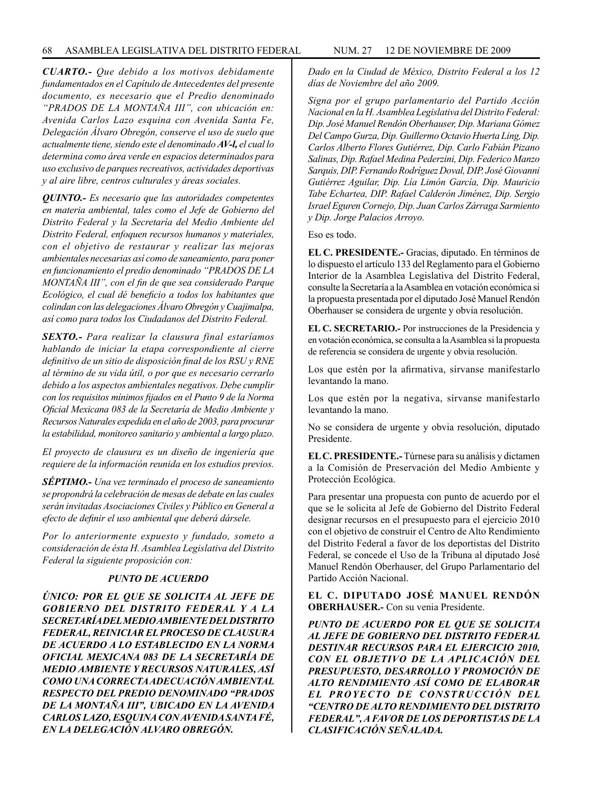*CUARTO.- Que debido a los motivos debidamente fundamentados en el Capítulo de Antecedentes del presente documento, es necesario que el Predio denominado "PRADOS DE LA MONTAÑA III", con ubicación en: Avenida Carlos Lazo esquina con Avenida Santa Fe, Delegación Álvaro Obregón, conserve el uso de suelo que actualmente tiene, siendo este el denominado AV-l, el cual lo determina como área verde en espacios determinados para uso exclusivo de parques recreativos, actividades deportivas y al aire libre, centros culturales y áreas sociales.*

*QUINTO.- Es necesario que las autoridades competentes en materia ambiental, tales como el Jefe de Gobierno del Distrito Federal y la Secretaría del Medio Ambiente del Distrito Federal, enfoquen recursos humanos y materiales, con el objetivo de restaurar y realizar las mejoras ambientales necesarias así como de saneamiento, para poner en funcionamiento el predio denominado "PRADOS DE LA MONTAÑA III", con el fin de que sea considerado Parque Ecológico, el cual dé beneficio a todos los habitantes que colindan con las delegaciones Álvaro Obregón y Cuajimalpa, así como para todos los Ciudadanos del Distrito Federal.*

*SEXTO.- Para realizar la clausura final estaríamos hablando de iniciar la etapa correspondiente al cierre definitivo de un sitio de disposición final de los RSU y RNE al término de su vida útil, o por que es necesario cerrarlo debido a los aspectos ambientales negativos. Debe cumplir con los requisitos mínimos fijados en el Punto 9 de la Norma Oficial Mexicana 083 de la Secretaría de Medio Ambiente y Recursos Naturales expedida en el año de 2003, para procurar la estabilidad, monitoreo sanitario y ambiental a largo plazo.*

*El proyecto de clausura es un diseño de ingeniería que requiere de la información reunida en los estudios previos.*

*SÉPTIMO.- Una vez terminado el proceso de saneamiento se propondrá la celebración de mesas de debate en las cuales serán invitadas Asociaciones Civiles y Público en General a efecto de definir el uso ambiental que deberá dársele.* 

*Por lo anteriormente expuesto y fundado, someto a consideración de ésta H. Asamblea Legislativa del Distrito Federal la siguiente proposición con:* 

#### *PUNTO DE ACUERDO*

*ÚNICO: POR EL QUE SE SOLICITA AL JEFE DE GOBIERNO DEL DISTRITO FEDERAL Y A LA SECRETARÍA DEL MEDIO AMBIENTE DEL DISTRITO FEDERAL, REINICIAR EL PROCESO DE CLAUSURA DE ACUERDO A LO ESTABLECIDO EN LA NORMA OFICIAL MEXICANA 083 DE LA SECRETARÍA DE MEDIO AMBIENTE Y RECURSOS NATURALES, ASÍ COMO UNA CORRECTA ADECUACIÓN AMBIENTAL RESPECTO DEL PREDIO DENOMINADO "PRADOS DE LA MONTAÑA III", UBICADO EN LA AVENIDA CARLOS LAZO, ESQUINA CON AVENIDA SANTA FÉ, EN LA DELEGACIÓN ALVARO OBREGÓN.*

*Dado en la Ciudad de México, Distrito Federal a los 12 días de Noviembre del año 2009.*

*Signa por el grupo parlamentario del Partido Acción Nacional en la H. Asamblea Legislativa del Distrito Federal: Dip. José Manuel Rendón Oberhauser, Dip. Mariana Gómez Del Campo Gurza, Dip. Guillermo Octavio Huerta Ling, Dip. Carlos Alberto Flores Gutiérrez, Dip. Carlo Fabián Pizano Salinas, Dip. Rafael Medina Pederzini, Dip. Federico Manzo Sarquis, DIP. Fernando Rodríguez Doval, DIP. José Giovanni Gutiérrez Aguilar, Dip. Lía Limón García, Dip. Mauricio Tabe Echartea, DIP. Rafael Calderón Jiménez, Dip. Sergio Israel Eguren Cornejo, Dip. Juan Carlos Zárraga Sarmiento y Dip. Jorge Palacios Arroyo.*

Eso es todo.

**EL C. PRESIDENTE.-** Gracias, diputado. En términos de lo dispuesto el artículo 133 del Reglamento para el Gobierno Interior de la Asamblea Legislativa del Distrito Federal, consulte la Secretaría a la Asamblea en votación económica si la propuesta presentada por el diputado José Manuel Rendón Oberhauser se considera de urgente y obvia resolución.

**EL C. SECRETARIO.-** Por instrucciones de la Presidencia y en votación económica, se consulta a la Asamblea si la propuesta de referencia se considera de urgente y obvia resolución.

Los que estén por la afirmativa, sírvanse manifestarlo levantando la mano.

Los que estén por la negativa, sírvanse manifestarlo levantando la mano.

No se considera de urgente y obvia resolución, diputado Presidente.

**EL C. PRESIDENTE.-** Túrnese para su análisis y dictamen a la Comisión de Preservación del Medio Ambiente y Protección Ecológica.

Para presentar una propuesta con punto de acuerdo por el que se le solicita al Jefe de Gobierno del Distrito Federal designar recursos en el presupuesto para el ejercicio 2010 con el objetivo de construir el Centro de Alto Rendimiento del Distrito Federal a favor de los deportistas del Distrito Federal, se concede el Uso de la Tribuna al diputado José Manuel Rendón Oberhauser, del Grupo Parlamentario del Partido Acción Nacional.

## **EL C. DIPUTADO JOSÉ MANUEL RENDÓN OBERHAUSER.-** Con su venia Presidente.

*PUNTO DE ACUERDO POR EL QUE SE SOLICITA AL JEFE DE GOBIERNO DEL DISTRITO FEDERAL DESTINAR RECURSOS PARA EL EJERCICIO 2010, CON EL OBJETIVO DE LA APLICACIÓN DEL PRESUPUESTO, DESARROLLO Y PROMOCIÓN DE ALTO RENDIMIENTO ASÍ COMO DE ELABORAR EL PROYECTO DE CONSTRUCCIÓN DEL "CENTRO DE ALTO RENDIMIENTO DEL DISTRITO FEDERAL", A FAVOR DE LOS DEPORTISTAS DE LA CLASIFICACIÓN SEÑALADA.*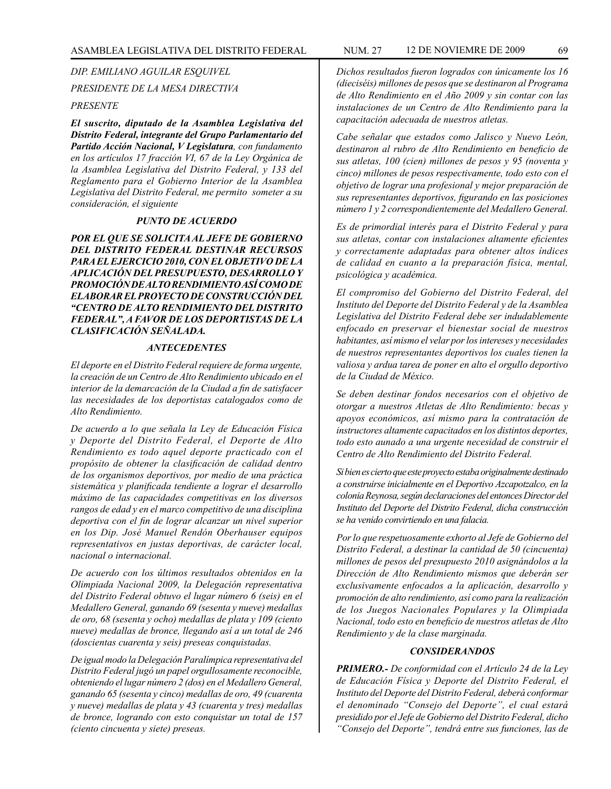*DIP. EMILIANO AGUILAR ESQUIVEL*

*PRESIDENTE DE LA MESA DIRECTIVA*

#### *PRESENTE*

*El suscrito, diputado de la Asamblea Legislativa del Distrito Federal, integrante del Grupo Parlamentario del Partido Acción Nacional, V Legislatura, con fundamento en los artículos 17 fracción VI, 67 de la Ley Orgánica de la Asamblea Legislativa del Distrito Federal, y 133 del Reglamento para el Gobierno Interior de la Asamblea Legislativa del Distrito Federal, me permito someter a su consideración, el siguiente*

#### *PUNTO DE ACUERDO*

*POR EL QUE SE SOLICITA AL JEFE DE GOBIERNO DEL DISTRITO FEDERAL DESTINAR RECURSOS PARA EL EJERCICIO 2010, CON EL OBJETIVO DE LA APLICACIÓN DEL PRESUPUESTO, DESARROLLO Y PROMOCIÓN DE ALTO RENDIMIENTO ASÍ COMO DE ELABORAR EL PROYECTO DE CONSTRUCCIÓN DEL "CENTRO DE ALTO RENDIMIENTO DEL DISTRITO FEDERAL", A FAVOR DE LOS DEPORTISTAS DE LA CLASIFICACIÓN SEÑALADA.*

## *ANTECEDENTES*

*El deporte en el Distrito Federal requiere de forma urgente, la creación de un Centro de Alto Rendimiento ubicado en el interior de la demarcación de la Ciudad a fin de satisfacer las necesidades de los deportistas catalogados como de Alto Rendimiento.* 

*De acuerdo a lo que señala la Ley de Educación Física y Deporte del Distrito Federal, el Deporte de Alto Rendimiento es todo aquel deporte practicado con el propósito de obtener la clasificación de calidad dentro de los organismos deportivos, por medio de una práctica sistemática y planificada tendiente a lograr el desarrollo máximo de las capacidades competitivas en los diversos rangos de edad y en el marco competitivo de una disciplina deportiva con el fin de lograr alcanzar un nivel superior en los Dip. José Manuel Rendón Oberhauser equipos representativos en justas deportivas, de carácter local, nacional o internacional.*

*De acuerdo con los últimos resultados obtenidos en la Olimpiada Nacional 2009, la Delegación representativa del Distrito Federal obtuvo el lugar número 6 (seis) en el Medallero General, ganando 69 (sesenta y nueve) medallas de oro, 68 (sesenta y ocho) medallas de plata y 109 (ciento nueve) medallas de bronce, llegando así a un total de 246 (doscientas cuarenta y seis) preseas conquistadas.*

*De igual modo la Delegación Paralímpica representativa del Distrito Federal jugó un papel orgullosamente reconocible, obteniendo el lugar número 2 (dos) en el Medallero General, ganando 65 (sesenta y cinco) medallas de oro, 49 (cuarenta y nueve) medallas de plata y 43 (cuarenta y tres) medallas de bronce, logrando con esto conquistar un total de 157 (ciento cincuenta y siete) preseas.* 

*Dichos resultados fueron logrados con únicamente los 16 (dieciséis) millones de pesos que se destinaron al Programa de Alto Rendimiento en el Año 2009 y sin contar con las instalaciones de un Centro de Alto Rendimiento para la capacitación adecuada de nuestros atletas.*

*Cabe señalar que estados como Jalisco y Nuevo León, destinaron al rubro de Alto Rendimiento en beneficio de sus atletas, 100 (cien) millones de pesos y 95 (noventa y cinco) millones de pesos respectivamente, todo esto con el objetivo de lograr una profesional y mejor preparación de sus representantes deportivos, figurando en las posiciones número 1 y 2 correspondientemente del Medallero General.* 

*Es de primordial interés para el Distrito Federal y para sus atletas, contar con instalaciones altamente eficientes y correctamente adaptadas para obtener altos índices de calidad en cuanto a la preparación física, mental, psicológica y académica.*

*El compromiso del Gobierno del Distrito Federal, del Instituto del Deporte del Distrito Federal y de la Asamblea Legislativa del Distrito Federal debe ser indudablemente enfocado en preservar el bienestar social de nuestros habitantes, así mismo el velar por los intereses y necesidades de nuestros representantes deportivos los cuales tienen la valiosa y ardua tarea de poner en alto el orgullo deportivo de la Ciudad de México.*

*Se deben destinar fondos necesarios con el objetivo de otorgar a nuestros Atletas de Alto Rendimiento: becas y apoyos económicos, así mismo para la contratación de instructores altamente capacitados en los distintos deportes, todo esto aunado a una urgente necesidad de construir el Centro de Alto Rendimiento del Distrito Federal.*

*Si bien es cierto que este proyecto estaba originalmente destinado a construirse inicialmente en el Deportivo Azcapotzalco, en la colonia Reynosa, según declaraciones del entonces Director del Instituto del Deporte del Distrito Federal, dicha construcción se ha venido convirtiendo en una falacia.*

*Por lo que respetuosamente exhorto al Jefe de Gobierno del Distrito Federal, a destinar la cantidad de 50 (cincuenta) millones de pesos del presupuesto 2010 asignándolos a la Dirección de Alto Rendimiento mismos que deberán ser exclusivamente enfocados a la aplicación, desarrollo y promoción de alto rendimiento, así como para la realización de los Juegos Nacionales Populares y la Olimpiada Nacional, todo esto en beneficio de nuestros atletas de Alto Rendimiento y de la clase marginada.*

#### *CONSIDERANDOS*

*PRIMERO.- De conformidad con el Artículo 24 de la Ley de Educación Física y Deporte del Distrito Federal, el Instituto del Deporte del Distrito Federal, deberá conformar el denominado "Consejo del Deporte", el cual estará presidido por el Jefe de Gobierno del Distrito Federal, dicho "Consejo del Deporte", tendrá entre sus funciones, las de*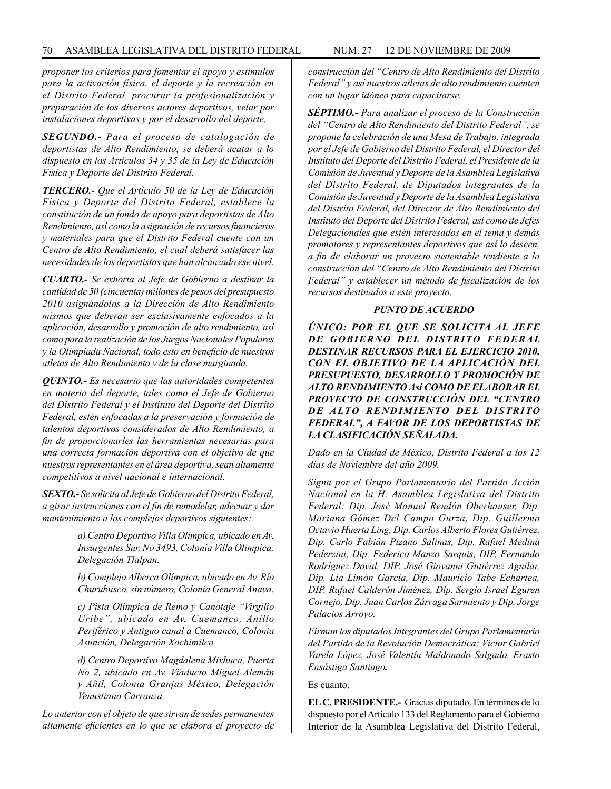*proponer los criterios para fomentar el apoyo y estímulos para la activación física, el deporte y la recreación en el Distrito Federal, procurar la profesionalización y preparación de los diversos actores deportivos, velar por instalaciones deportivas y por el desarrollo del deporte.*

*SEGUNDO.- Para el proceso de catalogación de deportistas de Alto Rendimiento, se deberá acatar a lo dispuesto en los Artículos 34 y 35 de la Ley de Educación Física y Deporte del Distrito Federal.*

*TERCERO.- Que el Artículo 50 de la Ley de Educación Física y Deporte del Distrito Federal, establece la constitución de un fondo de apoyo para deportistas de Alto Rendimiento, así como la asignación de recursos financieros y materiales para que el Distrito Federal cuente con un Centro de Alto Rendimiento, el cual deberá satisfacer las necesidades de los deportistas que han alcanzado ese nivel.*

*CUARTO.- Se exhorta al Jefe de Gobierno a destinar la cantidad de 50 (cincuenta) millones de pesos del presupuesto 2010 asignándolos a la Dirección de Alto Rendimiento mismos que deberán ser exclusivamente enfocados a la aplicación, desarrollo y promoción de alto rendimiento, así como para la realización de los Juegos Nacionales Populares y la Olimpiada Nacional, todo esto en beneficio de nuestros atletas de Alto Rendimiento y de la clase marginada.*

*QUINTO.- Es necesario que las autoridades competentes en materia del deporte, tales como el Jefe de Gobierno del Distrito Federal y el Instituto del Deporte del Distrito Federal, estén enfocadas a la preservación y formación de talentos deportivos considerados de Alto Rendimiento, a fin de proporcionarles las herramientas necesarias para una correcta formación deportiva con el objetivo de que nuestros representantes en el área deportiva, sean altamente competitivos a nivel nacional e internacional.*

*SEXTO.- Se solicita al Jefe de Gobierno del Distrito Federal, a girar instrucciones con el fin de remodelar, adecuar y dar mantenimiento a los complejos deportivos siguientes:*

> *a) Centro Deportivo Villa Olímpica, ubicado en Av. Insurgentes Sur, No 3493, Colonia Villa Olímpica, Delegación Tlalpan.*

> *b) Complejo Alberca Olímpica, ubicado en Av. Río Churubusco, sin número, Colonia General Anaya.*

> *c) Pista Olímpica de Remo y Canotaje "Virgilio Uribe", ubicado en Av. Cuemanco, Anillo Periférico y Antiguo canal a Cuemanco, Colonia Asunción, Delegación Xochimilco*

> *d) Centro Deportivo Magdalena Mixhuca, Puerta No 2, ubicado en Av. Viaducto Miguel Alemán y Añil, Colonia Granjas México, Delegación Venustiano Carranza.*

*Lo anterior con el objeto de que sirvan de sedes permanentes altamente eficientes en lo que se elabora el proyecto de*  *construcción del "Centro de Alto Rendimiento del Distrito Federal" y así nuestros atletas de alto rendimiento cuenten con un lugar idóneo para capacitarse.*

*SÉPTIMO.- Para analizar el proceso de la Construcción del "Centro de Alto Rendimiento del Distrito Federal", se propone la celebración de una Mesa de Trabajo, integrada por el Jefe de Gobierno del Distrito Federal, el Director del Instituto del Deporte del Distrito Federal, el Presidente de la Comisión de Juventud y Deporte de la Asamblea Legislativa del Distrito Federal, de Diputados integrantes de la Comisión de Juventud y Deporte de la Asamblea Legislativa del Distrito Federal, del Director de Alto Rendimiento del Instituto del Deporte del Distrito Federal, así como de Jefes Delegacionales que estén interesados en el tema y demás promotores y representantes deportivos que así lo deseen, a fin de elaborar un proyecto sustentable tendiente a la construcción del "Centro de Alto Rendimiento del Distrito Federal" y establecer un método de fiscalización de los recursos destinados a este proyecto.*

### *PUNTO DE ACUERDO*

*ÚNICO: POR EL QUE SE SOLICITA AL JEFE DE GOBIERNO DEL DISTRITO FEDERAL DESTINAR RECURSOS PARA EL EJERCICIO 2010, CON EL OBJETIVO DE LA APLICACIÓN DEL PRESUPUESTO, DESARROLLO Y PROMOCIÓN DE ALTO RENDIMIENTO Así COMO DE ELABORAR EL PROYECTO DE CONSTRUCCIÓN DEL "CENTRO DE ALTO RENDIMIENTO DEL DISTRITO FEDERAL", A FAVOR DE LOS DEPORTISTAS DE LA CLASIFICACIÓN SEÑALADA.*

*Dado en la Ciudad de México, Distrito Federal a los 12 días de Noviembre del año 2009.*

*Signa por el Grupo Parlamentario del Partido Acción Nacional en la H. Asamblea Legislativa del Distrito Federal: Dip. José Manuel Rendón Oberhauser, Dip. Mariana Gómez Del Campo Gurza, Dip. Guillermo Octavio Huerta Ling, Dip. Carlos Alberto Flores Gutiérrez, Dip. Carlo Fabián Pizano Salinas, Dip. Rafael Medina Pederzini, Dip. Federico Manzo Sarquis, DIP. Fernando Rodríguez Doval, DIP. José Giovanni Gutiérrez Aguilar, Dip. Lía Limón García, Dip. Mauricio Tabe Echartea, DIP. Rafael Calderón Jiménez, Dip. Sergio Israel Eguren Cornejo, Dip. Juan Carlos Zárraga Sarmiento y Dip. Jorge Palacios Arroyo.*

*Firman los diputados Integrantes del Grupo Parlamentario del Partido de la Revolución Democrática: Víctor Gabriel Varela López, José Valentín Maldonado Salgado, Erasto Ensástiga Santiago.*

#### Es cuanto.

**EL C. PRESIDENTE.-** Gracias diputado. En términos de lo dispuesto por el Artículo 133 del Reglamento para el Gobierno Interior de la Asamblea Legislativa del Distrito Federal,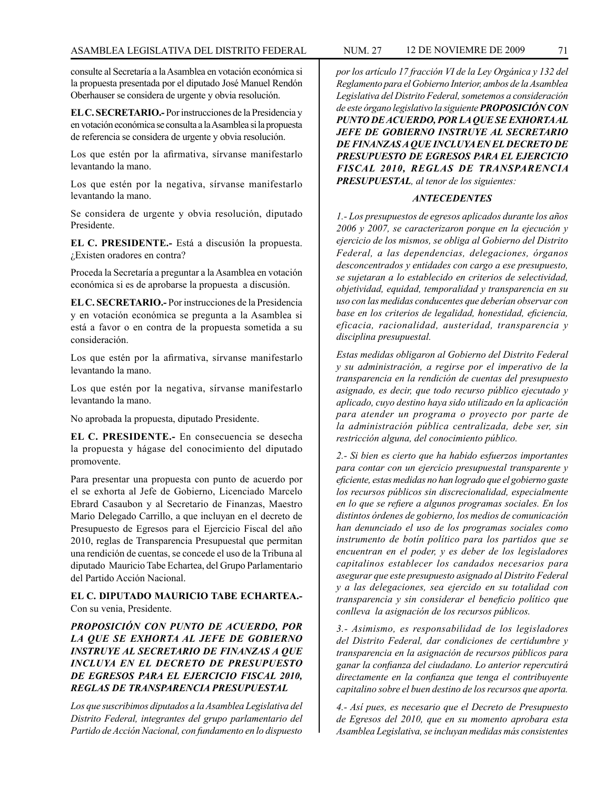consulte al Secretaría a la Asamblea en votación económica si la propuesta presentada por el diputado José Manuel Rendón Oberhauser se considera de urgente y obvia resolución.

**EL C. SECRETARIO.-** Por instrucciones de la Presidencia y en votación económica se consulta a la Asamblea si la propuesta de referencia se considera de urgente y obvia resolución.

Los que estén por la afirmativa, sírvanse manifestarlo levantando la mano.

Los que estén por la negativa, sírvanse manifestarlo levantando la mano.

Se considera de urgente y obvia resolución, diputado Presidente.

**EL C. PRESIDENTE.-** Está a discusión la propuesta. ¿Existen oradores en contra?

Proceda la Secretaría a preguntar a la Asamblea en votación económica si es de aprobarse la propuesta a discusión.

**EL C. SECRETARIO.-** Por instrucciones de la Presidencia y en votación económica se pregunta a la Asamblea si está a favor o en contra de la propuesta sometida a su consideración.

Los que estén por la afirmativa, sírvanse manifestarlo levantando la mano.

Los que estén por la negativa, sírvanse manifestarlo levantando la mano.

No aprobada la propuesta, diputado Presidente.

**EL C. PRESIDENTE.-** En consecuencia se desecha la propuesta y hágase del conocimiento del diputado promovente.

Para presentar una propuesta con punto de acuerdo por el se exhorta al Jefe de Gobierno, Licenciado Marcelo Ebrard Casaubon y al Secretario de Finanzas, Maestro Mario Delegado Carrillo, a que incluyan en el decreto de Presupuesto de Egresos para el Ejercicio Fiscal del año 2010, reglas de Transparencia Presupuestal que permitan una rendición de cuentas, se concede el uso de la Tribuna al diputado Mauricio Tabe Echartea, del Grupo Parlamentario del Partido Acción Nacional.

**EL C. DIPUTADO MAURICIO TABE ECHARTEA.-** Con su venia, Presidente.

*PROPOSICIÓN CON PUNTO DE ACUERDO, POR LA QUE SE EXHORTA AL JEFE DE GOBIERNO INSTRUYE AL SECRETARIO DE FINANZAS A QUE INCLUYA EN EL DECRETO DE PRESUPUESTO DE EGRESOS PARA EL EJERCICIO FISCAL 2010, REGLAS DE TRANSPARENCIA PRESUPUESTAL*

*Los que suscribimos diputados a la Asamblea Legislativa del Distrito Federal, integrantes del grupo parlamentario del Partido de Acción Nacional, con fundamento en lo dispuesto* 

*por los artículo 17 fracción VI de la Ley Orgánica y 132 del Reglamento para el Gobierno Interior, ambos de la Asamblea Legislativa del Distrito Federal, sometemos a consideración de este órgano legislativo la siguiente PROPOSICIÓN CON PUNTO DE ACUERDO, POR LA QUE SE EXHORTA AL JEFE DE GOBIERNO INSTRUYE AL SECRETARIO DE FINANZAS A QUE INCLUYA EN EL DECRETO DE PRESUPUESTO DE EGRESOS PARA EL EJERCICIO FISCAL 2010, REGLAS DE TRANSPARENCIA PRESUPUESTAL, al tenor de los siguientes:* 

## *ANTECEDENTES*

*1.- Los presupuestos de egresos aplicados durante los años 2006 y 2007, se caracterizaron porque en la ejecución y ejercicio de los mismos, se obliga al Gobierno del Distrito Federal, a las dependencias, delegaciones, órganos desconcentrados y entidades con cargo a ese presupuesto, se sujetaran a lo establecido en criterios de selectividad, objetividad, equidad, temporalidad y transparencia en su uso con las medidas conducentes que deberían observar con base en los criterios de legalidad, honestidad, eficiencia, eficacia, racionalidad, austeridad, transparencia y disciplina presupuestal.*

*Estas medidas obligaron al Gobierno del Distrito Federal y su administración, a regirse por el imperativo de la transparencia en la rendición de cuentas del presupuesto asignado, es decir, que todo recurso público ejecutado y aplicado, cuyo destino haya sido utilizado en la aplicación para atender un programa o proyecto por parte de la administración pública centralizada, debe ser, sin restricción alguna, del conocimiento público.* 

*2.- Si bien es cierto que ha habido esfuerzos importantes para contar con un ejercicio presupuestal transparente y eficiente, estas medidas no han logrado que el gobierno gaste los recursos públicos sin discrecionalidad, especialmente en lo que se refiere a algunos programas sociales. En los distintos órdenes de gobierno, los medios de comunicación han denunciado el uso de los programas sociales como instrumento de botín político para los partidos que se encuentran en el poder, y es deber de los legisladores capitalinos establecer los candados necesarios para asegurar que este presupuesto asignado al Distrito Federal y a las delegaciones, sea ejercido en su totalidad con transparencia y sin considerar el beneficio político que conlleva la asignación de los recursos públicos.*

*3.- Asimismo, es responsabilidad de los legisladores del Distrito Federal, dar condiciones de certidumbre y transparencia en la asignación de recursos públicos para ganar la confianza del ciudadano. Lo anterior repercutirá directamente en la confianza que tenga el contribuyente capitalino sobre el buen destino de los recursos que aporta.*

*4.- Así pues, es necesario que el Decreto de Presupuesto de Egresos del 2010, que en su momento aprobara esta Asamblea Legislativa, se incluyan medidas más consistentes*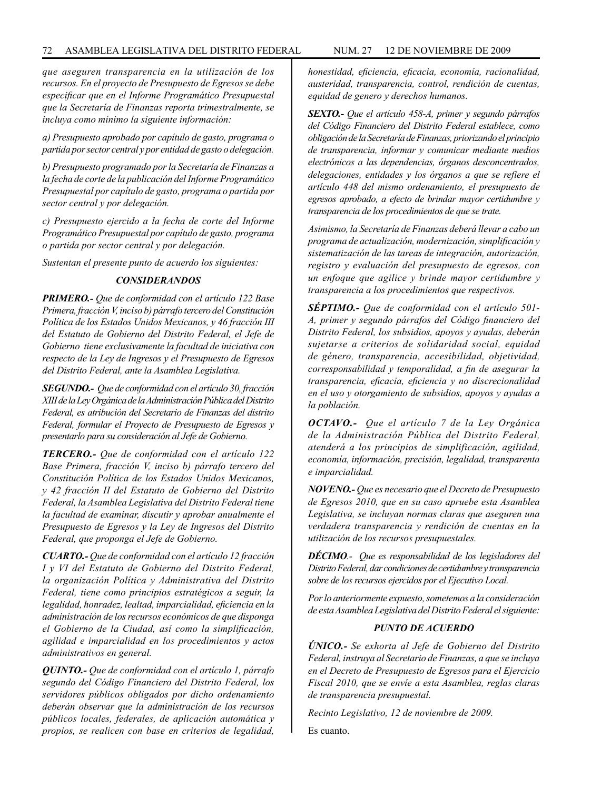#### 72 ASAMBLEA LEGISLATIVA DEL DISTRITO FEDERAL NUM. 27 12 de NOVIEMBRE de 2009

*que aseguren transparencia en la utilización de los recursos. En el proyecto de Presupuesto de Egresos se debe especificar que en el Informe Programático Presupuestal que la Secretaría de Finanzas reporta trimestralmente, se incluya como mínimo la siguiente información:*

*a) Presupuesto aprobado por capítulo de gasto, programa o partida por sector central y por entidad de gasto o delegación.*

*b) Presupuesto programado por la Secretaría de Finanzas a la fecha de corte de la publicación del Informe Programático Presupuestal por capítulo de gasto, programa o partida por sector central y por delegación.*

*c) Presupuesto ejercido a la fecha de corte del Informe Programático Presupuestal por capítulo de gasto, programa o partida por sector central y por delegación.*

*Sustentan el presente punto de acuerdo los siguientes:* 

#### *CONSIDERANDOS*

*PRIMERO.- Que de conformidad con el artículo 122 Base Primera, fracción V, inciso b) párrafo tercero del Constitución Política de los Estados Unidos Mexicanos, y 46 fracción III del Estatuto de Gobierno del Distrito Federal, el Jefe de Gobierno tiene exclusivamente la facultad de iniciativa con respecto de la Ley de Ingresos y el Presupuesto de Egresos del Distrito Federal, ante la Asamblea Legislativa.*

*SEGUNDO.- Que de conformidad con el artículo 30, fracción XIII de la Ley Orgánica de la Administración Pública del Distrito Federal, es atribución del Secretario de Finanzas del distrito Federal, formular el Proyecto de Presupuesto de Egresos y presentarlo para su consideración al Jefe de Gobierno.*

*TERCERO.- Que de conformidad con el artículo 122 Base Primera, fracción V, inciso b) párrafo tercero del Constitución Política de los Estados Unidos Mexicanos, y 42 fracción II del Estatuto de Gobierno del Distrito Federal, la Asamblea Legislativa del Distrito Federal tiene la facultad de examinar, discutir y aprobar anualmente el Presupuesto de Egresos y la Ley de Ingresos del Distrito Federal, que proponga el Jefe de Gobierno.*

*CUARTO.- Que de conformidad con el artículo 12 fracción I y VI del Estatuto de Gobierno del Distrito Federal, la organización Política y Administrativa del Distrito Federal, tiene como principios estratégicos a seguir, la legalidad, honradez, lealtad, imparcialidad, eficiencia en la administración de los recursos económicos de que disponga el Gobierno de la Ciudad, así como la simplificación, agilidad e imparcialidad en los procedimientos y actos administrativos en general.*

*QUINTO.- Que de conformidad con el artículo 1, párrafo segundo del Código Financiero del Distrito Federal, los servidores públicos obligados por dicho ordenamiento deberán observar que la administración de los recursos públicos locales, federales, de aplicación automática y propios, se realicen con base en criterios de legalidad,*

*honestidad, eficiencia, eficacia, economía, racionalidad, austeridad, transparencia, control, rendición de cuentas, equidad de genero y derechos humanos.*

*SEXTO.- Que el artículo 458-A, primer y segundo párrafos del Código Financiero del Distrito Federal establece, como obligación de la Secretaría de Finanzas, priorizando el principio de transparencia, informar y comunicar mediante medios electrónicos a las dependencias, órganos desconcentrados, delegaciones, entidades y los órganos a que se refiere el artículo 448 del mismo ordenamiento, el presupuesto de egresos aprobado, a efecto de brindar mayor certidumbre y transparencia de los procedimientos de que se trate.*

*Asimismo, la Secretaría de Finanzas deberá llevar a cabo un programa de actualización, modernización, simplificación y sistematización de las tareas de integración, autorización, registro y evaluación del presupuesto de egresos, con un enfoque que agilice y brinde mayor certidumbre y transparencia a los procedimientos que respectivos.*

*SÉPTIMO.- Que de conformidad con el artículo 501- A, primer y segundo párrafos del Código financiero del Distrito Federal, los subsidios, apoyos y ayudas, deberán sujetarse a criterios de solidaridad social, equidad de género, transparencia, accesibilidad, objetividad, corresponsabilidad y temporalidad, a fin de asegurar la transparencia, eficacia, eficiencia y no discrecionalidad en el uso y otorgamiento de subsidios, apoyos y ayudas a la población.*

*OCTAVO.- Que el artículo 7 de la Ley Orgánica de la Administración Pública del Distrito Federal, atenderá a los principios de simplificación, agilidad, economía, información, precisión, legalidad, transparenta e imparcialidad.*

*NOVENO.- Que es necesario que el Decreto de Presupuesto de Egresos 2010, que en su caso apruebe esta Asamblea Legislativa, se incluyan normas claras que aseguren una verdadera transparencia y rendición de cuentas en la utilización de los recursos presupuestales.*

*DÉCIMO.- Que es responsabilidad de los legisladores del Distrito Federal, dar condiciones de certidumbre y transparencia sobre de los recursos ejercidos por el Ejecutivo Local.*

*Por lo anteriormente expuesto, sometemos a la consideración de esta Asamblea Legislativa del Distrito Federal el siguiente:* 

#### *PUNTO DE ACUERDO*

*ÚNICO.- Se exhorta al Jefe de Gobierno del Distrito Federal, instruya al Secretario de Finanzas, a que se incluya en el Decreto de Presupuesto de Egresos para el Ejercicio Fiscal 2010, que se envíe a esta Asamblea, reglas claras de transparencia presupuestal.* 

*Recinto Legislativo, 12 de noviembre de 2009.*

Es cuanto.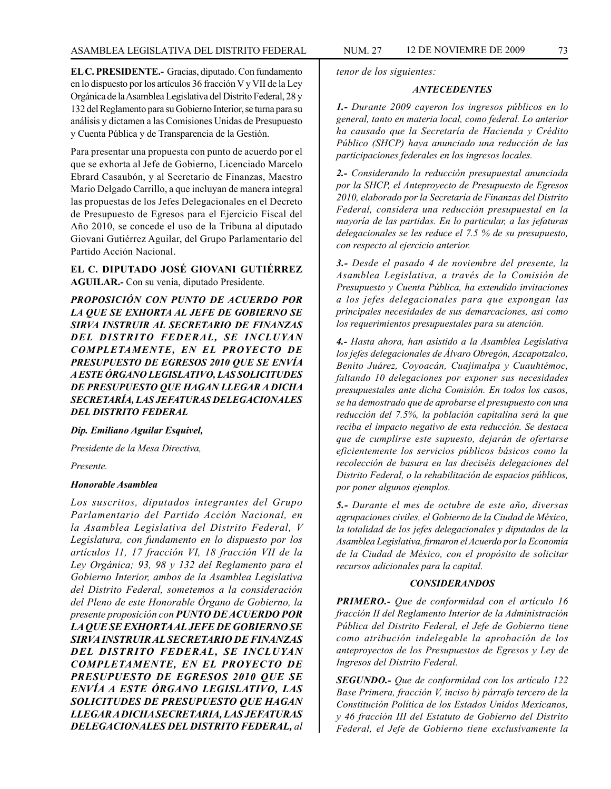**EL C. PRESIDENTE.-** Gracias, diputado. Con fundamento en lo dispuesto por los artículos 36 fracción V y VII de la Ley Orgánica de la Asamblea Legislativa del Distrito Federal, 28 y 132 del Reglamento para su Gobierno Interior, se turna para su análisis y dictamen a las Comisiones Unidas de Presupuesto y Cuenta Pública y de Transparencia de la Gestión.

Para presentar una propuesta con punto de acuerdo por el que se exhorta al Jefe de Gobierno, Licenciado Marcelo Ebrard Casaubón, y al Secretario de Finanzas, Maestro Mario Delgado Carrillo, a que incluyan de manera integral las propuestas de los Jefes Delegacionales en el Decreto de Presupuesto de Egresos para el Ejercicio Fiscal del Año 2010, se concede el uso de la Tribuna al diputado Giovani Gutiérrez Aguilar, del Grupo Parlamentario del Partido Acción Nacional.

# **EL C. DIPUTADO JOSÉ GIOVANI GUTIÉRREZ AGUILAR.-** Con su venia, diputado Presidente.

*PROPOSICIÓN CON PUNTO DE ACUERDO POR LA QUE SE EXHORTA AL JEFE DE GOBIERNO SE SIRVA INSTRUIR AL SECRETARIO DE FINANZAS DEL DISTRITO FEDERAL, SE INCLUYAN COMPLETAMENTE, EN EL PROYECTO DE PRESUPUESTO DE EGRESOS 2010 QUE SE ENVÍA A ESTE ÓRGANO LEGISLATIVO, LAS SOLICITUDES DE PRESUPUESTO QUE HAGAN LLEGAR A DICHA SECRETARÍA, LAS JEFATURAS DELEGACIONALES DEL DISTRITO FEDERAL*

# *Dip. Emiliano Aguilar Esquivel,*

*Presidente de la Mesa Directiva,*

*Presente.*

### *Honorable Asamblea*

*Los suscritos, diputados integrantes del Grupo Parlamentario del Partido Acción Nacional, en la Asamblea Legislativa del Distrito Federal, V Legislatura, con fundamento en lo dispuesto por los artículos 11, 17 fracción VI, 18 fracción VII de la Ley Orgánica; 93, 98 y 132 del Reglamento para el Gobierno Interior, ambos de la Asamblea Legislativa del Distrito Federal, sometemos a la consideración del Pleno de este Honorable Órgano de Gobierno, la presente proposición con PUNTO DE ACUERDO POR LA QUE SE EXHORTA AL JEFE DE GOBIERNO SE SIRVA INSTRUIR AL SECRETARIO DE FINANZAS DEL DISTRITO FEDERAL, SE INCLUYAN COMPLETAMENTE, EN EL PROYECTO DE PRESUPUESTO DE EGRESOS 2010 QUE SE ENVÍA A ESTE ÓRGANO LEGISLATIVO, LAS SOLICITUDES DE PRESUPUESTO QUE HAGAN LLEGAR A DICHA SECRETARIA, LAS JEFATURAS DELEGACIONALES DEL DISTRITO FEDERAL, al* 

*tenor de los siguientes:*

### *ANTECEDENTES*

*1.- Durante 2009 cayeron los ingresos públicos en lo general, tanto en materia local, como federal. Lo anterior ha causado que la Secretaría de Hacienda y Crédito Público (SHCP) haya anunciado una reducción de las participaciones federales en los ingresos locales.*

*2.- Considerando la reducción presupuestal anunciada por la SHCP, el Anteproyecto de Presupuesto de Egresos 2010, elaborado por la Secretaría de Finanzas del Distrito Federal, considera una reducción presupuestal en la mayoría de las partidas. En lo particular, a las jefaturas delegacionales se les reduce el 7.5 % de su presupuesto, con respecto al ejercicio anterior.*

*3.- Desde el pasado 4 de noviembre del presente, la Asamblea Legislativa, a través de la Comisión de Presupuesto y Cuenta Pública, ha extendido invitaciones a los jefes delegacionales para que expongan las principales necesidades de sus demarcaciones, así como los requerimientos presupuestales para su atención.*

*4.- Hasta ahora, han asistido a la Asamblea Legislativa los jefes delegacionales de Álvaro Obregón, Azcapotzalco, Benito Juárez, Coyoacán, Cuajimalpa y Cuauhtémoc, faltando 10 delegaciones por exponer sus necesidades presupuestales ante dicha Comisión. En todos los casos, se ha demostrado que de aprobarse el presupuesto con una reducción del 7.5%, la población capitalina será la que reciba el impacto negativo de esta reducción. Se destaca que de cumplirse este supuesto, dejarán de ofertarse eficientemente los servicios públicos básicos como la recolección de basura en las dieciséis delegaciones del Distrito Federal, o la rehabilitación de espacios públicos, por poner algunos ejemplos.*

*5.- Durante el mes de octubre de este año, diversas agrupaciones civiles, el Gobierno de la Ciudad de México, la totalidad de los jefes delegacionales y diputados de la Asamblea Legislativa, firmaron el Acuerdo por la Economía de la Ciudad de México, con el propósito de solicitar recursos adicionales para la capital.*

### *CONSIDERANDOS*

*PRIMERO.- Que de conformidad con el artículo 16 fracción II del Reglamento Interior de la Administración Pública del Distrito Federal, el Jefe de Gobierno tiene como atribución indelegable la aprobación de los anteproyectos de los Presupuestos de Egresos y Ley de Ingresos del Distrito Federal.*

*SEGUNDO.- Que de conformidad con los artículo 122 Base Primera, fracción V, inciso b) párrafo tercero de la Constitución Política de los Estados Unidos Mexicanos, y 46 fracción III del Estatuto de Gobierno del Distrito Federal, el Jefe de Gobierno tiene exclusivamente la*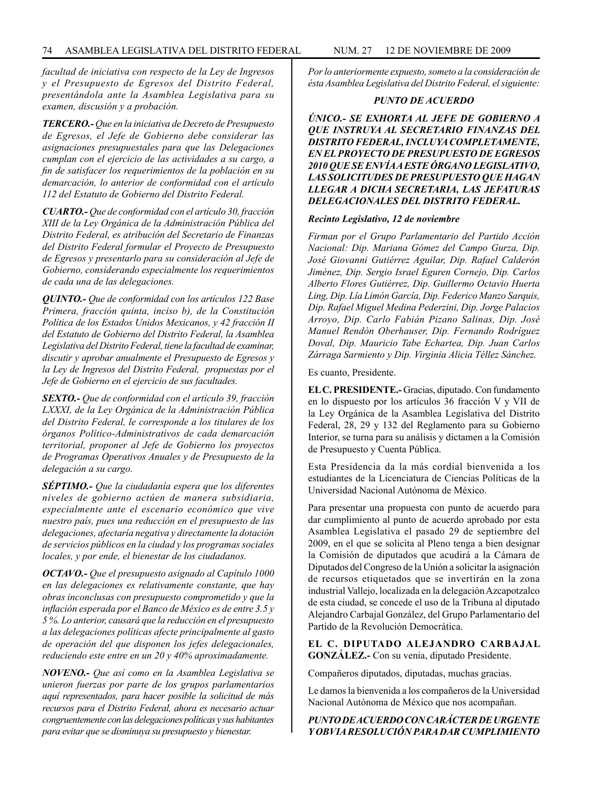*facultad de iniciativa con respecto de la Ley de Ingresos y el Presupuesto de Egresos del Distrito Federal, presentándola ante la Asamblea Legislativa para su examen, discusión y a probación.*

*TERCERO.- Que en la iniciativa de Decreto de Presupuesto de Egresos, el Jefe de Gobierno debe considerar las asignaciones presupuestales para que las Delegaciones cumplan con el ejercicio de las actividades a su cargo, a fin de satisfacer los requerimientos de la población en su demarcación, lo anterior de conformidad con el artículo 112 del Estatuto de Gobierno del Distrito Federal.* 

*CUARTO.- Que de conformidad con el artículo 30, fracción XIII de la Ley Orgánica de la Administración Pública del Distrito Federal, es atribución del Secretario de Finanzas del Distrito Federal formular el Proyecto de Presupuesto de Egresos y presentarlo para su consideración al Jefe de Gobierno, considerando especialmente los requerimientos de cada una de las delegaciones.*

*QUINTO.- Que de conformidad con los artículos 122 Base Primera, fracción quinta, inciso b), de la Constitución Política de los Estados Unidos Mexicanos, y 42 fracción II del Estatuto de Gobierno del Distrito Federal, la Asamblea Legislativa del Distrito Federal, tiene la facultad de examinar, discutir y aprobar anualmente el Presupuesto de Egresos y la Ley de Ingresos del Distrito Federal, propuestas por el Jefe de Gobierno en el ejercicio de sus facultades.*

*SEXTO.- Que de conformidad con el artículo 39, fracción LXXXI, de la Ley Orgánica de la Administración Pública del Distrito Federal, le corresponde a los titulares de los órganos Político-Administrativos de cada demarcación territorial, proponer al Jefe de Gobierno los proyectos de Programas Operativos Anuales y de Presupuesto de la delegación a su cargo.*

*SÉPTIMO.- Que la ciudadanía espera que los diferentes niveles de gobierno actúen de manera subsidiaria, especialmente ante el escenario económico que vive nuestro país, pues una reducción en el presupuesto de las delegaciones, afectaría negativa y directamente la dotación de servicios públicos en la ciudad y los programas sociales locales, y por ende, el bienestar de los ciudadanos.*

*OCTAVO.- Que el presupuesto asignado al Capítulo 1000 en las delegaciones es relativamente constante, que hay obras inconclusas con presupuesto comprometido y que la inflación esperada por el Banco de México es de entre 3.5 y 5 %. Lo anterior, causará que la reducción en el presupuesto a las delegaciones políticas afecte principalmente al gasto de operación del que disponen los jefes delegacionales, reduciendo este entre en un 20 y 40% aproximadamente.*

*NOVENO.- Que así como en la Asamblea Legislativa se unieron fuerzas por parte de los grupos parlamentarios aquí representados, para hacer posible la solicitud de más recursos para el Distrito Federal, ahora es necesario actuar congruentemente con las delegaciones políticas y sus habitantes para evitar que se disminuya su presupuesto y bienestar.*

*Por lo anteriormente expuesto, someto a la consideración de ésta Asamblea Legislativa del Distrito Federal, el siguiente:*

## *PUNTO DE ACUERDO*

*ÚNICO.- SE EXHORTA AL JEFE DE GOBIERNO A QUE INSTRUYA AL SECRETARIO FINANZAS DEL DISTRITO FEDERAL, INCLUYA COMPLETAMENTE, EN EL PROYECTO DE PRESUPUESTO DE EGRESOS 2010 QUE SE ENVÍA A ESTE ÓRGANO LEGISLATIVO, LAS SOLICITUDES DE PRESUPUESTO QUE HAGAN LLEGAR A DICHA SECRETARIA, LAS JEFATURAS DELEGACIONALES DEL DISTRITO FEDERAL.*

### *Recinto Legislativo, 12 de noviembre*

*Firman por el Grupo Parlamentario del Partido Acción Nacional: Dip. Mariana Gómez del Campo Gurza, Dip. José Giovanni Gutiérrez Aguilar, Dip. Rafael Calderón Jiménez, Dip. Sergio Israel Eguren Cornejo, Dip. Carlos Alberto Flores Gutiérrez, Dip. Guillermo Octavio Huerta Ling, Dip. Lía Limón García, Dip. Federico Manzo Sarquis, Dip. Rafael Miguel Medina Pederzini, Dip. Jorge Palacios Arroyo, Dip. Carlo Fabián Pizano Salinas, Dip. José Manuel Rendón Oberhauser, Dip. Fernando Rodríguez Doval, Dip. Mauricio Tabe Echartea, Dip. Juan Carlos Zárraga Sarmiento y Dip. Virginia Alicia Téllez Sánchez.*

Es cuanto, Presidente.

**EL C. PRESIDENTE.-** Gracias, diputado. Con fundamento en lo dispuesto por los artículos 36 fracción V y VII de la Ley Orgánica de la Asamblea Legislativa del Distrito Federal, 28, 29 y 132 del Reglamento para su Gobierno Interior, se turna para su análisis y dictamen a la Comisión de Presupuesto y Cuenta Pública.

Esta Presidencia da la más cordial bienvenida a los estudiantes de la Licenciatura de Ciencias Políticas de la Universidad Nacional Autónoma de México.

Para presentar una propuesta con punto de acuerdo para dar cumplimiento al punto de acuerdo aprobado por esta Asamblea Legislativa el pasado 29 de septiembre del 2009, en el que se solicita al Pleno tenga a bien designar la Comisión de diputados que acudirá a la Cámara de Diputados del Congreso de la Unión a solicitar la asignación de recursos etiquetados que se invertirán en la zona industrial Vallejo, localizada en la delegación Azcapotzalco de esta ciudad, se concede el uso de la Tribuna al diputado Alejandro Carbajal González, del Grupo Parlamentario del Partido de la Revolución Democrática.

## **EL C. DIPUTADO ALEJANDRO CARBAJAL GONZÁLEZ.-** Con su venia, diputado Presidente.

Compañeros diputados, diputadas, muchas gracias.

Le damos la bienvenida a los compañeros de la Universidad Nacional Autónoma de México que nos acompañan.

*PUNTO DE ACUERDO CON CARÁCTER DE URGENTE Y OBVIA RESOLUCIÓN PARA DAR CUMPLIMIENTO*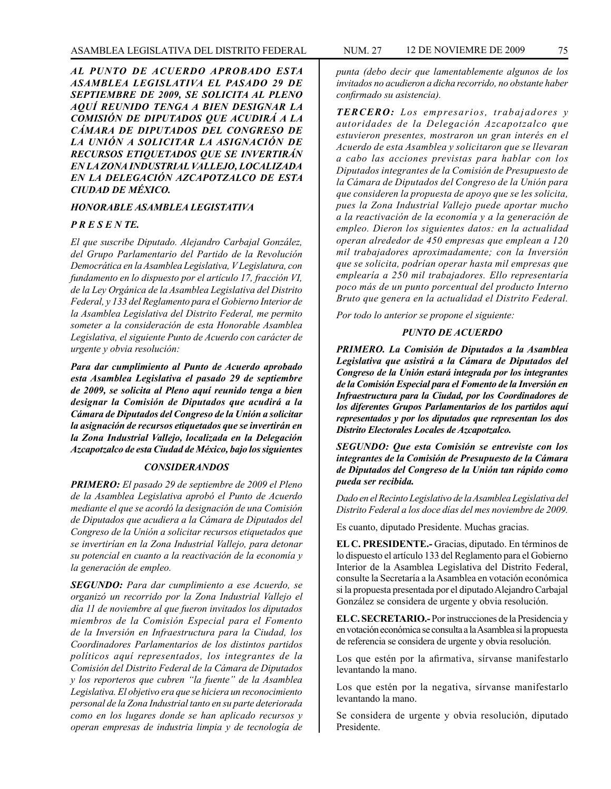*AL PUNTO DE ACUERDO APROBADO ESTA ASAMBLEA LEGISLATIVA EL PASADO 29 DE SEPTIEMBRE DE 2009, SE SOLICITA AL PLENO AQUÍ REUNIDO TENGA A BIEN DESIGNAR LA COMISIÓN DE DIPUTADOS QUE ACUDIRÁ A LA CÁMARA DE DIPUTADOS DEL CONGRESO DE LA UNIÓN A SOLICITAR LA ASIGNACIÓN DE RECURSOS ETIQUETADOS QUE SE INVERTIRÁN EN LA ZONA INDUSTRIAL VALLEJO, LOCALIZADA EN LA DELEGACIÓN AZCAPOTZALCO DE ESTA CIUDAD DE MÉXICO.*

## *HONORABLE ASAMBLEA LEGISTATIVA*

## *P R E S E N TE.*

*El que suscribe Diputado. Alejandro Carbajal González, del Grupo Parlamentario del Partido de la Revolución Democrática en la Asamblea Legislativa, V Legislatura, con fundamento en lo dispuesto por el artículo 17, fracción VI, de la Ley Orgánica de la Asamblea Legislativa del Distrito Federal, y 133 del Reglamento para el Gobierno Interior de la Asamblea Legislativa del Distrito Federal, me permito someter a la consideración de esta Honorable Asamblea Legislativa, el siguiente Punto de Acuerdo con carácter de urgente y obvia resolución:*

*Para dar cumplimiento al Punto de Acuerdo aprobado esta Asamblea Legislativa el pasado 29 de septiembre de 2009, se solicita al Pleno aquí reunido tenga a bien designar la Comisión de Diputados que acudirá a la Cámara de Diputados del Congreso de la Unión a solicitar la asignación de recursos etiquetados que se invertirán en la Zona Industrial Vallejo, localizada en la Delegación Azcapotzalco de esta Ciudad de México, bajo los siguientes*

#### *CONSIDERANDOS*

*PRIMERO: El pasado 29 de septiembre de 2009 el Pleno de la Asamblea Legislativa aprobó el Punto de Acuerdo mediante el que se acordó la designación de una Comisión de Diputados que acudiera a la Cámara de Diputados del Congreso de la Unión a solicitar recursos etiquetados que se invertirían en la Zona Industrial Vallejo, para detonar su potencial en cuanto a la reactivación de la economía y la generación de empleo.*

*SEGUNDO: Para dar cumplimiento a ese Acuerdo, se organizó un recorrido por la Zona Industrial Vallejo el día 11 de noviembre al que fueron invitados los diputados miembros de la Comisión Especial para el Fomento de la Inversión en Infraestructura para la Ciudad, los Coordinadores Parlamentarios de los distintos partidos políticos aquí representados, los integrantes de la Comisión del Distrito Federal de la Cámara de Diputados y los reporteros que cubren "la fuente" de la Asamblea Legislativa. El objetivo era que se hiciera un reconocimiento personal de la Zona Industrial tanto en su parte deteriorada como en los lugares donde se han aplicado recursos y operan empresas de industria limpia y de tecnología de* 

*punta (debo decir que lamentablemente algunos de los invitados no acudieron a dicha recorrido, no obstante haber confirmado su asistencia).*

*TERCERO: Los empresarios, trabajadores y autoridades de la Delegación Azcapotzalco que estuvieron presentes, mostraron un gran interés en el Acuerdo de esta Asamblea y solicitaron que se llevaran a cabo las acciones previstas para hablar con los Diputados integrantes de la Comisión de Presupuesto de la Cámara de Diputados del Congreso de la Unión para que consideren la propuesta de apoyo que se les solicita, pues la Zona Industrial Vallejo puede aportar mucho a la reactivación de la economía y a la generación de empleo. Dieron los siguientes datos: en la actualidad operan alrededor de 450 empresas que emplean a 120 mil trabajadores aproximadamente; con la Inversión que se solicita, podrían operar hasta mil empresas que emplearía a 250 mil trabajadores. Ello representaría poco más de un punto porcentual del producto Interno Bruto que genera en la actualidad el Distrito Federal.* 

*Por todo lo anterior se propone el siguiente:*

## *PUNTO DE ACUERDO*

*PRIMERO. La Comisión de Diputados a la Asamblea Legislativa que asistirá a la Cámara de Diputados del Congreso de la Unión estará integrada por los integrantes de la Comisión Especial para el Fomento de la Inversión en Infraestructura para la Ciudad, por los Coordinadores de los diferentes Grupos Parlamentarios de los partidos aquí representados y por los diputados que representan los dos Distrito Electorales Locales de Azcapotzalco.*

*SEGUNDO: Que esta Comisión se entreviste con los integrantes de la Comisión de Presupuesto de la Cámara de Diputados del Congreso de la Unión tan rápido como pueda ser recibida.* 

*Dado en el Recinto Legislativo de la Asamblea Legislativa del Distrito Federal a los doce días del mes noviembre de 2009.*

Es cuanto, diputado Presidente. Muchas gracias.

**EL C. PRESIDENTE.-** Gracias, diputado. En términos de lo dispuesto el artículo 133 del Reglamento para el Gobierno Interior de la Asamblea Legislativa del Distrito Federal, consulte la Secretaría a la Asamblea en votación económica si la propuesta presentada por el diputado Alejandro Carbajal González se considera de urgente y obvia resolución.

**EL C. SECRETARIO.-** Por instrucciones de la Presidencia y en votación económica se consulta a la Asamblea si la propuesta de referencia se considera de urgente y obvia resolución.

Los que estén por la afirmativa, sírvanse manifestarlo levantando la mano.

Los que estén por la negativa, sírvanse manifestarlo levantando la mano.

Se considera de urgente y obvia resolución, diputado Presidente.